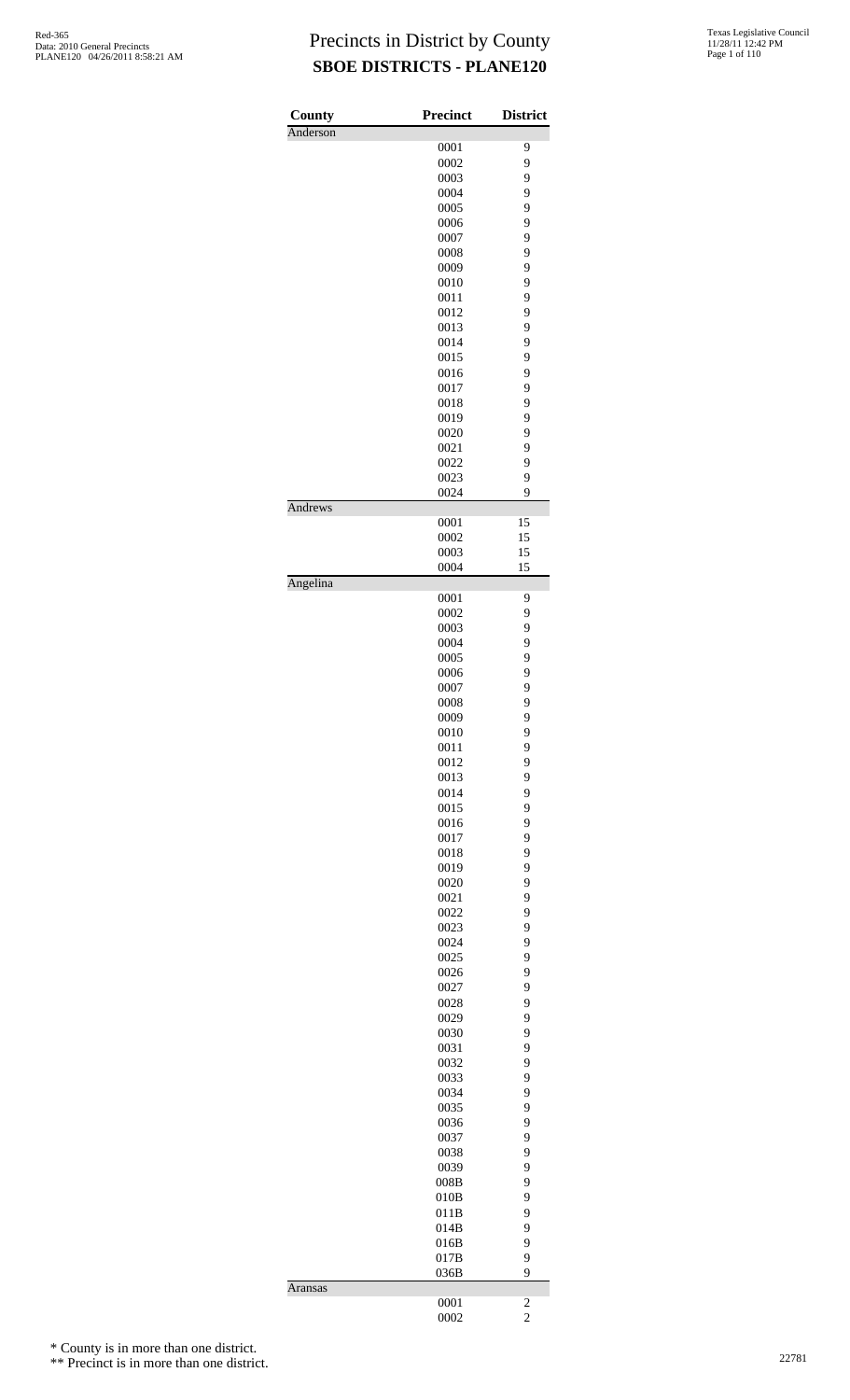| County   | <b>Precinct</b> | <b>District</b>         |
|----------|-----------------|-------------------------|
| Anderson |                 |                         |
|          | 0001            | 9                       |
|          | 0002<br>0003    | 9<br>9                  |
|          | 0004            | 9                       |
|          | 0005            | 9                       |
|          | 0006            | 9                       |
|          | 0007            | 9                       |
|          | 0008            | 9                       |
|          | 0009            | 9                       |
|          | 0010            | 9                       |
|          | 0011            | 9                       |
|          | 0012<br>0013    | 9<br>9                  |
|          | 0014            | 9                       |
|          | 0015            | 9                       |
|          | 0016            | 9                       |
|          | 0017            | 9                       |
|          | 0018            | 9                       |
|          | 0019            | 9                       |
|          | 0020            | 9                       |
|          | 0021            | 9                       |
|          | 0022            | 9<br>9                  |
|          | 0023<br>0024    | 9                       |
| Andrews  |                 |                         |
|          | 0001            | 15                      |
|          | 0002            | 15                      |
|          | 0003            | 15                      |
|          | 0004            | 15                      |
| Angelina | 0001            | 9                       |
|          | 0002            | 9                       |
|          | 0003            | 9                       |
|          | 0004            | 9                       |
|          | 0005            | 9                       |
|          | 0006            | 9                       |
|          | 0007            | 9                       |
|          | 0008            | 9                       |
|          | 0009<br>0010    | 9<br>9                  |
|          | 0011            | 9                       |
|          | 0012            | 9                       |
|          | 0013            | 9                       |
|          | 0014            | 9                       |
|          | 0015            | 9                       |
|          | 0016            | 9                       |
|          | 0017            | 9                       |
|          | 0018            | 9<br>9                  |
|          | 0019<br>0020    | 9                       |
|          | 0021            | 9                       |
|          | 0022            | 9                       |
|          | 0023            | 9                       |
|          | 0024            | 9                       |
|          | 0025            | 9                       |
|          | 0026            | 9                       |
|          | 0027            | 9                       |
|          | 0028<br>0029    | 9<br>9                  |
|          | 0030            | 9                       |
|          | 0031            | 9                       |
|          | 0032            | 9                       |
|          | 0033            | 9                       |
|          | 0034            | 9                       |
|          | 0035            | 9                       |
|          | 0036            | 9                       |
|          | 0037            | 9                       |
|          | 0038<br>0039    | 9<br>9                  |
|          | 008B            | 9                       |
|          | 010B            | 9                       |
|          | 011B            | 9                       |
|          | 014B            | 9                       |
|          | 016B            | 9                       |
|          | 017B            | 9                       |
|          | 036B            | 9                       |
| Aransas  | 0001            | $\overline{\mathbf{c}}$ |
|          | 0002            | $\overline{c}$          |
|          |                 |                         |

\* County is in more than one district.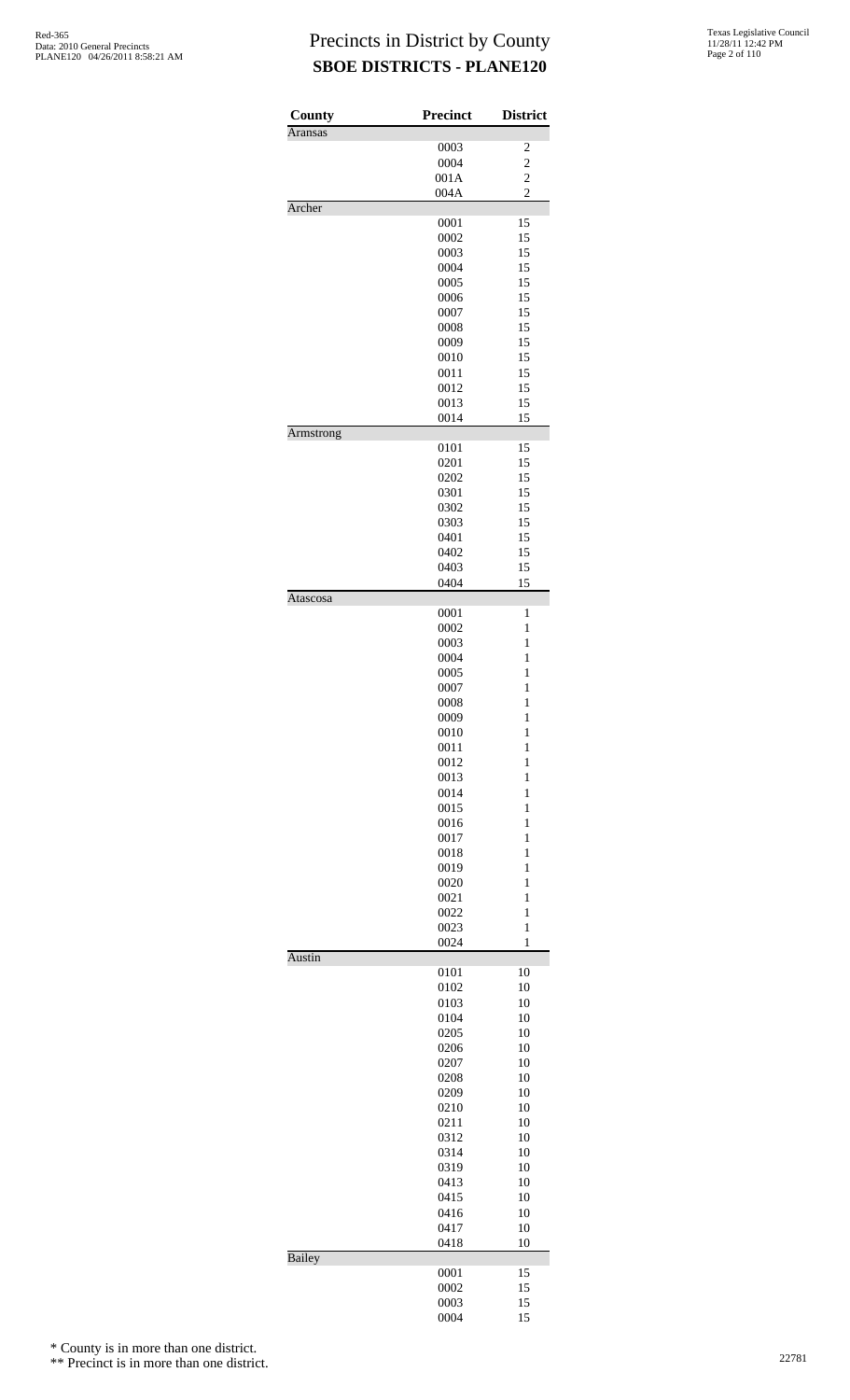| County           | Precinct     | <b>District</b>   |
|------------------|--------------|-------------------|
| <b>Aransas</b>   | 0003         | 2                 |
|                  | 0004         | $\overline{c}$    |
|                  | 001A         | $\overline{c}$    |
|                  | 004A         | $\overline{2}$    |
| Archer           |              |                   |
|                  | 0001         | 15                |
|                  | 0002         | 15                |
|                  | 0003         | 15                |
|                  | 0004<br>0005 | 15<br>15          |
|                  | 0006         | 15                |
|                  | 0007         | 15                |
|                  | 0008         | 15                |
|                  | 0009         | 15                |
|                  | 0010         | 15                |
|                  | 0011         | 15                |
|                  | 0012         | 15                |
|                  | 0013         | 15                |
| <b>Armstrong</b> | 0014         | 15                |
|                  | 0101         | 15                |
|                  | 0201         | 15                |
|                  | 0202         | 15                |
|                  | 0301         | 15                |
|                  | 0302         | 15                |
|                  | 0303         | 15                |
|                  | 0401         | 15                |
|                  | 0402<br>0403 | 15<br>15          |
|                  | 0404         | 15                |
| Atascosa         |              |                   |
|                  | 0001         | 1                 |
|                  | 0002         | $\mathbf{1}$      |
|                  | 0003         | $\mathbf{1}$      |
|                  | 0004         | $\mathbf{1}$      |
|                  | 0005         | $\mathbf{1}$      |
|                  | 0007         | $\mathbf{1}$      |
|                  | 0008<br>0009 | 1<br>$\mathbf{1}$ |
|                  | 0010         | $\mathbf{1}$      |
|                  | 0011         | $\mathbf{1}$      |
|                  | 0012         | $\mathbf{1}$      |
|                  | 0013         | $\mathbf{1}$      |
|                  | 0014         | $\mathbf{1}$      |
|                  | 0015         | $\mathbf{1}$      |
|                  | 0016         | $\mathbf{1}$      |
|                  | 0017<br>0018 | $\mathbf{1}$<br>1 |
|                  | 0019         | $\mathbf{1}$      |
|                  | 0020         | $\mathbf{1}$      |
|                  | 0021         | $\mathbf{1}$      |
|                  | 0022         | $\mathbf{1}$      |
|                  | 0023         | $\mathbf{1}$      |
|                  | 0024         | $\mathbf{1}$      |
| Austin           |              |                   |
|                  | 0101<br>0102 | 10<br>10          |
|                  | 0103         | 10                |
|                  | 0104         | 10                |
|                  | 0205         | 10                |
|                  | 0206         | 10                |
|                  | 0207         | 10                |
|                  | 0208         | 10                |
|                  | 0209         | 10                |
|                  | 0210         | 10                |
|                  | 0211<br>0312 | 10<br>10          |
|                  | 0314         | 10                |
|                  | 0319         | 10                |
|                  | 0413         | 10                |
|                  | 0415         | 10                |
|                  | 0416         | 10                |
|                  | 0417         | 10                |
|                  | 0418         | 10                |
| <b>Bailey</b>    |              |                   |
|                  | 0001<br>0002 | 15<br>15          |
|                  | 0003         | 15                |
|                  | 0004         | 15                |

\* County is in more than one district.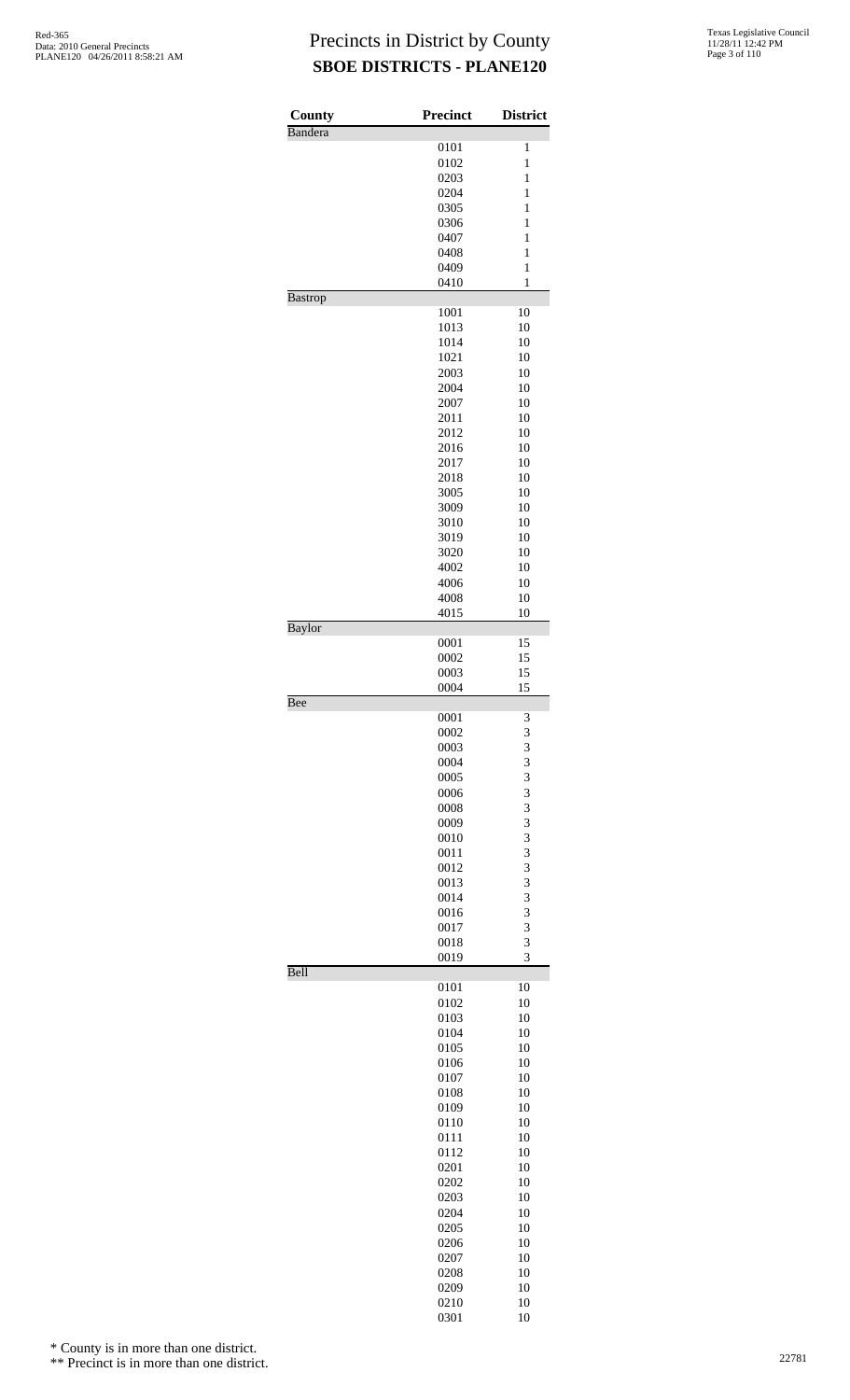| County         | <b>Precinct</b> | <b>District</b> |
|----------------|-----------------|-----------------|
| Bandera        | 0101            | $\mathbf{1}$    |
|                | 0102            | $\mathbf{1}$    |
|                | 0203            | 1               |
|                | 0204            | $\mathbf{1}$    |
|                | 0305            | $\mathbf{1}$    |
|                | 0306            | $\mathbf{1}$    |
|                | 0407            | $\mathbf{1}$    |
|                | 0408            | 1               |
|                | 0409            | $\mathbf{1}$    |
| <b>Bastrop</b> | 0410            | $\mathbf{1}$    |
|                | 1001            | 10              |
|                | 1013            | 10              |
|                | 1014            | 10              |
|                | 1021            | 10<br>10        |
|                | 2003<br>2004    | 10              |
|                | 2007            | 10              |
|                | 2011            | 10              |
|                | 2012            | 10              |
|                | 2016            | 10              |
|                | 2017            | 10              |
|                | 2018            | 10              |
|                | 3005            | 10              |
|                | 3009            | 10              |
|                | 3010            | 10              |
|                | 3019            | 10              |
|                | 3020<br>4002    | 10<br>10        |
|                | 4006            | 10              |
|                | 4008            | 10              |
|                | 4015            | 10              |
| Baylor         |                 |                 |
|                | 0001<br>0002    | 15<br>15        |
|                | 0003            | 15              |
|                | 0004            | 15              |
| Bee            |                 |                 |
|                | 0001            | 3               |
|                | 0002<br>0003    | 3<br>3          |
|                | 0004            | 3               |
|                | 0005            | 3               |
|                | 0006            | 3               |
|                | 0008            | 3               |
|                | 0009            | 3               |
|                | 0010            | 3               |
|                | 0011            | 3               |
|                | 0012            | 3               |
|                | 0013<br>0014    | 3<br>3          |
|                | 0016            | 3               |
|                | 0017            | 3               |
|                | 0018            | 3               |
|                | 0019            | 3               |
| Bell           |                 |                 |
|                | 0101<br>0102    | 10<br>10        |
|                | 0103            | 10              |
|                | 0104            | 10              |
|                | 0105            | 10              |
|                | 0106            | 10              |
|                | 0107            | 10              |
|                | 0108            | 10              |
|                | 0109            | 10              |
|                | 0110            | 10              |
|                | 0111            | 10<br>10        |
|                | 0112<br>0201    | 10              |
|                | 0202            | 10              |
|                | 0203            | 10              |
|                | 0204            | 10              |
|                | 0205            | 10              |
|                | 0206            | 10              |
|                | 0207            | 10              |
|                | 0208            | 10              |
|                | 0209            | 10              |
|                | 0210<br>0301    | 10<br>10        |
|                |                 |                 |

\* County is in more than one district.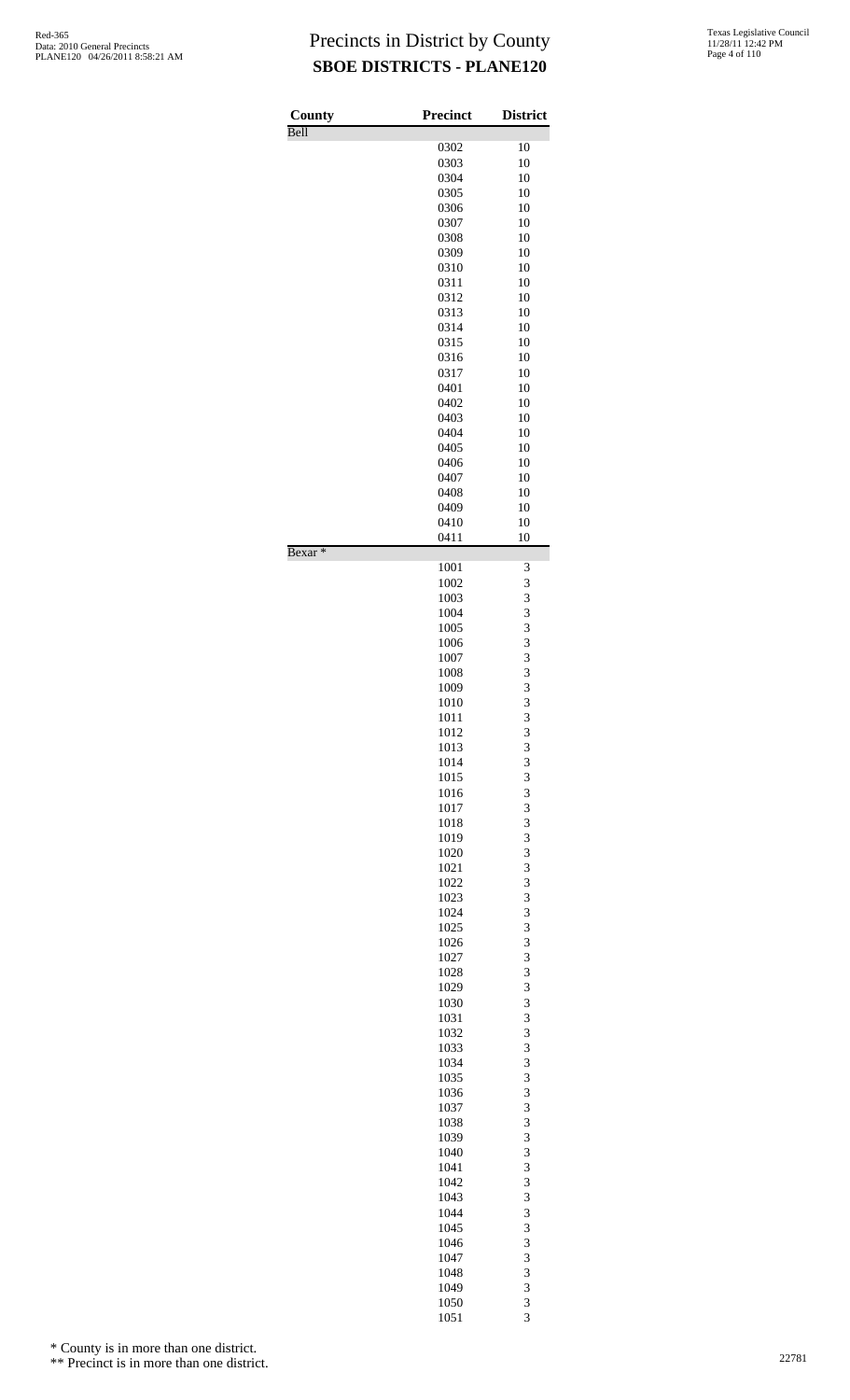| County             | <b>Precinct</b> | <b>District</b> |
|--------------------|-----------------|-----------------|
| Bell               | 0302            | 10              |
|                    | 0303            | 10              |
|                    | 0304            | 10              |
|                    | 0305            | 10              |
|                    | 0306            | 10              |
|                    | 0307<br>0308    | 10<br>10        |
|                    | 0309            | 10              |
|                    | 0310            | 10              |
|                    | 0311            | 10              |
|                    | 0312            | 10              |
|                    | 0313<br>0314    | 10<br>10        |
|                    | 0315            | 10              |
|                    | 0316            | 10              |
|                    | 0317            | 10              |
|                    | 0401            | 10              |
|                    | 0402<br>0403    | 10<br>10        |
|                    | 0404            | 10              |
|                    | 0405            | 10              |
|                    | 0406            | 10              |
|                    | 0407            | 10              |
|                    | 0408            | 10              |
|                    | 0409<br>0410    | 10<br>10        |
| Bexar <sup>*</sup> | 0411            | 10              |
|                    | 1001            | 3               |
|                    | 1002<br>1003    | 3<br>3          |
|                    | 1004            | 3               |
|                    | 1005            | 3               |
|                    | 1006            | 3               |
|                    | 1007            | 3               |
|                    | 1008<br>1009    | 3               |
|                    | 1010            | $\frac{3}{3}$   |
|                    | 1011            | 3               |
|                    | 1012            | 3               |
|                    | 1013            | 3               |
|                    | 1014<br>1015    | 3<br>3          |
|                    | 1016            | 3               |
|                    | 1017            | 3               |
|                    | 1018            | 3               |
|                    | 1019<br>1020    | 3<br>3          |
|                    | 1021            | 3               |
|                    | 1022            | 3               |
|                    | 1023            | 3               |
|                    | 1024            | 3               |
|                    | 1025<br>1026    | 3<br>3          |
|                    | 1027            | 3               |
|                    | 1028            | 3               |
|                    | 1029            | 3               |
|                    | 1030            | 3               |
|                    | 1031<br>1032    | 3<br>3          |
|                    | 1033            | 3               |
|                    | 1034            | 3               |
|                    | 1035            | 3               |
|                    | 1036            | 3               |
|                    | 1037            | 3<br>3          |
|                    | 1038<br>1039    | 3               |
|                    | 1040            | 3               |
|                    | 1041            | 3               |
|                    | 1042            | 3               |
|                    | 1043<br>1044    | 3               |
|                    | 1045            | 3<br>3          |
|                    | 1046            | 3               |
|                    | 1047            | 3               |
|                    | 1048            | 3               |
|                    | 1049<br>1050    | 3<br>3          |
|                    | 1051            | 3               |

\* County is in more than one district.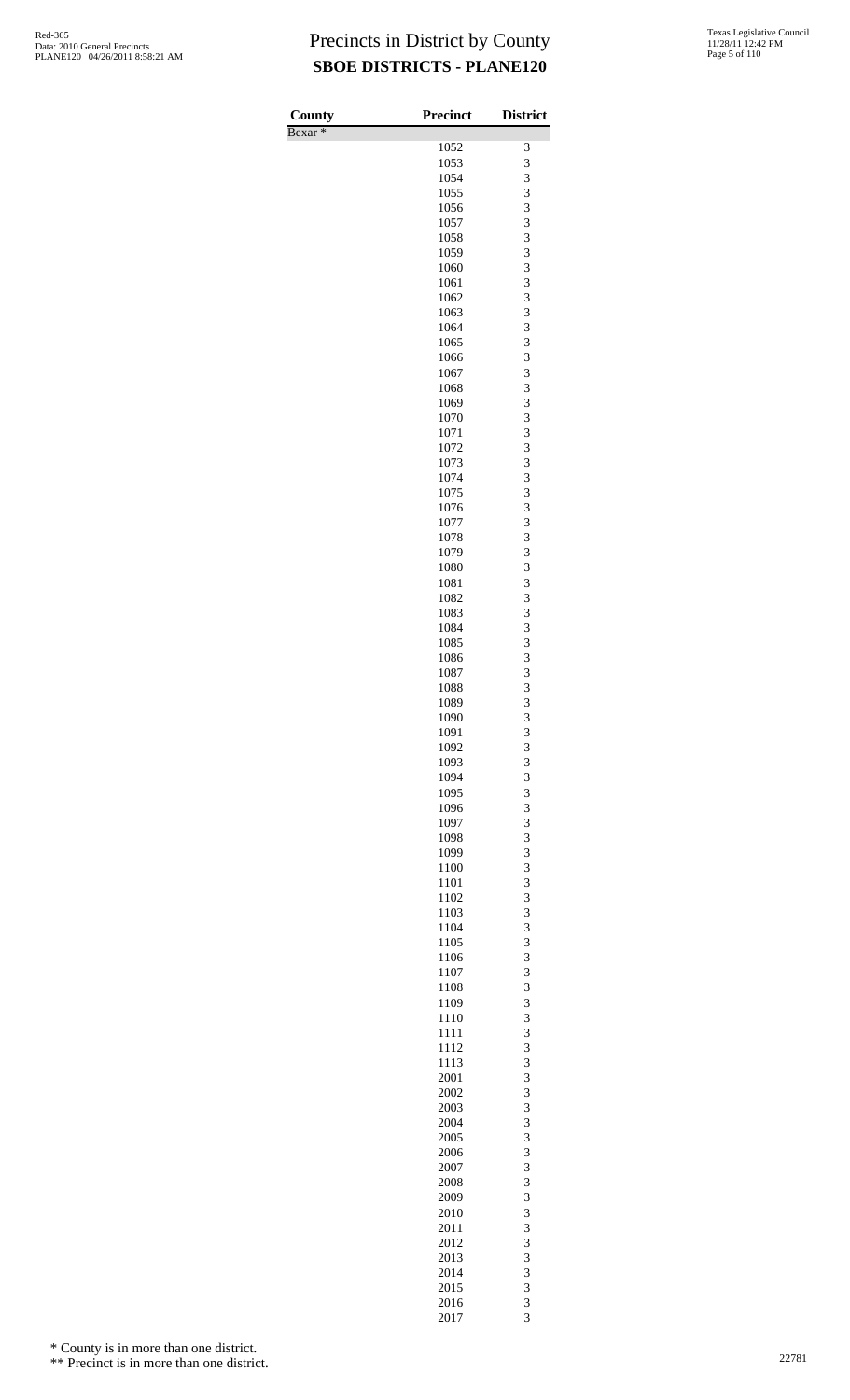| County             | <b>Precinct</b> | <b>District</b> |
|--------------------|-----------------|-----------------|
| Bexar <sup>*</sup> | 1052            | 3               |
|                    | 1053            | 3               |
|                    | 1054            | 3               |
|                    | 1055            | 3               |
|                    | 1056            | 3               |
|                    | 1057<br>1058    | 3<br>3          |
|                    | 1059            | 3               |
|                    | 1060            | 3               |
|                    | 1061            | 3               |
|                    | 1062            | 3               |
|                    | 1063<br>1064    | 3<br>3          |
|                    | 1065            | 3               |
|                    | 1066            | 3               |
|                    | 1067            | 3               |
|                    | 1068<br>1069    | 3<br>3          |
|                    | 1070            | 3               |
|                    | 1071            | 3               |
|                    | 1072            | 3               |
|                    | 1073            | 3               |
|                    | 1074<br>1075    | 3<br>3          |
|                    | 1076            | 3               |
|                    | 1077            | 3               |
|                    | 1078            | 3               |
|                    | 1079            | 3               |
|                    | 1080<br>1081    | 3<br>3          |
|                    | 1082            | 3               |
|                    | 1083            | 3               |
|                    | 1084            | 3               |
|                    | 1085            | 3               |
|                    | 1086<br>1087    | 3<br>3          |
|                    | 1088            | 3               |
|                    | 1089            | 3               |
|                    | 1090            | 3               |
|                    | 1091            | 3               |
|                    | 1092<br>1093    | 3<br>3          |
|                    | 1094            | 3               |
|                    | 1095            | 3               |
|                    | 1096            | 3               |
|                    | 1097            | 3               |
|                    | 1098<br>1099    | 3<br>3          |
|                    | 1100            | 3               |
|                    | 1101            | 3               |
|                    | 1102            | 3               |
|                    | 1103            | 3               |
|                    | 1104<br>1105    | 3<br>3          |
|                    | 1106            | 3               |
|                    | 1107            | 3               |
|                    | 1108            | 3               |
|                    | 1109            | 3<br>3          |
|                    | 1110<br>1111    | 3               |
|                    | 1112            | 3               |
|                    | 1113            | 3               |
|                    | 2001            | 3               |
|                    | 2002<br>2003    | 3<br>3          |
|                    | 2004            | 3               |
|                    | 2005            | 3               |
|                    | 2006            | 3               |
|                    | 2007            | 3               |
|                    | 2008            | 3               |
|                    | 2009<br>2010    | 3<br>3          |
|                    | 2011            | 3               |
|                    | 2012            | 3               |
|                    | 2013            | 3               |
|                    | 2014            | 3<br>3          |
|                    | 2015<br>2016    |                 |
|                    | 2017            | $\frac{3}{3}$   |

\* County is in more than one district.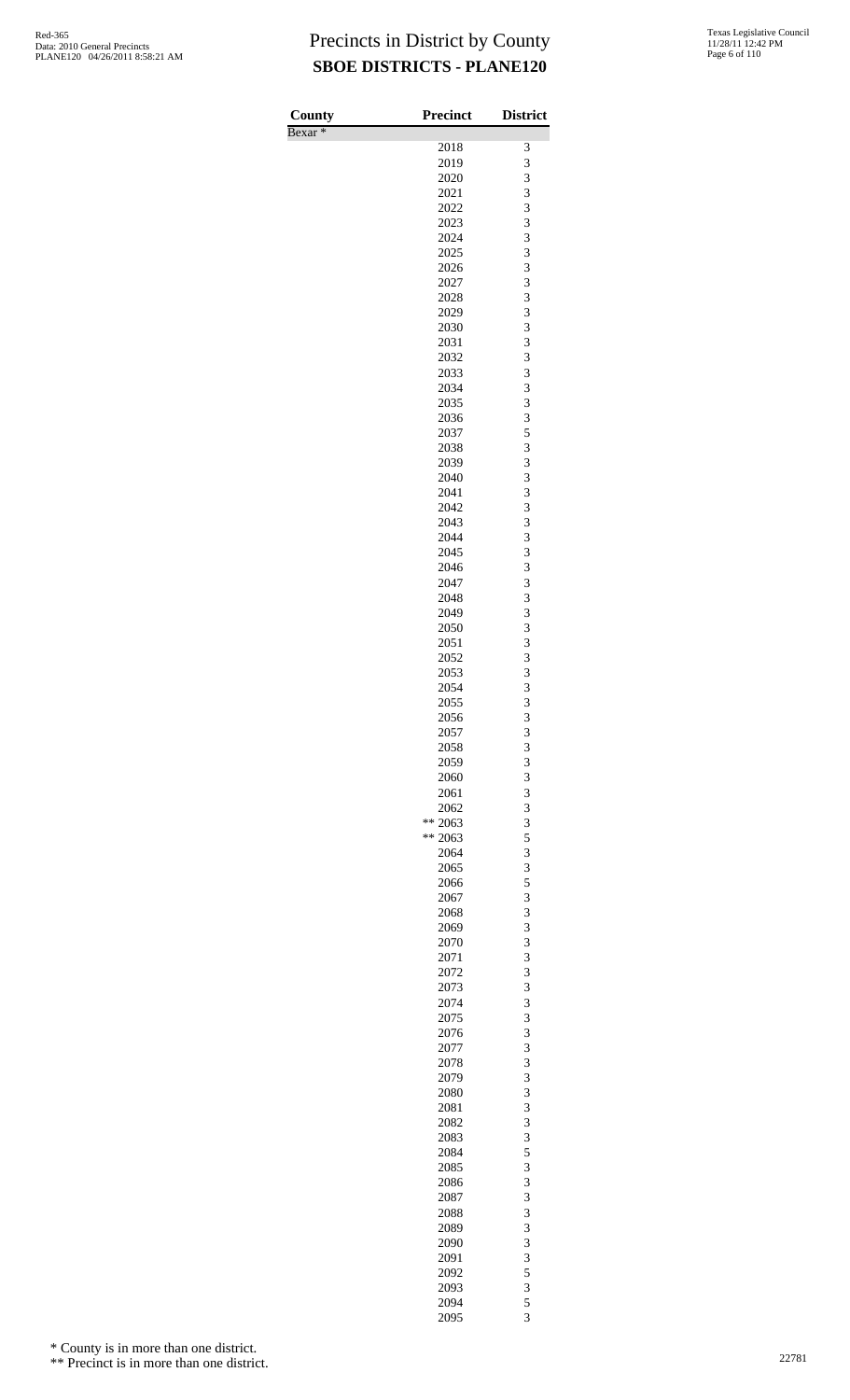Bexar \*

| County    | <b>Precinct</b>       | <b>District</b>              |
|-----------|-----------------------|------------------------------|
| $Bexar *$ | 2018                  | 3                            |
|           | 2019                  | 3                            |
|           | 2020                  | 3                            |
|           | 2021                  | $\overline{\mathbf{3}}$      |
|           | 2022                  | 3                            |
|           | 2023<br>2024          | 3<br>3                       |
|           | 2025                  | 3                            |
|           | 2026                  | 3                            |
|           | 2027                  | 3                            |
|           | 2028                  | 3                            |
|           | 2029<br>2030          | 3<br>3                       |
|           | 2031                  | $\overline{\mathbf{3}}$      |
|           | 2032                  | 3                            |
|           | 2033                  | 3                            |
|           | 2034                  | 3                            |
|           | 2035                  | 3                            |
|           | 2036<br>2037          | $\frac{3}{5}$                |
|           | 2038                  | 3                            |
|           | 2039                  | 3                            |
|           | 2040                  | 3                            |
|           | 2041<br>2042          | $\overline{\mathbf{3}}$<br>3 |
|           | 2043                  | 3                            |
|           | 2044                  | 3                            |
|           | 2045                  | 3                            |
|           | 2046                  | 3                            |
|           | 2047<br>2048          | 3<br>3                       |
|           | 2049                  | 3                            |
|           | 2050                  | 3                            |
|           | 2051                  | 3                            |
|           | 2052                  | 3                            |
|           | 2053<br>2054          | 3<br>3                       |
|           | 2055                  | 3                            |
|           | 2056                  | 3                            |
|           | 2057                  | 3                            |
|           | 2058<br>2059          | 3<br>3                       |
|           | 2060                  | 3                            |
|           | 2061                  | 3                            |
|           | 2062                  | 3                            |
|           | **<br>2063<br>** 2063 | 3<br>5                       |
|           | 2064                  | 3                            |
|           | 2065                  | $\overline{\mathbf{3}}$      |
|           | 2066                  | 5                            |
|           | 2067                  | 3                            |
|           | 2068<br>2069          | 3<br>3                       |
|           | 2070                  | 3                            |
|           | 2071                  | 3                            |
|           | 2072                  | 3                            |
|           | 2073                  | 3                            |
|           | 2074<br>2075          | 3<br>3                       |
|           | 2076                  | 3                            |
|           | 2077                  | 3                            |
|           | 2078                  | 3                            |
|           | 2079<br>2080          | 3<br>3                       |
|           | 2081                  | 3                            |
|           | 2082                  | 3                            |
|           | 2083                  | 3                            |
|           | 2084                  | 5<br>$\overline{3}$          |
|           | 2085<br>2086          | 3                            |
|           | 2087                  | 3                            |
|           | 2088                  | 3                            |
|           | 2089                  | 3                            |
|           | 2090                  | 3                            |
|           | 2091<br>2092          | 3<br>5                       |
|           | 2093                  | 3                            |
|           | 2094                  | 5                            |
|           | 2095                  | 3                            |

\* County is in more than one district.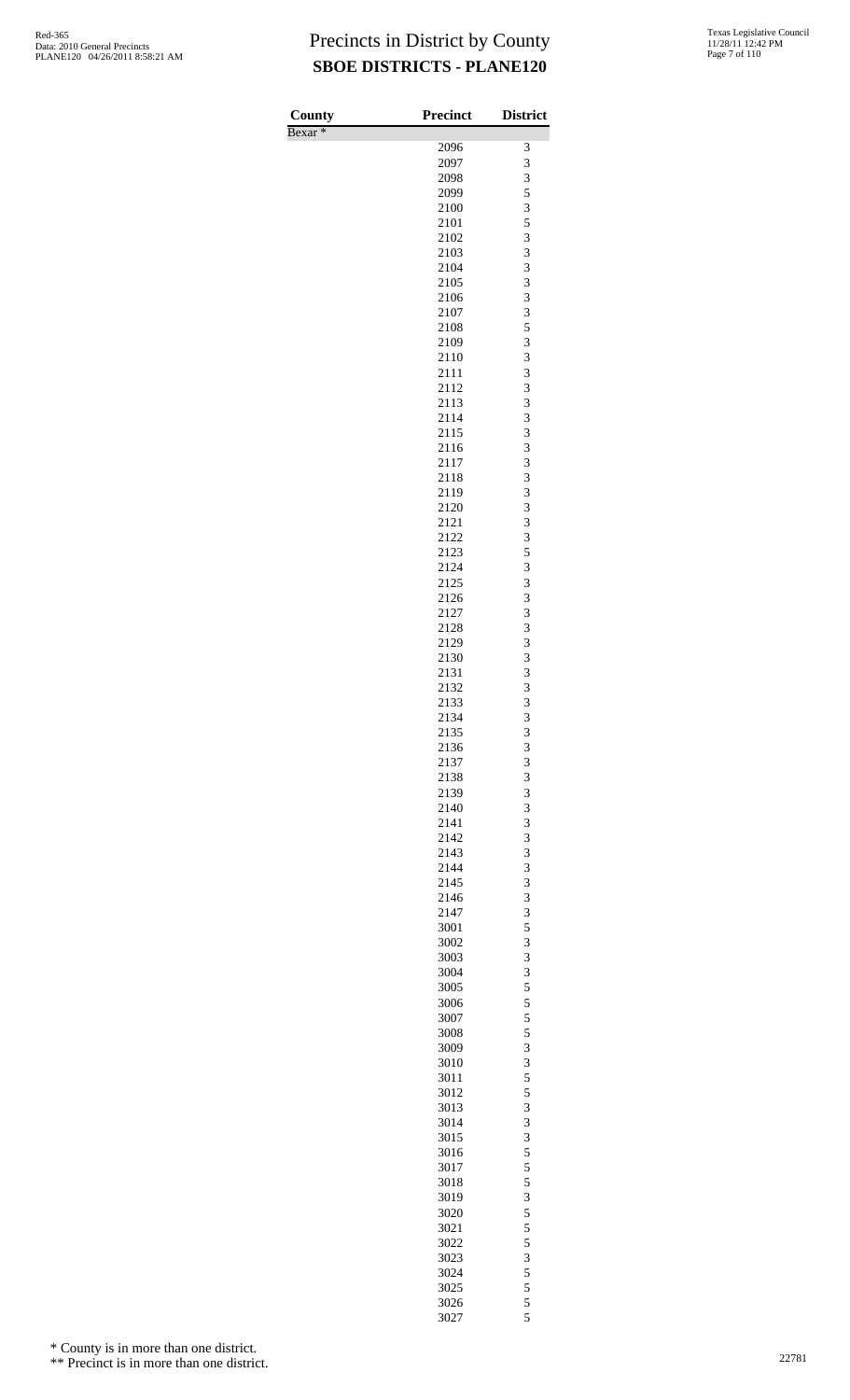| County<br>Bexar <sup>*</sup> | <b>Precinct</b> | <b>District</b> |
|------------------------------|-----------------|-----------------|
|                              | 2096            | 3               |
|                              | 2097            | 3               |
|                              | 2098            | 3               |
|                              | 2099            | 5               |
|                              | 2100            | 3               |
|                              | 2101<br>2102    | 5<br>3          |
|                              | 2103            | 3               |
|                              | 2104            | 3               |
|                              | 2105            | 3               |
|                              | 2106            | 3               |
|                              | 2107            | 3               |
|                              | 2108<br>2109    | 5<br>3          |
|                              | 2110            | 3               |
|                              | 2111            | 3               |
|                              | 2112            | 3               |
|                              | 2113            | 3<br>3          |
|                              | 2114<br>2115    | 3               |
|                              | 2116            | 3               |
|                              | 2117            | 3               |
|                              | 2118            | 3               |
|                              | 2119            | 3               |
|                              | 2120            | 3<br>3          |
|                              | 2121<br>2122    | 3               |
|                              | 2123            | 5               |
|                              | 2124            | 3               |
|                              | 2125            | 3               |
|                              | 2126            | 3               |
|                              | 2127<br>2128    | 3<br>3          |
|                              | 2129            | 3               |
|                              | 2130            | 3               |
|                              | 2131            | 3               |
|                              | 2132<br>2133    | 3<br>3          |
|                              | 2134            | 3               |
|                              | 2135            | 3               |
|                              | 2136            | 3               |
|                              | 2137            | 3               |
|                              | 2138<br>2139    | 3<br>3          |
|                              | 2140            | 3               |
|                              | 2141            | 3               |
|                              | 2142            | 3               |
|                              | 2143<br>2144    | 3<br>3          |
|                              | 2145            | 3               |
|                              | 2146            | 3               |
|                              | 2147            | 3               |
|                              | 3001            | 5               |
|                              | 3002<br>3003    | 3<br>3          |
|                              | 3004            | 3               |
|                              | 3005            | 5               |
|                              | 3006            | 5               |
|                              | 3007            | 5               |
|                              | 3008<br>3009    | 5<br>3          |
|                              | 3010            | 3               |
|                              | 3011            | 5               |
|                              | 3012            | 5               |
|                              | 3013<br>3014    | 3<br>3          |
|                              | 3015            | 3               |
|                              | 3016            | 5               |
|                              | 3017            | 5               |
|                              | 3018            | 5               |
|                              | 3019<br>3020    | 3<br>5          |
|                              | 3021            | 5               |
|                              | 3022            | 5               |
|                              | 3023            | 3               |
|                              | 3024<br>3025    | $\frac{5}{5}$   |
|                              | 3026            | 5               |
|                              | 3027            | 5               |

\* County is in more than one district.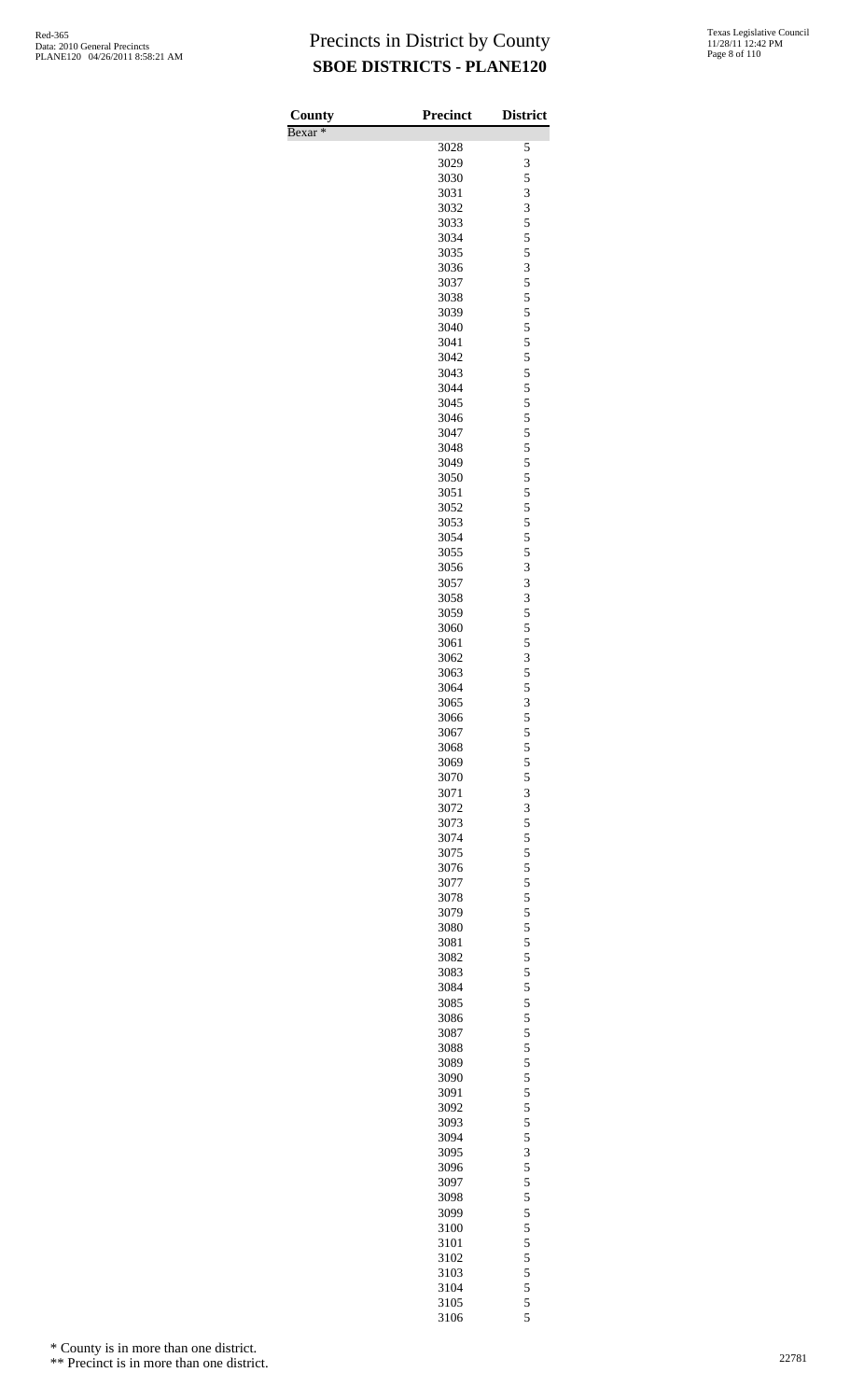| County<br>Bexar <sup>*</sup> | Precinct     | <b>District</b> |
|------------------------------|--------------|-----------------|
|                              | 3028         | 5               |
|                              | 3029         | 3               |
|                              | 3030         | 5               |
|                              | 3031         | 3               |
|                              | 3032         | 3               |
|                              | 3033<br>3034 | 5<br>5          |
|                              | 3035         | 5               |
|                              | 3036         | 3               |
|                              | 3037         | 5               |
|                              | 3038         | 5               |
|                              | 3039         | 5               |
|                              | 3040         | 5<br>5          |
|                              | 3041<br>3042 | 5               |
|                              | 3043         | 5               |
|                              | 3044         | 5               |
|                              | 3045         | 5               |
|                              | 3046         | 5               |
|                              | 3047         | 5               |
|                              | 3048<br>3049 | 5<br>5          |
|                              | 3050         | 5               |
|                              | 3051         | 5               |
|                              | 3052         | 5               |
|                              | 3053         | 5               |
|                              | 3054         | 5               |
|                              | 3055<br>3056 | 5<br>3          |
|                              | 3057         | 3               |
|                              | 3058         | 3               |
|                              | 3059         | 5               |
|                              | 3060         | 5               |
|                              | 3061         | 5               |
|                              | 3062         | 3<br>5          |
|                              | 3063<br>3064 | 5               |
|                              | 3065         | 3               |
|                              | 3066         | 5               |
|                              | 3067         | 5               |
|                              | 3068         | 5               |
|                              | 3069<br>3070 | 5<br>5          |
|                              | 3071         | 3               |
|                              | 3072         | 3               |
|                              | 3073         | 5               |
|                              | 3074         | 5               |
|                              | 3075         | 5               |
|                              | 3076<br>3077 | 5<br>5          |
|                              | 3078         | 5               |
|                              | 3079         | 5               |
|                              | 3080         | 5               |
|                              | 3081         | 5               |
|                              | 3082         | 5               |
|                              | 3083<br>3084 | 5<br>5          |
|                              | 3085         | 5               |
|                              | 3086         | 5               |
|                              | 3087         | 5               |
|                              | 3088         | 5               |
|                              | 3089         | 5               |
|                              | 3090<br>3091 | 5<br>5          |
|                              | 3092         | 5               |
|                              | 3093         | 5               |
|                              | 3094         | 5               |
|                              | 3095         | 3               |
|                              | 3096         | 5               |
|                              | 3097         | 5               |
|                              | 3098<br>3099 | 5<br>5          |
|                              | 3100         | 5               |
|                              | 3101         | 5               |
|                              | 3102         | 5               |
|                              | 3103         | 5               |
|                              | 3104         | 5               |
|                              | 3105<br>3106 | 5<br>5          |
|                              |              |                 |

\* County is in more than one district.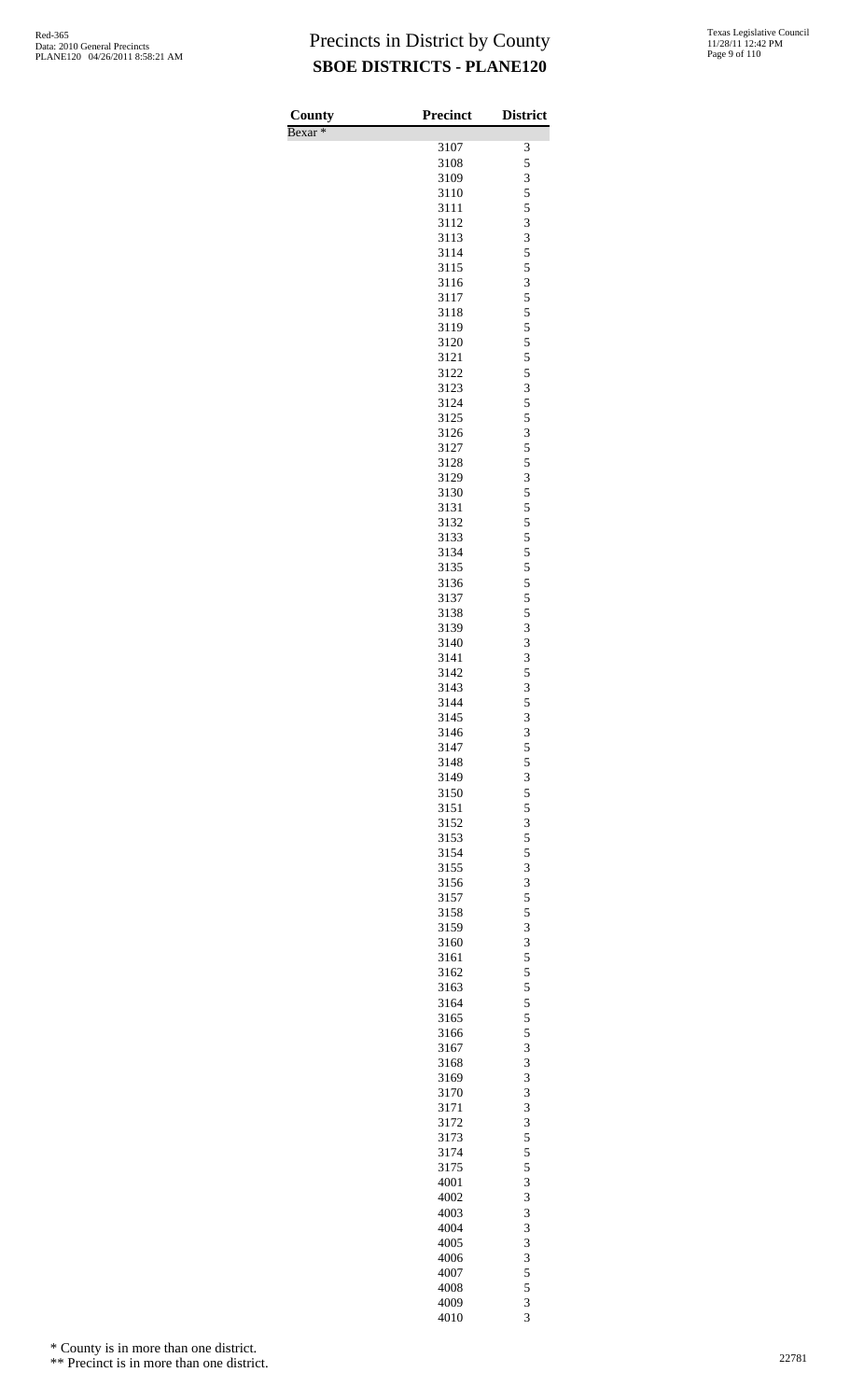| County<br>Bexar <sup>*</sup> | <b>Precinct</b> | <b>District</b> |
|------------------------------|-----------------|-----------------|
|                              | 3107            | 3               |
|                              | 3108            | 5               |
|                              | 3109            | 3               |
|                              | 3110            | 5               |
|                              | 3111            | 5               |
|                              | 3112            | 3               |
|                              | 3113            | 3               |
|                              | 3114<br>3115    | 5<br>5          |
|                              | 3116            | 3               |
|                              | 3117            | 5               |
|                              | 3118            | 5               |
|                              | 3119            | 5               |
|                              | 3120            | 5               |
|                              | 3121            | 5               |
|                              | 3122            | 5               |
|                              | 3123<br>3124    | 3<br>5          |
|                              | 3125            | 5               |
|                              | 3126            | 3               |
|                              | 3127            | 5               |
|                              | 3128            | 5               |
|                              | 3129            | 3               |
|                              | 3130            | 5               |
|                              | 3131            | 5<br>5          |
|                              | 3132<br>3133    | 5               |
|                              | 3134            | 5               |
|                              | 3135            | 5               |
|                              | 3136            | 5               |
|                              | 3137            | 5               |
|                              | 3138            | 5               |
|                              | 3139<br>3140    | 3<br>3          |
|                              | 3141            | 3               |
|                              | 3142            | 5               |
|                              | 3143            | 3               |
|                              | 3144            | 5               |
|                              | 3145            | 3               |
|                              | 3146            | 3               |
|                              | 3147            | 5               |
|                              | 3148<br>3149    | 5               |
|                              | 3150            | $\frac{3}{5}$   |
|                              | 3151            | 5               |
|                              | 3152            | 3               |
|                              | 3153            | 5               |
|                              | 3154            | 5               |
|                              | 3155            | 3               |
|                              | 3156            | 3               |
|                              | 3157<br>3158    | 5<br>5          |
|                              | 3159            | 3               |
|                              | 3160            | 3               |
|                              | 3161            | 5               |
|                              | 3162            | 5               |
|                              | 3163            | 5               |
|                              | 3164            | $\frac{5}{5}$   |
|                              | 3165<br>3166    | 5               |
|                              | 3167            | 3               |
|                              | 3168            | 3               |
|                              | 3169            | 3               |
|                              | 3170            | 3               |
|                              | 3171            | 3               |
|                              | 3172            | 3               |
|                              | 3173            | 5               |
|                              | 3174<br>3175    | 5<br>5          |
|                              | 4001            | 3               |
|                              | 4002            | 3               |
|                              | 4003            | 3               |
|                              | 4004            | 3               |
|                              | 4005            | 3               |
|                              | 4006            | 3               |
|                              | 4007            | 5               |
|                              | 4008            | 5               |
|                              | 4009<br>4010    | 3<br>3          |

\* County is in more than one district.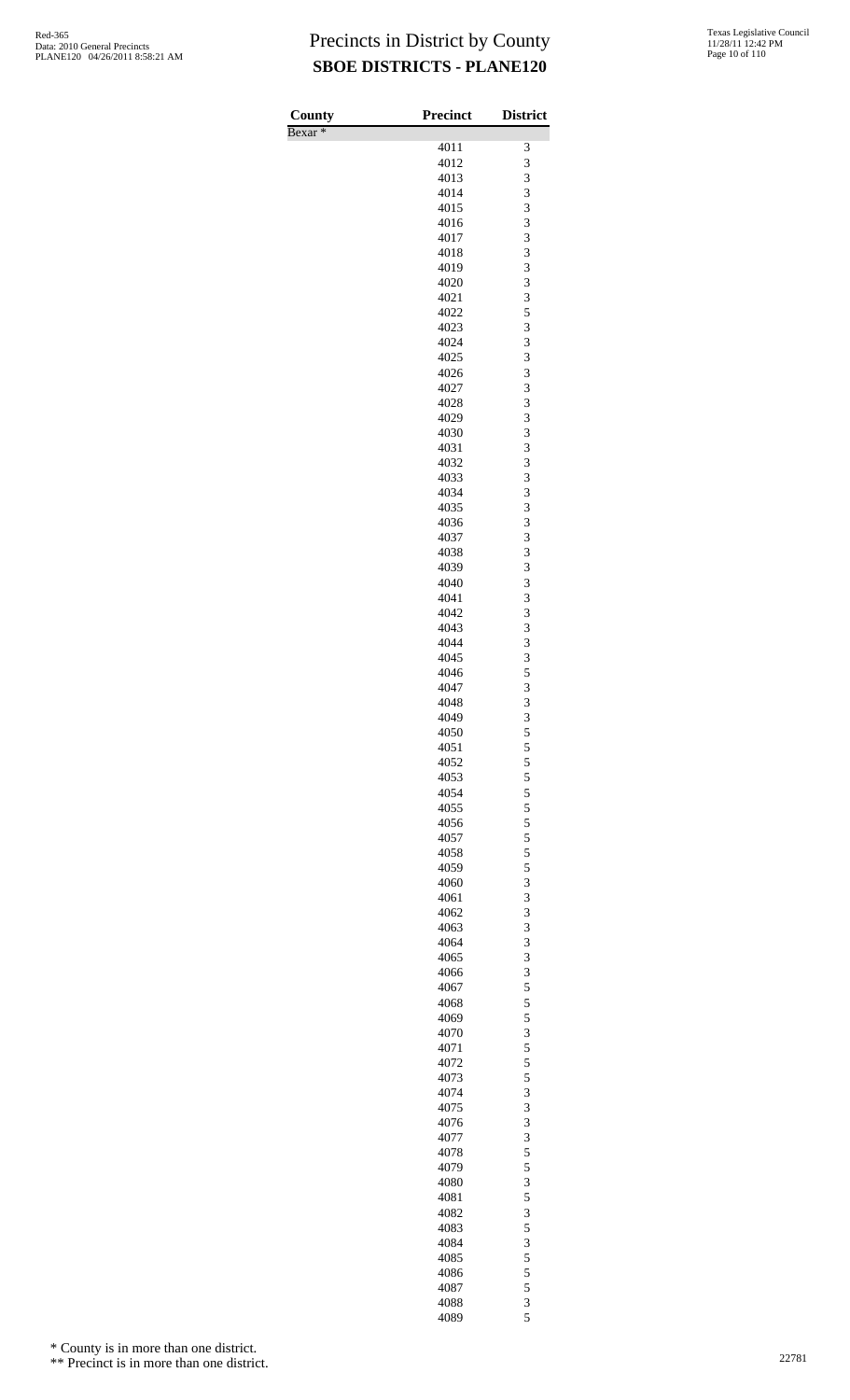| County             | <b>Precinct</b> | <b>District</b> |
|--------------------|-----------------|-----------------|
| Bexar <sup>*</sup> | 4011            | 3               |
|                    | 4012            | 3               |
|                    | 4013            | 3               |
|                    | 4014            | 3               |
|                    | 4015            | 3<br>3          |
|                    | 4016<br>4017    | 3               |
|                    | 4018            | 3               |
|                    | 4019            | 3               |
|                    | 4020            | 3               |
|                    | 4021<br>4022    | 3<br>5          |
|                    | 4023            | 3               |
|                    | 4024            | 3               |
|                    | 4025            | 3               |
|                    | 4026            | 3               |
|                    | 4027<br>4028    | 3<br>3          |
|                    | 4029            | 3               |
|                    | 4030            | 3               |
|                    | 4031            | 3               |
|                    | 4032<br>4033    | 3<br>3          |
|                    | 4034            | 3               |
|                    | 4035            | 3               |
|                    | 4036            | 3               |
|                    | 4037<br>4038    | 3<br>3          |
|                    | 4039            | 3               |
|                    | 4040            | 3               |
|                    | 4041            | 3               |
|                    | 4042            | 3               |
|                    | 4043<br>4044    | 3<br>3          |
|                    | 4045            | 3               |
|                    | 4046            | 5               |
|                    | 4047            | 3               |
|                    | 4048<br>4049    | 3<br>3          |
|                    | 4050            | 5               |
|                    | 4051            | 5               |
|                    | 4052            | 5               |
|                    | 4053<br>4054    | 5<br>5          |
|                    | 4055            | 5               |
|                    | 4056            | 5               |
|                    | 4057            | 5               |
|                    | 4058<br>4059    | 5<br>5          |
|                    | 4060            | 3               |
|                    | 4061            | 3               |
|                    | 4062            | 3               |
|                    | 4063            | 3               |
|                    | 4064<br>4065    | 3<br>3          |
|                    | 4066            | 3               |
|                    | 4067            | 5               |
|                    | 4068            | 5               |
|                    | 4069<br>4070    | 5<br>3          |
|                    | 4071            | 5               |
|                    | 4072            | 5               |
|                    | 4073            | 5               |
|                    | 4074<br>4075    | 3<br>3          |
|                    | 4076            | 3               |
|                    | 4077            | 3               |
|                    | 4078            | 5               |
|                    | 4079<br>4080    | 5<br>3          |
|                    | 4081            | 5               |
|                    | 4082            | 3               |
|                    | 4083            | 5               |
|                    | 4084            | 3               |
|                    | 4085<br>4086    | 5<br>5          |
|                    | 4087            | 5               |
|                    | 4088            | 3               |
|                    | 4089            | 5               |

\* County is in more than one district.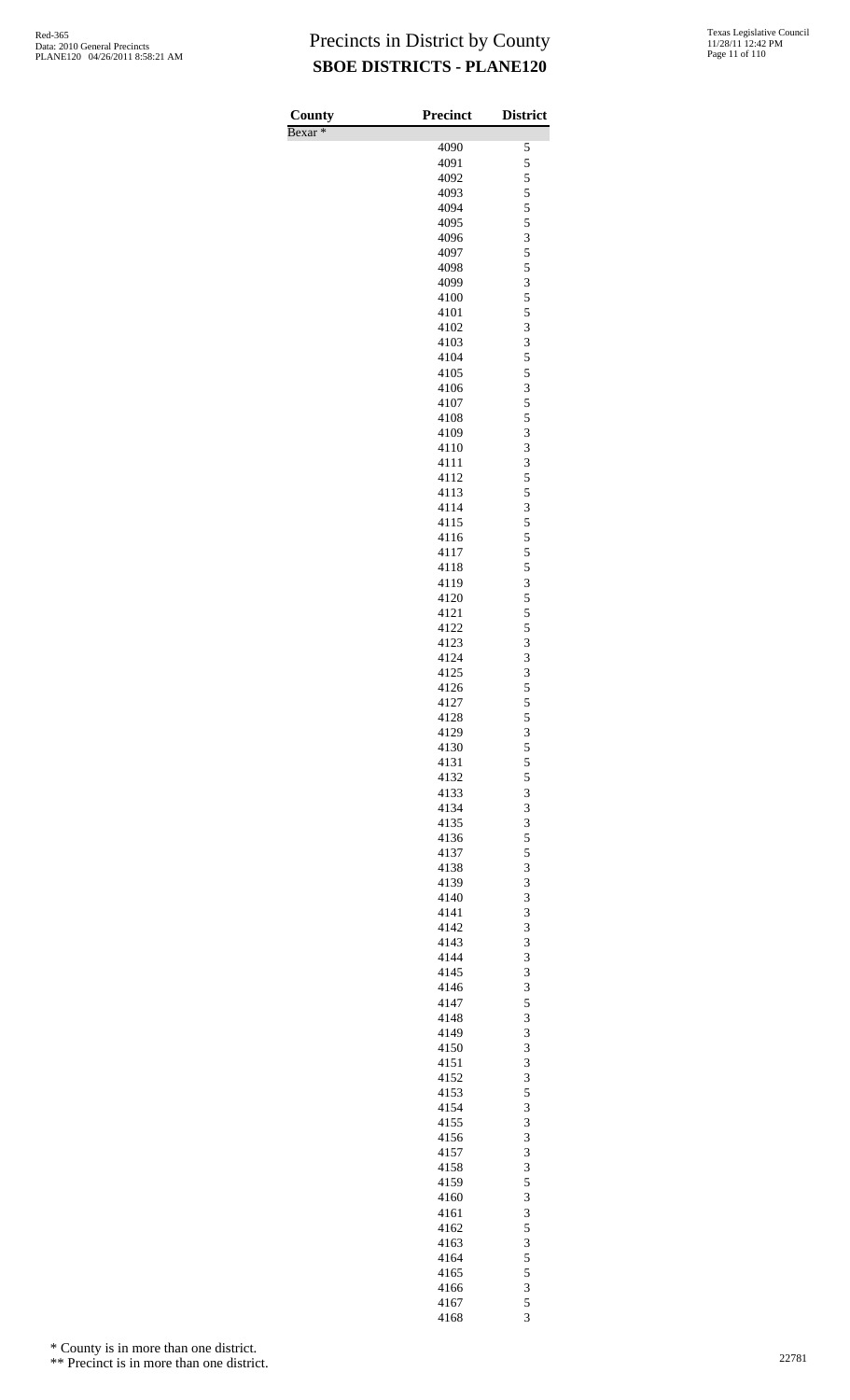Bexar \*

| County<br>$\overline{\text{Bexar}}$ $*$ | Precinct     | <b>District</b>                            |
|-----------------------------------------|--------------|--------------------------------------------|
|                                         | 4090         | 5                                          |
|                                         | 4091         | 5                                          |
|                                         | 4092         | 5                                          |
|                                         | 4093         | $\overline{5}$                             |
|                                         | 4094         | 5                                          |
|                                         | 4095         | 5                                          |
|                                         | 4096         | 3                                          |
|                                         | 4097         | $\frac{5}{5}$                              |
|                                         | 4098         |                                            |
|                                         | 4099         | 3                                          |
|                                         | 4100<br>4101 | 5<br>5                                     |
|                                         | 4102         |                                            |
|                                         | 4103         | $\begin{array}{c} 3 \\ 3 \\ 5 \end{array}$ |
|                                         | 4104         |                                            |
|                                         | 4105         | 5                                          |
|                                         | 4106         | 3                                          |
|                                         | 4107         | 5                                          |
|                                         | 4108         | 5                                          |
|                                         | 4109         | 3                                          |
|                                         | 4110         | 3                                          |
|                                         | 4111         | 3                                          |
|                                         | 4112         | $\frac{5}{5}$                              |
|                                         | 4113<br>4114 | 3                                          |
|                                         | 4115         | 5                                          |
|                                         | 4116         |                                            |
|                                         | 4117         |                                            |
|                                         | 4118         | $\begin{array}{c} 5 \\ 5 \\ 5 \end{array}$ |
|                                         | 4119         | 3                                          |
|                                         | 4120         | 5                                          |
|                                         | 4121         | 5                                          |
|                                         | 4122         | 5                                          |
|                                         | 4123         | 3                                          |
|                                         | 4124         | 3                                          |
|                                         | 4125         | 3                                          |
|                                         | 4126<br>4127 | $\frac{5}{5}$                              |
|                                         | 4128         | 5                                          |
|                                         | 4129         |                                            |
|                                         | 4130         | $\frac{3}{5}$                              |
|                                         | 4131         |                                            |
|                                         | 4132         | $\begin{array}{c} 5 \\ 5 \\ 3 \end{array}$ |
|                                         | 4133         |                                            |
|                                         | 4134         | 3                                          |
|                                         | 4135         | 3                                          |
|                                         | 4136         | 5                                          |
|                                         | 4137<br>4138 | $\frac{5}{3}$                              |
|                                         | 4139         | 3                                          |
|                                         | 4140         | 3                                          |
|                                         | 4141         | 3                                          |
|                                         | 4142         |                                            |
|                                         | 4143         | $\frac{3}{3}$                              |
|                                         | 4144         | 3                                          |
|                                         | 4145         | 3                                          |
|                                         | 4146         | 3                                          |
|                                         | 4147         | 5                                          |
|                                         | 4148         | $\overline{\mathbf{3}}$                    |
|                                         | 4149<br>4150 | 3<br>3                                     |
|                                         | 4151         | 3                                          |
|                                         | 4152         |                                            |
|                                         | 4153         | $rac{3}{5}$                                |
|                                         | 4154         | 3                                          |
|                                         | 4155         | 3                                          |
|                                         | 4156         | 3                                          |
|                                         | 4157         |                                            |
|                                         | 4158         | $\begin{array}{c} 3 \\ 3 \\ 5 \end{array}$ |
|                                         | 4159         |                                            |
|                                         | 4160         | 3                                          |
|                                         | 4161         | 3                                          |
|                                         | 4162         | $\frac{5}{3}$                              |
|                                         | 4163<br>4164 | 5                                          |
|                                         | 4165         | 5                                          |
|                                         | 4166         | 3                                          |
|                                         | 4167         | 5                                          |
|                                         | 4168         | $\overline{\mathbf{3}}$                    |

\* County is in more than one district.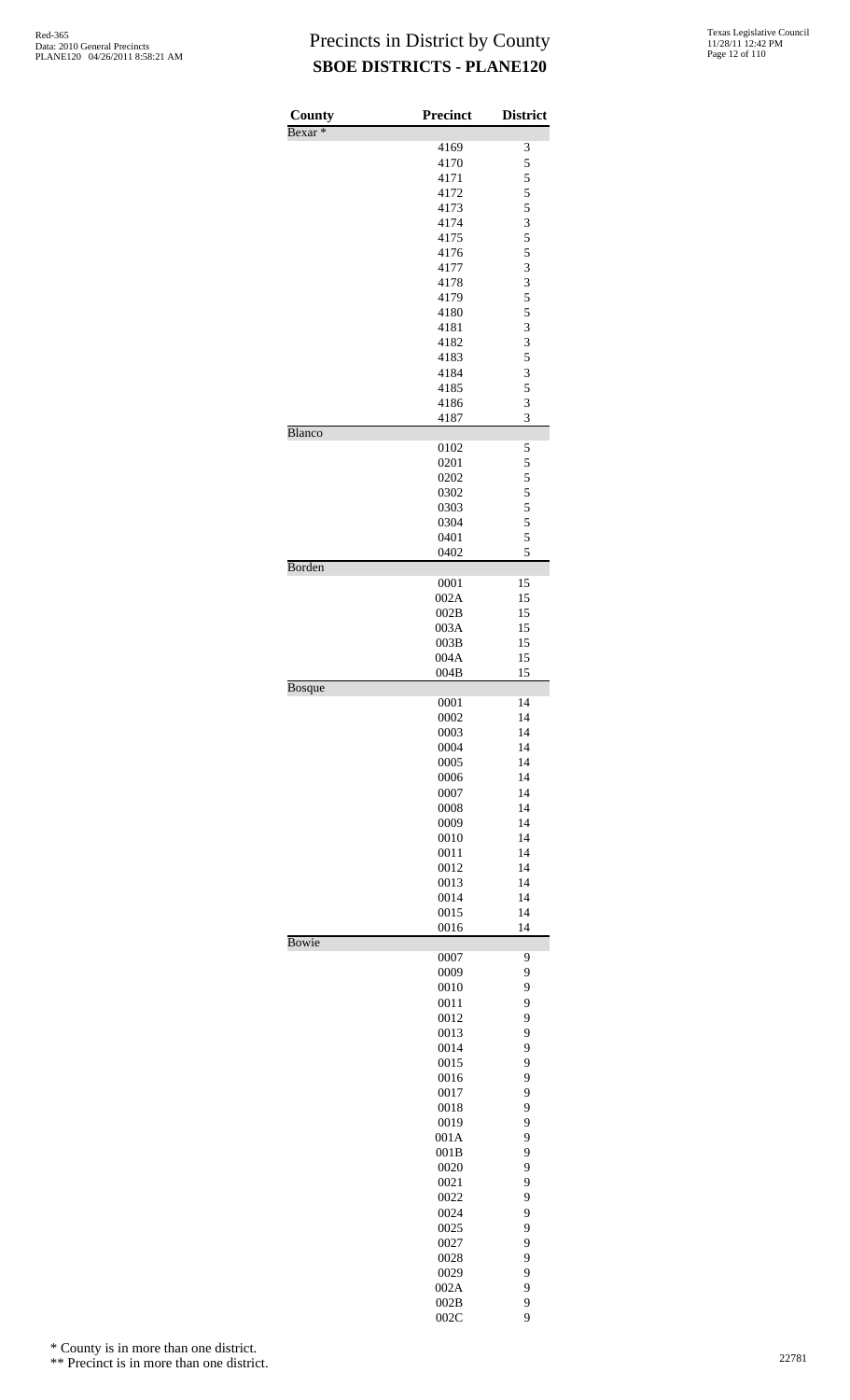| County             | <b>Precinct</b> | <b>District</b> |
|--------------------|-----------------|-----------------|
| Bexar <sup>*</sup> |                 |                 |
|                    | 4169            | 3               |
|                    | 4170<br>4171    | 5               |
|                    | 4172            | $\frac{5}{5}$   |
|                    | 4173            | 5               |
|                    | 4174            | 3               |
|                    | 4175            | 5               |
|                    | 4176<br>4177    | 5<br>3          |
|                    | 4178            | 3               |
|                    | 4179            | 5               |
|                    | 4180            | 5               |
|                    | 4181            | 3               |
|                    | 4182            | 3               |
|                    | 4183<br>4184    | 5<br>3          |
|                    | 4185            | 5               |
|                    | 4186            | 3               |
|                    | 4187            | 3               |
| Blanco             | 0102            | 5               |
|                    | 0201            | 5               |
|                    | 0202            | $\frac{5}{5}$   |
|                    | 0302            |                 |
|                    | 0303<br>0304    | 5<br>5          |
|                    | 0401            | 5               |
|                    | 0402            | 5               |
| Borden             |                 |                 |
|                    | 0001<br>002A    | 15<br>15        |
|                    | 002B            | 15              |
|                    | 003A            | 15              |
|                    | 003B            | 15              |
|                    | 004A<br>004B    | 15<br>15        |
| <b>Bosque</b>      |                 |                 |
|                    | 0001            | 14              |
|                    | 0002<br>0003    | 14<br>14        |
|                    | 0004            | 14              |
|                    | 0005            | 14              |
|                    | 0006            | 14              |
|                    | 0007            | 14              |
|                    | 0008<br>0009    | 14<br>14        |
|                    | 0010            | 14              |
|                    | 0011            | 14              |
|                    | 0012            | 14              |
|                    | 0013            | 14              |
|                    | 0014<br>0015    | 14<br>14        |
|                    | 0016            | 14              |
| <b>Bowie</b>       |                 |                 |
|                    | 0007            | 9               |
|                    | 0009<br>0010    | 9<br>9          |
|                    | 0011            | 9               |
|                    | 0012            | 9               |
|                    | 0013            | 9               |
|                    | 0014<br>0015    | 9<br>9          |
|                    | 0016            | 9               |
|                    | 0017            | 9               |
|                    | 0018            | 9               |
|                    | 0019            | 9               |
|                    | 001A<br>001B    | 9<br>9          |
|                    | 0020            | 9               |
|                    | 0021            | 9               |
|                    | 0022            | 9               |
|                    | 0024            | 9               |
|                    | 0025<br>0027    | 9<br>9          |
|                    | 0028            | 9               |
|                    | 0029            | 9               |
|                    | 002A            | 9               |
|                    | 002B            | 9               |

 $002C$  9

\* County is in more than one district.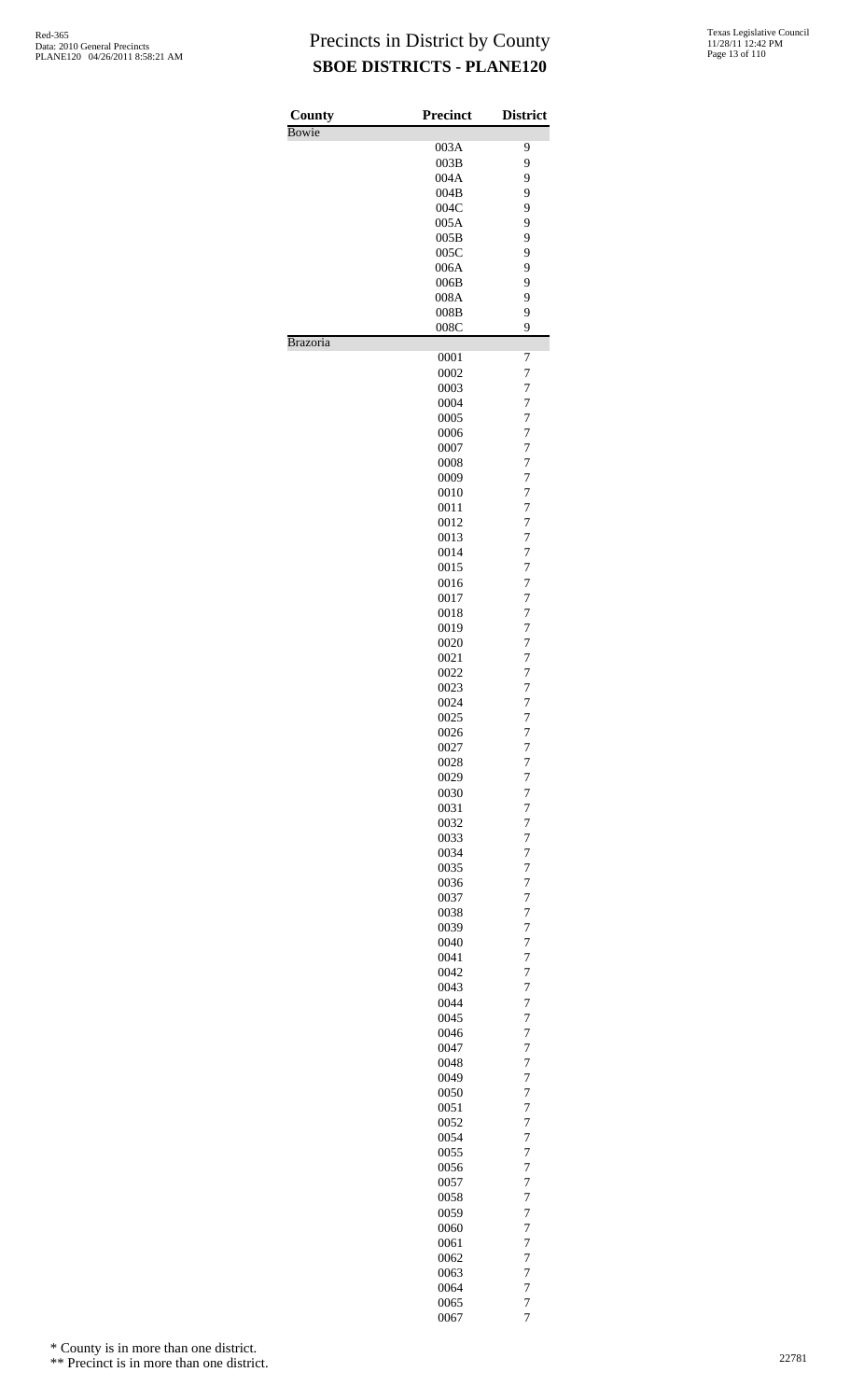| County   | <b>Precinct</b> | <b>District</b>                  |
|----------|-----------------|----------------------------------|
| Bowie    |                 |                                  |
|          | 003A            | 9                                |
|          | 003B            | 9                                |
|          | 004A<br>004B    | 9<br>9                           |
|          | 004C            | 9                                |
|          | 005A            | 9                                |
|          | 005B            | 9                                |
|          | 005C            | 9                                |
|          | 006A            | 9                                |
|          | 006B            | 9                                |
|          | 008A            | 9                                |
|          | 008B            | 9                                |
|          | 008C            | 9                                |
| Brazoria |                 |                                  |
|          | 0001<br>0002    | 7<br>$\overline{7}$              |
|          | 0003            | $\overline{7}$                   |
|          | 0004            | $\overline{7}$                   |
|          | 0005            | $\overline{7}$                   |
|          | 0006            | $\overline{7}$                   |
|          | 0007            | $\overline{7}$                   |
|          | 0008            | $\overline{7}$                   |
|          | 0009            | $\overline{7}$                   |
|          | 0010            | 7                                |
|          | 0011            | $\overline{7}$                   |
|          | 0012            | $\overline{7}$                   |
|          | 0013            | $\overline{7}$                   |
|          | 0014<br>0015    | $\overline{7}$<br>7              |
|          | 0016            | $\overline{7}$                   |
|          | 0017            | $\overline{7}$                   |
|          | 0018            | $\overline{7}$                   |
|          | 0019            | $\overline{7}$                   |
|          | 0020            | 7                                |
|          | 0021            | $\overline{7}$                   |
|          | 0022            | $\overline{7}$                   |
|          | 0023            | $\overline{7}$                   |
|          | 0024            | 7                                |
|          | 0025            | 7                                |
|          | 0026            | 7                                |
|          | 0027            | 7                                |
|          | 0028            | $\overline{7}$                   |
|          | 0029            | 7                                |
|          | 0030            | $\overline{7}$                   |
|          | 0031            | $\overline{7}$                   |
|          | 0032            | 7                                |
|          | 0033            | $\overline{7}$                   |
|          | 0034<br>0035    | $\overline{7}$<br>7              |
|          | 0036            | $\overline{7}$                   |
|          | 0037            | 7                                |
|          | 0038            | $\overline{7}$                   |
|          | 0039            | 7                                |
|          | 0040            | $\overline{7}$                   |
|          | 0041            | 7                                |
|          | 0042            | 7                                |
|          | 0043            | $\overline{7}$                   |
|          | 0044            | $\overline{7}$                   |
|          | 0045            | 7                                |
|          | 0046            | $\overline{7}$                   |
|          | 0047            | 7                                |
|          | 0048            | $\overline{7}$                   |
|          | 0049            | 7                                |
|          | 0050<br>0051    | $\overline{7}$<br>$\overline{7}$ |
|          | 0052            | 7                                |
|          | 0054            | $\overline{7}$                   |
|          | 0055            | $\overline{7}$                   |
|          | 0056            | 7                                |
|          | 0057            | $\overline{7}$                   |
|          | 0058            | 7                                |
|          | 0059            | $\overline{7}$                   |
|          | 0060            | $\overline{7}$                   |
|          | 0061            | $\overline{7}$                   |
|          | 0062            | $\overline{7}$                   |
|          | 0063            | 7                                |
|          | 0064            | $\overline{7}$                   |
|          | 0065            | 7                                |

7

\* County is in more than one district.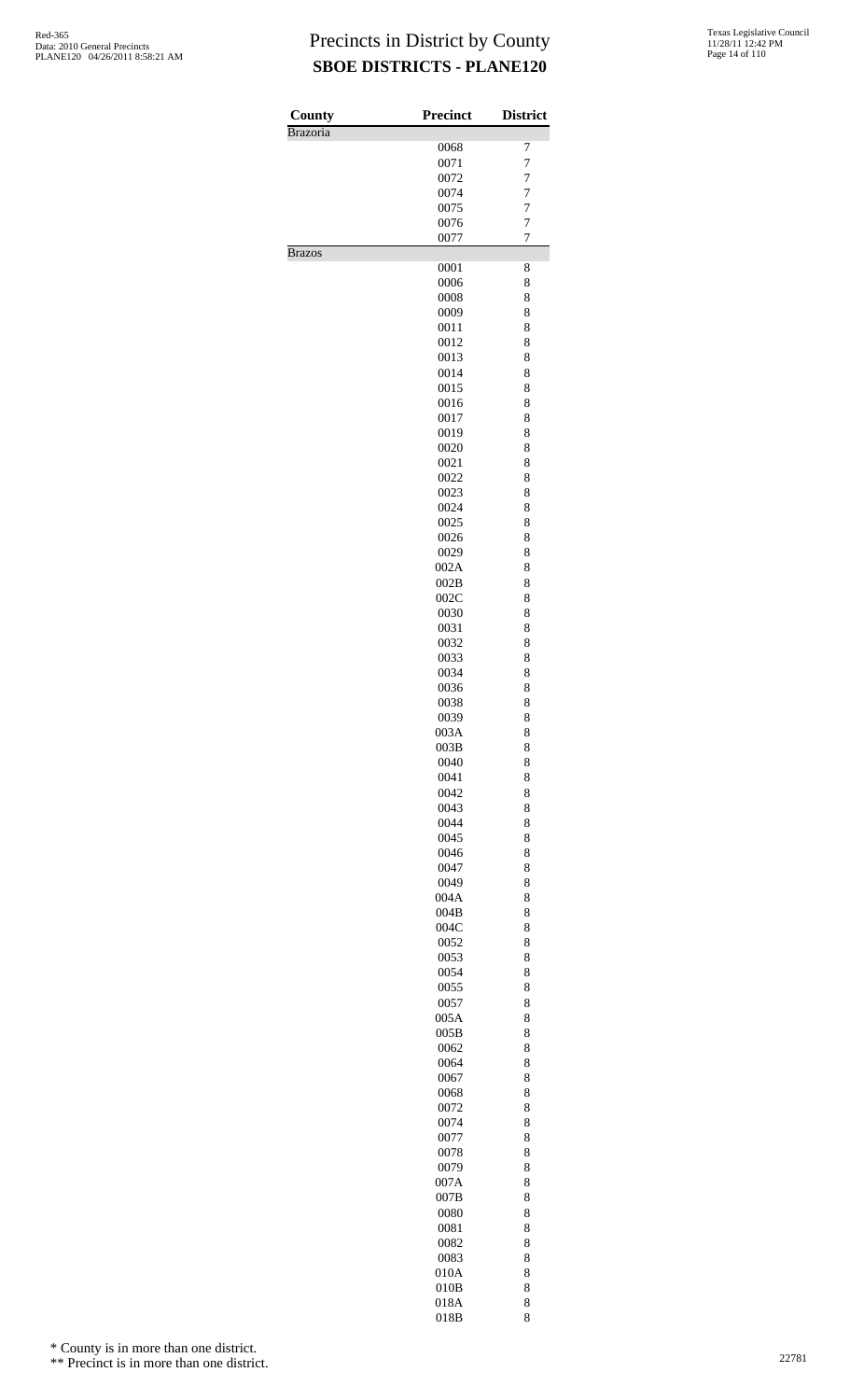| County          | <b>Precinct</b> | <b>District</b> |
|-----------------|-----------------|-----------------|
| <b>Brazoria</b> |                 |                 |
|                 | 0068            | 7               |
|                 | 0071            | 7               |
|                 | 0072            | 7               |
|                 | 0074            | 7               |
|                 | 0075            | 7<br>7          |
|                 | 0076<br>0077    | 7               |
| <b>Brazos</b>   |                 |                 |
|                 | 0001            | 8               |
|                 | 0006            | 8               |
|                 | 0008            | 8               |
|                 | 0009            | 8               |
|                 | 0011            | 8               |
|                 | 0012            | 8               |
|                 | 0013            | 8               |
|                 | 0014            | 8               |
|                 | 0015            | 8               |
|                 | 0016<br>0017    | 8<br>8          |
|                 | 0019            | 8               |
|                 | 0020            | 8               |
|                 | 0021            | 8               |
|                 | 0022            | 8               |
|                 | 0023            | 8               |
|                 | 0024            | 8               |
|                 | 0025            | 8               |
|                 | 0026            | 8               |
|                 | 0029            | 8               |
|                 | 002A            | 8               |
|                 | 002B            | 8               |
|                 | 002C<br>0030    | 8<br>8          |
|                 | 0031            | 8               |
|                 | 0032            | 8               |
|                 | 0033            | 8               |
|                 | 0034            | 8               |
|                 | 0036            | 8               |
|                 | 0038            | 8               |
|                 | 0039            | 8               |
|                 | 003A            | 8               |
|                 | 003B            | 8               |
|                 | 0040            | 8               |
|                 | 0041            | 8<br>8          |
|                 | 0042<br>0043    | 8               |
|                 | 0044            | 8               |
|                 | 0045            | 8               |
|                 | 0046            | 8               |
|                 | 0047            | 8               |
|                 | 0049            | 8               |
|                 | 004A            | 8               |
|                 | 004B            | 8               |
|                 | 004C            | 8               |
|                 | 0052            | 8               |
|                 | 0053            | 8               |
|                 | 0054<br>0055    | 8<br>8          |
|                 | 0057            | 8               |
|                 | 005A            | 8               |
|                 | 005B            | 8               |
|                 | 0062            | 8               |
|                 | 0064            | 8               |
|                 | 0067            | 8               |
|                 | 0068            | 8               |
|                 | 0072            | 8               |
|                 | 0074            | 8               |
|                 | 0077            | 8               |
|                 | 0078            | 8<br>8          |
|                 | 0079<br>007A    | 8               |
|                 | 007B            | 8               |
|                 | 0080            | 8               |
|                 | 0081            | 8               |
|                 | 0082            | 8               |
|                 | 0083            | 8               |
|                 | 010A            | 8               |
|                 | 010B            | 8               |
|                 | 018A            | 8               |
|                 | 018B            | 8               |

\* County is in more than one district.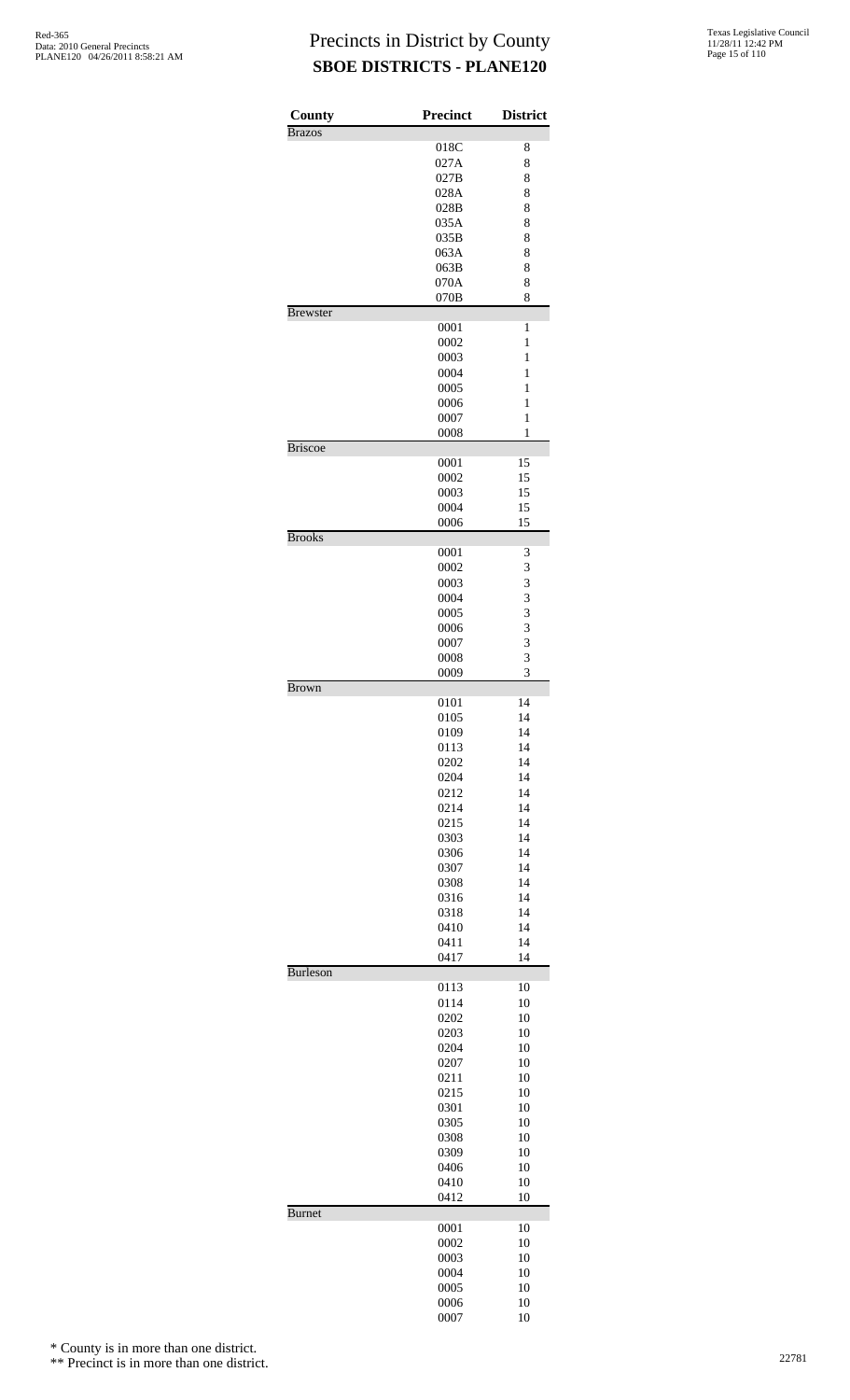| County          | <b>Precinct</b> | <b>District</b>   |
|-----------------|-----------------|-------------------|
| <b>Brazos</b>   | 018C            | 8                 |
|                 | 027A            | 8                 |
|                 | 027B            | 8                 |
|                 | 028A            | 8                 |
|                 | 028B            | 8                 |
|                 | 035A            | 8                 |
|                 | 035B            | 8                 |
|                 | 063A<br>063B    | 8<br>8            |
|                 | 070A            | 8                 |
|                 | 070B            | 8                 |
| <b>Brewster</b> |                 |                   |
|                 | 0001            | 1                 |
|                 | 0002            | 1                 |
|                 | 0003            | 1                 |
|                 | 0004            | 1                 |
|                 | 0005            | 1                 |
|                 | 0006<br>0007    | 1<br>$\mathbf{1}$ |
|                 | 0008            | 1                 |
| <b>Briscoe</b>  |                 |                   |
|                 | 0001            | 15                |
|                 | 0002            | 15                |
|                 | 0003            | 15                |
|                 | 0004            | 15                |
|                 | 0006            | 15                |
| <b>Brooks</b>   |                 |                   |
|                 | 0001<br>0002    | 3<br>3            |
|                 | 0003            | 3                 |
|                 | 0004            | 3                 |
|                 | 0005            | 3                 |
|                 | 0006            | 3                 |
|                 | 0007            | 3                 |
|                 | 0008            | 3                 |
|                 | 0009            | 3                 |
| <b>Brown</b>    |                 |                   |
|                 | 0101            | 14                |
|                 | 0105<br>0109    | 14<br>14          |
|                 | 0113            | 14                |
|                 | 0202            | 14                |
|                 | 0204            | 14                |
|                 | 0212            | 14                |
|                 | 0214            | 14                |
|                 | 0215            | 14                |
|                 | 0303            | 14                |
|                 | 0306            | 14                |
|                 | 0307            | 14                |
|                 | 0308            | 14                |
|                 | 0316            | 14                |
|                 | 0318            | 14                |
|                 | 0410<br>0411    | 14<br>14          |
|                 | 0417            | 14                |
| <b>Burleson</b> |                 |                   |
|                 | 0113            | 10                |
|                 | 0114            | 10                |
|                 | 0202            | 10                |
|                 | 0203            | 10                |
|                 | 0204            | 10                |
|                 | 0207            | 10                |
|                 | 0211            | 10                |
|                 | 0215<br>0301    | 10<br>10          |
|                 | 0305            | 10                |
|                 | 0308            | 10                |
|                 | 0309            | 10                |
|                 | 0406            | 10                |
|                 | 0410            | 10                |
|                 | 0412            | 10                |
| <b>Burnet</b>   |                 |                   |
|                 | 0001            | 10                |
|                 | 0002            | 10                |
|                 | 0003            | 10                |
|                 | 0004<br>0005    | 10                |
|                 | 0006            | 10<br>10          |
|                 | 0007            | 10                |

\* County is in more than one district.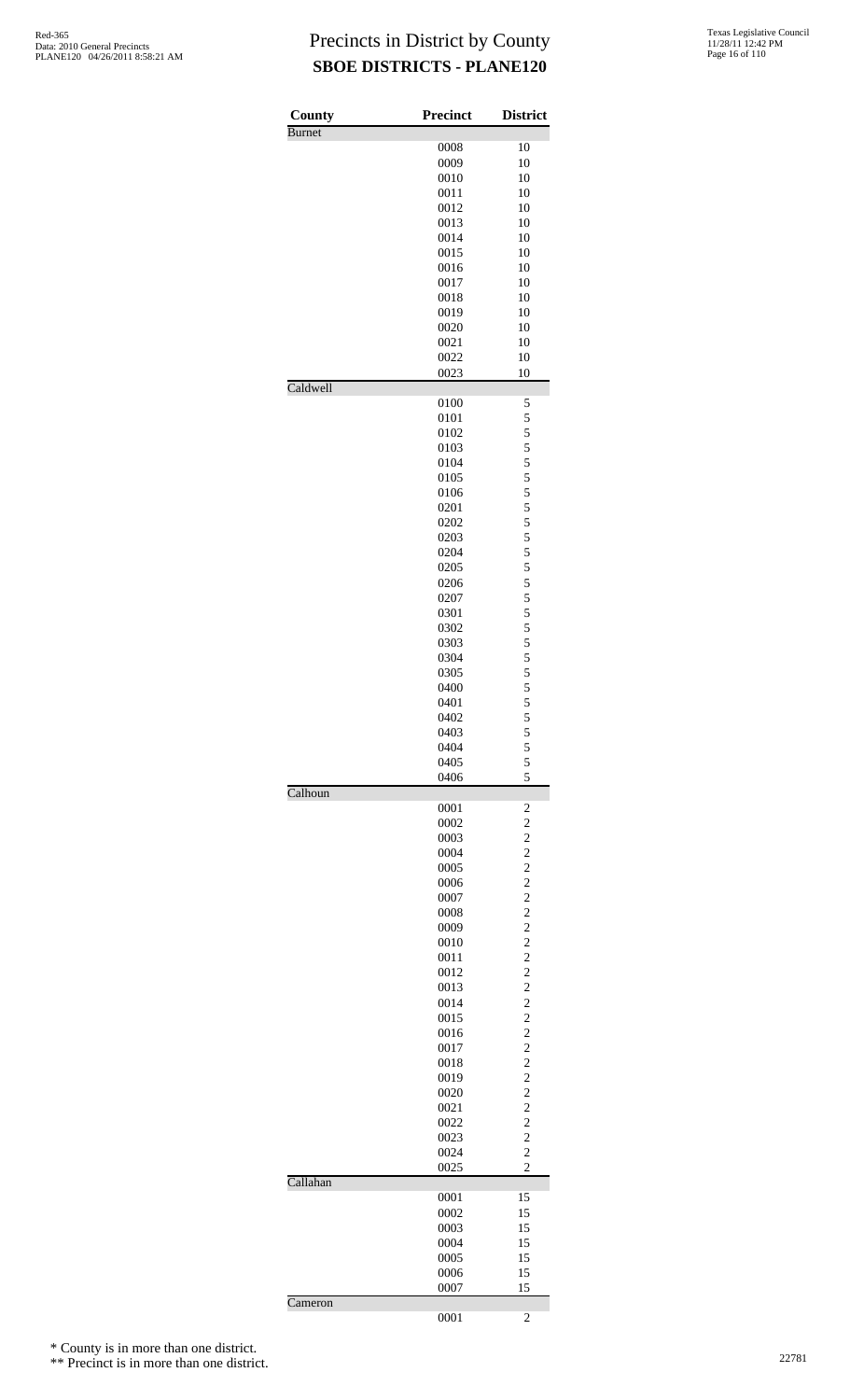| County        | <b>Precinct</b> | <b>District</b>                  |
|---------------|-----------------|----------------------------------|
| <b>Burnet</b> | 0008            | 10                               |
|               | 0009            | 10                               |
|               | 0010            | 10                               |
|               | 0011            | 10                               |
|               | 0012            | 10                               |
|               | 0013            | 10                               |
|               | 0014            | 10                               |
|               | 0015            | 10                               |
|               | 0016            | 10                               |
|               | 0017            | 10                               |
|               | 0018            | 10                               |
|               | 0019            | 10                               |
|               | 0020            | 10                               |
|               | 0021            | 10                               |
|               | 0022            | 10                               |
| Caldwell      | 0023            | 10                               |
|               | 0100            | 5                                |
|               | 0101            | 5                                |
|               | 0102            | 5                                |
|               | 0103            | 5                                |
|               | 0104            | 5                                |
|               | 0105            | 5                                |
|               | 0106            | 5                                |
|               | 0201            | 5                                |
|               | 0202            | 5                                |
|               | 0203            | 5                                |
|               | 0204            | 5                                |
|               | 0205            | 5                                |
|               | 0206            | 5                                |
|               | 0207            | 5                                |
|               | 0301            | 5                                |
|               | 0302            | 5                                |
|               | 0303            | 5                                |
|               | 0304            | 5                                |
|               | 0305            | $\frac{5}{5}$                    |
|               | 0400            |                                  |
|               | 0401            | 5<br>5                           |
|               | 0402            |                                  |
|               | 0403            | 5<br>5                           |
|               | 0404<br>0405    | 5                                |
|               | 0406            | 5                                |
| Calhoun       |                 |                                  |
|               | 0001            | $\overline{\mathbf{c}}$          |
|               | 0002            | $\overline{c}$                   |
|               | 0003<br>0004    | $\overline{c}$<br>$\overline{c}$ |
|               | 0005            | $\overline{c}$                   |
|               | 0006            | $\overline{c}$                   |
|               | 0007            | $\overline{c}$                   |
|               | 0008            | $\overline{c}$                   |
|               | 0009            | $\overline{c}$                   |
|               | 0010            | $\overline{c}$                   |
|               | 0011            | $\overline{c}$                   |
|               | 0012            | $\overline{c}$                   |
|               | 0013            | $\overline{c}$                   |
|               | 0014            | $\overline{c}$                   |
|               | 0015            | $\overline{c}$                   |
|               | 0016            | $\overline{c}$                   |
|               | 0017            | $\overline{c}$                   |
|               | 0018            | $\overline{c}$                   |
|               | 0019            | $\overline{c}$                   |
|               | 0020            | $\overline{c}$                   |
|               | 0021            | $\overline{c}$                   |
|               | 0022            | $\overline{c}$                   |
|               | 0023            | $\overline{c}$                   |
|               | 0024            | $\overline{c}$                   |
| Callahan      | 0025            | $\overline{c}$                   |
|               | 0001            | 15                               |
|               | 0002            | 15                               |
|               | 0003            | 15                               |
|               | 0004            | 15                               |
|               | 0005            | 15                               |
|               | 0006            | 15                               |
|               | 0007            | 15                               |
| Cameron       | 0001            | 2                                |

\* County is in more than one district.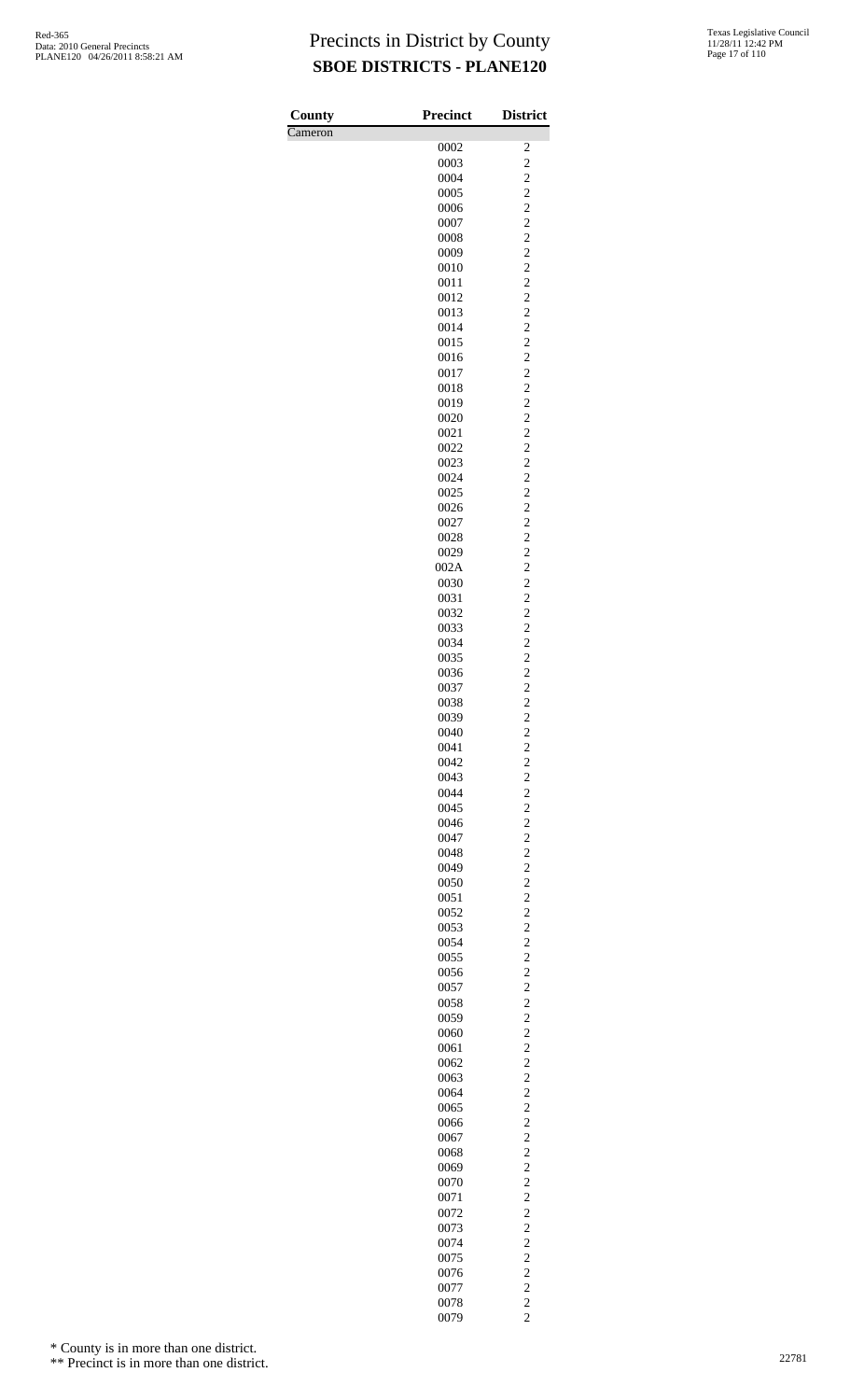| County  | Precinct     | <b>District</b>                           |
|---------|--------------|-------------------------------------------|
| Cameron |              |                                           |
|         | 0002         | $\overline{\mathbf{c}}$                   |
|         | 0003<br>0004 | $\overline{c}$<br>$\overline{\mathbf{c}}$ |
|         | 0005         | $\overline{\mathbf{c}}$                   |
|         | 0006         | $\overline{c}$                            |
|         | 0007         | $\overline{c}$                            |
|         | 0008         | $\overline{c}$                            |
|         | 0009         | $\overline{\mathbf{c}}$                   |
|         | 0010         | $\overline{\mathbf{c}}$                   |
|         | 0011         | $\overline{c}$                            |
|         | 0012<br>0013 | $\overline{c}$<br>$\overline{c}$          |
|         | 0014         | $\overline{\mathbf{c}}$                   |
|         | 0015         | $\overline{\mathbf{c}}$                   |
|         | 0016         | $\overline{c}$                            |
|         | 0017         | $\overline{c}$                            |
|         | 0018         | $\overline{c}$                            |
|         | 0019         | $\overline{\mathbf{c}}$                   |
|         | 0020         | $\overline{\mathbf{c}}$                   |
|         | 0021         | $\overline{c}$<br>$\overline{c}$          |
|         | 0022<br>0023 | $\overline{c}$                            |
|         | 0024         | $\overline{\mathbf{c}}$                   |
|         | 0025         | $\overline{\mathbf{c}}$                   |
|         | 0026         | $\overline{c}$                            |
|         | 0027         | $\overline{c}$                            |
|         | 0028         | $\overline{c}$                            |
|         | 0029         | $\overline{\mathbf{c}}$                   |
|         | 002A         | $\overline{\mathbf{c}}$                   |
|         | 0030<br>0031 | $\overline{c}$<br>$\overline{c}$          |
|         | 0032         | $\overline{c}$                            |
|         | 0033         | $\overline{\mathbf{c}}$                   |
|         | 0034         | $\overline{\mathbf{c}}$                   |
|         | 0035         | $\overline{c}$                            |
|         | 0036         | $\overline{c}$                            |
|         | 0037         | $\overline{\mathbf{c}}$                   |
|         | 0038         | $\overline{\mathbf{c}}$                   |
|         | 0039         | $\overline{c}$                            |
|         | 0040<br>0041 | $\overline{\mathbf{c}}$<br>$\overline{c}$ |
|         | 0042         | $\overline{c}$                            |
|         | 0043         | $\overline{\mathbf{c}}$                   |
|         | 0044         | $\overline{c}$                            |
|         | 0045         | $\overline{c}$                            |
|         | 0046         | $\overline{c}$                            |
|         | 0047         | $\overline{c}$                            |
|         | 0048         | $\overline{\mathbf{c}}$                   |
|         | 0049<br>0050 | $\overline{c}$<br>$\overline{c}$          |
|         | 0051         | $\overline{c}$                            |
|         | 0052         | $\overline{c}$                            |
|         | 0053         | $\overline{\mathbf{c}}$                   |
|         | 0054         | $\overline{c}$                            |
|         | 0055         | $\overline{c}$                            |
|         | 0056         | $\overline{c}$                            |
|         | 0057         | $\overline{c}$                            |
|         | 0058<br>0059 | $\overline{\mathbf{c}}$<br>$\overline{c}$ |
|         | 0060         | $\overline{c}$                            |
|         | 0061         | $\overline{c}$                            |
|         | 0062         | $\overline{c}$                            |
|         | 0063         | $\overline{\mathbf{c}}$                   |
|         | 0064         | $\overline{c}$                            |
|         | 0065         | $\overline{c}$                            |
|         | 0066         | $\overline{c}$                            |
|         | 0067         | $\overline{c}$                            |
|         | 0068<br>0069 | $\overline{\mathbf{c}}$<br>$\overline{c}$ |
|         | 0070         | $\overline{c}$                            |
|         | 0071         | $\overline{c}$                            |
|         | 0072         | $\overline{c}$                            |
|         | 0073         | $\overline{\mathbf{c}}$                   |
|         | 0074         | $\overline{c}$                            |
|         | 0075         | $\overline{c}$                            |
|         | 0076         | $\overline{c}$                            |
|         | 0077         | $\overline{c}$                            |
|         | 0078<br>0079 | $\overline{\mathbf{c}}$<br>$\overline{c}$ |
|         |              |                                           |

\* County is in more than one district.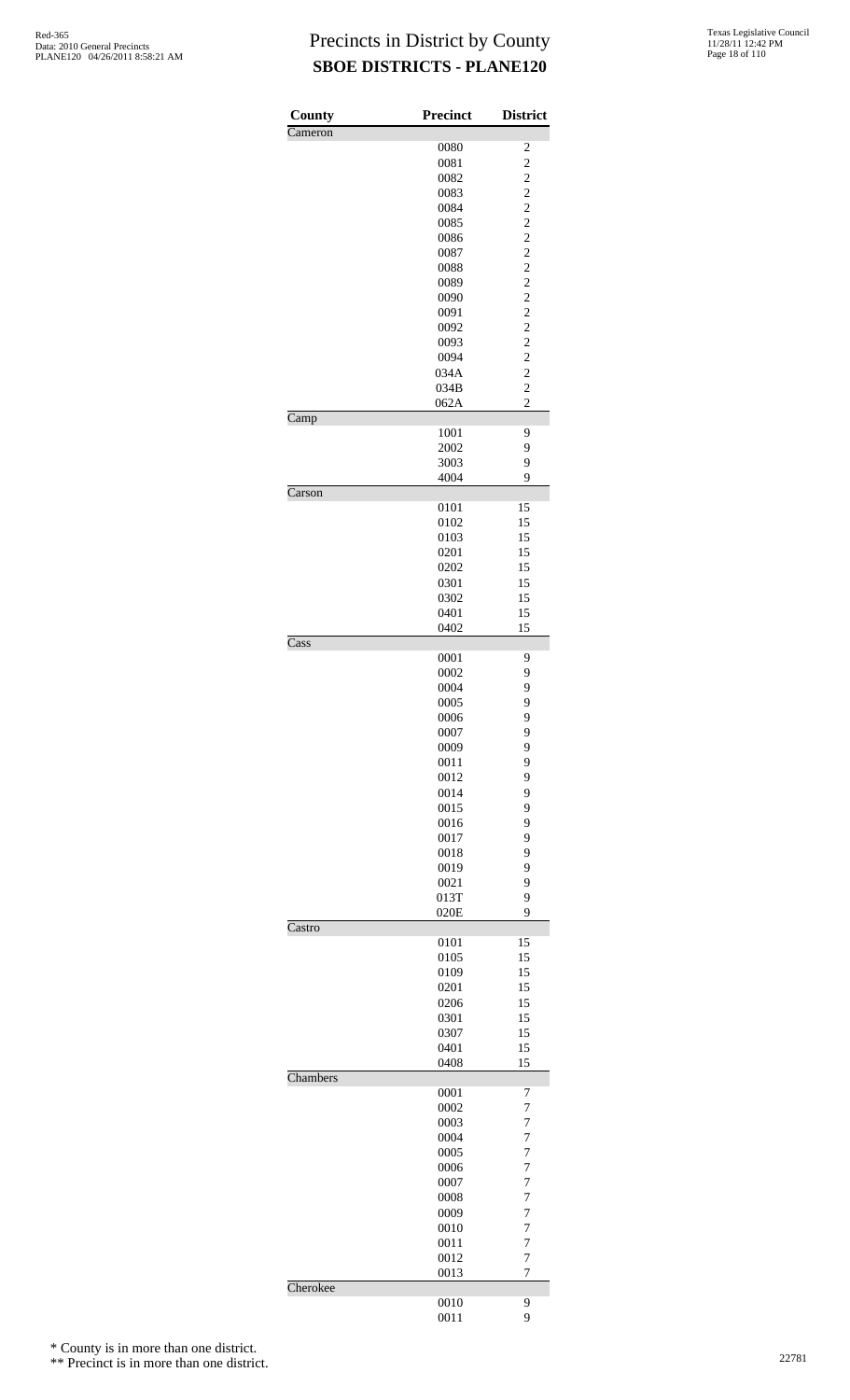| County                     | <b>Precinct</b> | <b>District</b>                  |
|----------------------------|-----------------|----------------------------------|
| Cameron                    | 0080            | $\overline{\mathbf{c}}$          |
|                            | 0081            | $\overline{c}$                   |
|                            | 0082            |                                  |
|                            | 0083            | $\frac{2}{2}$                    |
|                            | 0084            | $\overline{c}$                   |
|                            | 0085            | $\overline{c}$                   |
|                            | 0086            | $\overline{c}$                   |
|                            | 0087<br>0088    | $\frac{2}{2}$                    |
|                            | 0089            | $\overline{c}$                   |
|                            | 0090            | $\overline{\mathbf{c}}$          |
|                            | 0091            | $\overline{c}$                   |
|                            | 0092            | $\frac{2}{2}$                    |
|                            | 0093            |                                  |
|                            | 0094<br>034A    | $\overline{c}$<br>$\overline{c}$ |
|                            | 034B            | $\overline{c}$                   |
|                            | 062A            | $\overline{c}$                   |
| $\overline{\text{Camp}}$   |                 |                                  |
|                            | 1001            | 9                                |
|                            | 2002            | 9                                |
|                            | 3003            | 9                                |
|                            | 4004            | 9                                |
| $\overline{\text{Carson}}$ | 0101            | 15                               |
|                            | 0102            | 15                               |
|                            | 0103            | 15                               |
|                            | 0201            | 15                               |
|                            | 0202            | 15                               |
|                            | 0301            | 15                               |
|                            | 0302            | 15                               |
|                            | 0401            | 15                               |
| Cass                       | 0402            | 15                               |
|                            | 0001            | 9                                |
|                            | 0002            | 9                                |
|                            | 0004            | 9                                |
|                            | 0005            | 9                                |
|                            | 0006            | 9                                |
|                            | 0007            | 9                                |
|                            | 0009<br>0011    | 9<br>9                           |
|                            | 0012            | 9                                |
|                            | 0014            | 9                                |
|                            | 0015            | 9                                |
|                            | 0016            | 9                                |
|                            | 0017            | 9                                |
|                            | 0018            | 9                                |
|                            | 0019            | 9                                |
|                            | 0021<br>013T    | 9<br>9                           |
|                            | 020E            | 9                                |
| Castro                     |                 |                                  |
|                            | 0101            | 15                               |
|                            | 0105            | 15                               |
|                            | 0109            | 15                               |
|                            | 0201            | 15                               |
|                            | 0206<br>0301    | 15<br>15                         |
|                            | 0307            | 15                               |
|                            | 0401            | 15                               |
|                            | 0408            | 15                               |
| Chambers                   |                 |                                  |
|                            | 0001            | 7                                |
|                            | 0002            | $\overline{7}$                   |
|                            | 0003<br>0004    | $\overline{7}$<br>$\overline{7}$ |
|                            | 0005            | $\overline{7}$                   |
|                            | 0006            | $\overline{7}$                   |
|                            | 0007            | $\overline{7}$                   |
|                            | 0008            | $\overline{7}$                   |
|                            | 0009            | $\overline{7}$                   |
|                            | 0010            | $\overline{7}$                   |
|                            | 0011            | $\overline{7}$                   |
|                            | 0012<br>0013    | $\overline{7}$<br>$\overline{7}$ |
| Cherokee                   |                 |                                  |
|                            | 0010            | 9                                |
|                            | 0011            | 9                                |

\* County is in more than one district.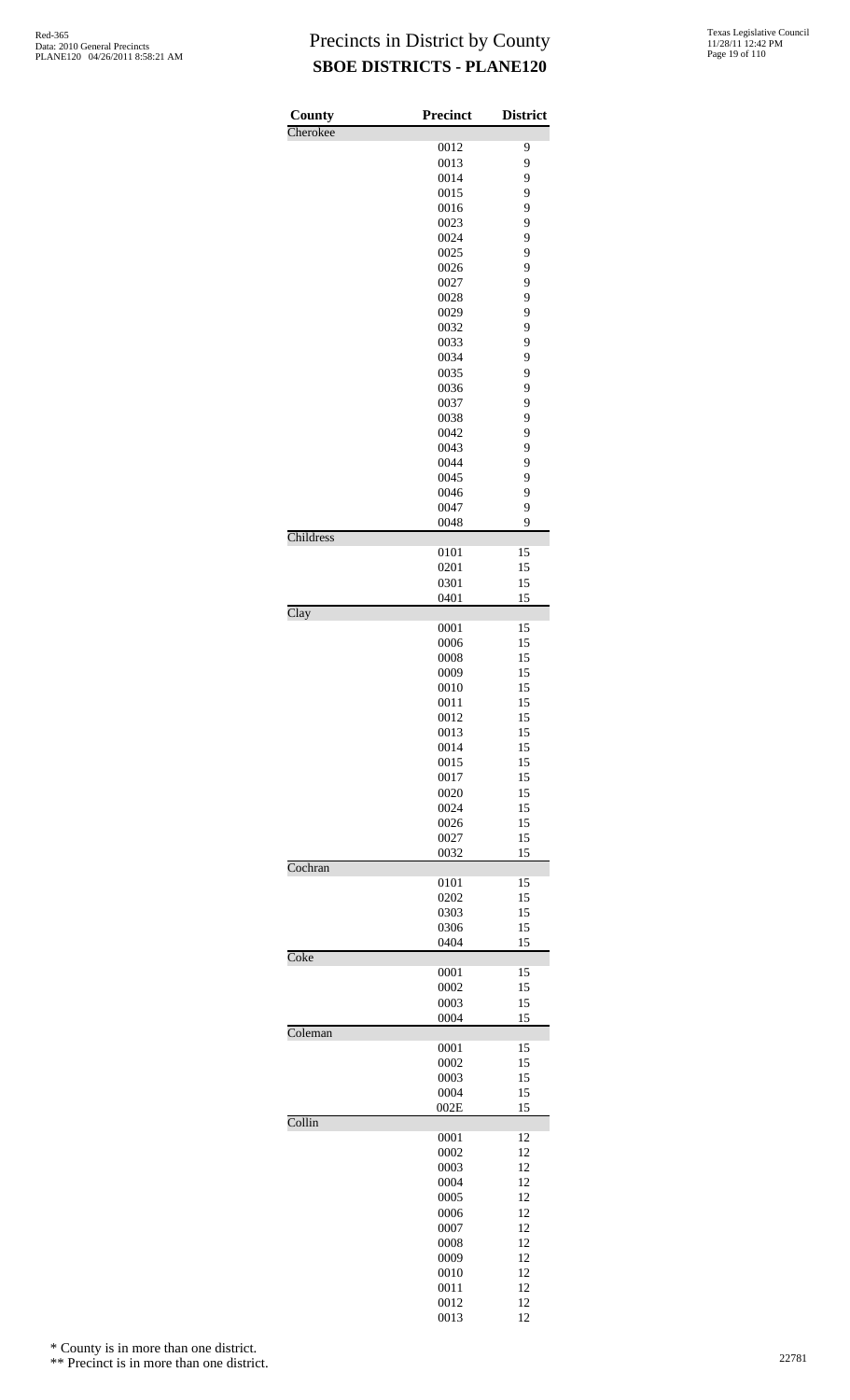| County                   | <b>Precinct</b> | <b>District</b> |
|--------------------------|-----------------|-----------------|
| Cherokee                 |                 |                 |
|                          | 0012            | 9               |
|                          | 0013<br>0014    | 9<br>9          |
|                          | 0015            | 9               |
|                          | 0016            | 9               |
|                          | 0023            | 9               |
|                          | 0024            | 9               |
|                          | 0025<br>0026    | 9<br>9          |
|                          | 0027            | 9               |
|                          | 0028            | 9               |
|                          | 0029            | 9               |
|                          | 0032            | 9               |
|                          | 0033<br>0034    | 9<br>9          |
|                          | 0035            | 9               |
|                          | 0036            | 9               |
|                          | 0037            | 9               |
|                          | 0038            | 9               |
|                          | 0042<br>0043    | 9<br>9          |
|                          | 0044            | 9               |
|                          | 0045            | 9               |
|                          | 0046            | 9               |
|                          | 0047            | 9               |
| Childress                | 0048            | 9               |
|                          | 0101            | 15              |
|                          | 0201            | 15              |
|                          | 0301            | 15              |
| $\overline{\text{Clay}}$ | 0401            | 15              |
|                          | 0001            | 15              |
|                          | 0006            | 15              |
|                          | 0008            | 15              |
|                          | 0009            | 15              |
|                          | 0010<br>0011    | 15<br>15        |
|                          | 0012            | 15              |
|                          | 0013            | 15              |
|                          | 0014            | 15              |
|                          | 0015            | 15              |
|                          | 0017<br>0020    | 15<br>15        |
|                          | 0024            | 15              |
|                          | 0026            | 15              |
|                          | 0027            | 15              |
| Cochran                  | 0032            | 15              |
|                          | 0101            | 15              |
|                          | 0202            | 15              |
|                          | 0303            | 15              |
|                          | 0306            | 15              |
| Coke                     | 0404            | 15              |
|                          | 0001            | 15              |
|                          | 0002            | 15              |
|                          | 0003            | 15              |
| Coleman                  | 0004            | 15              |
|                          | 0001            | 15              |
|                          | 0002            | 15              |
|                          | 0003            | 15              |
|                          | 0004<br>002E    | 15<br>15        |
| Collin                   |                 |                 |
|                          | 0001            | 12              |
|                          | 0002            | 12              |
|                          | 0003<br>0004    | 12<br>12        |
|                          | 0005            | 12              |
|                          | 0006            | 12              |
|                          | 0007            | 12              |
|                          | 0008            | 12              |
|                          | 0009            | 12              |
|                          | 0010<br>0011    | 12<br>12        |
|                          | 0012            | 12              |
|                          | 0013            | 12              |

\* County is in more than one district.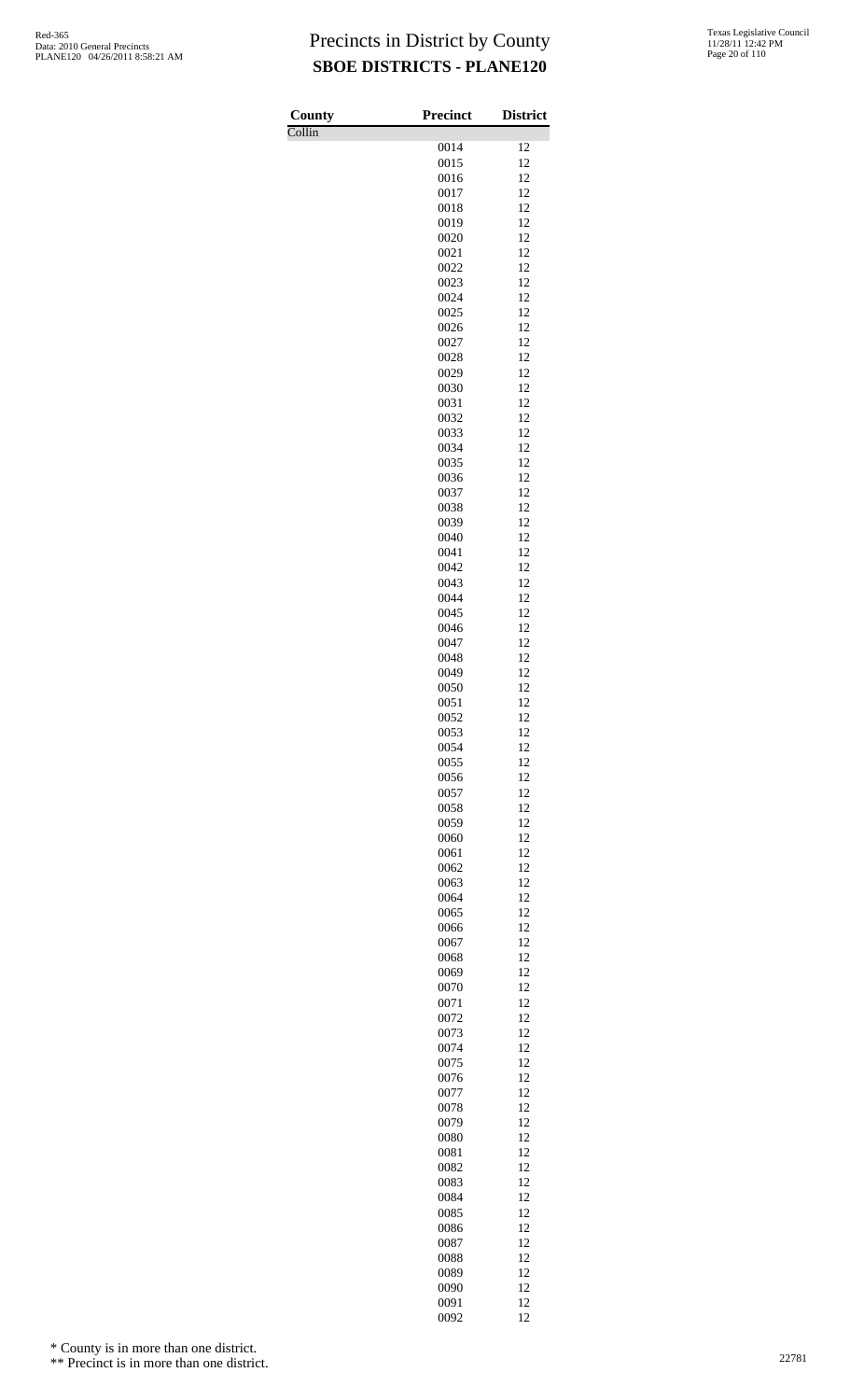Collin

| <b>Texas Legislative Council</b> |  |
|----------------------------------|--|
| 11/28/11 12:42 PM                |  |
| Page 20 of 110                   |  |

| County | <b>Precinct</b> | <b>District</b> |
|--------|-----------------|-----------------|
| Collin | 0014            | 12              |
|        | 0015            | 12              |
|        | 0016            | 12              |
|        | 0017            | 12              |
|        | 0018            | 12              |
|        | 0019            | 12              |
|        | 0020            | 12              |
|        | 0021            | 12              |
|        | 0022<br>0023    | 12<br>12        |
|        | 0024            | 12              |
|        | 0025            | 12              |
|        | 0026            | 12              |
|        | 0027            | 12              |
|        | 0028            | 12              |
|        | 0029            | 12              |
|        | 0030            | 12              |
|        | 0031            | 12<br>12        |
|        | 0032<br>0033    | 12              |
|        | 0034            | 12              |
|        | 0035            | 12              |
|        | 0036            | 12              |
|        | 0037            | 12              |
|        | 0038            | 12              |
|        | 0039            | 12              |
|        | 0040            | 12              |
|        | 0041<br>0042    | 12<br>12        |
|        | 0043            | 12              |
|        | 0044            | 12              |
|        | 0045            | 12              |
|        | 0046            | 12              |
|        | 0047            | 12              |
|        | 0048            | 12              |
|        | 0049            | 12              |
|        | 0050            | 12              |
|        | 0051<br>0052    | 12<br>12        |
|        | 0053            | 12              |
|        | 0054            | 12              |
|        | 0055            | 12              |
|        | 0056            | 12              |
|        | 0057            | 12              |
|        | 0058            | 12              |
|        | 0059            | 12              |
|        | 0060            | 12<br>12        |
|        | 0061<br>0062    | 12              |
|        | 0063            | 12              |
|        | 0064            | 12              |
|        | 0065            | 12              |
|        | 0066            | 12              |
|        | 0067            | 12              |
|        | 0068            | 12              |
|        | 0069            | 12              |
|        | 0070            | 12<br>12        |
|        | 0071<br>0072    | 12              |
|        | 0073            | 12              |
|        | 0074            | 12              |
|        | 0075            | 12              |
|        | 0076            | 12              |
|        | 0077            | 12              |
|        | 0078            | 12              |
|        | 0079            | 12              |
|        | 0080<br>0081    | 12<br>12        |
|        | 0082            | 12              |
|        | 0083            | 12              |
|        | 0084            | 12              |
|        | 0085            | 12              |
|        | 0086            | 12              |
|        | 0087            | 12              |
|        | 0088            | 12              |
|        | 0089            | 12              |
|        | 0090            | 12<br>12        |
|        | 0091<br>0092    | 12              |
|        |                 |                 |

\* County is in more than one district.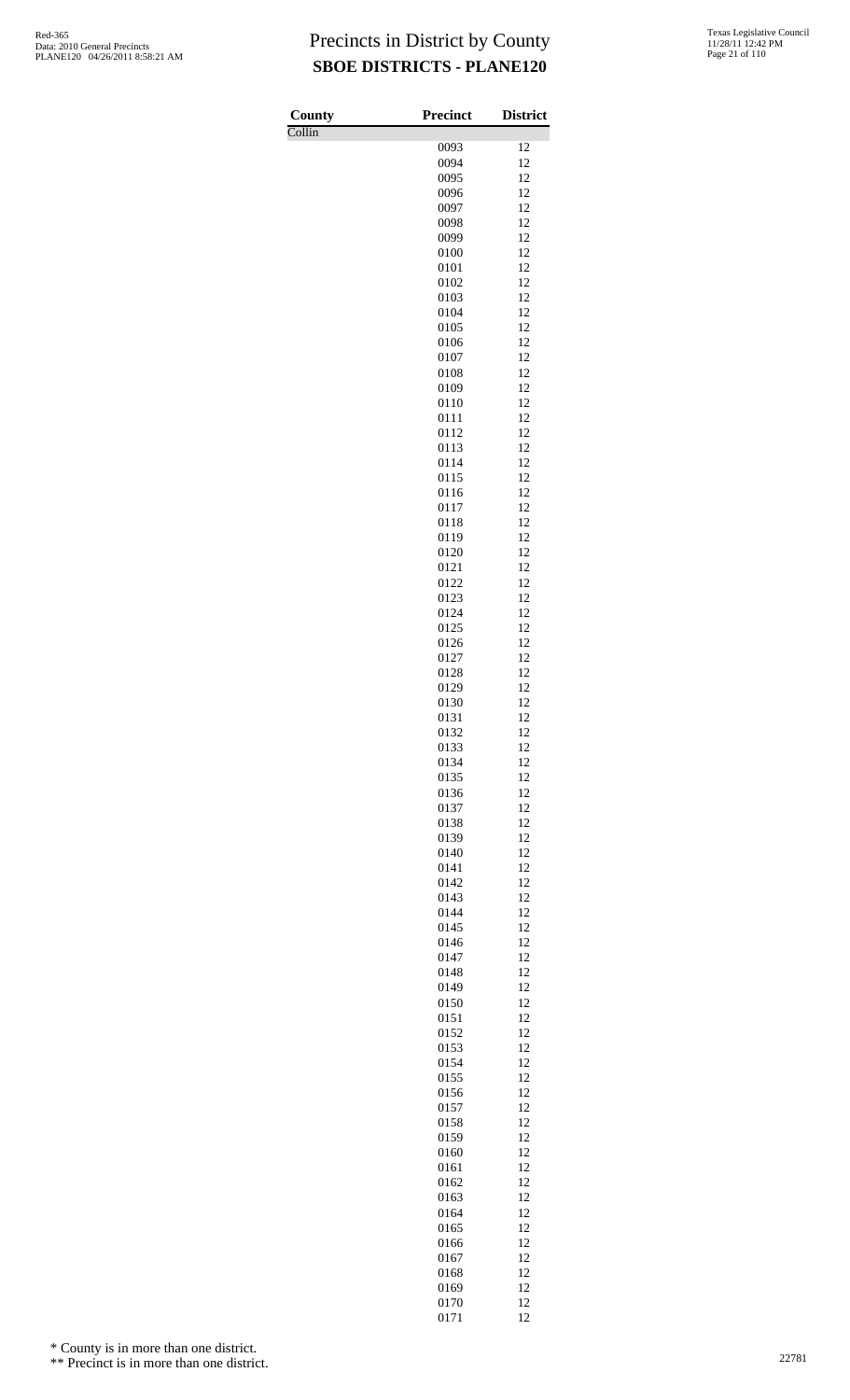Collin

| County | <b>Precinct</b> | <b>District</b> |
|--------|-----------------|-----------------|
| Collin | 0093            | 12              |
|        | 0094            | 12              |
|        | 0095            | 12              |
|        | 0096            | 12              |
|        | 0097<br>0098    | 12<br>12        |
|        | 0099            | 12              |
|        | 0100            | 12              |
|        | 0101            | 12              |
|        | 0102            | 12              |
|        | 0103<br>0104    | 12<br>12        |
|        | 0105            | 12              |
|        | 0106            | 12              |
|        | 0107            | 12              |
|        | 0108            | 12              |
|        | 0109<br>0110    | 12<br>12        |
|        | 0111            | 12              |
|        | 0112            | 12              |
|        | 0113            | 12              |
|        | 0114            | 12              |
|        | 0115<br>0116    | 12<br>12        |
|        | 0117            | 12              |
|        | 0118            | 12              |
|        | 0119            | 12              |
|        | 0120            | 12              |
|        | 0121<br>0122    | 12<br>12        |
|        | 0123            | 12              |
|        | 0124            | 12              |
|        | 0125            | 12              |
|        | 0126            | 12              |
|        | 0127<br>0128    | 12<br>12        |
|        | 0129            | 12              |
|        | 0130            | 12              |
|        | 0131            | 12              |
|        | 0132            | 12              |
|        | 0133<br>0134    | 12<br>12        |
|        | 0135            | 12              |
|        | 0136            | 12              |
|        | 0137            | 12              |
|        | 0138            | 12              |
|        | 0139<br>0140    | 12<br>12        |
|        | 0141            | 12              |
|        | 0142            | 12              |
|        | 0143            | 12              |
|        | 0144            | 12              |
|        | 0145<br>0146    | 12<br>12        |
|        | 0147            | 12              |
|        | 0148            | 12              |
|        | 0149            | 12              |
|        | 0150            | 12              |
|        | 0151            | 12<br>12        |
|        | 0152<br>0153    | 12              |
|        | 0154            | 12              |
|        | 0155            | 12              |
|        | 0156            | 12              |
|        | 0157            | 12<br>12        |
|        | 0158<br>0159    | 12              |
|        | 0160            | 12              |
|        | 0161            | 12              |
|        | 0162            | 12              |
|        | 0163            | 12              |
|        | 0164<br>0165    | 12<br>12        |
|        | 0166            | 12              |
|        | 0167            | 12              |
|        | 0168            | 12              |
|        | 0169            | 12              |
|        | 0170<br>0171    | 12<br>12        |

\* County is in more than one district.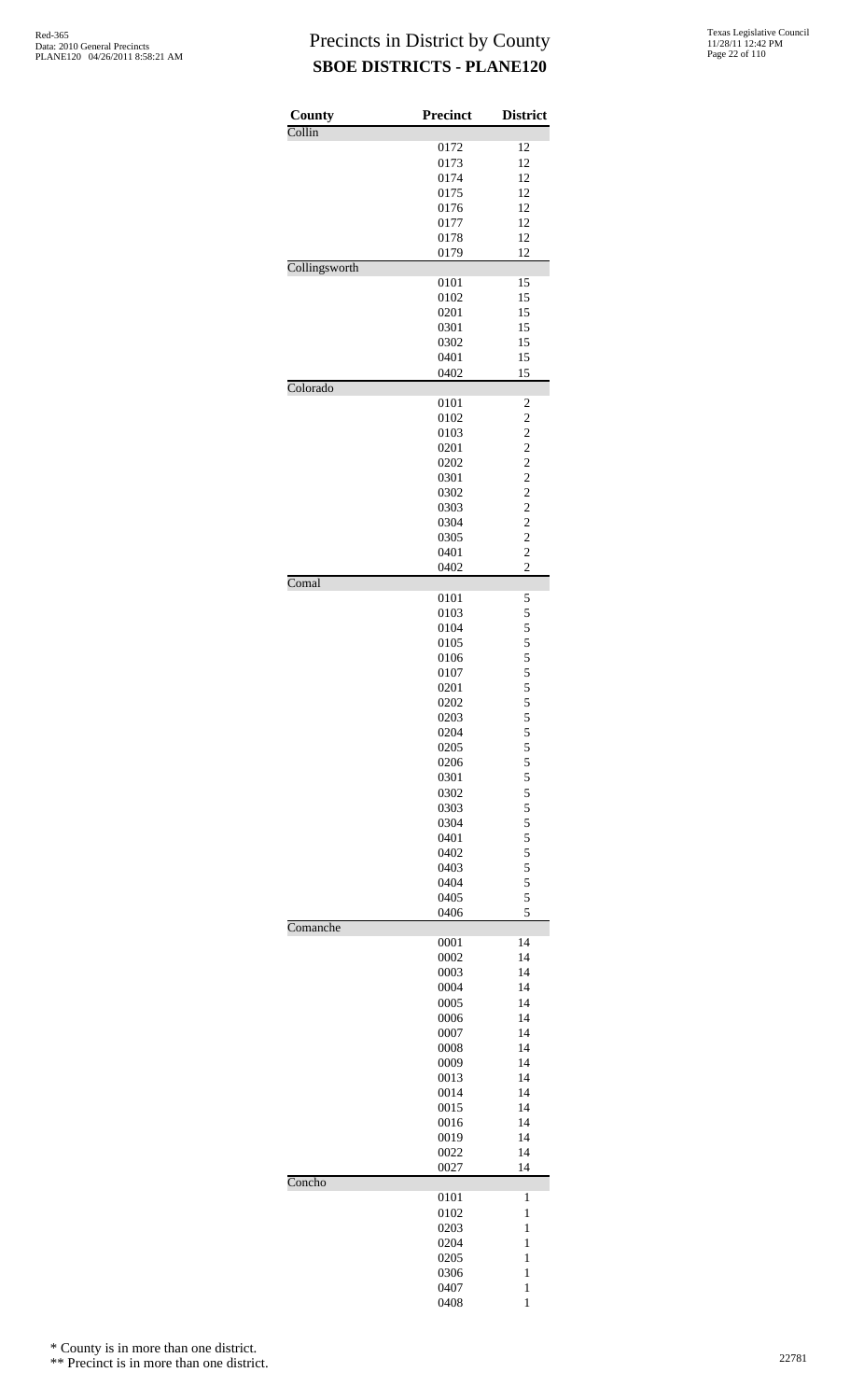| County        | Precinct     | <b>District</b>                            |
|---------------|--------------|--------------------------------------------|
| Collin        |              |                                            |
|               | 0172         | 12                                         |
|               | 0173         | 12                                         |
|               | 0174         | 12                                         |
|               | 0175<br>0176 | 12<br>12                                   |
|               | 0177         | 12                                         |
|               | 0178         | 12                                         |
|               | 0179         | 12                                         |
| Collingsworth |              |                                            |
|               | 0101         | 15                                         |
|               | 0102         | 15                                         |
|               | 0201<br>0301 | 15<br>15                                   |
|               | 0302         | 15                                         |
|               | 0401         | 15                                         |
|               | 0402         | 15                                         |
| Colorado      |              |                                            |
|               | 0101         | $\overline{\mathbf{c}}$                    |
|               | 0102         | $\overline{\mathbf{c}}$                    |
|               | 0103         | $\overline{c}$                             |
|               | 0201<br>0202 | $\begin{array}{c} 2 \\ 2 \\ 2 \end{array}$ |
|               | 0301         |                                            |
|               | 0302         |                                            |
|               | 0303         | $\frac{2}{2}$                              |
|               | 0304         | $\frac{1}{2}$                              |
|               | 0305         | $\overline{\mathbf{c}}$                    |
|               | 0401         | $\overline{c}$<br>$\overline{c}$           |
| Comal         | 0402         |                                            |
|               | 0101         | 5                                          |
|               | 0103         |                                            |
|               | 0104         | 55555555                                   |
|               | 0105         |                                            |
|               | 0106         |                                            |
|               | 0107         |                                            |
|               | 0201<br>0202 |                                            |
|               | 0203         |                                            |
|               | 0204         |                                            |
|               | 0205         |                                            |
|               | 0206         |                                            |
|               | 0301         |                                            |
|               | 0302         |                                            |
|               | 0303<br>0304 |                                            |
|               | 0401         |                                            |
|               | 0402         |                                            |
|               | 0403         | 5 5 5 5 5 5 5 5 5 5 5                      |
|               | 0404         |                                            |
|               | 0405         | 5                                          |
| Comanche      | 0406         | 5                                          |
|               | 0001         | 14                                         |
|               | 0002         | 14                                         |
|               | 0003         | 14                                         |
|               | 0004         | 14                                         |
|               | 0005         | 14                                         |
|               | 0006<br>0007 | 14<br>14                                   |
|               | 0008         | 14                                         |
|               | 0009         | 14                                         |
|               | 0013         | 14                                         |
|               | 0014         | 14                                         |
|               | 0015         | 14                                         |
|               | 0016         | 14                                         |
|               | 0019<br>0022 | 14<br>14                                   |
|               | 0027         | 14                                         |
| Concho        |              |                                            |
|               | 0101         | 1                                          |
|               | 0102         | $\mathbf{1}$                               |
|               | 0203         | 1                                          |
|               | 0204<br>0205 | 1<br>$\mathbf{1}$                          |
|               | 0306         | $\mathbf{1}$                               |
|               | 0407         | $\mathbf{1}$                               |
|               | 0408         | 1                                          |

\* County is in more than one district.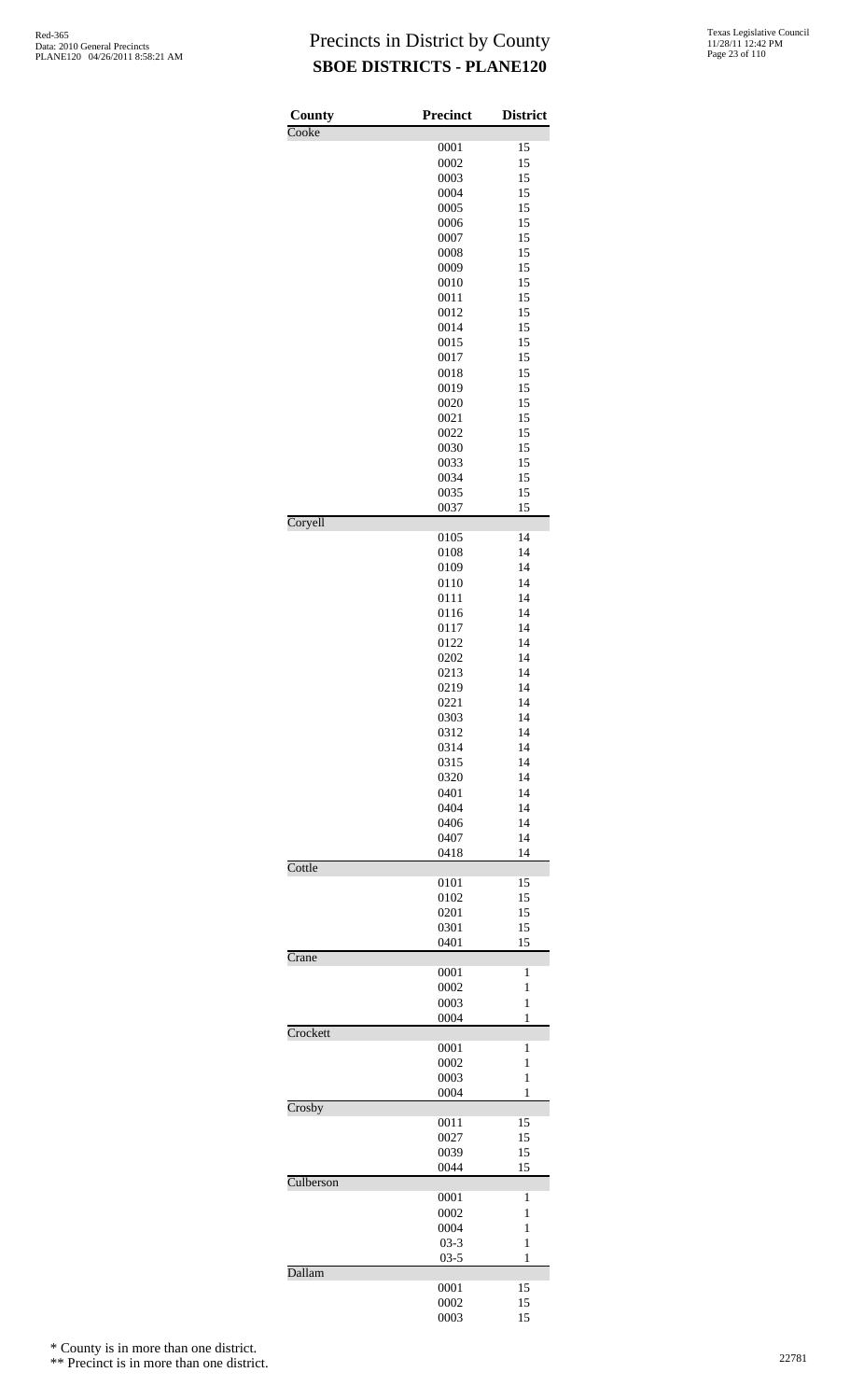| County    | <b>Precinct</b> | <b>District</b> |
|-----------|-----------------|-----------------|
| Cooke     |                 |                 |
|           | 0001            | 15              |
|           | 0002            | 15              |
|           | 0003<br>0004    | 15              |
|           | 0005            | 15<br>15        |
|           | 0006            | 15              |
|           | 0007            | 15              |
|           | 0008            | 15              |
|           | 0009            | 15              |
|           | 0010            | 15              |
|           | 0011            | 15              |
|           | 0012            | 15              |
|           | 0014            | 15              |
|           | 0015            | 15              |
|           | 0017            | 15              |
|           | 0018            | 15              |
|           | 0019            | 15              |
|           | 0020            | 15              |
|           | 0021            | 15<br>15        |
|           | 0022<br>0030    | 15              |
|           | 0033            | 15              |
|           | 0034            | 15              |
|           | 0035            | 15              |
|           | 0037            | 15              |
| Coryell   |                 |                 |
|           | 0105            | 14              |
|           | 0108            | 14              |
|           | 0109            | 14<br>14        |
|           | 0110<br>0111    | 14              |
|           | 0116            | 14              |
|           | 0117            | 14              |
|           | 0122            | 14              |
|           | 0202            | 14              |
|           | 0213            | 14              |
|           | 0219            | 14              |
|           | 0221            | 14              |
|           | 0303            | 14              |
|           | 0312            | 14              |
|           | 0314            | 14              |
|           | 0315            | 14              |
|           | 0320            | 14              |
|           | 0401            | 14              |
|           | 0404            | 14              |
|           | 0406<br>0407    | 14<br>14        |
|           | 0418            | 14              |
| Cottle    |                 |                 |
|           | 0101            | 15              |
|           | 0102            | 15              |
|           | 0201            | 15              |
|           | 0301<br>0401    | 15<br>15        |
| Crane     |                 |                 |
|           | 0001            | 1               |
|           | 0002            | 1               |
|           | 0003            | $\mathbf{1}$    |
|           | 0004            | 1               |
| Crockett  | 0001            | 1               |
|           | 0002            | 1               |
|           | 0003            | 1               |
|           | 0004            | 1               |
| Crosby    |                 |                 |
|           | 0011            | 15              |
|           | 0027            | 15<br>15        |
|           | 0039<br>0044    | 15              |
| Culberson |                 |                 |
|           | 0001            | 1               |
|           | 0002            | 1               |
|           | 0004            | 1               |
|           | $03 - 3$        | $\mathbf{1}$    |
| Dallam    | $03 - 5$        | 1               |
|           | 0001            | 15              |
|           | 0002            | 15              |
|           | 0003            | 15              |

\* County is in more than one district.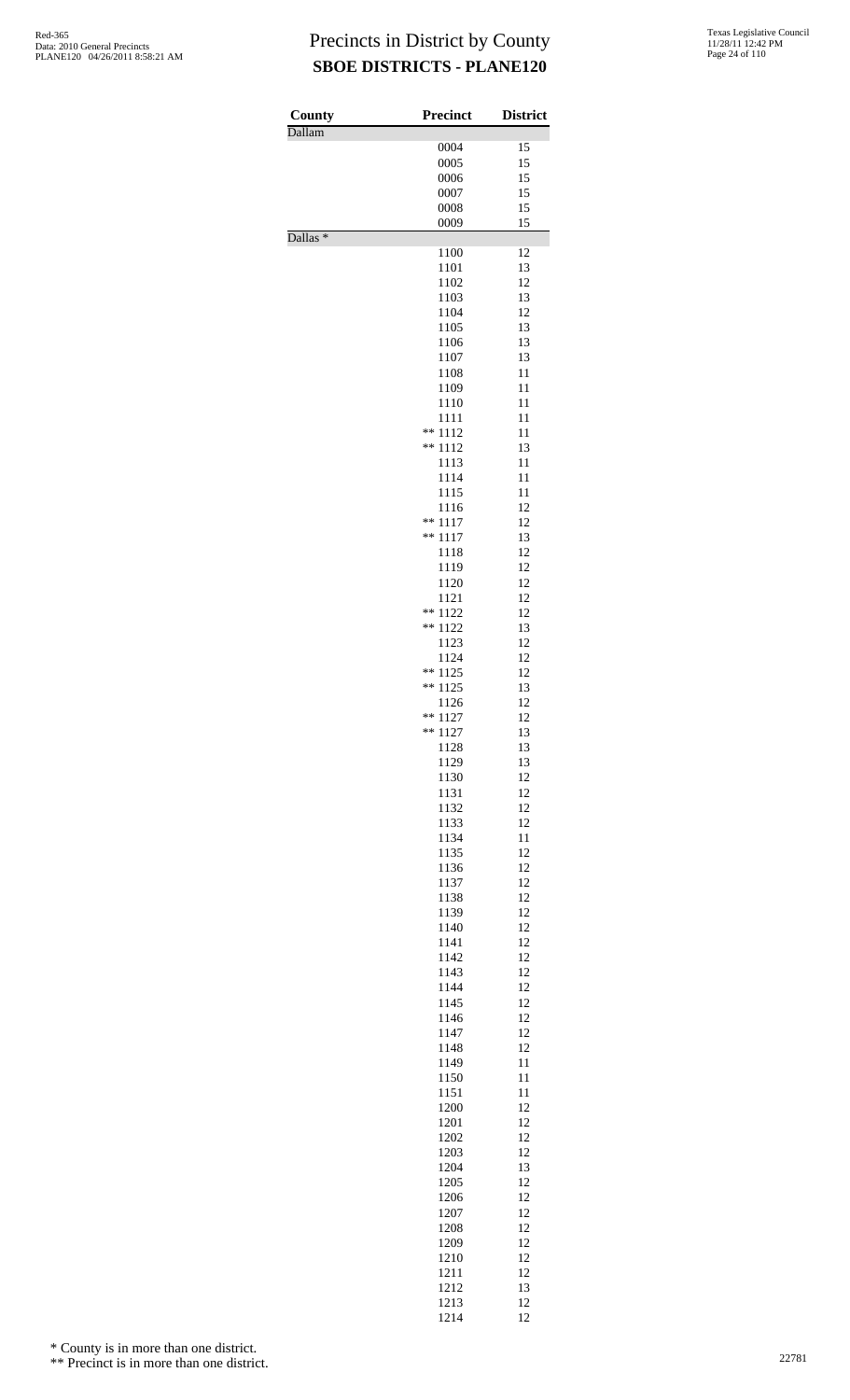| County<br>Dallam    | <b>Precinct</b>    | <b>District</b> |
|---------------------|--------------------|-----------------|
|                     | 0004               | 15              |
|                     | 0005               | 15              |
|                     | 0006               | 15              |
|                     | 0007               | 15              |
|                     | 0008               | 15              |
|                     | 0009               | 15              |
| Dallas <sup>*</sup> | 1100               | 12              |
|                     | 1101               | 13              |
|                     | 1102               | 12              |
|                     | 1103               | 13              |
|                     | 1104               | 12              |
|                     | 1105               | 13<br>13        |
|                     | 1106<br>1107       | 13              |
|                     | 1108               | 11              |
|                     | 1109               | 11              |
|                     | 1110               | 11              |
|                     | 1111               | 11              |
|                     | ** 1112<br>**      | 11              |
|                     | 1112<br>1113       | 13<br>11        |
|                     | 1114               | 11              |
|                     | 1115               | 11              |
|                     | 1116               | 12              |
|                     | **<br>1117         | 12              |
|                     | **<br>1117         | 13              |
|                     | 1118               | 12<br>12        |
|                     | 1119<br>1120       | 12              |
|                     | 1121               | 12              |
|                     | **<br>1122         | 12              |
|                     | **<br>1122         | 13              |
|                     | 1123               | 12              |
|                     | 1124<br>**         | 12              |
|                     | 1125<br>**<br>1125 | 12<br>13        |
|                     | 1126               | 12              |
|                     | **<br>1127         | 12              |
|                     | **<br>1127         | 13              |
|                     | 1128               | 13              |
|                     | 1129               | 13              |
|                     | 1130<br>1131       | 12<br>12        |
|                     | 1132               | 12              |
|                     | 1133               | 12              |
|                     | 1134               | 11              |
|                     | 1135               | 12              |
|                     | 1136               | 12              |
|                     | 1137<br>1138       | 12<br>12        |
|                     | 1139               | 12              |
|                     | 1140               | 12              |
|                     | 1141               | 12              |
|                     | 1142               | 12              |
|                     | 1143               | 12<br>12        |
|                     | 1144<br>1145       | 12              |
|                     | 1146               | 12              |
|                     | 1147               | 12              |
|                     | 1148               | 12              |
|                     | 1149               | 11              |
|                     | 1150               | 11              |
|                     | 1151<br>1200       | 11<br>12        |
|                     | 1201               | 12              |
|                     | 1202               | 12              |
|                     | 1203               | 12              |
|                     | 1204               | 13              |
|                     | 1205               | 12              |
|                     | 1206               | 12              |
|                     | 1207<br>1208       | 12<br>12        |
|                     | 1209               | 12              |
|                     | 1210               | 12              |
|                     | 1211               | 12              |
|                     | 1212               | 13              |
|                     | 1213<br>1214       | 12<br>12        |

\* County is in more than one district.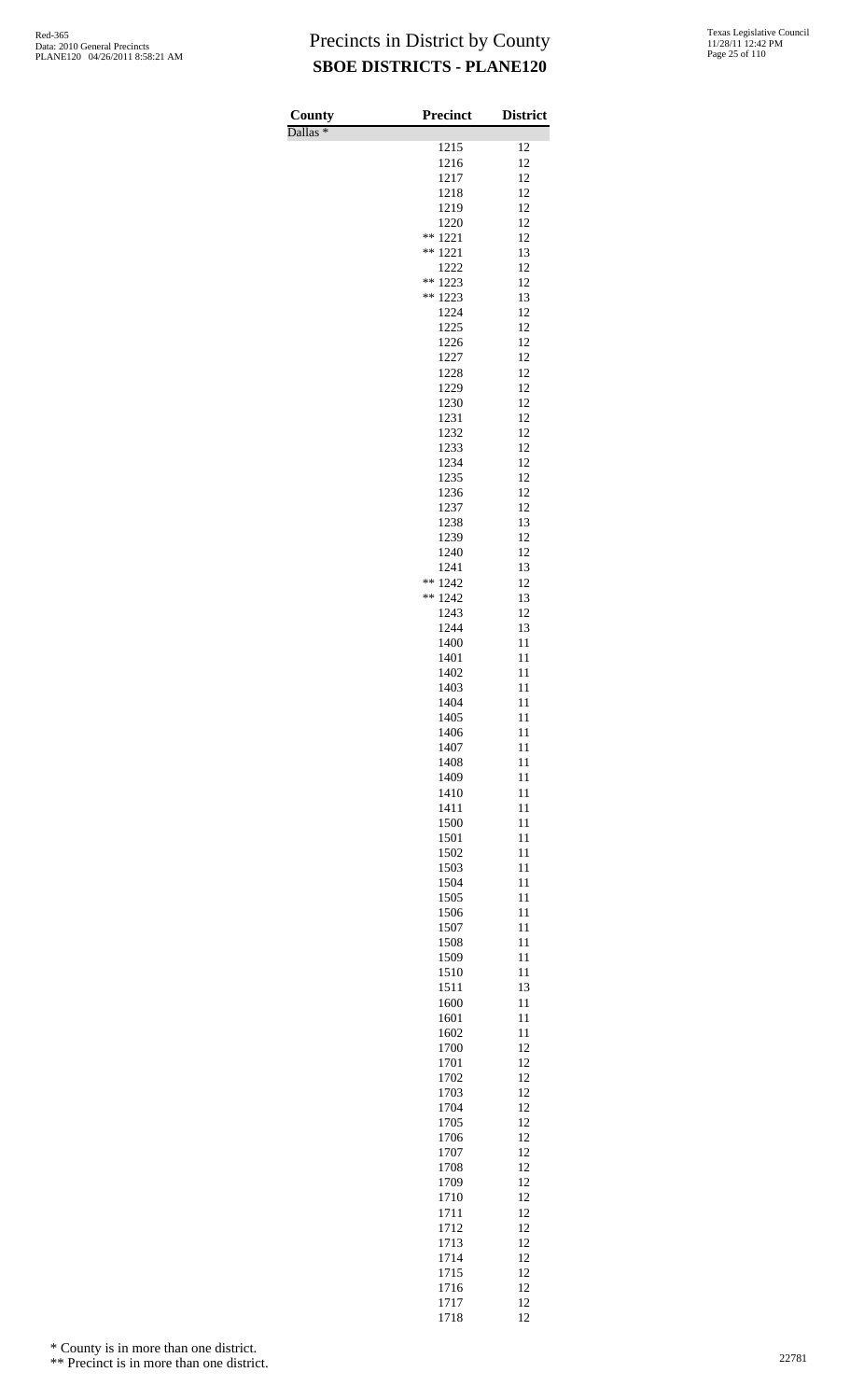Dallas \*

| County              | Precinct         | <b>District</b> |
|---------------------|------------------|-----------------|
| Dallas <sup>*</sup> | 1215             | 12              |
|                     | 1216             | 12              |
|                     | 1217             | 12              |
|                     | 1218             | 12              |
|                     | 1219             | 12              |
|                     | 1220             | 12              |
|                     | 1221<br>$***$    | 12              |
|                     | 1221<br>**       | 13              |
|                     | 1222             | 12              |
|                     | **<br>1223<br>** | 12              |
|                     | 1223<br>1224     | 13<br>12        |
|                     | 1225             | 12              |
|                     | 1226             | 12              |
|                     | 1227             | 12              |
|                     | 1228             | 12              |
|                     | 1229             | 12              |
|                     | 1230             | 12              |
|                     | 1231             | 12              |
|                     | 1232             | 12              |
|                     | 1233             | 12              |
|                     | 1234             | 12              |
|                     | 1235             | 12<br>12        |
|                     | 1236<br>1237     | 12              |
|                     | 1238             | 13              |
|                     | 1239             | 12              |
|                     | 1240             | 12              |
|                     | 1241             | 13              |
|                     | **<br>1242       | 12              |
|                     | **<br>1242       | 13              |
|                     | 1243             | 12              |
|                     | 1244             | 13              |
|                     | 1400             | 11              |
|                     | 1401             | 11              |
|                     | 1402<br>1403     | 11<br>11        |
|                     | 1404             | 11              |
|                     | 1405             | 11              |
|                     | 1406             | 11              |
|                     | 1407             | 11              |
|                     | 1408             | 11              |
|                     | 1409             | 11              |
|                     | 1410             | 11              |
|                     | 1411             | 11              |
|                     | 1500<br>1501     | 11<br>11        |
|                     | 1502             | 11              |
|                     | 1503             | 11              |
|                     | 1504             | 11              |
|                     | 1505             | 11              |
|                     | 1506             | 11              |
|                     | 1507             | 11              |
|                     | 1508             | 11              |
|                     | 1509             | 11              |
|                     | 1510             | 11              |
|                     | 1511<br>1600     | 13<br>11        |
|                     | 1601             | 11              |
|                     | 1602             | 11              |
|                     | 1700             | 12              |
|                     | 1701             | 12              |
|                     | 1702             | 12              |
|                     | 1703             | 12              |
|                     | 1704             | 12              |
|                     | 1705             | 12              |
|                     | 1706<br>1707     | 12<br>12        |
|                     | 1708             | 12              |
|                     | 1709             | 12              |
|                     | 1710             | 12              |
|                     | 1711             | 12              |
|                     | 1712             | 12              |
|                     | 1713             | 12              |
|                     | 1714             | 12              |
|                     | 1715             | 12              |
|                     | 1716<br>1717     | 12              |
|                     | 1718             | 12<br>12        |

\* County is in more than one district.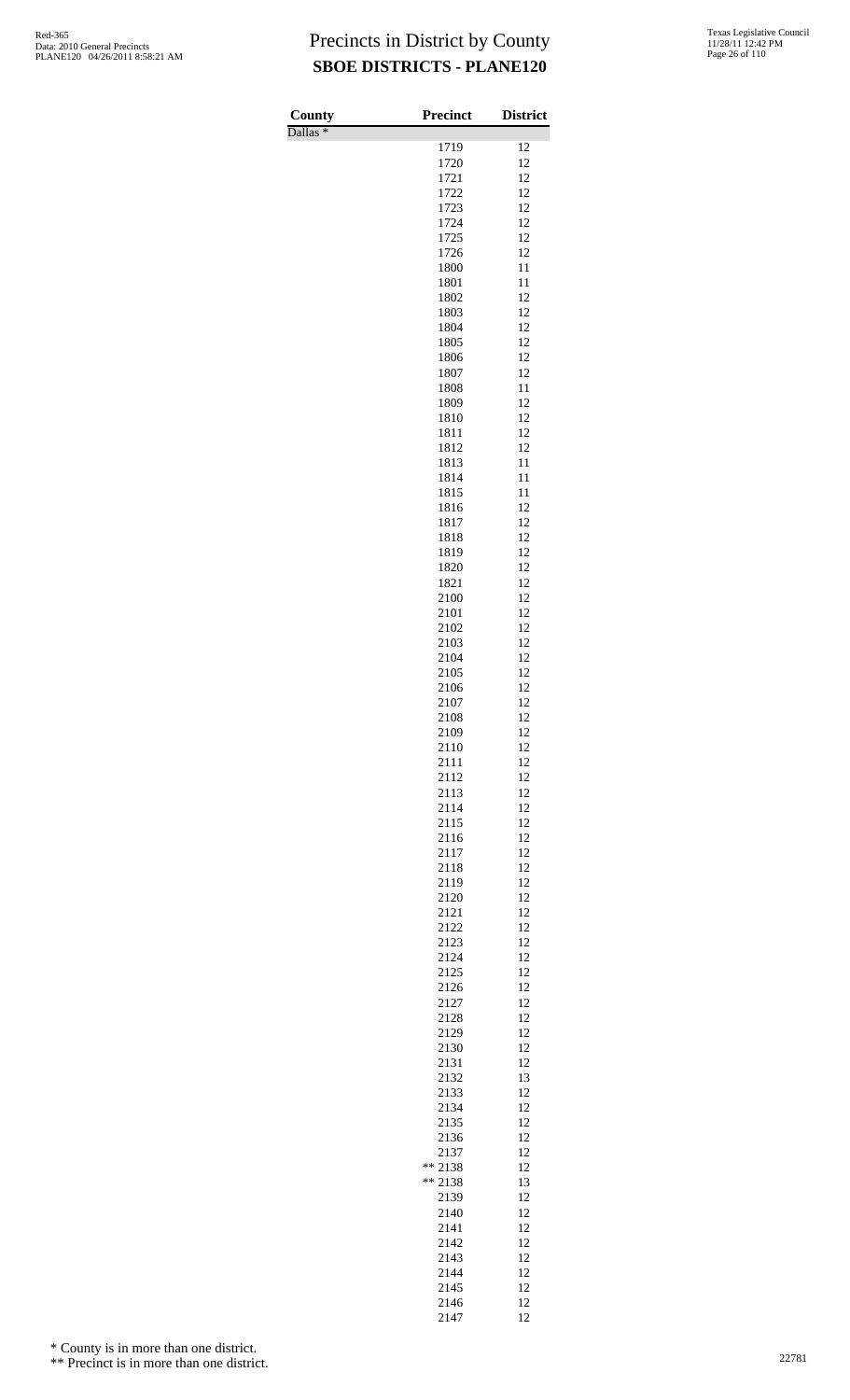Dallas \*

| County              | <b>Precinct</b> | <b>District</b> |
|---------------------|-----------------|-----------------|
| Dallas <sup>*</sup> | 1719            | 12              |
|                     | 1720            | 12              |
|                     | 1721            | 12              |
|                     | 1722<br>1723    | 12<br>12        |
|                     | 1724            | 12              |
|                     | 1725            | 12              |
|                     | 1726<br>1800    | 12<br>11        |
|                     | 1801            | 11              |
|                     | 1802<br>1803    | 12<br>12        |
|                     | 1804            | 12              |
|                     | 1805            | 12              |
|                     | 1806<br>1807    | 12<br>12        |
|                     | 1808            | 11              |
|                     | 1809            | 12              |
|                     | 1810<br>1811    | 12<br>12        |
|                     | 1812            | 12              |
|                     | 1813            | 11              |
|                     | 1814<br>1815    | 11<br>11        |
|                     | 1816            | 12              |
|                     | 1817<br>1818    | 12<br>12        |
|                     | 1819            | 12              |
|                     | 1820            | 12              |
|                     | 1821<br>2100    | 12<br>12        |
|                     | 2101            | 12              |
|                     | 2102            | 12              |
|                     | 2103<br>2104    | 12<br>12        |
|                     | 2105            | 12              |
|                     | 2106<br>2107    | 12<br>12        |
|                     | 2108            | 12              |
|                     | 2109            | 12              |
|                     | 2110<br>2111    | 12<br>12        |
|                     | 2112            | 12              |
|                     | 2113            | 12<br>12        |
|                     | 2114<br>2115    | 12              |
|                     | 2116            | 12              |
|                     | 2117<br>2118    | 12<br>12        |
|                     | 2119            | 12              |
|                     | 2120            | 12              |
|                     | 2121<br>2122    | 12<br>12        |
|                     | 2123            | 12              |
|                     | 2124<br>2125    | 12<br>12        |
|                     | 2126            | 12              |
|                     | 2127            | 12              |
|                     | 2128<br>2129    | 12<br>12        |
|                     | 2130            | 12              |
|                     | 2131<br>2132    | 12<br>13        |
|                     | 2133            | 12              |
|                     | 2134            | 12              |
|                     | 2135<br>2136    | 12<br>12        |
|                     | 2137            | 12              |
|                     | ** 2138         | 12              |
|                     | ** 2138<br>2139 | 13<br>12        |
|                     | 2140            | 12              |
|                     | 2141<br>2142    | 12<br>12        |
|                     | 2143            | 12              |
|                     | 2144            | 12              |
|                     | 2145<br>2146    | 12<br>12        |
|                     | 2147            | 12              |

\* County is in more than one district.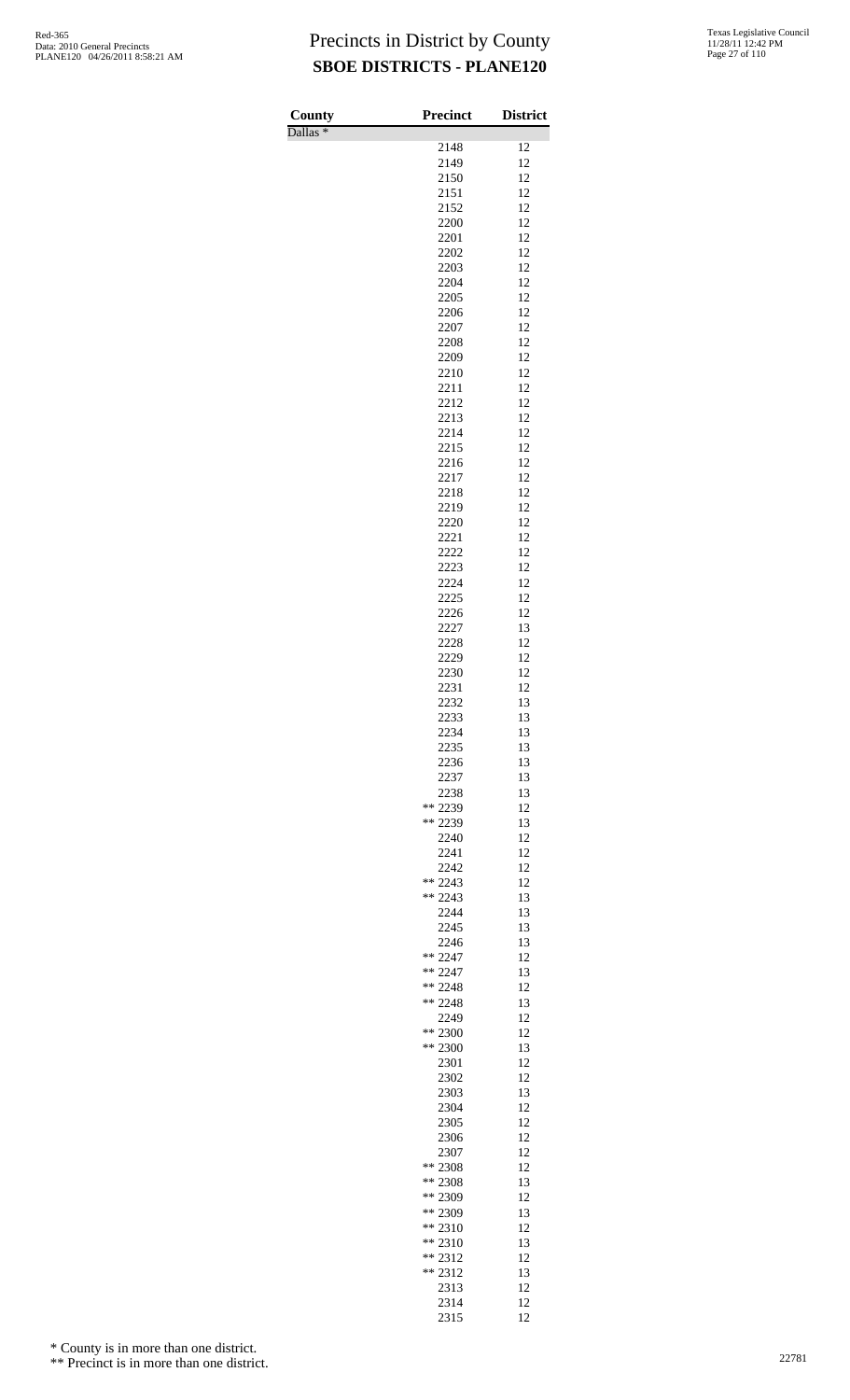Dallas \*

| County              | Precinct               | <b>District</b> |
|---------------------|------------------------|-----------------|
| Dallas <sup>*</sup> | 2148                   | 12              |
|                     | 2149                   | 12              |
|                     | 2150                   | 12              |
|                     | 2151                   | 12              |
|                     | 2152                   | 12              |
|                     | 2200                   | 12              |
|                     | 2201                   | 12              |
|                     | 2202                   | 12              |
|                     | 2203<br>2204           | 12<br>12        |
|                     | 2205                   | 12              |
|                     | 2206                   | 12              |
|                     | 2207                   | 12              |
|                     | 2208                   | 12              |
|                     | 2209                   | 12              |
|                     | 2210                   | 12              |
|                     | 2211                   | 12              |
|                     | 2212                   | 12              |
|                     | 2213<br>2214           | 12              |
|                     | 2215                   | 12<br>12        |
|                     | 2216                   | 12              |
|                     | 2217                   | 12              |
|                     | 2218                   | 12              |
|                     | 2219                   | 12              |
|                     | 2220                   | 12              |
|                     | 2221                   | 12              |
|                     | 2222                   | 12              |
|                     | 2223                   | 12              |
|                     | 2224                   | 12              |
|                     | 2225                   | 12              |
|                     | 2226<br>2227           | 12<br>13        |
|                     | 2228                   | 12              |
|                     | 2229                   | 12              |
|                     | 2230                   | 12              |
|                     | 2231                   | 12              |
|                     | 2232                   | 13              |
|                     | 2233                   | 13              |
|                     | 2234                   | 13              |
|                     | 2235                   | 13              |
|                     | 2236                   | 13              |
|                     | 2237<br>2238           | 13<br>13        |
|                     | ** 2239                | 12              |
|                     | ** 2239                | 13              |
|                     | 2240                   | 12              |
|                     | 2241                   | 12              |
|                     | 2242                   | 12              |
|                     | ** 2243                | 12              |
|                     | $** 2243$              | 13              |
|                     | 2244                   | 13              |
|                     | 2245<br>2246           | 13<br>13        |
|                     | ** 2247                | 12              |
|                     | $** 2247$              | 13              |
|                     | ** 2248                | 12              |
|                     | ** 2248                | 13              |
|                     | 2249                   | 12              |
|                     | ** 2300                | 12              |
|                     | ** 2300                | 13              |
|                     | 2301                   | 12              |
|                     | 2302<br>2303           | 12<br>13        |
|                     | 2304                   | 12              |
|                     | 2305                   | 12              |
|                     | 2306                   | 12              |
|                     | 2307                   | 12              |
|                     | ** 2308                | 12              |
|                     | ** 2308                | 13              |
|                     | ** 2309                | 12              |
|                     | ** 2309                | 13              |
|                     | ** 2310                | 12              |
|                     | $** 2310$<br>$** 2312$ | 13<br>12        |
|                     | $** 2312$              | 13              |
|                     | 2313                   | 12              |
|                     | 2314                   | 12              |
|                     | 2315                   | 12              |

\* County is in more than one district.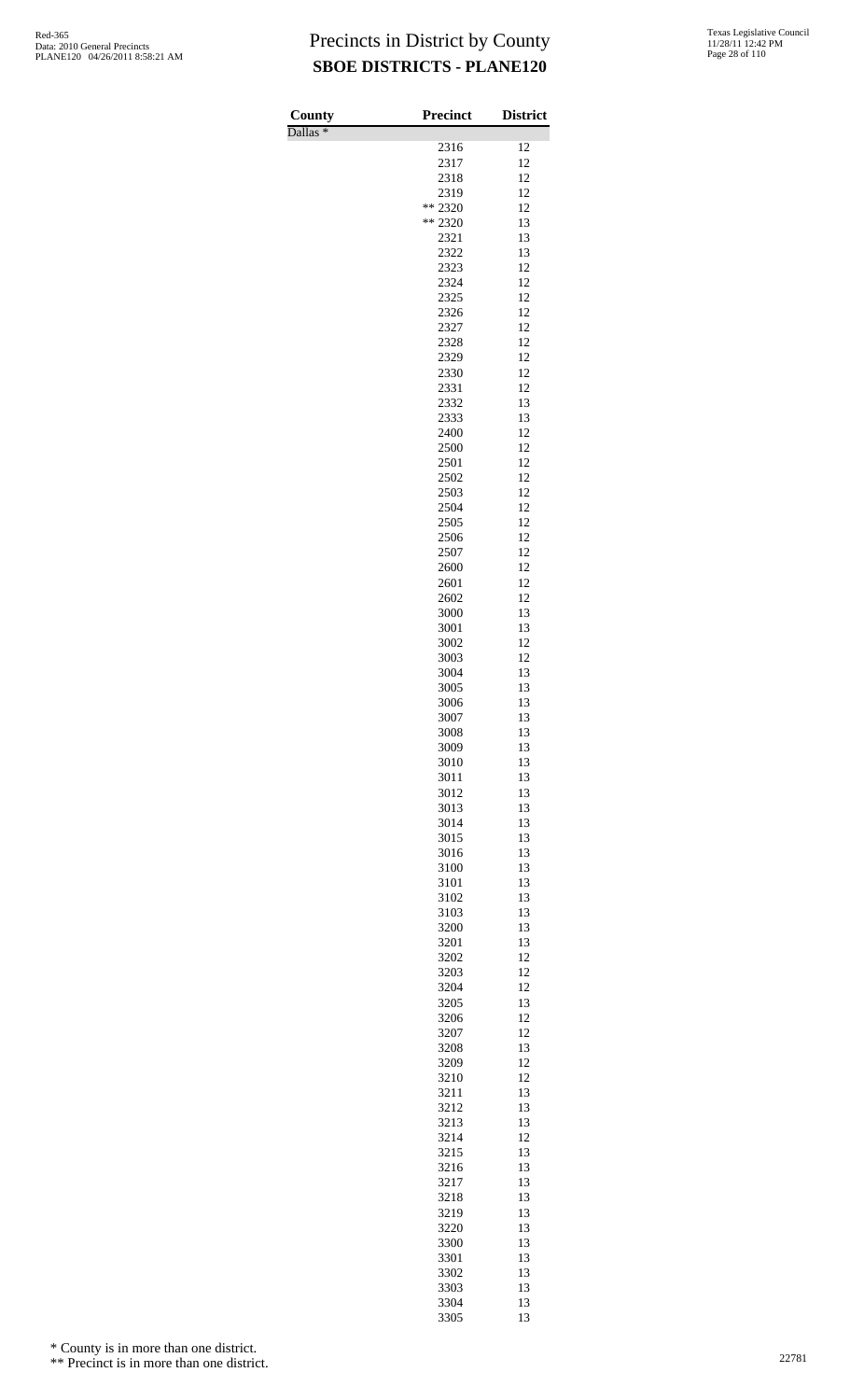| County<br>Dallas <sup>*</sup> | Precinct        | <b>District</b> |
|-------------------------------|-----------------|-----------------|
|                               | 2316            | 12              |
|                               | 2317            | 12              |
|                               | 2318            | 12              |
|                               | 2319<br>** 2320 | 12<br>12        |
|                               | ** 2320         | 13              |
|                               | 2321            | 13              |
|                               | 2322            | 13              |
|                               | 2323            | 12              |
|                               | 2324            | 12<br>12        |
|                               | 2325<br>2326    | 12              |
|                               | 2327            | 12              |
|                               | 2328            | 12              |
|                               | 2329            | 12              |
|                               | 2330            | 12              |
|                               | 2331<br>2332    | 12<br>13        |
|                               | 2333            | 13              |
|                               | 2400            | 12              |
|                               | 2500            | 12              |
|                               | 2501            | 12<br>12        |
|                               | 2502<br>2503    | 12              |
|                               | 2504            | 12              |
|                               | 2505            | 12              |
|                               | 2506            | 12              |
|                               | 2507            | 12              |
|                               | 2600<br>2601    | 12<br>12        |
|                               | 2602            | 12              |
|                               | 3000            | 13              |
|                               | 3001            | 13              |
|                               | 3002            | 12              |
|                               | 3003<br>3004    | 12<br>13        |
|                               | 3005            | 13              |
|                               | 3006            | 13              |
|                               | 3007            | 13              |
|                               | 3008            | 13              |
|                               | 3009<br>3010    | 13<br>13        |
|                               | 3011            | 13              |
|                               | 3012            | 13              |
|                               | 3013            | 13              |
|                               | 3014            | 13              |
|                               | 3015<br>3016    | 13<br>13        |
|                               | 3100            | 13              |
|                               | 3101            | 13              |
|                               | 3102            | 13              |
|                               | 3103            | 13              |
|                               | 3200            | 13<br>13        |
|                               | 3201<br>3202    | 12              |
|                               | 3203            | 12              |
|                               | 3204            | 12              |
|                               | 3205            | 13              |
|                               | 3206            | 12              |
|                               | 3207<br>3208    | 12<br>13        |
|                               | 3209            | 12              |
|                               | 3210            | 12              |
|                               | 3211            | 13              |
|                               | 3212            | 13              |
|                               | 3213<br>3214    | 13<br>12        |
|                               | 3215            | 13              |
|                               | 3216            | 13              |
|                               | 3217            | 13              |
|                               | 3218            | 13              |
|                               | 3219<br>3220    | 13<br>13        |
|                               | 3300            | 13              |
|                               | 3301            | 13              |
|                               | 3302            | 13              |
|                               | 3303            | 13              |
|                               | 3304<br>3305    | 13<br>13        |
|                               |                 |                 |

\* County is in more than one district.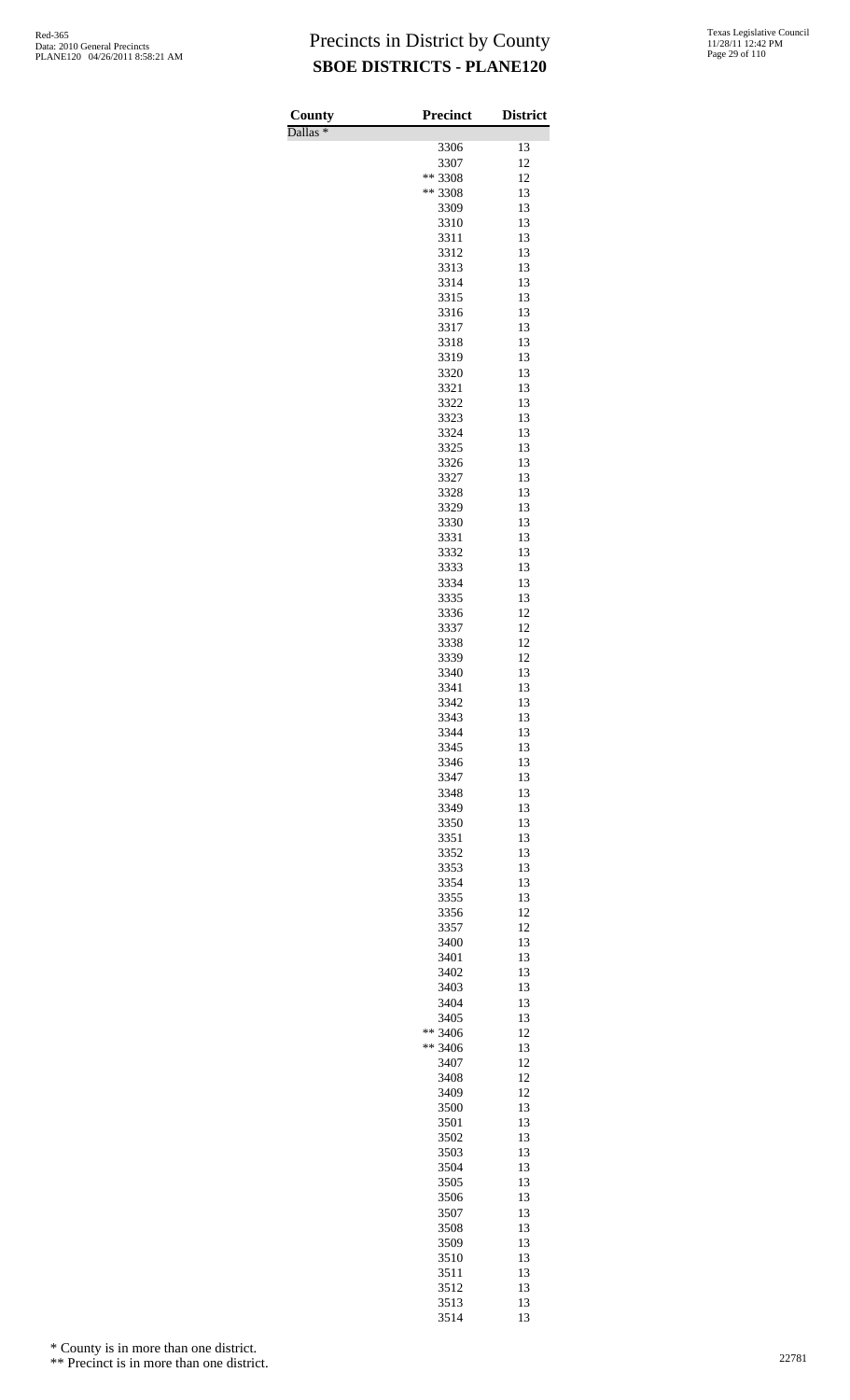Dallas \*

| County              | Precinct     | <b>District</b> |
|---------------------|--------------|-----------------|
| Dallas <sup>*</sup> | 3306         | 13              |
|                     | 3307         | 12              |
|                     | ** 3308      | 12              |
|                     | ** 3308      | 13              |
|                     | 3309         | 13              |
|                     | 3310         | 13              |
|                     | 3311<br>3312 | 13<br>13        |
|                     | 3313         | 13              |
|                     | 3314         | 13              |
|                     | 3315         | 13              |
|                     | 3316         | 13              |
|                     | 3317         | 13              |
|                     | 3318<br>3319 | 13<br>13        |
|                     | 3320         | 13              |
|                     | 3321         | 13              |
|                     | 3322         | 13              |
|                     | 3323         | 13              |
|                     | 3324         | 13              |
|                     | 3325<br>3326 | 13<br>13        |
|                     | 3327         | 13              |
|                     | 3328         | 13              |
|                     | 3329         | 13              |
|                     | 3330         | 13              |
|                     | 3331         | 13              |
|                     | 3332         | 13<br>13        |
|                     | 3333<br>3334 | 13              |
|                     | 3335         | 13              |
|                     | 3336         | 12              |
|                     | 3337         | 12              |
|                     | 3338         | 12              |
|                     | 3339         | 12              |
|                     | 3340<br>3341 | 13<br>13        |
|                     | 3342         | 13              |
|                     | 3343         | 13              |
|                     | 3344         | 13              |
|                     | 3345         | 13              |
|                     | 3346         | 13              |
|                     | 3347<br>3348 | 13<br>13        |
|                     | 3349         | 13              |
|                     | 3350         | 13              |
|                     | 3351         | 13              |
|                     | 3352         | 13              |
|                     | 3353<br>3354 | 13<br>13        |
|                     | 3355         | 13              |
|                     | 3356         | 12              |
|                     | 3357         | 12              |
|                     | 3400         | 13              |
|                     | 3401         | 13              |
|                     | 3402<br>3403 | 13<br>13        |
|                     | 3404         | 13              |
|                     | 3405         | 13              |
|                     | ** 3406      | 12              |
|                     | ** 3406      | 13              |
|                     | 3407<br>3408 | 12<br>12        |
|                     | 3409         | 12              |
|                     | 3500         | 13              |
|                     | 3501         | 13              |
|                     | 3502         | 13              |
|                     | 3503         | 13              |
|                     | 3504<br>3505 | 13<br>13        |
|                     | 3506         | 13              |
|                     | 3507         | 13              |
|                     | 3508         | 13              |
|                     | 3509         | 13              |
|                     | 3510         | 13              |
|                     | 3511<br>3512 | 13<br>13        |
|                     | 3513         | 13              |
|                     | 3514         | 13              |

\* County is in more than one district.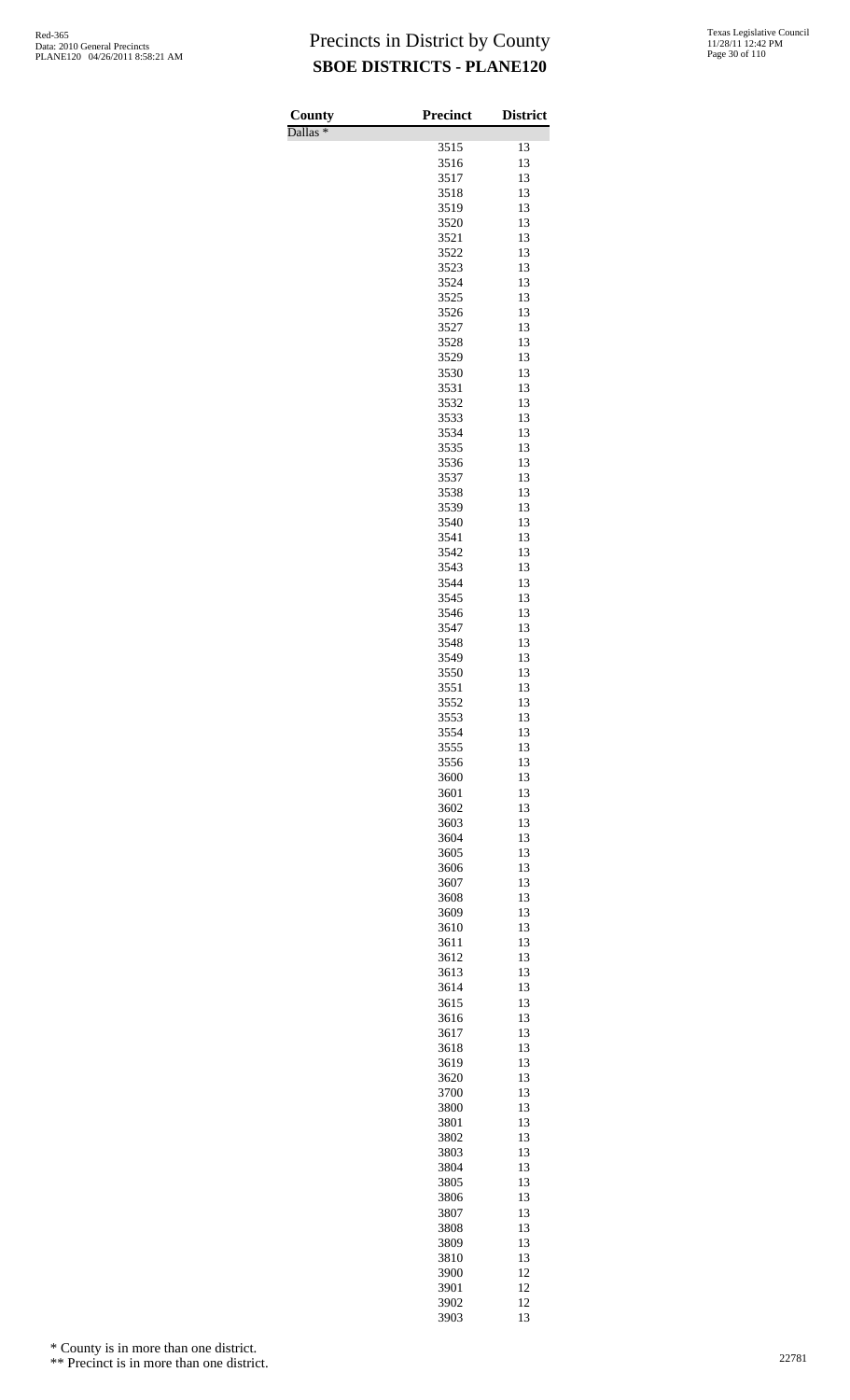Dallas \*

| County              | <b>Precinct</b> | <b>District</b> |
|---------------------|-----------------|-----------------|
| Dallas <sup>*</sup> |                 |                 |
|                     | 3515<br>3516    | 13<br>13        |
|                     | 3517            | 13              |
|                     | 3518            | 13              |
|                     | 3519            | 13              |
|                     | 3520            | 13              |
|                     | 3521            | 13              |
|                     | 3522<br>3523    | 13<br>13        |
|                     | 3524            | 13              |
|                     | 3525            | 13              |
|                     | 3526            | 13              |
|                     | 3527            | 13              |
|                     | 3528            | 13              |
|                     | 3529            | 13              |
|                     | 3530<br>3531    | 13<br>13        |
|                     | 3532            | 13              |
|                     | 3533            | 13              |
|                     | 3534            | 13              |
|                     | 3535            | 13              |
|                     | 3536            | 13              |
|                     | 3537            | 13              |
|                     | 3538<br>3539    | 13<br>13        |
|                     | 3540            | 13              |
|                     | 3541            | 13              |
|                     | 3542            | 13              |
|                     | 3543            | 13              |
|                     | 3544            | 13              |
|                     | 3545            | 13              |
|                     | 3546<br>3547    | 13<br>13        |
|                     | 3548            | 13              |
|                     | 3549            | 13              |
|                     | 3550            | 13              |
|                     | 3551            | 13              |
|                     | 3552            | 13              |
|                     | 3553<br>3554    | 13<br>13        |
|                     | 3555            | 13              |
|                     | 3556            | 13              |
|                     | 3600            | 13              |
|                     | 3601            | 13              |
|                     | 3602            | 13              |
|                     | 3603            | 13<br>13        |
|                     | 3604<br>3605    | 13              |
|                     | 3606            | 13              |
|                     | 3607            | 13              |
|                     | 3608            | 13              |
|                     | 3609            | 13              |
|                     | 3610            | 13              |
|                     | 3611<br>3612    | 13<br>13        |
|                     | 3613            | 13              |
|                     | 3614            | 13              |
|                     | 3615            | 13              |
|                     | 3616            | 13              |
|                     | 3617            | 13              |
|                     | 3618<br>3619    | 13<br>13        |
|                     | 3620            | 13              |
|                     | 3700            | 13              |
|                     | 3800            | 13              |
|                     | 3801            | 13              |
|                     | 3802            | 13              |
|                     | 3803<br>3804    | 13<br>13        |
|                     | 3805            | 13              |
|                     | 3806            | 13              |
|                     | 3807            | 13              |
|                     | 3808            | 13              |
|                     | 3809            | 13              |
|                     | 3810            | 13              |
|                     | 3900<br>3901    | 12<br>12        |
|                     | 3902            | 12              |
|                     | 3903            | 13              |

\* County is in more than one district.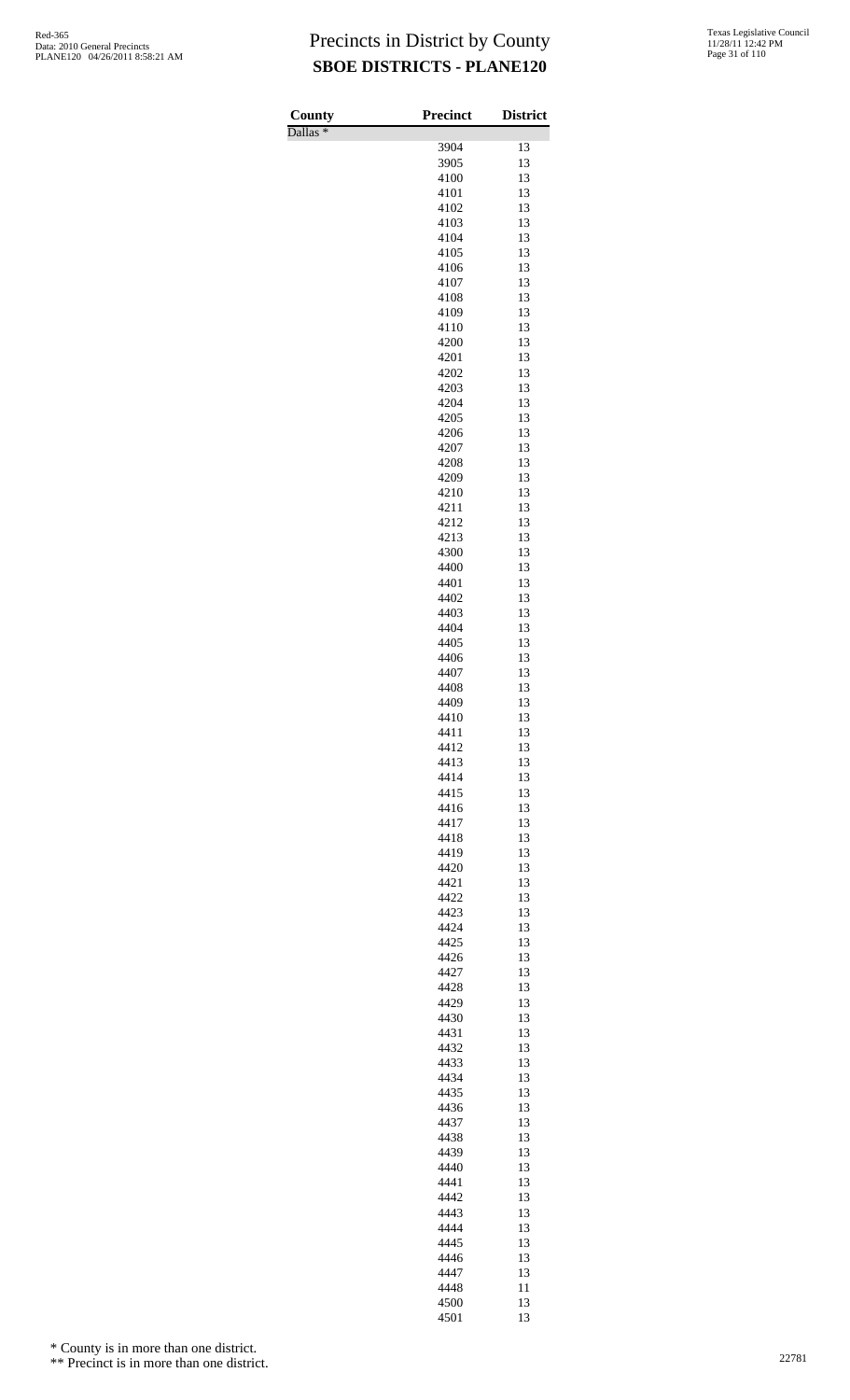Dallas \*

| County              | Precinct     | <b>District</b> |
|---------------------|--------------|-----------------|
| Dallas <sup>*</sup> | 3904         | 13              |
|                     | 3905         | 13              |
|                     | 4100         | 13              |
|                     | 4101         | 13              |
|                     | 4102         | 13              |
|                     | 4103         | 13              |
|                     | 4104         | 13              |
|                     | 4105<br>4106 | 13<br>13        |
|                     | 4107         | 13              |
|                     | 4108         | 13              |
|                     | 4109         | 13              |
|                     | 4110         | 13              |
|                     | 4200         | 13              |
|                     | 4201<br>4202 | 13<br>13        |
|                     | 4203         | 13              |
|                     | 4204         | 13              |
|                     | 4205         | 13              |
|                     | 4206         | 13              |
|                     | 4207<br>4208 | 13              |
|                     | 4209         | 13<br>13        |
|                     | 4210         | 13              |
|                     | 4211         | 13              |
|                     | 4212         | 13              |
|                     | 4213         | 13              |
|                     | 4300<br>4400 | 13              |
|                     | 4401         | 13<br>13        |
|                     | 4402         | 13              |
|                     | 4403         | 13              |
|                     | 4404         | 13              |
|                     | 4405         | 13              |
|                     | 4406<br>4407 | 13<br>13        |
|                     | 4408         | 13              |
|                     | 4409         | 13              |
|                     | 4410         | 13              |
|                     | 4411         | 13              |
|                     | 4412         | 13              |
|                     | 4413<br>4414 | 13<br>13        |
|                     | 4415         | 13              |
|                     | 4416         | 13              |
|                     | 4417         | 13              |
|                     | 4418         | 13              |
|                     | 4419<br>4420 | 13<br>13        |
|                     | 4421         | 13              |
|                     | 4422         | 13              |
|                     | 4423         | 13              |
|                     | 4424         | 13              |
|                     | 4425         | 13              |
|                     | 4426<br>4427 | 13<br>13        |
|                     | 4428         | 13              |
|                     | 4429         | 13              |
|                     | 4430         | 13              |
|                     | 4431         | 13              |
|                     | 4432<br>4433 | 13<br>13        |
|                     | 4434         | 13              |
|                     | 4435         | 13              |
|                     | 4436         | 13              |
|                     | 4437         | 13              |
|                     | 4438         | 13              |
|                     | 4439<br>4440 | 13<br>13        |
|                     | 4441         | 13              |
|                     | 4442         | 13              |
|                     | 4443         | 13              |
|                     | 4444         | 13              |
|                     | 4445         | 13              |
|                     | 4446<br>4447 | 13<br>13        |
|                     | 4448         | 11              |
|                     | 4500         | 13              |
|                     | 4501         | 13              |

\* County is in more than one district.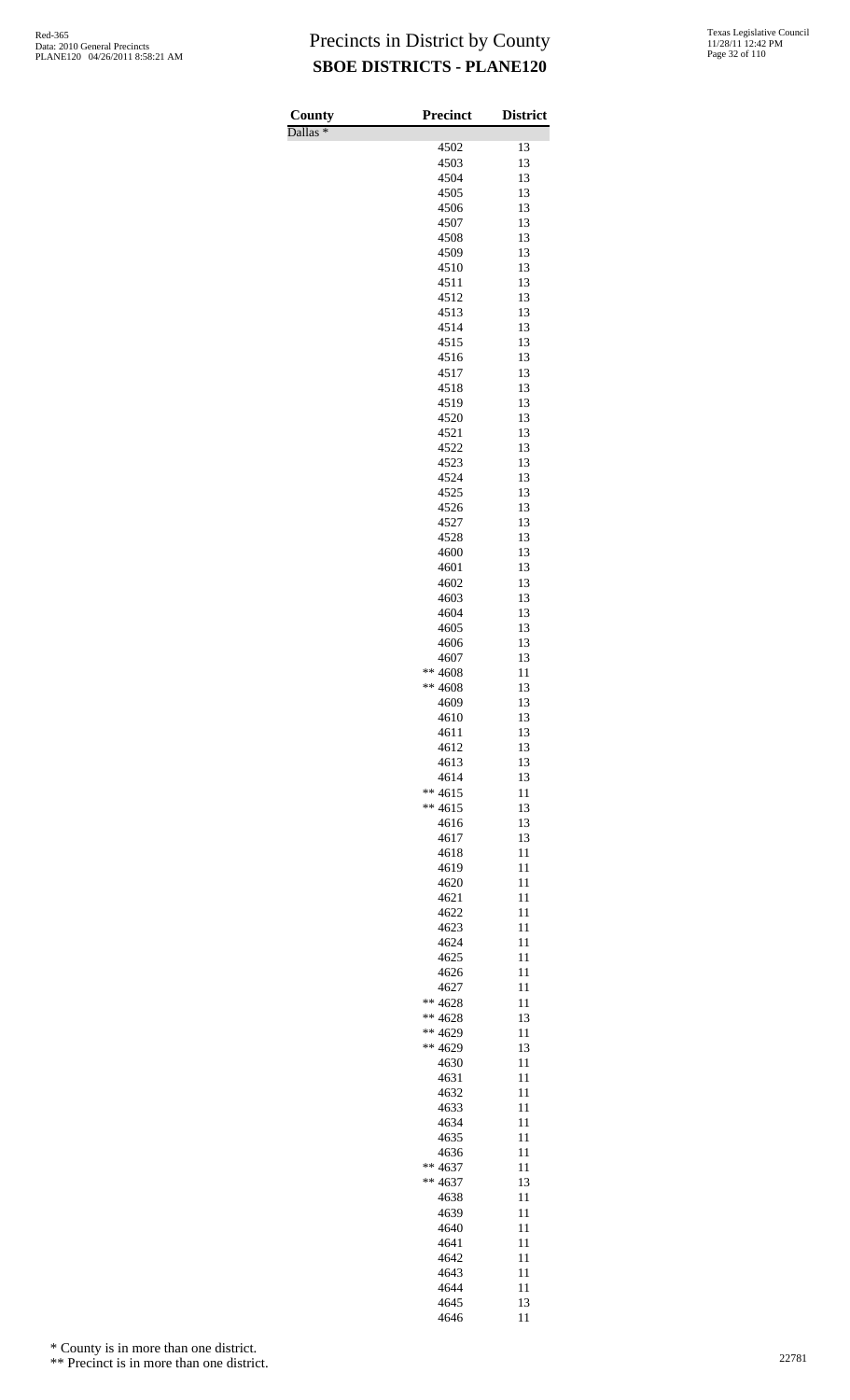Dallas \*

| County              | <b>Precinct</b>      | <b>District</b> |
|---------------------|----------------------|-----------------|
| Dallas <sup>*</sup> | 4502                 | 13              |
|                     | 4503                 | 13              |
|                     | 4504                 | 13              |
|                     | 4505                 | 13              |
|                     | 4506                 | 13              |
|                     | 4507                 | 13              |
|                     | 4508<br>4509         | 13<br>13        |
|                     | 4510                 | 13              |
|                     | 4511                 | 13              |
|                     | 4512                 | 13              |
|                     | 4513                 | 13              |
|                     | 4514                 | 13              |
|                     | 4515                 | 13<br>13        |
|                     | 4516<br>4517         | 13              |
|                     | 4518                 | 13              |
|                     | 4519                 | 13              |
|                     | 4520                 | 13              |
|                     | 4521                 | 13              |
|                     | 4522                 | 13              |
|                     | 4523<br>4524         | 13<br>13        |
|                     | 4525                 | 13              |
|                     | 4526                 | 13              |
|                     | 4527                 | 13              |
|                     | 4528                 | 13              |
|                     | 4600                 | 13              |
|                     | 4601<br>4602         | 13<br>13        |
|                     | 4603                 | 13              |
|                     | 4604                 | 13              |
|                     | 4605                 | 13              |
|                     | 4606                 | 13              |
|                     | 4607                 | 13              |
|                     | ** 4608<br>** 4608   | 11              |
|                     | 4609                 | 13<br>13        |
|                     | 4610                 | 13              |
|                     | 4611                 | 13              |
|                     | 4612                 | 13              |
|                     | 4613                 | 13              |
|                     | 4614                 | 13              |
|                     | $** 4615$<br>** 4615 | 11<br>13        |
|                     | 4616                 | 13              |
|                     | 4617                 | 13              |
|                     | 4618                 | 11              |
|                     | 4619                 | 11              |
|                     | 4620                 | 11              |
|                     | 4621<br>4622         | 11<br>11        |
|                     | 4623                 | 11              |
|                     | 4624                 | 11              |
|                     | 4625                 | 11              |
|                     | 4626                 | 11              |
|                     | 4627                 | 11              |
|                     | ** 4628<br>** 4628   | 11<br>13        |
|                     | ** 4629              | 11              |
|                     | ** 4629              | 13              |
|                     | 4630                 | 11              |
|                     | 4631                 | 11              |
|                     | 4632                 | 11              |
|                     | 4633                 | 11<br>11        |
|                     | 4634<br>4635         | 11              |
|                     | 4636                 | 11              |
|                     | ** 4637              | 11              |
|                     | ** 4637              | 13              |
|                     | 4638                 | 11              |
|                     | 4639                 | 11              |
|                     | 4640<br>4641         | 11<br>11        |
|                     | 4642                 | 11              |
|                     | 4643                 | 11              |
|                     | 4644                 | 11              |
|                     | 4645                 | 13              |
|                     | 4646                 | 11              |

\* County is in more than one district.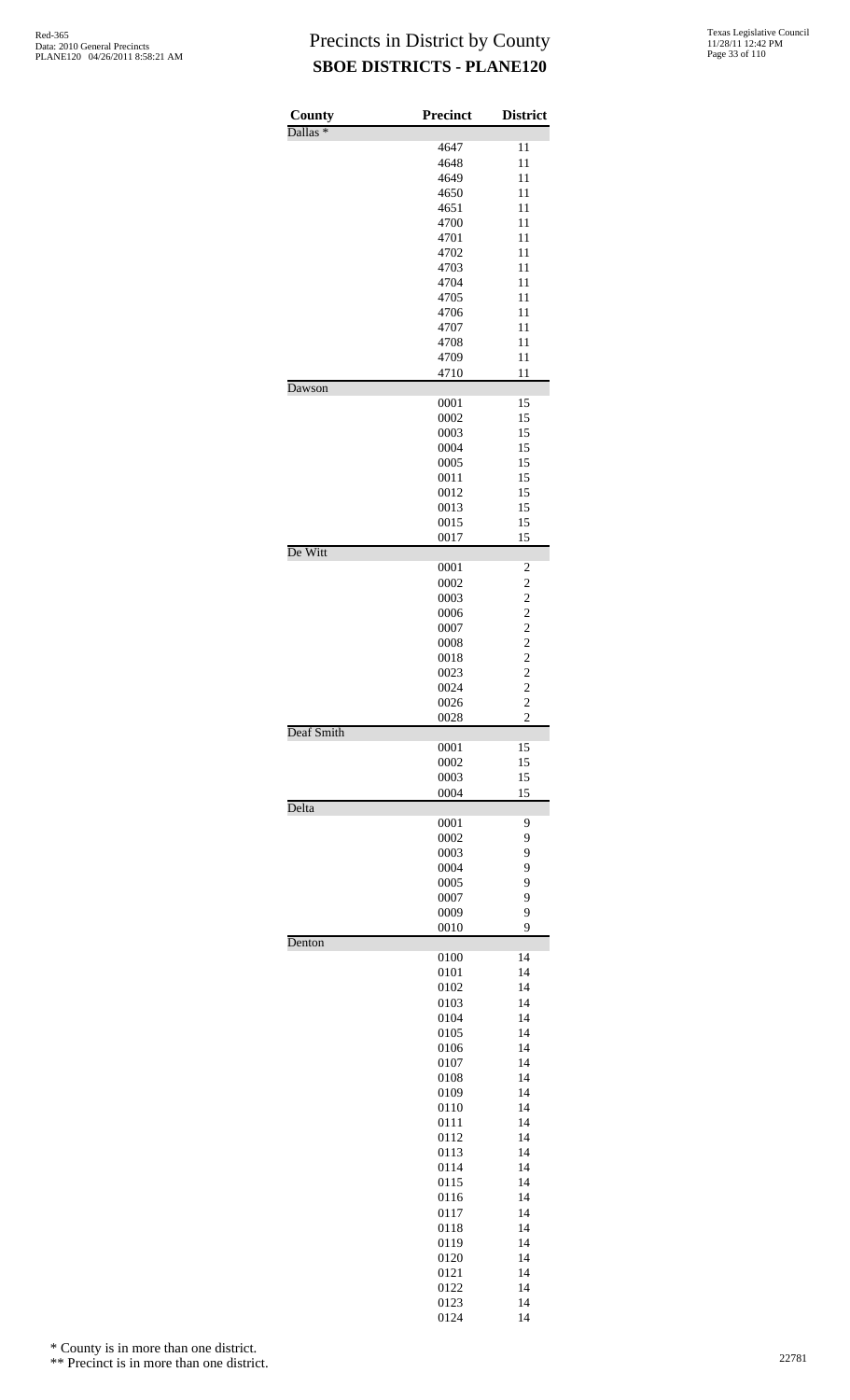| County              | <b>Precinct</b> | <b>District</b>                                   |
|---------------------|-----------------|---------------------------------------------------|
| Dallas <sup>*</sup> |                 | 11                                                |
|                     | 4647<br>4648    | 11                                                |
|                     | 4649            | 11                                                |
|                     | 4650            | 11                                                |
|                     | 4651            | 11                                                |
|                     | 4700            | 11                                                |
|                     | 4701            | 11                                                |
|                     | 4702            | 11                                                |
|                     | 4703            | 11                                                |
|                     | 4704            | 11                                                |
|                     | 4705            | 11                                                |
|                     | 4706            | 11                                                |
|                     | 4707            | 11                                                |
|                     | 4708            | 11                                                |
|                     | 4709            | 11                                                |
|                     | 4710            | 11                                                |
| Dawson              |                 |                                                   |
|                     | 0001            | 15                                                |
|                     | 0002            | 15                                                |
|                     | 0003            | 15                                                |
|                     | 0004            | 15                                                |
|                     | 0005            | 15                                                |
|                     | 0011            | 15                                                |
|                     | 0012            | 15                                                |
|                     | 0013<br>0015    | 15<br>15                                          |
|                     | 0017            | 15                                                |
| De Witt             |                 |                                                   |
|                     | 0001            | $\overline{\mathbf{c}}$                           |
|                     | 0002            | $\overline{c}$                                    |
|                     | 0003            |                                                   |
|                     | 0006            |                                                   |
|                     | 0007            | $\begin{array}{c}\n2 \\ 2 \\ 2 \\ 2\n\end{array}$ |
|                     | 0008            |                                                   |
|                     | 0018            |                                                   |
|                     | 0023            | $\frac{2}{2}$                                     |
|                     | 0024            |                                                   |
|                     | 0026            |                                                   |
|                     | 0028            | $\overline{2}$                                    |
| Deaf Smith          | 0001            | 15                                                |
|                     | 0002            | 15                                                |
|                     | 0003            | 15                                                |
|                     | 0004            | 15                                                |
| Delta               |                 |                                                   |
|                     | 0001            | 9                                                 |
|                     | 0002            | 9                                                 |
|                     | 0003            | 9                                                 |
|                     | 0004            | 9                                                 |
|                     | 0005            | 9                                                 |
|                     | 0007            | 9                                                 |
|                     | 0009            | 9                                                 |
|                     | 0010            | 9                                                 |
| Denton              |                 |                                                   |
|                     | 0100<br>0101    | 14<br>14                                          |
|                     | 0102            | 14                                                |
|                     | 0103            | 14                                                |
|                     | 0104            | 14                                                |
|                     | 0105            | 14                                                |
|                     | 0106            | 14                                                |
|                     | 0107            | 14                                                |
|                     | 0108            | 14                                                |
|                     | 0109            | 14                                                |
|                     | 0110            | 14                                                |
|                     | 0111            | 14                                                |
|                     | 0112            | 14                                                |
|                     | 0113            | 14                                                |
|                     | 0114            | 14                                                |
|                     | 0115            | 14                                                |
|                     | 0116            | 14                                                |
|                     | 0117            | 14                                                |
|                     | 0118            | 14                                                |
|                     | 0119            | 14                                                |
|                     | 0120            | 14                                                |
|                     | 0121            | 14                                                |
|                     | 0122            | 14                                                |
|                     | 0123            | 14                                                |

14

\* County is in more than one district.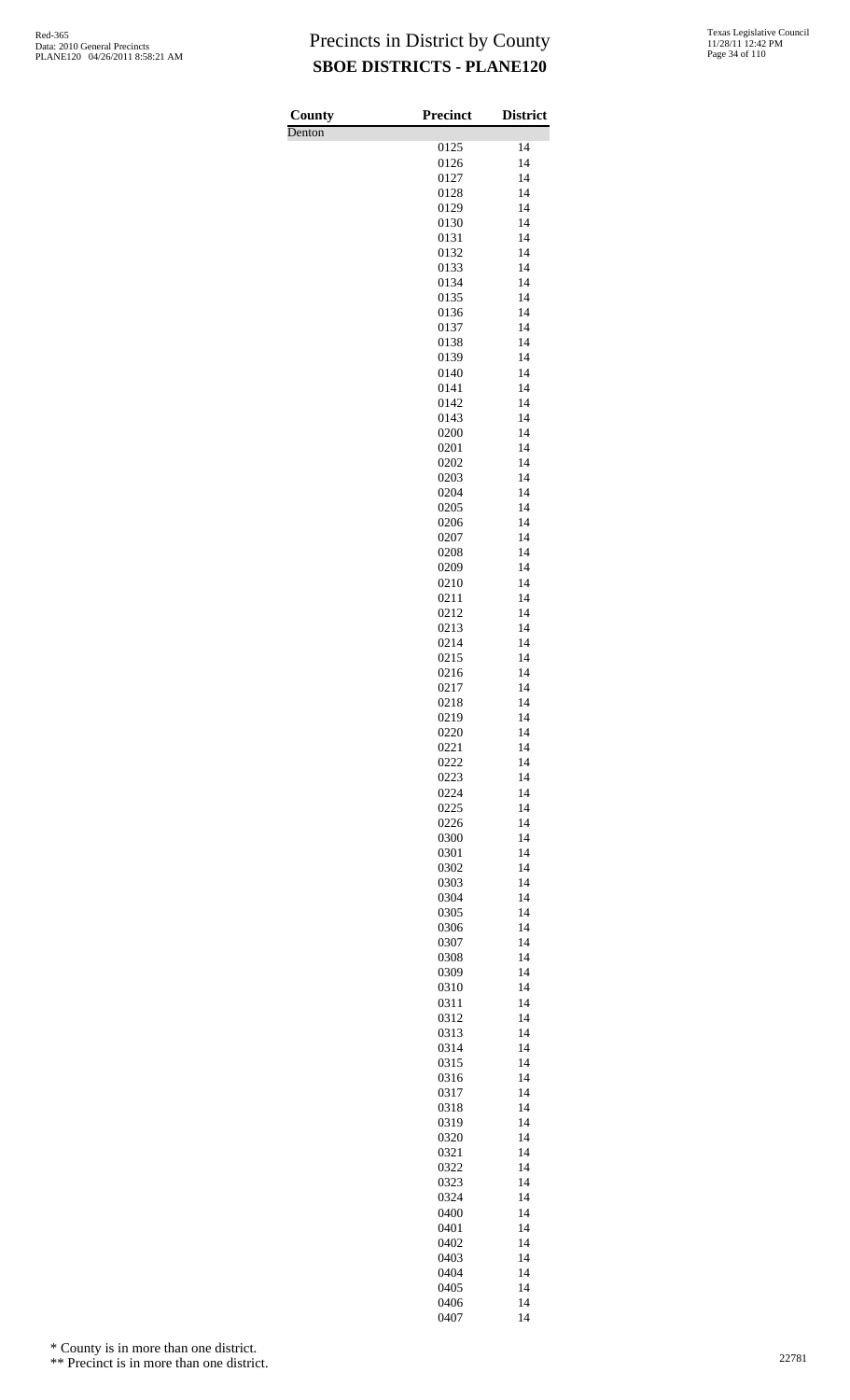Denton

| County | <b>Precinct</b> | <b>District</b> |
|--------|-----------------|-----------------|
| Denton | 0125            | 14              |
|        | 0126            | 14              |
|        | 0127            | 14              |
|        | 0128            | 14              |
|        | 0129            | 14              |
|        | 0130            | 14              |
|        | 0131<br>0132    | 14<br>14        |
|        | 0133            | 14              |
|        | 0134            | 14              |
|        | 0135            | 14              |
|        | 0136            | 14              |
|        | 0137            | 14              |
|        | 0138<br>0139    | 14<br>14        |
|        | 0140            | 14              |
|        | 0141            | 14              |
|        | 0142            | 14              |
|        | 0143            | 14              |
|        | 0200            | 14              |
|        | 0201<br>0202    | 14<br>14        |
|        | 0203            | 14              |
|        | 0204            | 14              |
|        | 0205            | 14              |
|        | 0206            | 14              |
|        | 0207            | 14              |
|        | 0208<br>0209    | 14<br>14        |
|        | 0210            | 14              |
|        | 0211            | 14              |
|        | 0212            | 14              |
|        | 0213            | 14              |
|        | 0214            | 14              |
|        | 0215<br>0216    | 14<br>14        |
|        | 0217            | 14              |
|        | 0218            | 14              |
|        | 0219            | 14              |
|        | 0220            | 14              |
|        | 0221<br>0222    | 14<br>14        |
|        | 0223            | 14              |
|        | 0224            | 14              |
|        | 0225            | 14              |
|        | 0226            | 14              |
|        | 0300<br>0301    | 14<br>14        |
|        | 0302            | 14              |
|        | 0303            | 14              |
|        | 0304            | 14              |
|        | 0305            | 14              |
|        | 0306            | 14              |
|        | 0307<br>0308    | 14<br>14        |
|        | 0309            | 14              |
|        | 0310            | 14              |
|        | 0311            | 14              |
|        | 0312            | 14              |
|        | 0313            | 14              |
|        | 0314<br>0315    | 14<br>14        |
|        | 0316            | 14              |
|        | 0317            | 14              |
|        | 0318            | 14              |
|        | 0319            | 14              |
|        | 0320<br>0321    | 14<br>14        |
|        | 0322            | 14              |
|        | 0323            | 14              |
|        | 0324            | 14              |
|        | 0400            | 14              |
|        | 0401            | 14              |
|        | 0402<br>0403    | 14<br>14        |
|        | 0404            | 14              |
|        | 0405            | 14              |
|        | 0406            | 14              |
|        | 0407            | 14              |

\* County is in more than one district.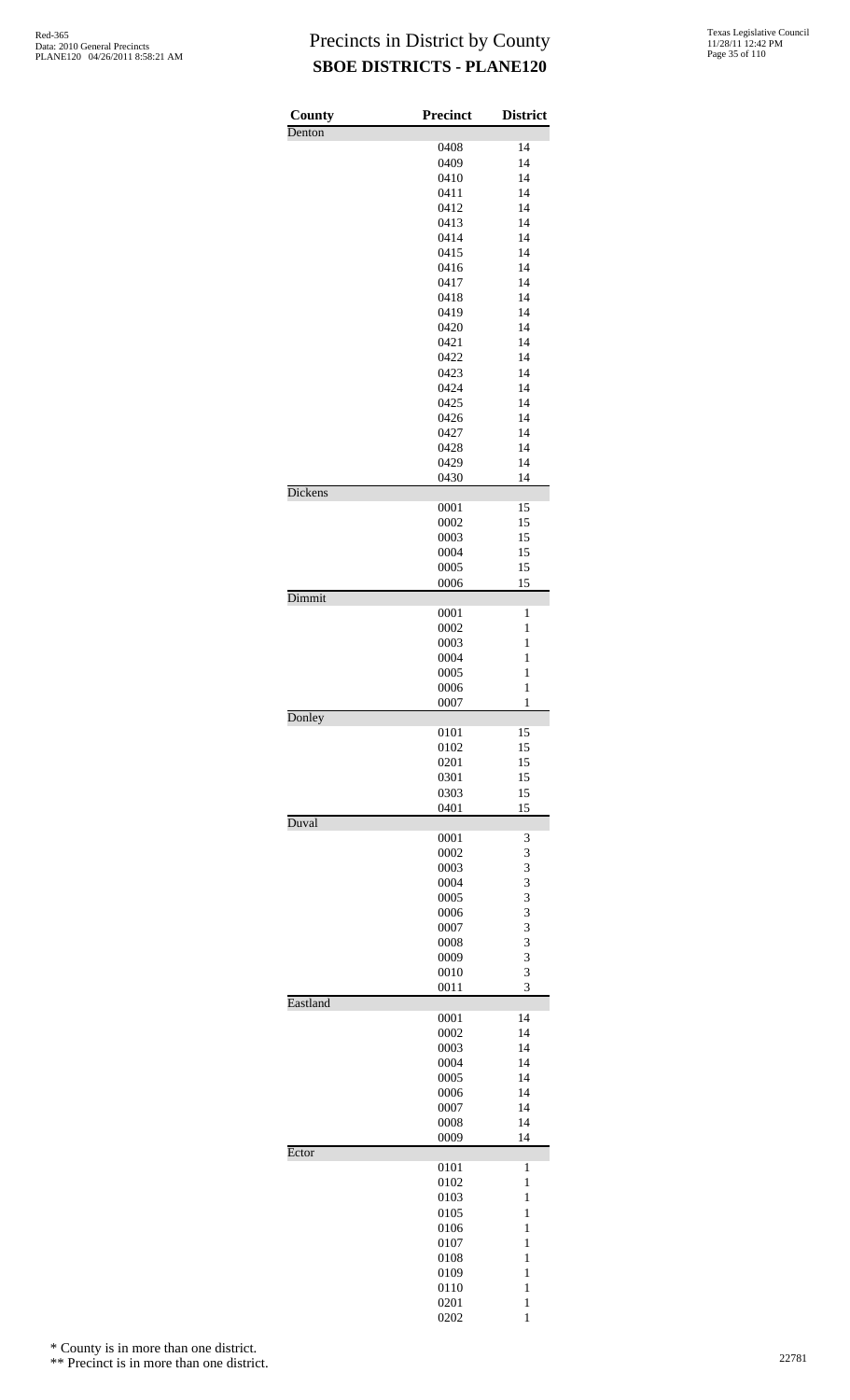| County   | <b>Precinct</b> | <b>District</b>              |
|----------|-----------------|------------------------------|
| Denton   |                 |                              |
|          | 0408            | 14                           |
|          | 0409            | 14                           |
|          | 0410<br>0411    | 14<br>14                     |
|          | 0412            | 14                           |
|          | 0413            | 14                           |
|          | 0414            | 14                           |
|          | 0415            | 14                           |
|          | 0416            | 14                           |
|          | 0417            | 14                           |
|          | 0418            | 14                           |
|          | 0419<br>0420    | 14<br>14                     |
|          | 0421            | 14                           |
|          | 0422            | 14                           |
|          | 0423            | 14                           |
|          | 0424            | 14                           |
|          | 0425            | 14                           |
|          | 0426            | 14                           |
|          | 0427            | 14                           |
|          | 0428            | 14                           |
|          | 0429<br>0430    | 14<br>14                     |
| Dickens  |                 |                              |
|          | 0001            | 15                           |
|          | 0002            | 15                           |
|          | 0003            | 15                           |
|          | 0004            | 15                           |
|          | 0005            | 15                           |
|          | 0006            | 15                           |
| Dimmit   |                 | 1                            |
|          | 0001<br>0002    | $\mathbf{1}$                 |
|          | 0003            | $\mathbf{1}$                 |
|          | 0004            | $\mathbf{1}$                 |
|          | 0005            | 1                            |
|          | 0006            | $\mathbf{1}$                 |
|          | 0007            | $\mathbf{1}$                 |
| Donley   |                 |                              |
|          | 0101            | 15                           |
|          | 0102            | 15<br>15                     |
|          | 0201<br>0301    | 15                           |
|          | 0303            | 15                           |
|          | 0401            | 15                           |
| Duval    |                 |                              |
|          | 0001            | 3                            |
|          | 0002            | 3                            |
|          | 0003            | 3                            |
|          | 0004            | 3                            |
|          | 0005<br>0006    | 3<br>3                       |
|          | 0007            | 3                            |
|          | 0008            | 3                            |
|          | 0009            | 3                            |
|          | 0010            | 3                            |
|          | 0011            | 3                            |
| Eastland |                 |                              |
|          | 0001            | 14<br>14                     |
|          | 0002<br>0003    | 14                           |
|          | 0004            | 14                           |
|          | 0005            | 14                           |
|          | 0006            | 14                           |
|          | 0007            | 14                           |
|          | 0008            | 14                           |
|          | 0009            | 14                           |
| Ector    |                 | $\mathbf{1}$                 |
|          | 0101<br>0102    | $\mathbf{1}$                 |
|          | 0103            | 1                            |
|          | 0105            | $\mathbf{1}$                 |
|          | 0106            | $\mathbf{1}$                 |
|          | 0107            | $\mathbf{1}$                 |
|          | 0108            | $\mathbf{1}$                 |
|          | 0109            | 1                            |
|          | 0110            | $\mathbf{1}$                 |
|          | 0201<br>0202    | $\mathbf{1}$<br>$\mathbf{1}$ |
|          |                 |                              |

\* County is in more than one district.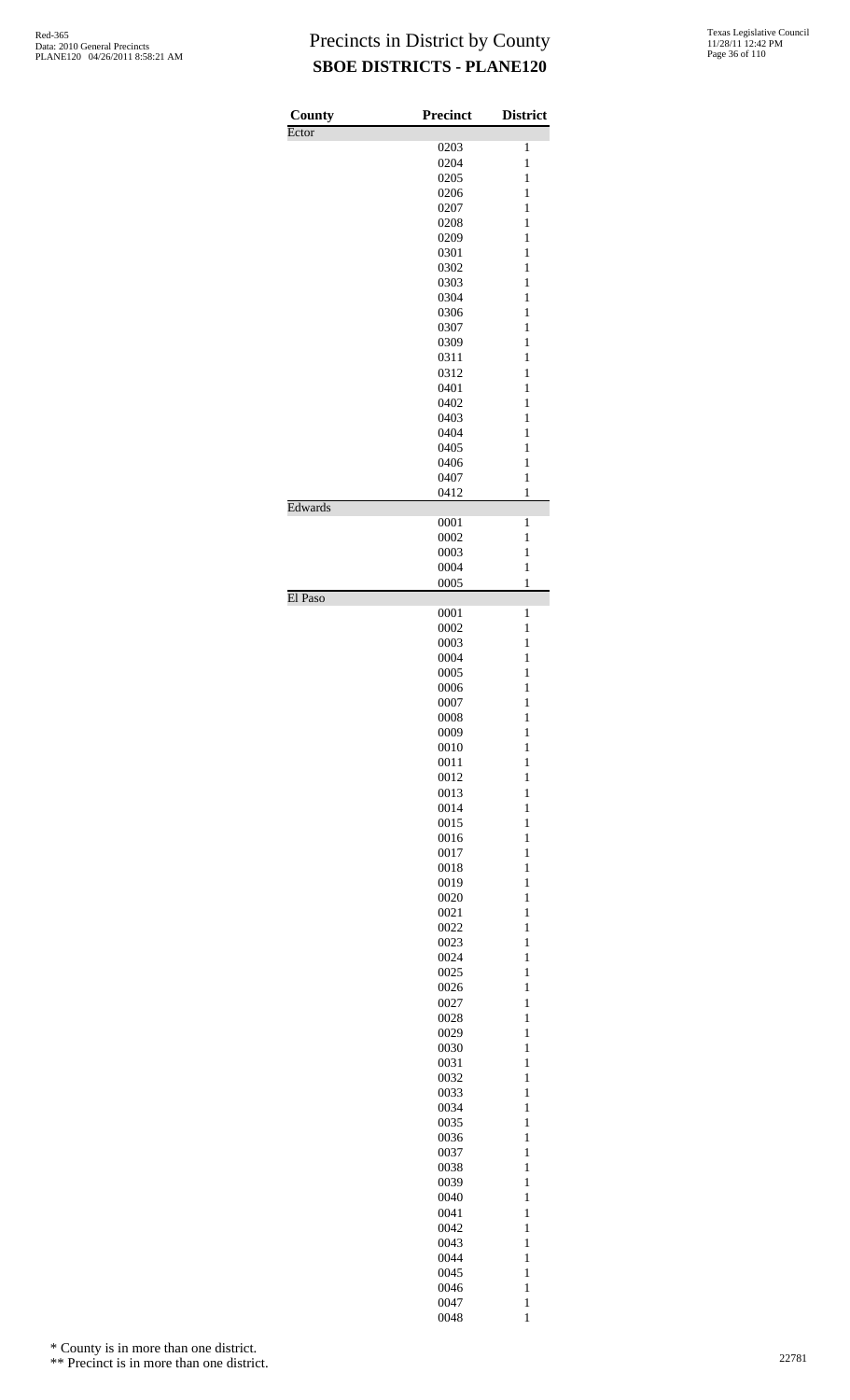| County  | <b>Precinct</b> | <b>District</b> |
|---------|-----------------|-----------------|
| Ector   |                 |                 |
|         | 0203            | 1               |
|         | 0204            | $\mathbf{1}$    |
|         | 0205            | $\mathbf{1}$    |
|         | 0206            | $\mathbf{1}$    |
|         | 0207            | 1               |
|         | 0208            | $\mathbf{1}$    |
|         | 0209            | $\mathbf{1}$    |
|         | 0301            | $\mathbf{1}$    |
|         | 0302            | 1               |
|         | 0303            | 1               |
|         | 0304            | $\mathbf{1}$    |
|         | 0306            | $\mathbf{1}$    |
|         | 0307            | $\mathbf{1}$    |
|         | 0309            | $\mathbf{1}$    |
|         | 0311            | 1               |
|         | 0312            | $\mathbf{1}$    |
|         | 0401            | $\mathbf{1}$    |
|         | 0402            | $\mathbf{1}$    |
|         | 0403            | 1               |
|         | 0404            | 1               |
|         | 0405            | $\mathbf{1}$    |
|         | 0406            | $\mathbf{1}$    |
|         | 0407            | $\mathbf{1}$    |
|         | 0412            | $\mathbf{1}$    |
| Edwards |                 |                 |
|         | 0001            | 1               |
|         | 0002            | $\mathbf{1}$    |
|         | 0003            | $\mathbf{1}$    |
|         | 0004            | $\mathbf{1}$    |
| El Paso | 0005            | $\mathbf{1}$    |
|         | 0001            | $\mathbf{1}$    |
|         | 0002            | $\mathbf{1}$    |
|         | 0003            | $\mathbf{1}$    |
|         | 0004            | 1               |
|         | 0005            | $\mathbf{1}$    |
|         | 0006            | $\mathbf{1}$    |
|         | 0007            | $\mathbf{1}$    |
|         | 0008            | 1               |
|         | 0009            | $\mathbf{1}$    |
|         | 0010            | $\mathbf{1}$    |
|         | 0011            | $\mathbf{1}$    |
|         | 0012            | $\mathbf{1}$    |
|         | 0013            | $\mathbf{1}$    |
|         | 0014            | $\mathbf{1}$    |
|         | 0015            | $\mathbf{1}$    |
|         | 0016            | $\mathbf{1}$    |
|         | 0017            | $\mathbf{1}$    |
|         | 0018            | $\mathbf{1}$    |
|         | 0019            | $\mathbf{1}$    |
|         | 0020            | $\mathbf{1}$    |
|         | 0021            | $\mathbf{1}$    |
|         | 0022            | $\mathbf{1}$    |
|         | 0023            | $\mathbf{1}$    |
|         |                 |                 |
|         | 0024            | $\mathbf{1}$    |
|         | 0025            | $\mathbf{1}$    |
|         | 0026            | $\mathbf{1}$    |
|         | 0027            | $\mathbf{1}$    |
|         | 0028            | $\mathbf{1}$    |
|         | 0029            | $\mathbf{1}$    |
|         | 0030            | $\mathbf{1}$    |
|         | 0031            | $\mathbf{1}$    |
|         | 0032            | $\mathbf{1}$    |
|         | 0033            | $\mathbf{1}$    |
|         | 0034            | $\mathbf{1}$    |
|         | 0035            | $\mathbf{1}$    |
|         | 0036            | $\mathbf{1}$    |
|         | 0037            | $\mathbf{1}$    |
|         | 0038            | $\mathbf{1}$    |
|         | 0039            | $\mathbf{1}$    |
|         | 0040            | $\mathbf{1}$    |
|         | 0041            | $\mathbf{1}$    |
|         | 0042            | $\mathbf{1}$    |
|         | 0043            | $\mathbf{1}$    |
|         | 0044            | $\mathbf{1}$    |
|         | 0045            | $\mathbf{1}$    |
|         | 0046            | $\mathbf{1}$    |
|         | 0047            | $\mathbf{1}$    |
|         | 0048            | $\mathbf{1}$    |
|         |                 |                 |

\* County is in more than one district.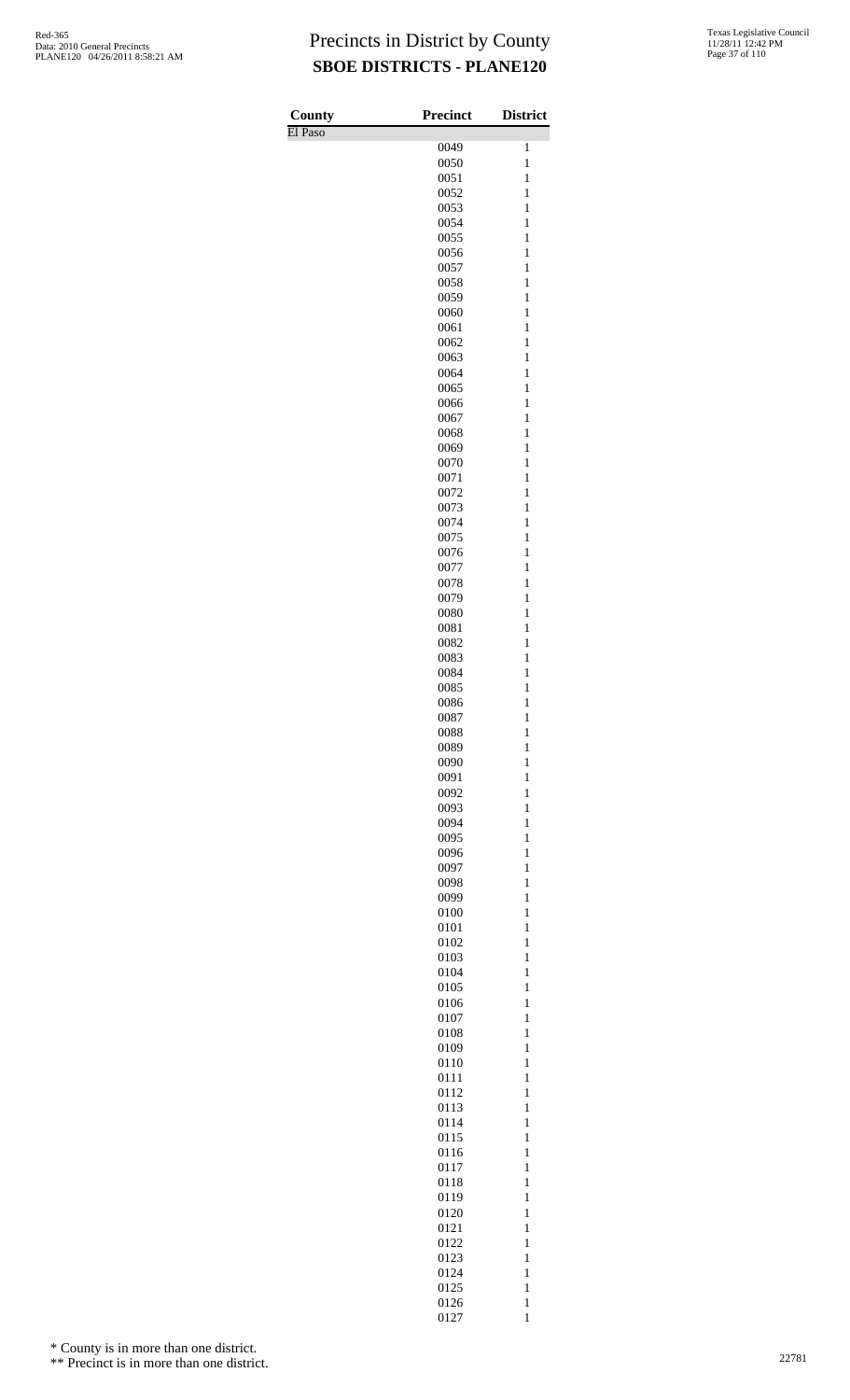| County<br>El Paso | <b>Precinct</b> | <b>District</b>              |
|-------------------|-----------------|------------------------------|
|                   | 0049            | 1                            |
|                   | 0050            | $\mathbf{1}$                 |
|                   | 0051            | $\mathbf{1}$                 |
|                   | 0052<br>0053    | $\mathbf{1}$<br>$\mathbf{1}$ |
|                   | 0054            | $\mathbf{1}$                 |
|                   | 0055            | $\mathbf{1}$                 |
|                   | 0056            | $\mathbf{1}$                 |
|                   | 0057            | $\mathbf{1}$                 |
|                   | 0058<br>0059    | $\mathbf{1}$<br>$\mathbf{1}$ |
|                   | 0060            | $\mathbf{1}$                 |
|                   | 0061            | $\mathbf{1}$                 |
|                   | 0062            | $\mathbf{1}$                 |
|                   | 0063            | $\mathbf{1}$                 |
|                   | 0064<br>0065    | $\mathbf{1}$<br>$\mathbf{1}$ |
|                   | 0066            | $\mathbf{1}$                 |
|                   | 0067            | $\mathbf{1}$                 |
|                   | 0068            | $\mathbf{1}$                 |
|                   | 0069            | $\mathbf{1}$                 |
|                   | 0070<br>0071    | $\mathbf{1}$<br>$\mathbf{1}$ |
|                   | 0072            | $\mathbf{1}$                 |
|                   | 0073            | $\mathbf{1}$                 |
|                   | 0074            | $\mathbf{1}$                 |
|                   | 0075            | $\mathbf{1}$                 |
|                   | 0076<br>0077    | $\mathbf{1}$<br>$\mathbf{1}$ |
|                   | 0078            | $\mathbf{1}$                 |
|                   | 0079            | $\mathbf{1}$                 |
|                   | 0080            | $\mathbf{1}$                 |
|                   | 0081            | $\mathbf{1}$                 |
|                   | 0082<br>0083    | $\mathbf{1}$<br>$\mathbf{1}$ |
|                   | 0084            | $\mathbf{1}$                 |
|                   | 0085            | $\mathbf{1}$                 |
|                   | 0086            | $\mathbf{1}$                 |
|                   | 0087            | $\mathbf{1}$                 |
|                   | 0088            | $\mathbf{1}$<br>$\mathbf{1}$ |
|                   | 0089<br>0090    | $\mathbf{1}$                 |
|                   | 0091            | $\mathbf{1}$                 |
|                   | 0092            | $\mathbf{1}$                 |
|                   | 0093            | $\mathbf{1}$                 |
|                   | 0094            | $\mathbf{1}$                 |
|                   | 0095<br>0096    | $\mathbf{1}$<br>$\mathbf{1}$ |
|                   | 0097            | $\mathbf{1}$                 |
|                   | 0098            | $\mathbf{1}$                 |
|                   | 0099            | $\mathbf{1}$                 |
|                   | 0100            | $\mathbf{1}$                 |
|                   | 0101<br>0102    | $\mathbf{1}$<br>$\mathbf{1}$ |
|                   | 0103            | $\mathbf{1}$                 |
|                   | 0104            | $\mathbf{1}$                 |
|                   | 0105            | $\mathbf{1}$                 |
|                   | 0106            | $\mathbf{1}$                 |
|                   | 0107<br>0108    | $\mathbf{1}$<br>$\mathbf{1}$ |
|                   | 0109            | $\mathbf{1}$                 |
|                   | 0110            | $\mathbf{1}$                 |
|                   | 0111            | $\mathbf{1}$                 |
|                   | 0112            | $\mathbf{1}$                 |
|                   | 0113<br>0114    | $\mathbf{1}$<br>$\mathbf{1}$ |
|                   | 0115            | $\mathbf{1}$                 |
|                   | 0116            | $\mathbf{1}$                 |
|                   | 0117            | $\mathbf{1}$                 |
|                   | 0118            | $\mathbf{1}$                 |
|                   | 0119<br>0120    | $\mathbf{1}$<br>$\mathbf{1}$ |
|                   | 0121            | $\mathbf{1}$                 |
|                   | 0122            | $\mathbf{1}$                 |
|                   | 0123            | $\mathbf{1}$                 |
|                   | 0124            | $\mathbf{1}$                 |
|                   | 0125<br>0126    | $\mathbf{1}$<br>$\mathbf{1}$ |
|                   | 0127            | $\mathbf{1}$                 |

\* County is in more than one district.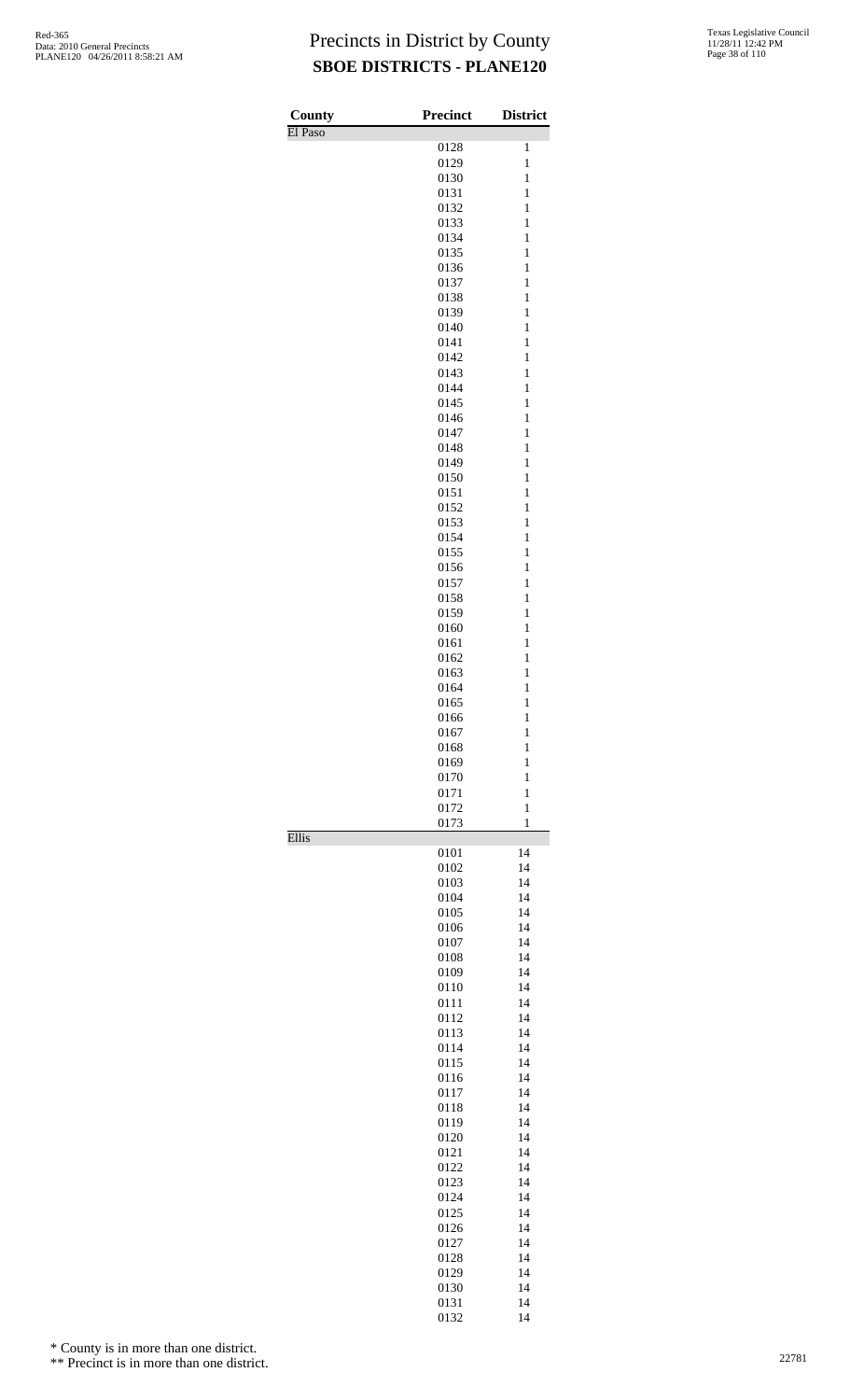| County  | <b>Precinct</b> | <b>District</b>              |
|---------|-----------------|------------------------------|
| El Paso | 0128            | 1                            |
|         | 0129            | $\mathbf{1}$                 |
|         | 0130            | $\mathbf{1}$                 |
|         | 0131            | $\mathbf{1}$                 |
|         | 0132            | $\mathbf{1}$                 |
|         | 0133            | $\mathbf{1}$                 |
|         | 0134            | $\mathbf{1}$                 |
|         | 0135<br>0136    | $\mathbf{1}$<br>$\mathbf{1}$ |
|         | 0137            | $\mathbf{1}$                 |
|         | 0138            | $\mathbf{1}$                 |
|         | 0139            | $\mathbf{1}$                 |
|         | 0140            | $\mathbf{1}$                 |
|         | 0141<br>0142    | $\mathbf{1}$<br>$\mathbf{1}$ |
|         | 0143            | $\mathbf{1}$                 |
|         | 0144            | $\mathbf{1}$                 |
|         | 0145            | $\mathbf{1}$                 |
|         | 0146            | $\mathbf{1}$                 |
|         | 0147            | $\mathbf{1}$                 |
|         | 0148<br>0149    | $\mathbf{1}$<br>$\mathbf{1}$ |
|         | 0150            | $\mathbf{1}$                 |
|         | 0151            | $\mathbf{1}$                 |
|         | 0152            | $\mathbf{1}$                 |
|         | 0153            | $\mathbf{1}$                 |
|         | 0154<br>0155    | $\mathbf{1}$<br>$\mathbf{1}$ |
|         | 0156            | $\mathbf{1}$                 |
|         | 0157            | $\mathbf{1}$                 |
|         | 0158            | $\mathbf{1}$                 |
|         | 0159            | $\mathbf{1}$                 |
|         | 0160            | $\mathbf{1}$<br>$\mathbf{1}$ |
|         | 0161<br>0162    | $\mathbf{1}$                 |
|         | 0163            | $\mathbf{1}$                 |
|         | 0164            | $\mathbf{1}$                 |
|         | 0165            | $\mathbf{1}$                 |
|         | 0166            | 1<br>1                       |
|         | 0167<br>0168    | $\mathbf{1}$                 |
|         | 0169            | $\mathbf{1}$                 |
|         | 0170            | 1                            |
|         | 0171            | 1<br>1                       |
|         | 0172<br>0173    | $\mathbf{1}$                 |
| Ellis   |                 |                              |
|         | 0101            | 14                           |
|         | 0102            | 14                           |
|         | 0103<br>0104    | 14<br>14                     |
|         | 0105            | 14                           |
|         | 0106            | 14                           |
|         | 0107            | 14                           |
|         | 0108            | 14                           |
|         | 0109<br>0110    | 14<br>14                     |
|         | 0111            | 14                           |
|         | 0112            | 14                           |
|         | 0113            | 14                           |
|         | 0114            | 14                           |
|         | 0115<br>0116    | 14<br>14                     |
|         | 0117            | 14                           |
|         | 0118            | 14                           |
|         | 0119            | 14                           |
|         | 0120            | 14                           |
|         | 0121<br>0122    | 14<br>14                     |
|         | 0123            | 14                           |
|         | 0124            | 14                           |
|         | 0125            | 14                           |
|         | 0126            | 14                           |
|         | 0127            | 14                           |
|         | 0128<br>0129    | 14<br>14                     |
|         | 0130            | 14                           |
|         | 0131            | 14                           |

14

\* County is in more than one district.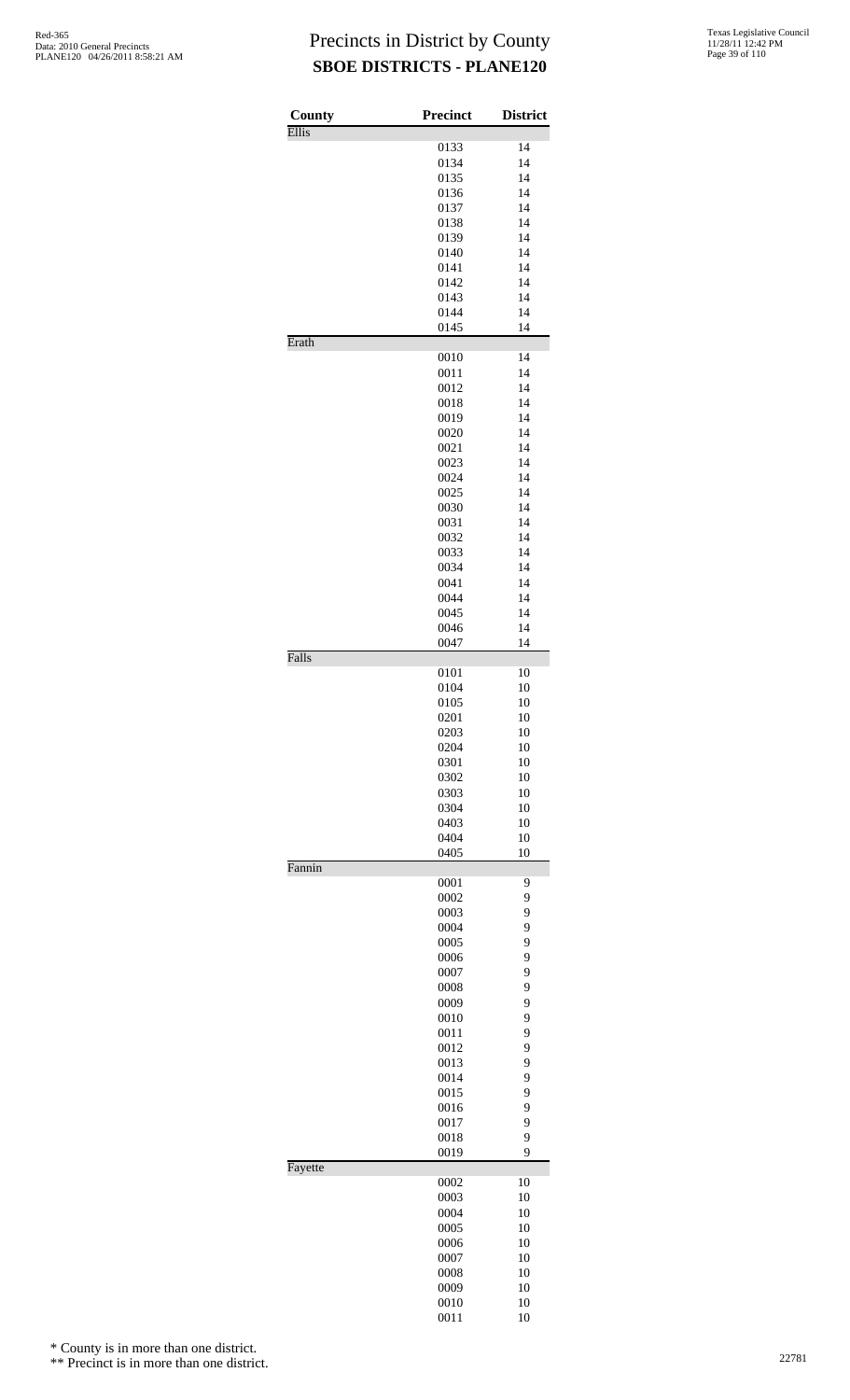| County       | Precinct     | <b>District</b> |
|--------------|--------------|-----------------|
| <b>Ellis</b> | 0133         | 14              |
|              | 0134         | 14              |
|              | 0135         | 14              |
|              | 0136         | 14              |
|              | 0137         | 14              |
|              | 0138         | 14              |
|              | 0139         | 14              |
|              | 0140         | 14              |
|              | 0141         | 14              |
|              | 0142         | 14              |
|              | 0143         | 14              |
|              | 0144         | 14              |
|              | 0145         | 14              |
| Erath        |              |                 |
|              | 0010         | 14              |
|              | 0011         | 14              |
|              | 0012         | 14              |
|              | 0018         | 14              |
|              | 0019         | 14              |
|              | 0020         | 14              |
|              | 0021         | 14              |
|              | 0023         | 14              |
|              | 0024         | 14              |
|              | 0025         | 14              |
|              | 0030         | 14              |
|              | 0031         | 14              |
|              | 0032         | 14              |
|              | 0033         | 14              |
|              | 0034         | 14              |
|              | 0041         | 14              |
|              | 0044         | 14              |
|              | 0045         | 14              |
|              | 0046         | 14              |
| Falls        | 0047         | 14              |
|              | 0101         | 10              |
|              | 0104         | 10              |
|              | 0105         | 10              |
|              | 0201         | 10              |
|              | 0203         | 10              |
|              | 0204         | 10              |
|              | 0301         | 10              |
|              | 0302         | 10              |
|              | 0303         | 10              |
|              | 0304         | 10              |
|              | 0403         | 10              |
|              | 0404         | 10              |
|              | 0405         | 10              |
| Fannin       | 0001         | 9               |
|              | 0002         | 9               |
|              | 0003         | 9               |
|              | 0004         | 9               |
|              | 0005         | 9               |
|              | 0006         | 9               |
|              | 0007         | 9               |
|              | 0008         | 9               |
|              | 0009         | 9               |
|              | 0010         | 9               |
|              |              | 9               |
|              | 0011<br>0012 | 9               |
|              | 0013         | 9               |
|              |              |                 |
|              | 0014<br>0015 | 9<br>9          |
|              |              | 9               |
|              | 0016         |                 |
|              | 0017         | 9<br>9          |
|              | 0018<br>0019 | 9               |
| Fayette      |              |                 |
|              | 0002<br>0003 | 10<br>10        |
|              | 0004         | 10              |
|              | 0005         | 10              |
|              | 0006         | 10              |
|              | 0007         | 10              |
|              | 0008         | 10              |
|              |              |                 |
|              | 0009<br>0010 | 10<br>10        |
|              | 0011         | 10              |
|              |              |                 |

\* County is in more than one district.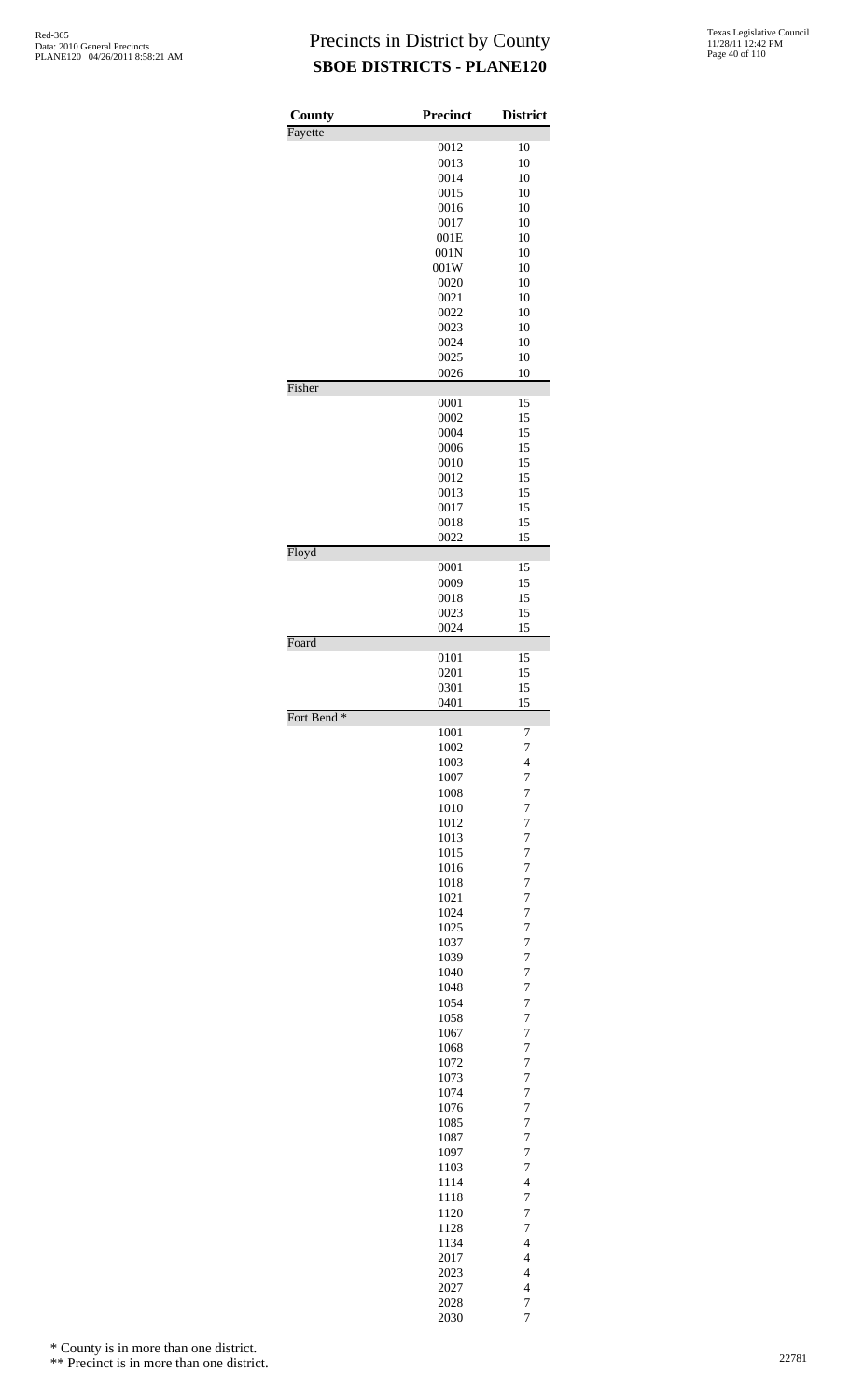| County                 | Precinct     | <b>District</b>                            |
|------------------------|--------------|--------------------------------------------|
| Fayette                |              |                                            |
|                        | 0012<br>0013 | 10<br>10                                   |
|                        | 0014         | 10                                         |
|                        | 0015         | 10                                         |
|                        | 0016         | 10                                         |
|                        | 0017         | 10                                         |
|                        | 001E         | 10                                         |
|                        | 001N<br>001W | 10<br>10                                   |
|                        | 0020         | 10                                         |
|                        | 0021         | 10                                         |
|                        | 0022         | 10                                         |
|                        | 0023         | 10                                         |
|                        | 0024<br>0025 | 10<br>10                                   |
|                        | 0026         | 10                                         |
| Fisher                 |              |                                            |
|                        | 0001         | 15                                         |
|                        | 0002         | 15                                         |
|                        | 0004<br>0006 | 15<br>15                                   |
|                        | 0010         | 15                                         |
|                        | 0012         | 15                                         |
|                        | 0013         | 15                                         |
|                        | 0017         | 15                                         |
|                        | 0018<br>0022 | 15<br>15                                   |
| Floyd                  |              |                                            |
|                        | 0001         | 15                                         |
|                        | 0009         | 15<br>15                                   |
|                        | 0018<br>0023 | 15                                         |
|                        | 0024         | 15                                         |
| Foard                  |              |                                            |
|                        | 0101<br>0201 | 15<br>15                                   |
|                        | 0301         | 15                                         |
|                        | 0401         | 15                                         |
| Fort Bend <sup>*</sup> |              |                                            |
|                        | 1001         | 7<br>$\overline{7}$                        |
|                        | 1002<br>1003 | $\overline{\mathcal{L}}$                   |
|                        | 1007         | $\overline{7}$                             |
|                        | 1008         | $\overline{7}$                             |
|                        | 1010         | $\overline{7}$                             |
|                        | 1012         | $\overline{7}$                             |
|                        | 1013<br>1015 | $\overline{7}$<br>$\overline{7}$           |
|                        | 1016         | $\overline{7}$                             |
|                        | 1018         | $\overline{7}$                             |
|                        | 1021         | $\overline{7}$                             |
|                        | 1024         | $\overline{7}$                             |
|                        | 1025<br>1037 | $\overline{7}$<br>$\overline{7}$           |
|                        | 1039         | $\overline{7}$                             |
|                        | 1040         | $\overline{7}$                             |
|                        | 1048         | $\overline{7}$                             |
|                        | 1054         | $\overline{7}$                             |
|                        | 1058<br>1067 | $\overline{7}$<br>$\overline{7}$           |
|                        | 1068         | $\overline{7}$                             |
|                        | 1072         | $\overline{7}$                             |
|                        | 1073         | $\overline{7}$                             |
|                        | 1074         | $\overline{7}$                             |
|                        | 1076<br>1085 | $\overline{7}$<br>$\overline{7}$           |
|                        | 1087         | $\overline{7}$                             |
|                        | 1097         | $\overline{7}$                             |
|                        | 1103         | $\overline{7}$                             |
|                        | 1114         | $\overline{\mathcal{L}}$                   |
|                        | 1118<br>1120 | $\overline{7}$<br>7                        |
|                        | 1128         | 7                                          |
|                        | 1134         | $\overline{\mathcal{L}}$                   |
|                        | 2017         | $\overline{\mathcal{L}}$                   |
|                        | 2023         | $\overline{\mathcal{L}}$                   |
|                        | 2027<br>2028 | $\overline{\mathcal{L}}$<br>$\overline{7}$ |
|                        |              |                                            |

7

\* County is in more than one district.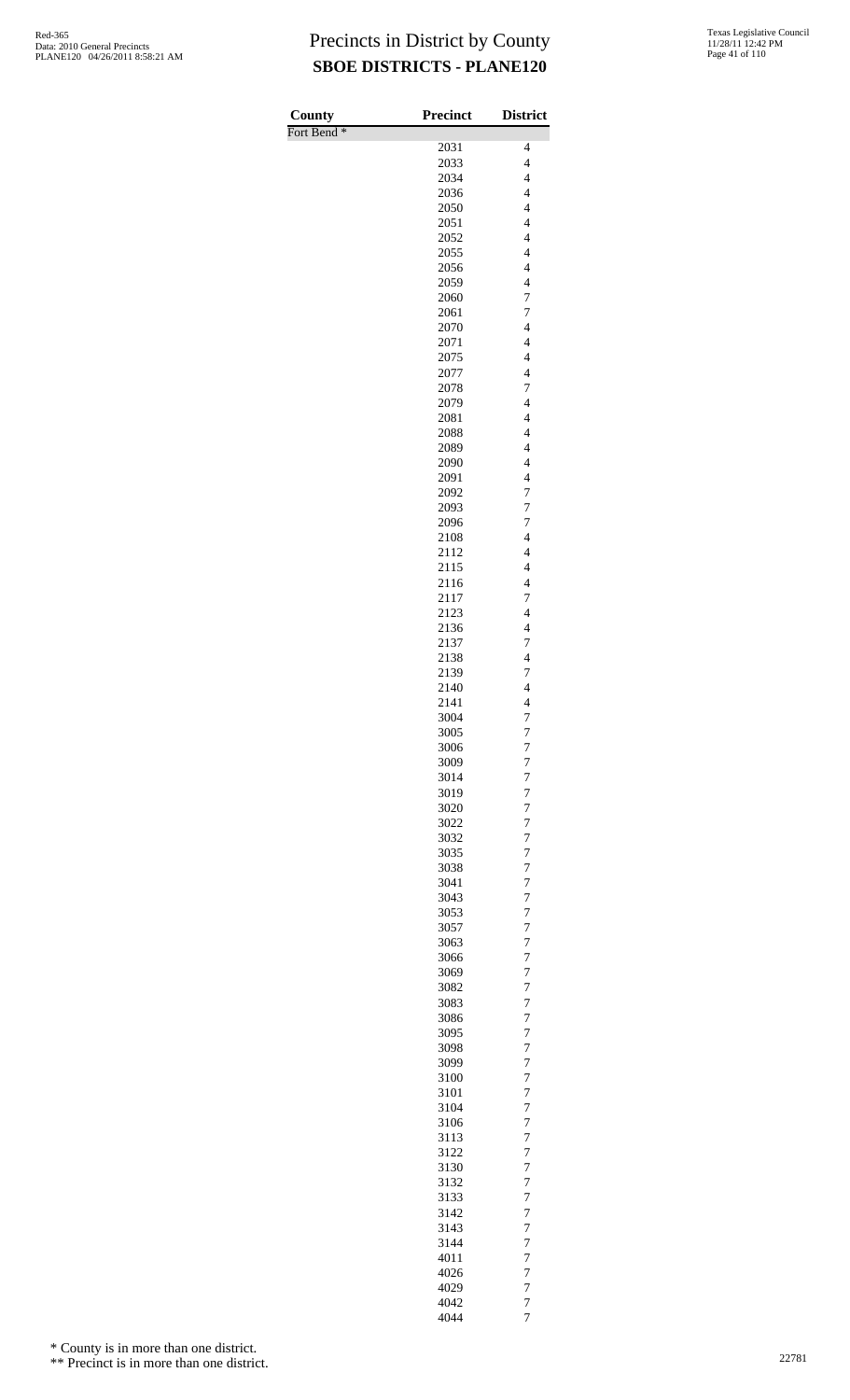| Texas Legislative Council |
|---------------------------|
| 11/28/11 12:42 PM         |
| Page 41 of 110            |

| County                 | Precinct     | <b>District</b>                                     |
|------------------------|--------------|-----------------------------------------------------|
| Fort Bend <sup>*</sup> |              |                                                     |
|                        | 2031         | 4<br>$\overline{4}$                                 |
|                        | 2033         |                                                     |
|                        | 2034<br>2036 | $\overline{\mathcal{L}}$<br>$\overline{\mathbf{4}}$ |
|                        | 2050         | $\overline{\mathcal{L}}$                            |
|                        | 2051         | $\overline{\mathcal{L}}$                            |
|                        | 2052         | $\overline{\mathcal{L}}$                            |
|                        | 2055         | $\overline{\mathcal{L}}$                            |
|                        | 2056         | $\overline{\mathcal{L}}$                            |
|                        | 2059         | $\overline{\mathcal{L}}$                            |
|                        | 2060         | $\overline{7}$                                      |
|                        | 2061         | $\overline{7}$                                      |
|                        | 2070         | $\overline{\mathbf{4}}$                             |
|                        | 2071         | $\overline{\mathbf{4}}$                             |
|                        | 2075         | $\overline{\mathcal{L}}$                            |
|                        | 2077         | $\overline{\mathcal{L}}$                            |
|                        | 2078         | $\overline{7}$<br>$\overline{\mathbf{4}}$           |
|                        | 2079<br>2081 | $\overline{4}$                                      |
|                        | 2088         | $\overline{4}$                                      |
|                        | 2089         | $\overline{\mathcal{L}}$                            |
|                        | 2090         | $\overline{\mathcal{L}}$                            |
|                        | 2091         | $\overline{\mathbf{4}}$                             |
|                        | 2092         | $\overline{7}$                                      |
|                        | 2093         | $\overline{7}$                                      |
|                        | 2096         | $\overline{7}$                                      |
|                        | 2108         | $\overline{4}$                                      |
|                        | 2112         | $\overline{\mathcal{L}}$                            |
|                        | 2115         | $\overline{\mathcal{L}}$                            |
|                        | 2116         | $\overline{\mathcal{L}}$                            |
|                        | 2117         | 7                                                   |
|                        | 2123         | $\overline{4}$                                      |
|                        | 2136         | $\overline{\mathcal{L}}$                            |
|                        | 2137         | $\boldsymbol{7}$                                    |
|                        | 2138         | $\overline{\mathcal{L}}$<br>7                       |
|                        | 2139<br>2140 | $\overline{4}$                                      |
|                        | 2141         | $\overline{\mathcal{L}}$                            |
|                        | 3004         | $\overline{7}$                                      |
|                        | 3005         | 7                                                   |
|                        | 3006         | $\overline{7}$                                      |
|                        | 3009         | $\overline{7}$                                      |
|                        | 3014         | $\overline{7}$                                      |
|                        | 3019         | $\overline{7}$                                      |
|                        | 3020         | $\overline{7}$                                      |
|                        | 3022         | $\overline{7}$                                      |
|                        | 3032         | $\overline{7}$                                      |
|                        | 3035         | $\overline{7}$                                      |
|                        | 3038         | $\overline{7}$                                      |
|                        | 3041         | $\overline{7}$                                      |
|                        | 3043         | $\overline{7}$                                      |
|                        | 3053         | $\overline{7}$                                      |
|                        | 3057         | $\overline{7}$                                      |
|                        | 3063         | $\overline{7}$<br>$\overline{7}$                    |
|                        | 3066<br>3069 | $\overline{7}$                                      |
|                        | 3082         | $\overline{7}$                                      |
|                        | 3083         | $\overline{7}$                                      |
|                        | 3086         | $\overline{7}$                                      |
|                        | 3095         | $\overline{7}$                                      |
|                        | 3098         | $\overline{7}$                                      |
|                        | 3099         | $\overline{7}$                                      |
|                        | 3100         | $\overline{7}$                                      |
|                        | 3101         | $\overline{7}$                                      |
|                        | 3104         | $\overline{7}$                                      |
|                        | 3106         | $\overline{7}$                                      |
|                        | 3113         | $\overline{7}$                                      |
|                        | 3122         | $\overline{7}$                                      |
|                        | 3130         | $\overline{7}$                                      |
|                        | 3132         | $\overline{7}$                                      |
|                        | 3133         | $\overline{7}$                                      |
|                        | 3142         | $\overline{7}$                                      |
|                        | 3143<br>3144 | $\overline{7}$<br>$\overline{7}$                    |
|                        | 4011         | $\overline{7}$                                      |
|                        | 4026         | $\overline{7}$                                      |
|                        | 4029         | $\overline{7}$                                      |
|                        | 4042         | $\overline{7}$                                      |
|                        | 4044         | $\overline{7}$                                      |
|                        |              |                                                     |

\* County is in more than one district.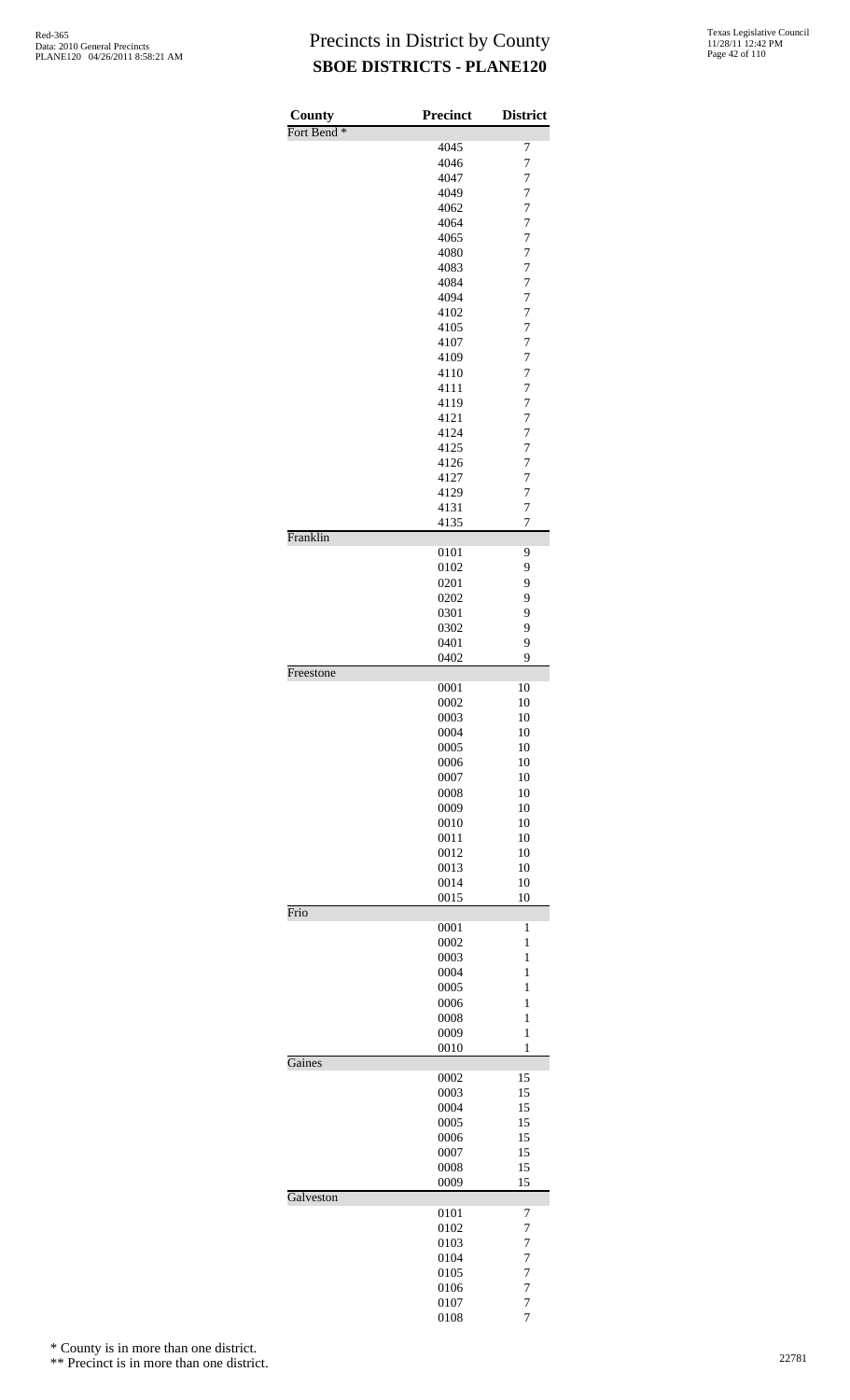| County<br>Fort Bend <sup>*</sup> | <b>Precinct</b> | <b>District</b>                  |
|----------------------------------|-----------------|----------------------------------|
|                                  | 4045            | 7                                |
|                                  | 4046            | $\overline{7}$                   |
|                                  | 4047            | 7                                |
|                                  | 4049            | 7                                |
|                                  | 4062            | $\overline{7}$                   |
|                                  | 4064            | $\overline{7}$                   |
|                                  | 4065<br>4080    | $\overline{7}$<br>$\overline{7}$ |
|                                  | 4083            | $\overline{7}$                   |
|                                  | 4084            | $\overline{7}$                   |
|                                  | 4094            | $\overline{7}$                   |
|                                  | 4102            | $\overline{7}$                   |
|                                  | 4105<br>4107    | $\overline{7}$<br>$\overline{7}$ |
|                                  | 4109            | $\overline{7}$                   |
|                                  | 4110            | $\overline{7}$                   |
|                                  | 4111            | $\overline{7}$                   |
|                                  | 4119            | $\overline{7}$                   |
|                                  | 4121            | $\overline{7}$                   |
|                                  | 4124<br>4125    | $\overline{7}$<br>$\overline{7}$ |
|                                  | 4126            | $\overline{7}$                   |
|                                  | 4127            | $\overline{7}$                   |
|                                  | 4129            | $\overline{7}$                   |
|                                  | 4131            | $\overline{7}$                   |
| Franklin                         | 4135            | $\overline{7}$                   |
|                                  | 0101            | 9                                |
|                                  | 0102            | 9                                |
|                                  | 0201            | 9                                |
|                                  | 0202            | 9                                |
|                                  | 0301<br>0302    | 9<br>9                           |
|                                  | 0401            | 9                                |
|                                  | 0402            | 9                                |
| Freestone                        |                 |                                  |
|                                  | 0001<br>0002    | 10<br>10                         |
|                                  | 0003            | 10                               |
|                                  | 0004            | 10                               |
|                                  | 0005            | 10                               |
|                                  | 0006            | 10                               |
|                                  | 0007            | 10                               |
|                                  | 0008<br>0009    | 10<br>10                         |
|                                  | 0010            | 10                               |
|                                  | 0011            | 10                               |
|                                  | 0012            | 10                               |
|                                  | 0013            | 10                               |
|                                  | 0014<br>0015    | 10<br>10                         |
| Frio                             |                 |                                  |
|                                  | 0001            | 1                                |
|                                  | 0002            | $\mathbf{1}$                     |
|                                  | 0003<br>0004    | 1<br>1                           |
|                                  | 0005            | 1                                |
|                                  | 0006            | 1                                |
|                                  | 0008            | $\mathbf{1}$                     |
|                                  | 0009            | $\mathbf{1}$                     |
| Gaines                           | 0010            | $\mathbf{1}$                     |
|                                  | 0002            | 15                               |
|                                  | 0003            | 15                               |
|                                  | 0004            | 15                               |
|                                  | 0005<br>0006    | 15<br>15                         |
|                                  | 0007            | 15                               |
|                                  | 0008            | 15                               |
|                                  | 0009            | 15                               |
| Galveston                        | 0101            | 7                                |
|                                  | 0102            | 7                                |
|                                  | 0103            | 7                                |
|                                  | 0104            | $\overline{7}$                   |
|                                  | 0105            | $\overline{7}$                   |
|                                  | 0106<br>0107    | $\overline{7}$<br>$\overline{7}$ |
|                                  | 0108            | 7                                |

\* County is in more than one district.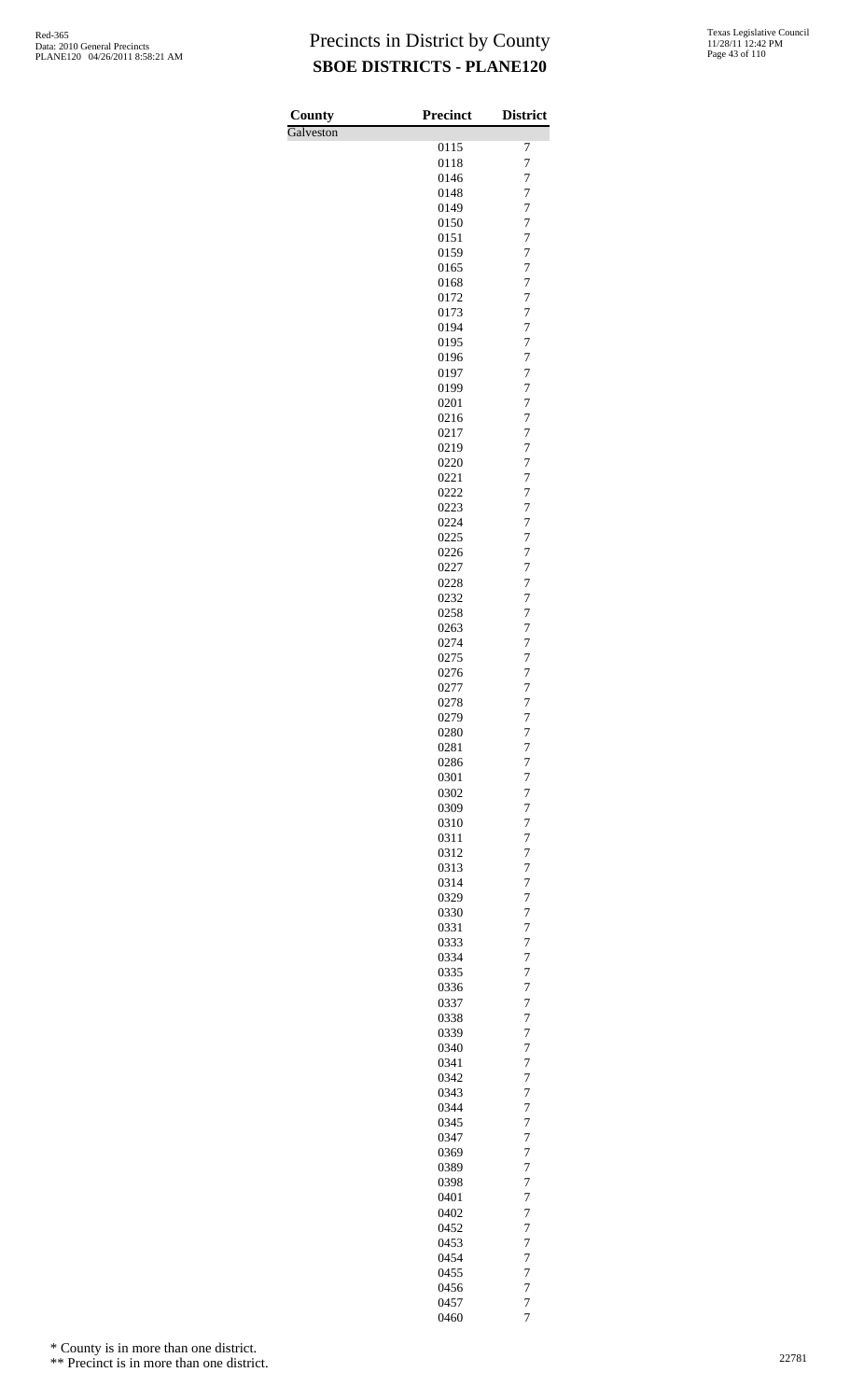| County    | <b>Precinct</b> | <b>District</b>                  |
|-----------|-----------------|----------------------------------|
| Galveston |                 |                                  |
|           | 0115<br>0118    | 7<br>$\overline{7}$              |
|           | 0146            | $\overline{7}$                   |
|           | 0148            | $\overline{7}$                   |
|           | 0149            | $\overline{7}$                   |
|           | 0150            | $\overline{7}$                   |
|           | 0151            | $\overline{7}$                   |
|           | 0159<br>0165    | $\overline{7}$<br>$\overline{7}$ |
|           | 0168            | $\overline{7}$                   |
|           | 0172            | $\overline{7}$                   |
|           | 0173            | $\overline{7}$                   |
|           | 0194            | $\overline{7}$                   |
|           | 0195<br>0196    | $\overline{7}$<br>$\overline{7}$ |
|           | 0197            | $\overline{7}$                   |
|           | 0199            | $\overline{7}$                   |
|           | 0201            | $\overline{7}$                   |
|           | 0216            | $\overline{7}$                   |
|           | 0217            | $\overline{7}$<br>$\overline{7}$ |
|           | 0219<br>0220    | $\overline{7}$                   |
|           | 0221            | $\overline{7}$                   |
|           | 0222            | $\overline{7}$                   |
|           | 0223            | $\overline{7}$                   |
|           | 0224            | $\overline{7}$                   |
|           | 0225<br>0226    | $\overline{7}$<br>$\overline{7}$ |
|           | 0227            | $\overline{7}$                   |
|           | 0228            | $\overline{7}$                   |
|           | 0232            | $\overline{7}$                   |
|           | 0258            | $\overline{7}$                   |
|           | 0263<br>0274    | $\overline{7}$<br>7              |
|           | 0275            | $\overline{7}$                   |
|           | 0276            | $\overline{7}$                   |
|           | 0277            | $\overline{7}$                   |
|           | 0278            | $\overline{7}$                   |
|           | 0279<br>0280    | $\overline{7}$<br>7              |
|           | 0281            | $\overline{7}$                   |
|           | 0286            | $\overline{7}$                   |
|           | 0301            | 7                                |
|           | 0302            | 7                                |
|           | 0309<br>0310    | $\overline{7}$<br>7              |
|           | 0311            | $\overline{7}$                   |
|           | 0312            | 7                                |
|           | 0313            | 7                                |
|           | 0314            | $\overline{7}$                   |
|           | 0329<br>0330    | 7<br>$\overline{7}$              |
|           | 0331            | 7                                |
|           | 0333            | 7                                |
|           | 0334            | $\overline{7}$                   |
|           | 0335            | 7                                |
|           | 0336<br>0337    | $\overline{7}$<br>7              |
|           | 0338            | 7                                |
|           | 0339            | $\overline{7}$                   |
|           | 0340            | 7                                |
|           | 0341            | $\overline{7}$                   |
|           | 0342<br>0343    | 7<br>7                           |
|           | 0344            | $\overline{7}$                   |
|           | 0345            | 7                                |
|           | 0347            | $\overline{7}$                   |
|           | 0369            | 7                                |
|           | 0389<br>0398    | 7<br>$\overline{7}$              |
|           | 0401            | 7                                |
|           | 0402            | $\overline{7}$                   |
|           | 0452            | 7                                |
|           | 0453            | 7                                |
|           | 0454<br>0455    | $\overline{7}$<br>7              |
|           | 0456            | $\overline{7}$                   |
|           | 0457            | $\overline{7}$                   |
|           | 0460            | 7                                |

\* County is in more than one district.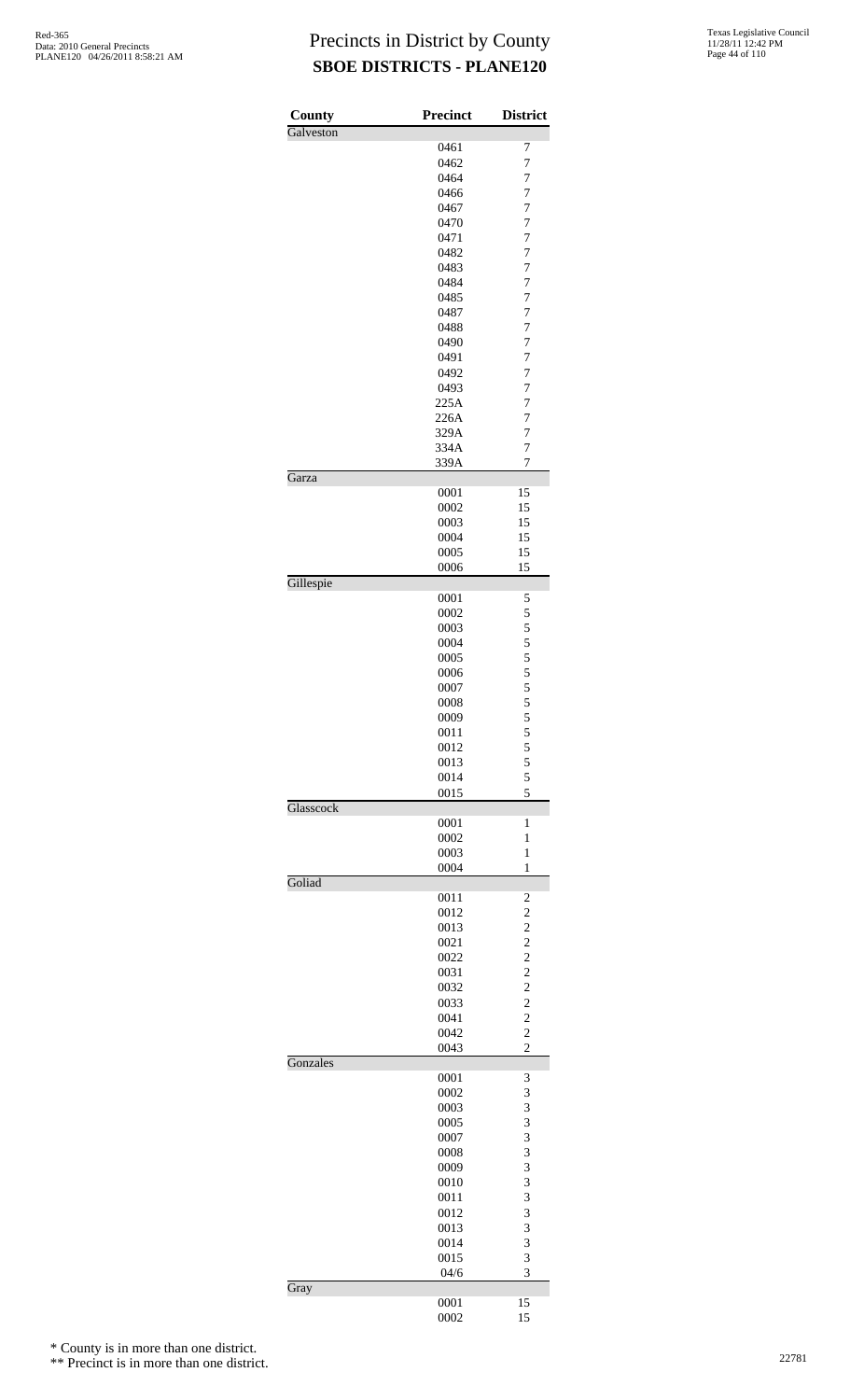| County    | <b>Precinct</b> | <b>District</b>                  |
|-----------|-----------------|----------------------------------|
| Galveston |                 |                                  |
|           | 0461            | 7                                |
|           | 0462<br>0464    | $\overline{7}$<br>$\overline{7}$ |
|           | 0466            | $\overline{7}$                   |
|           | 0467            | $\overline{7}$                   |
|           | 0470            | $\overline{7}$                   |
|           | 0471            | $\overline{7}$                   |
|           | 0482            | $\overline{7}$                   |
|           | 0483            | $\overline{7}$                   |
|           | 0484<br>0485    | $\overline{7}$<br>$\overline{7}$ |
|           | 0487            | $\overline{7}$                   |
|           | 0488            | $\overline{7}$                   |
|           | 0490            | $\overline{7}$                   |
|           | 0491            | $\overline{7}$                   |
|           | 0492            | $\overline{7}$                   |
|           | 0493            | $\overline{7}$                   |
|           | 225A<br>226A    | $\overline{7}$<br>$\overline{7}$ |
|           | 329A            | $\overline{7}$                   |
|           | 334A            | $\overline{7}$                   |
|           | 339A            | $\overline{7}$                   |
| Garza     |                 |                                  |
|           | 0001            | 15                               |
|           | 0002            | 15                               |
|           | 0003<br>0004    | 15<br>15                         |
|           | 0005            | 15                               |
|           | 0006            | 15                               |
| Gillespie |                 |                                  |
|           | 0001            | 5                                |
|           | 0002            | 5                                |
|           | 0003<br>0004    | 5<br>5                           |
|           | 0005            | 5                                |
|           | 0006            | 5                                |
|           | 0007            | 5                                |
|           | 0008            | 5                                |
|           | 0009            | 5                                |
|           | 0011            | 5                                |
|           | 0012            | 5                                |
|           | 0013<br>0014    | 5<br>5                           |
|           | 0015            | 5                                |
| Glasscock |                 |                                  |
|           | 0001            | $\mathbf{1}$                     |
|           | 0002            | 1                                |
|           | 0003<br>0004    | $\mathbf{1}$<br>$\mathbf{1}$     |
| Goliad    |                 |                                  |
|           | 0011            | $\overline{\mathbf{c}}$          |
|           | 0012            | $\overline{c}$                   |
|           | 0013            | $\overline{c}$                   |
|           | 0021            | $\overline{c}$                   |
|           | 0022<br>0031    | $\overline{c}$<br>$\overline{c}$ |
|           | 0032            | $\overline{c}$                   |
|           | 0033            |                                  |
|           | 0041            | $\frac{2}{2}$                    |
|           | 0042            | $\overline{c}$                   |
|           | 0043            | $\overline{c}$                   |
| Gonzales  |                 |                                  |
|           | 0001<br>0002    | 3<br>3                           |
|           | 0003            | 3                                |
|           | 0005            | 3                                |
|           | 0007            | 3                                |
|           | 0008            | 3                                |
|           | 0009            | 3                                |
|           | 0010            | 3                                |
|           | 0011<br>0012    | 3<br>3                           |
|           | 0013            | 3                                |
|           | 0014            | 3                                |
|           | 0015            | 3                                |
|           | 04/6            | 3                                |
| Gray      |                 |                                  |
|           | 0001<br>0002    | 15<br>15                         |
|           |                 |                                  |

\* County is in more than one district.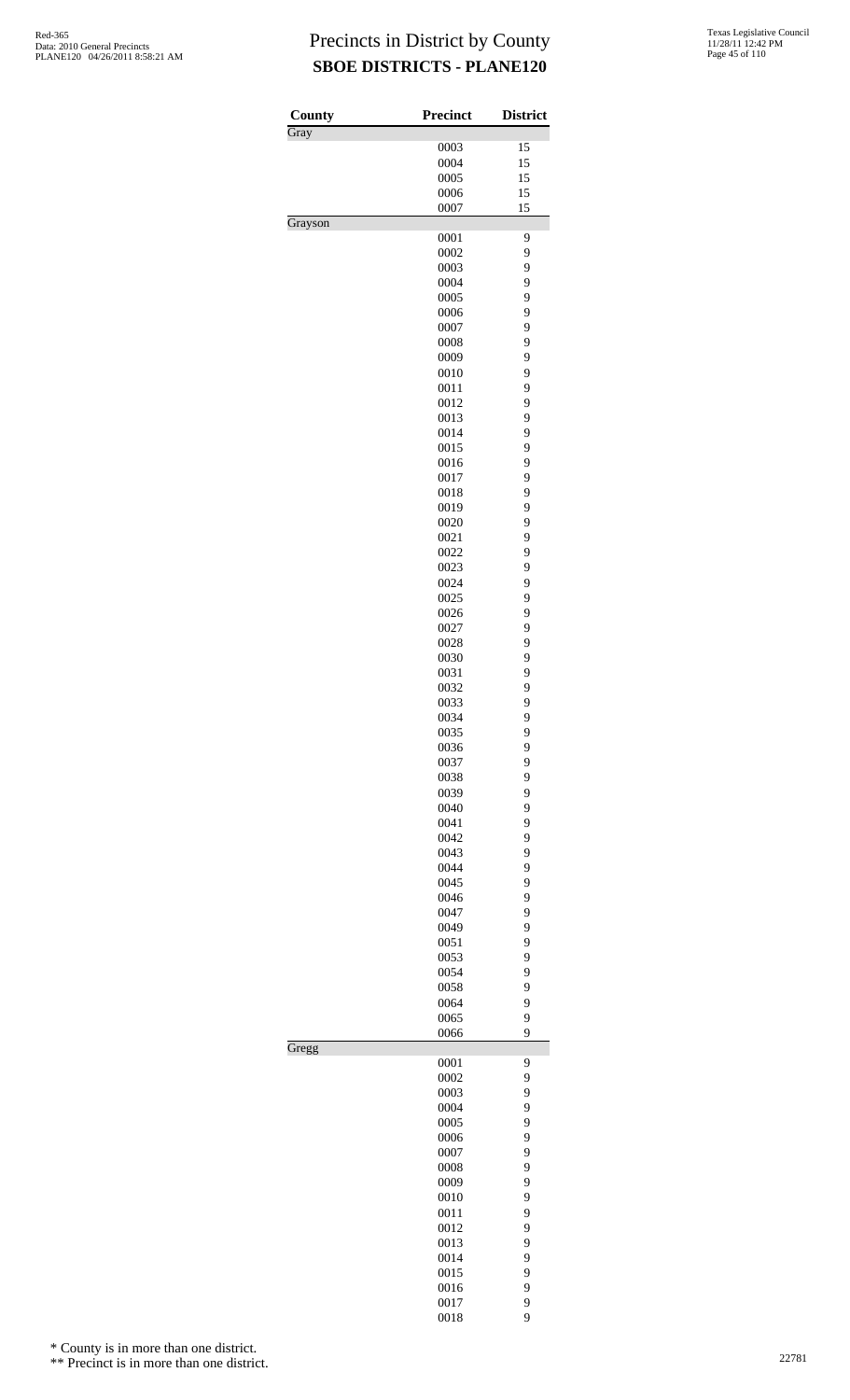| 0003<br>0004<br>0005<br>0006<br>0007<br>0001<br>0002<br>0003<br>0004<br>0005<br>0006<br>0007<br>0008<br>0009 | 15<br>15<br>15<br>15<br>15<br>9<br>9<br>9<br>9<br>9<br>9<br>9                                                                                                                                                                                                                                                                |
|--------------------------------------------------------------------------------------------------------------|------------------------------------------------------------------------------------------------------------------------------------------------------------------------------------------------------------------------------------------------------------------------------------------------------------------------------|
|                                                                                                              |                                                                                                                                                                                                                                                                                                                              |
|                                                                                                              |                                                                                                                                                                                                                                                                                                                              |
|                                                                                                              |                                                                                                                                                                                                                                                                                                                              |
|                                                                                                              |                                                                                                                                                                                                                                                                                                                              |
|                                                                                                              |                                                                                                                                                                                                                                                                                                                              |
|                                                                                                              |                                                                                                                                                                                                                                                                                                                              |
|                                                                                                              |                                                                                                                                                                                                                                                                                                                              |
|                                                                                                              |                                                                                                                                                                                                                                                                                                                              |
|                                                                                                              |                                                                                                                                                                                                                                                                                                                              |
|                                                                                                              |                                                                                                                                                                                                                                                                                                                              |
|                                                                                                              |                                                                                                                                                                                                                                                                                                                              |
|                                                                                                              |                                                                                                                                                                                                                                                                                                                              |
|                                                                                                              |                                                                                                                                                                                                                                                                                                                              |
|                                                                                                              |                                                                                                                                                                                                                                                                                                                              |
|                                                                                                              | 9                                                                                                                                                                                                                                                                                                                            |
|                                                                                                              | 9                                                                                                                                                                                                                                                                                                                            |
| 0010                                                                                                         | 9                                                                                                                                                                                                                                                                                                                            |
| 0011                                                                                                         | 9                                                                                                                                                                                                                                                                                                                            |
| 0012                                                                                                         | 9                                                                                                                                                                                                                                                                                                                            |
| 0013                                                                                                         | 9                                                                                                                                                                                                                                                                                                                            |
|                                                                                                              | 9                                                                                                                                                                                                                                                                                                                            |
|                                                                                                              |                                                                                                                                                                                                                                                                                                                              |
|                                                                                                              | 9                                                                                                                                                                                                                                                                                                                            |
|                                                                                                              | 9                                                                                                                                                                                                                                                                                                                            |
|                                                                                                              | 9                                                                                                                                                                                                                                                                                                                            |
|                                                                                                              | 9                                                                                                                                                                                                                                                                                                                            |
|                                                                                                              | 9                                                                                                                                                                                                                                                                                                                            |
| 0020                                                                                                         | 9                                                                                                                                                                                                                                                                                                                            |
| 0021                                                                                                         | 9                                                                                                                                                                                                                                                                                                                            |
| 0022                                                                                                         | 9                                                                                                                                                                                                                                                                                                                            |
| 0023                                                                                                         | 9                                                                                                                                                                                                                                                                                                                            |
| 0024                                                                                                         | 9                                                                                                                                                                                                                                                                                                                            |
|                                                                                                              | 9                                                                                                                                                                                                                                                                                                                            |
|                                                                                                              | 9                                                                                                                                                                                                                                                                                                                            |
|                                                                                                              | 9                                                                                                                                                                                                                                                                                                                            |
|                                                                                                              | 9                                                                                                                                                                                                                                                                                                                            |
|                                                                                                              | 9                                                                                                                                                                                                                                                                                                                            |
|                                                                                                              | 9                                                                                                                                                                                                                                                                                                                            |
|                                                                                                              | 9                                                                                                                                                                                                                                                                                                                            |
|                                                                                                              | 9                                                                                                                                                                                                                                                                                                                            |
|                                                                                                              | 9                                                                                                                                                                                                                                                                                                                            |
|                                                                                                              |                                                                                                                                                                                                                                                                                                                              |
|                                                                                                              | 9                                                                                                                                                                                                                                                                                                                            |
|                                                                                                              | 9                                                                                                                                                                                                                                                                                                                            |
|                                                                                                              | 9                                                                                                                                                                                                                                                                                                                            |
|                                                                                                              | 9                                                                                                                                                                                                                                                                                                                            |
|                                                                                                              | 9                                                                                                                                                                                                                                                                                                                            |
|                                                                                                              | 9                                                                                                                                                                                                                                                                                                                            |
|                                                                                                              | 9                                                                                                                                                                                                                                                                                                                            |
| 0042                                                                                                         | 9                                                                                                                                                                                                                                                                                                                            |
|                                                                                                              | 9                                                                                                                                                                                                                                                                                                                            |
|                                                                                                              | 9                                                                                                                                                                                                                                                                                                                            |
|                                                                                                              | 9                                                                                                                                                                                                                                                                                                                            |
|                                                                                                              | 9                                                                                                                                                                                                                                                                                                                            |
|                                                                                                              | 9                                                                                                                                                                                                                                                                                                                            |
|                                                                                                              | 9                                                                                                                                                                                                                                                                                                                            |
|                                                                                                              | 9                                                                                                                                                                                                                                                                                                                            |
|                                                                                                              | 9                                                                                                                                                                                                                                                                                                                            |
|                                                                                                              | 9                                                                                                                                                                                                                                                                                                                            |
|                                                                                                              |                                                                                                                                                                                                                                                                                                                              |
|                                                                                                              | 9                                                                                                                                                                                                                                                                                                                            |
|                                                                                                              | 9                                                                                                                                                                                                                                                                                                                            |
|                                                                                                              | 9<br>9                                                                                                                                                                                                                                                                                                                       |
|                                                                                                              |                                                                                                                                                                                                                                                                                                                              |
|                                                                                                              | 9                                                                                                                                                                                                                                                                                                                            |
|                                                                                                              | 9                                                                                                                                                                                                                                                                                                                            |
|                                                                                                              | 9                                                                                                                                                                                                                                                                                                                            |
|                                                                                                              | 9                                                                                                                                                                                                                                                                                                                            |
|                                                                                                              | 9                                                                                                                                                                                                                                                                                                                            |
| 0006                                                                                                         | 9                                                                                                                                                                                                                                                                                                                            |
|                                                                                                              | 9                                                                                                                                                                                                                                                                                                                            |
|                                                                                                              |                                                                                                                                                                                                                                                                                                                              |
| 0007                                                                                                         |                                                                                                                                                                                                                                                                                                                              |
| 0008                                                                                                         | 9                                                                                                                                                                                                                                                                                                                            |
| 0009                                                                                                         | 9                                                                                                                                                                                                                                                                                                                            |
| 0010                                                                                                         | 9                                                                                                                                                                                                                                                                                                                            |
| 0011                                                                                                         | 9                                                                                                                                                                                                                                                                                                                            |
| 0012                                                                                                         |                                                                                                                                                                                                                                                                                                                              |
|                                                                                                              | 9<br>9                                                                                                                                                                                                                                                                                                                       |
| 0013                                                                                                         |                                                                                                                                                                                                                                                                                                                              |
| 0014                                                                                                         | 9                                                                                                                                                                                                                                                                                                                            |
| 0015                                                                                                         | 9                                                                                                                                                                                                                                                                                                                            |
| 0016<br>0017                                                                                                 | 9<br>9                                                                                                                                                                                                                                                                                                                       |
|                                                                                                              | 0014<br>0015<br>0016<br>0017<br>0018<br>0019<br>0025<br>0026<br>0027<br>0028<br>0030<br>0031<br>0032<br>0033<br>0034<br>0035<br>0036<br>0037<br>0038<br>0039<br>0040<br>0041<br>0043<br>0044<br>0045<br>0046<br>0047<br>0049<br>0051<br>0053<br>0054<br>0058<br>0064<br>0065<br>0066<br>0001<br>0002<br>0003<br>0004<br>0005 |

\* County is in more than one district.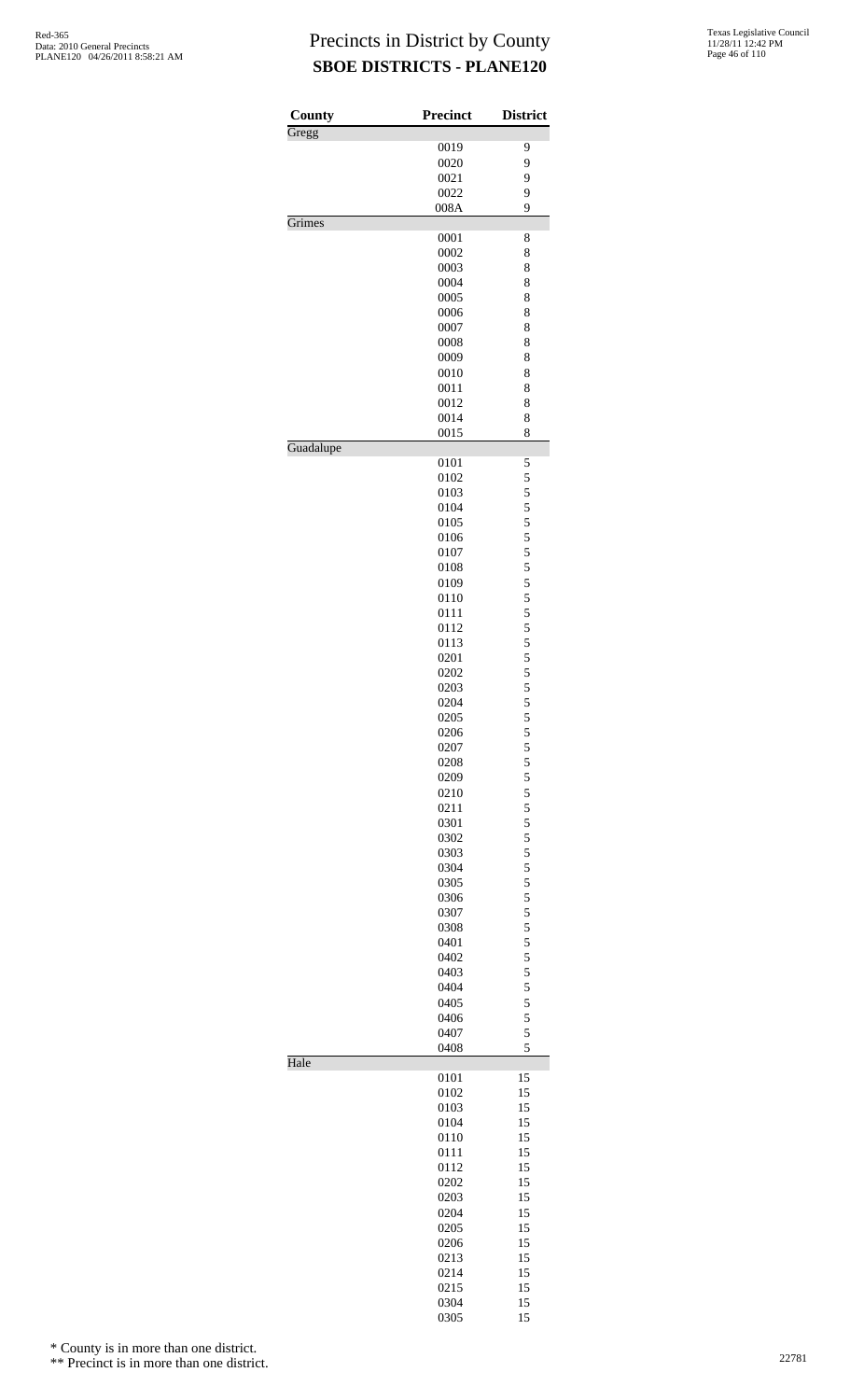| County    | <b>Precinct</b> | <b>District</b> |
|-----------|-----------------|-----------------|
| Gregg     |                 |                 |
|           | 0019            | 9               |
|           | 0020            | 9               |
|           | 0021            | 9               |
|           | 0022            | 9               |
| Grimes    | 008A            | 9               |
|           | 0001            | 8               |
|           | 0002            | 8               |
|           | 0003            | 8               |
|           | 0004            | 8               |
|           | 0005            | 8               |
|           | 0006            | 8               |
|           | 0007            | 8               |
|           | 0008            | 8               |
|           | 0009            | 8               |
|           | 0010            | 8               |
|           |                 |                 |
|           | 0011            | 8               |
|           | 0012            | 8               |
|           | 0014            | 8               |
| Guadalupe | 0015            | 8               |
|           | 0101            | 5               |
|           | 0102            | 5               |
|           | 0103            | 5               |
|           | 0104            | 5               |
|           | 0105            | 5               |
|           | 0106            | 5               |
|           | 0107            | 5               |
|           | 0108            | 5               |
|           | 0109            | 5               |
|           | 0110            | 5               |
|           | 0111            | 5               |
|           | 0112            | 5               |
|           | 0113            | 5               |
|           | 0201            | 5               |
|           | 0202            | 5               |
|           | 0203            | 5               |
|           | 0204            | 5               |
|           | 0205            | 5               |
|           | 0206            |                 |
|           | 0207            | $\frac{5}{5}$   |
|           | 0208            |                 |
|           | 0209            | $\frac{5}{5}$   |
|           | 0210            | 5               |
|           | 0211            | 5               |
|           | 0301            | 5               |
|           | 0302            | 5               |
|           | 0303            | 5               |
|           | 0304            | 5               |
|           | 0305            | 5               |
|           | 0306            | 5               |
|           | 0307            | 5               |
|           | 0308            | 5               |
|           | 0401            | 5               |
|           | 0402            | 5               |
|           | 0403            | 5               |
|           | 0404            | 5               |
|           | 0405            |                 |
|           |                 | 5               |
|           | 0406            | 5<br>5          |
|           | 0407<br>0408    | 5               |
| Hale      |                 |                 |
|           | 0101            | 15              |
|           | 0102            | 15              |
|           | 0103            | 15              |
|           | 0104            | 15              |
|           | 0110            | 15              |
|           | 0111            | 15              |
|           | 0112            | 15              |
|           | 0202            | 15              |
|           | 0203            | 15              |
|           | 0204            | 15              |
|           | 0205            | 15              |
|           | 0206            | 15              |
|           | 0213            | 15              |
|           | 0214            | 15              |
|           | 0215            | 15              |
|           | 0304            | 15              |
|           | 0305            | 15              |

\* County is in more than one district.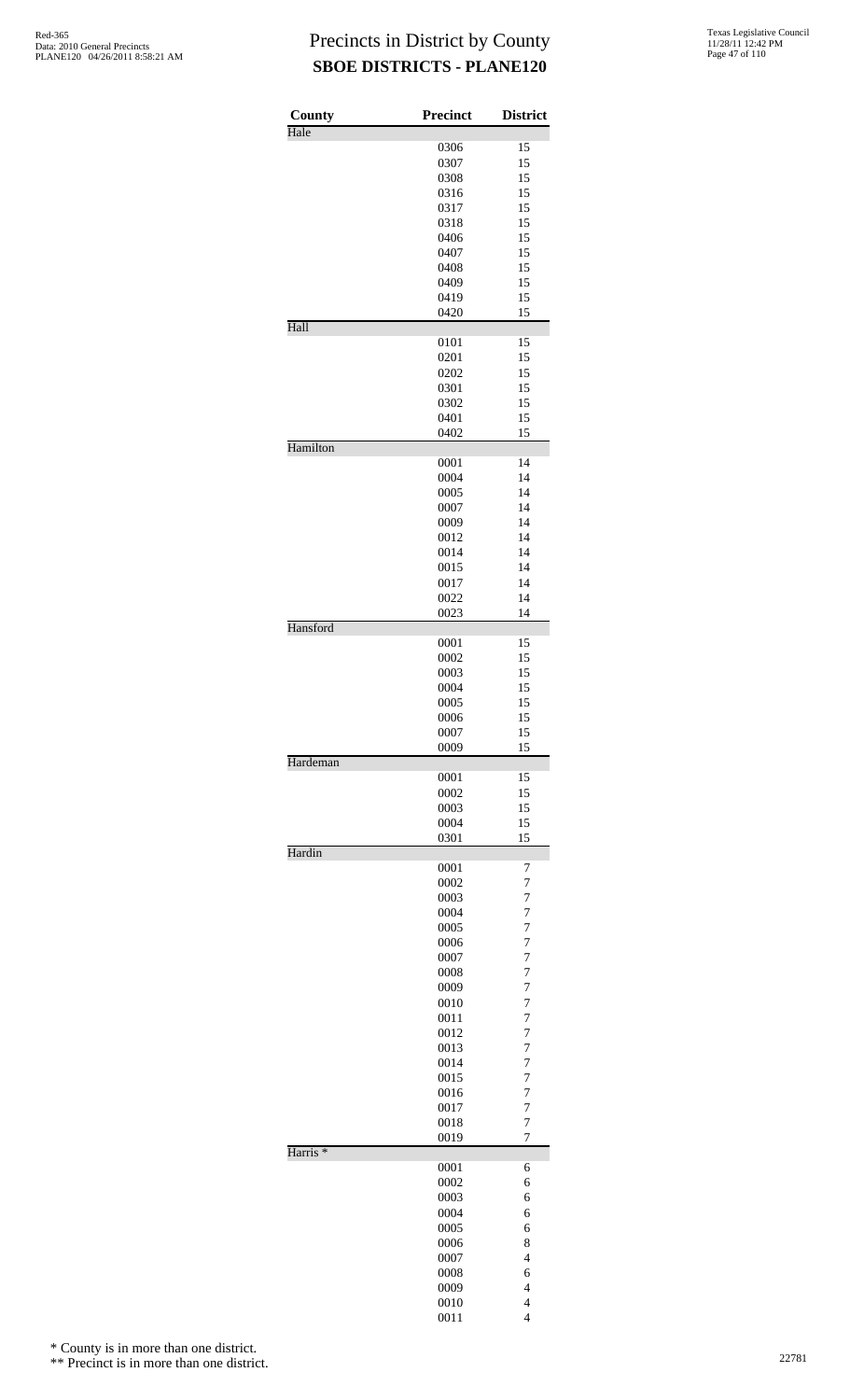| County              | Precinct     | <b>District</b>                  |
|---------------------|--------------|----------------------------------|
| Hale                |              |                                  |
|                     | 0306<br>0307 | 15<br>15                         |
|                     | 0308         | 15                               |
|                     | 0316         | 15                               |
|                     | 0317         | 15                               |
|                     | 0318         | 15                               |
|                     | 0406         | 15                               |
|                     | 0407         | 15                               |
|                     | 0408         | 15                               |
|                     | 0409         | 15                               |
|                     | 0419         | 15                               |
| Hall                | 0420         | 15                               |
|                     | 0101         | 15                               |
|                     | 0201         | 15                               |
|                     | 0202         | 15                               |
|                     | 0301         | 15                               |
|                     | 0302         | 15                               |
|                     | 0401<br>0402 | 15<br>15                         |
| Hamilton            |              |                                  |
|                     | 0001         | 14                               |
|                     | 0004         | 14                               |
|                     | 0005         | 14                               |
|                     | 0007         | 14                               |
|                     | 0009         | 14                               |
|                     | 0012         | 14<br>14                         |
|                     | 0014<br>0015 | 14                               |
|                     | 0017         | 14                               |
|                     | 0022         | 14                               |
|                     | 0023         | 14                               |
| Hansford            |              |                                  |
|                     | 0001<br>0002 | 15<br>15                         |
|                     | 0003         | 15                               |
|                     | 0004         | 15                               |
|                     | 0005         | 15                               |
|                     | 0006         | 15                               |
|                     | 0007         | 15                               |
|                     | 0009         | 15                               |
| Hardeman            | 0001         | 15                               |
|                     | 0002         | 15                               |
|                     | 0003         | 15                               |
|                     | 0004         | 15                               |
|                     | 0301         | 15                               |
| Hardin              |              |                                  |
|                     | 0001<br>0002 | 7<br>$\overline{7}$              |
|                     | 0003         | 7                                |
|                     | 0004         | $\overline{7}$                   |
|                     | 0005         | $\overline{7}$                   |
|                     | 0006         | $\overline{7}$                   |
|                     | 0007         | $\overline{7}$                   |
|                     | 0008         | $\overline{7}$                   |
|                     | 0009         | $\overline{7}$                   |
|                     | 0010<br>0011 | $\overline{7}$<br>$\overline{7}$ |
|                     | 0012         | $\overline{7}$                   |
|                     | 0013         | $\overline{7}$                   |
|                     | 0014         | $\overline{7}$                   |
|                     | 0015         | $\overline{7}$                   |
|                     | 0016         | $\overline{7}$                   |
|                     | 0017         | $\overline{7}$                   |
|                     | 0018         | 7                                |
| Harris <sup>*</sup> | 0019         | $\overline{7}$                   |
|                     | 0001         | 6                                |
|                     | 0002         | 6                                |
|                     | 0003         | 6                                |
|                     | 0004         | 6                                |
|                     | 0005         | 6                                |
|                     | 0006         | 8                                |
|                     | 0007<br>0008 | $\overline{4}$<br>6              |
|                     | 0009         | $\overline{4}$                   |
|                     | 0010         | $\overline{4}$                   |
|                     | 0011         | $\overline{4}$                   |

\* County is in more than one district.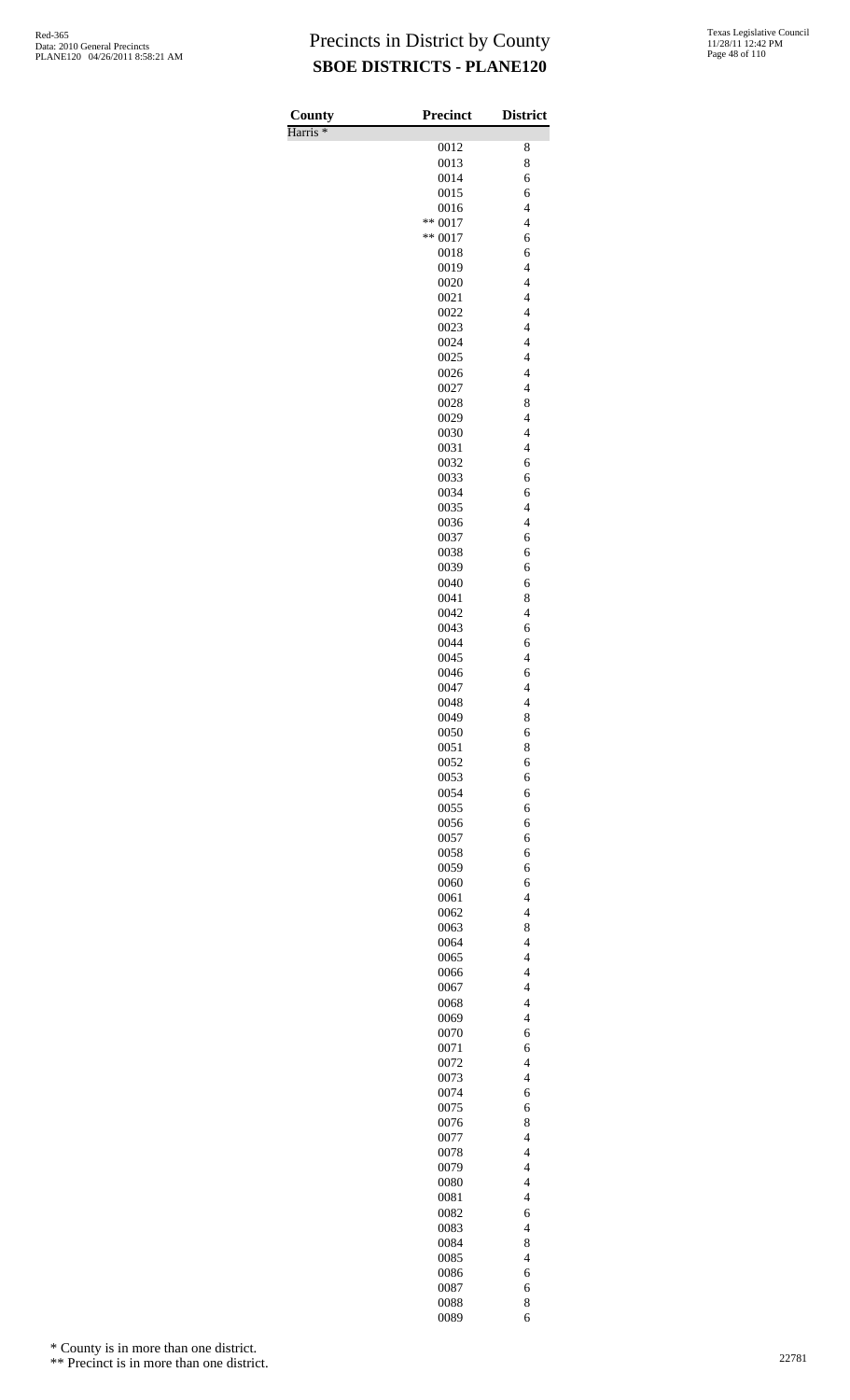| County<br>Harris <sup>*</sup> | <b>Precinct</b>        | <b>District</b>                                     |
|-------------------------------|------------------------|-----------------------------------------------------|
|                               | 0012                   | 8                                                   |
|                               | 0013                   | 8                                                   |
|                               | 0014                   | 6                                                   |
|                               | 0015                   | 6                                                   |
|                               | 0016                   | $\overline{4}$                                      |
|                               | $** 0017$<br>$** 0017$ | $\overline{\mathcal{L}}$<br>6                       |
|                               | 0018                   | 6                                                   |
|                               | 0019                   | $\overline{4}$                                      |
|                               | 0020                   | $\overline{4}$                                      |
|                               | 0021                   | $\overline{\mathcal{L}}$                            |
|                               | 0022                   | $\overline{\mathcal{L}}$<br>$\overline{\mathbf{4}}$ |
|                               | 0023<br>0024           | $\overline{\mathbf{4}}$                             |
|                               | 0025                   | $\overline{\mathcal{L}}$                            |
|                               | 0026                   | $\overline{\mathcal{L}}$                            |
|                               | 0027                   | $\overline{\mathcal{L}}$                            |
|                               | 0028                   | 8<br>$\overline{\mathcal{L}}$                       |
|                               | 0029<br>0030           | $\overline{\mathcal{L}}$                            |
|                               | 0031                   | $\overline{\mathcal{L}}$                            |
|                               | 0032                   | 6                                                   |
|                               | 0033                   | 6                                                   |
|                               | 0034                   | 6                                                   |
|                               | 0035<br>0036           | $\overline{4}$<br>$\overline{4}$                    |
|                               | 0037                   | 6                                                   |
|                               | 0038                   | 6                                                   |
|                               | 0039                   | 6                                                   |
|                               | 0040                   | 6                                                   |
|                               | 0041<br>0042           | 8<br>$\overline{4}$                                 |
|                               | 0043                   | 6                                                   |
|                               | 0044                   | 6                                                   |
|                               | 0045                   | $\overline{4}$                                      |
|                               | 0046                   | 6                                                   |
|                               | 0047<br>0048           | $\overline{4}$<br>$\overline{4}$                    |
|                               | 0049                   | 8                                                   |
|                               | 0050                   | 6                                                   |
|                               | 0051                   | 8                                                   |
|                               | 0052<br>0053           | 6<br>6                                              |
|                               | 0054                   | 6                                                   |
|                               | 0055                   | 6                                                   |
|                               | 0056                   | 6                                                   |
|                               | 0057                   | 6                                                   |
|                               | 0058<br>0059           | 6<br>6                                              |
|                               | 0060                   | 6                                                   |
|                               | 0061                   | $\overline{4}$                                      |
|                               | 0062                   | $\overline{4}$                                      |
|                               | 0063                   | 8                                                   |
|                               | 0064<br>0065           | $\overline{4}$<br>$\overline{4}$                    |
|                               | 0066                   | $\overline{\mathcal{L}}$                            |
|                               | 0067                   | $\overline{4}$                                      |
|                               | 0068                   | $\overline{4}$                                      |
|                               | 0069<br>0070           | $\overline{\mathbf{4}}$<br>6                        |
|                               | 0071                   | 6                                                   |
|                               | 0072                   | $\overline{4}$                                      |
|                               | 0073                   | $\overline{4}$                                      |
|                               | 0074                   | 6                                                   |
|                               | 0075<br>0076           | 6<br>8                                              |
|                               | 0077                   | $\overline{4}$                                      |
|                               | 0078                   | $\overline{4}$                                      |
|                               | 0079                   | $\overline{\mathbf{4}}$                             |
|                               | 0080                   | $\overline{4}$                                      |
|                               | 0081<br>0082           | $\overline{4}$<br>6                                 |
|                               | 0083                   | $\overline{4}$                                      |
|                               | 0084                   | 8                                                   |
|                               | 0085                   | $\overline{4}$                                      |
|                               | 0086<br>0087           | 6                                                   |
|                               | 0088                   | 6<br>8                                              |
|                               | 0089                   | 6                                                   |

\* County is in more than one district.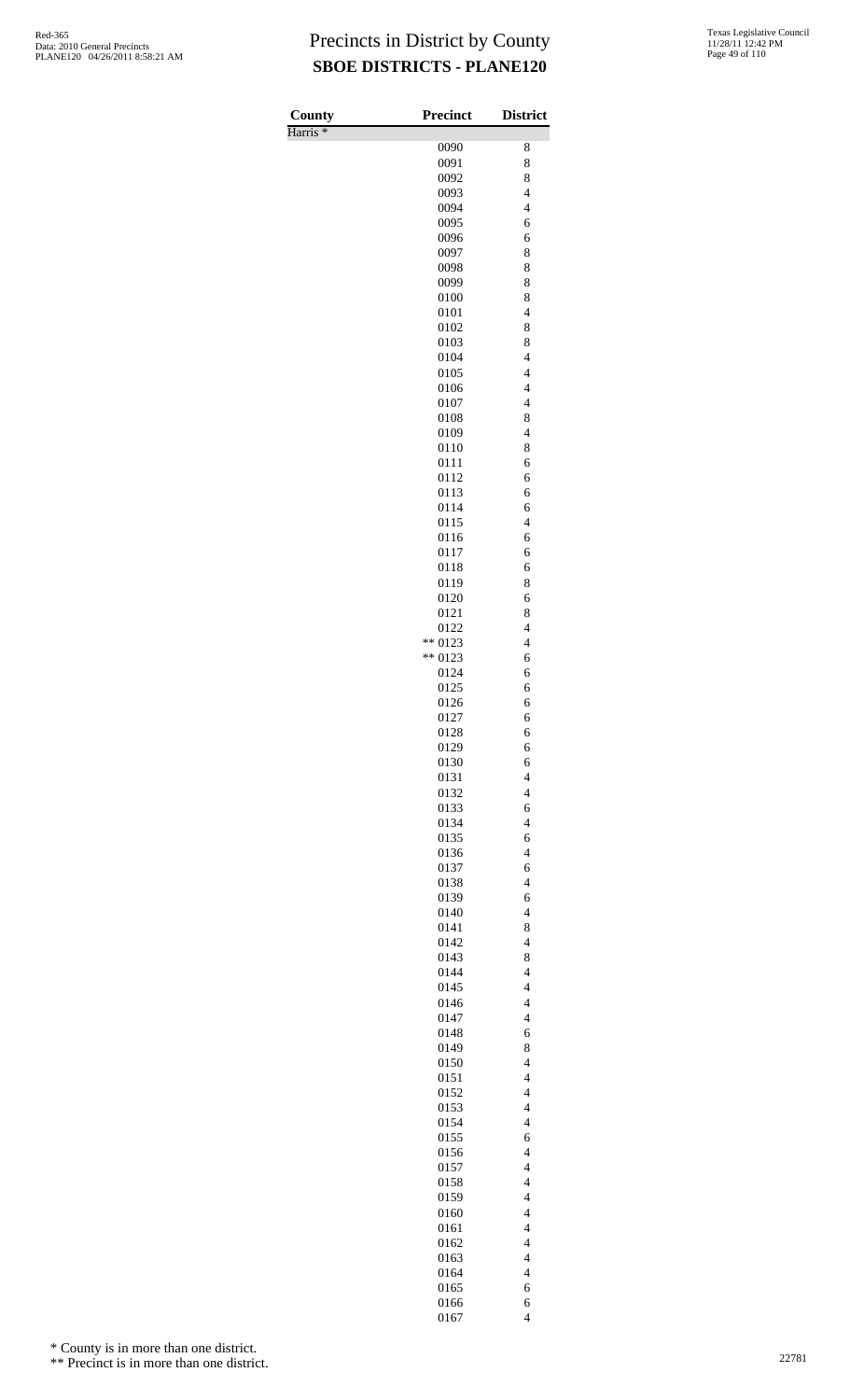Harris \*

| County<br>Harris <sup>*</sup> | Precinct        | <b>District</b>                                      |
|-------------------------------|-----------------|------------------------------------------------------|
|                               | 0090            | 8                                                    |
|                               | 0091            | 8                                                    |
|                               | 0092            | 8                                                    |
|                               | 0093<br>0094    | $\overline{4}$<br>$\overline{4}$                     |
|                               | 0095            | 6                                                    |
|                               | 0096            | 6                                                    |
|                               | 0097            | 8                                                    |
|                               | 0098            | 8                                                    |
|                               | 0099<br>0100    | 8<br>8                                               |
|                               | 0101            | $\overline{4}$                                       |
|                               | 0102            | 8                                                    |
|                               | 0103            | 8                                                    |
|                               | 0104            | $\overline{\mathbf{4}}$                              |
|                               | 0105<br>0106    | $\overline{4}$<br>$\overline{4}$                     |
|                               | 0107            | $\overline{4}$                                       |
|                               | 0108            | 8                                                    |
|                               | 0109            | $\overline{\mathcal{L}}$                             |
|                               | 0110<br>0111    | 8<br>6                                               |
|                               | 0112            | 6                                                    |
|                               | 0113            | 6                                                    |
|                               | 0114            | 6                                                    |
|                               | 0115            | $\overline{\mathcal{L}}$                             |
|                               | 0116<br>0117    | 6<br>6                                               |
|                               | 0118            | 6                                                    |
|                               | 0119            | 8                                                    |
|                               | 0120            | 6                                                    |
|                               | 0121            | 8<br>$\overline{4}$                                  |
|                               | 0122<br>** 0123 | $\overline{\mathcal{L}}$                             |
|                               | ** 0123         | 6                                                    |
|                               | 0124            | 6                                                    |
|                               | 0125            | 6                                                    |
|                               | 0126<br>0127    | 6<br>6                                               |
|                               | 0128            | 6                                                    |
|                               | 0129            | 6                                                    |
|                               | 0130            | 6                                                    |
|                               | 0131<br>0132    | $\overline{\mathcal{L}}$<br>$\overline{\mathcal{L}}$ |
|                               | 0133            | 6                                                    |
|                               | 0134            | $\overline{\mathcal{L}}$                             |
|                               | 0135            | 6                                                    |
|                               | 0136            | $\overline{\mathcal{L}}$                             |
|                               | 0137<br>0138    | 6<br>$\overline{\mathcal{L}}$                        |
|                               | 0139            | 6                                                    |
|                               | 0140            | $\overline{\mathcal{L}}$                             |
|                               | 0141            | 8                                                    |
|                               | 0142<br>0143    | $\overline{4}$<br>8                                  |
|                               | 0144            | $\overline{4}$                                       |
|                               | 0145            | $\overline{4}$                                       |
|                               | 0146            | $\overline{\mathcal{L}}$                             |
|                               | 0147            | $\overline{\mathcal{L}}$<br>6                        |
|                               | 0148<br>0149    | 8                                                    |
|                               | 0150            | $\overline{4}$                                       |
|                               | 0151            | $\overline{\mathcal{L}}$                             |
|                               | 0152            | $\overline{\mathcal{L}}$                             |
|                               | 0153<br>0154    | $\overline{4}$<br>$\overline{4}$                     |
|                               | 0155            | 6                                                    |
|                               | 0156            | $\overline{\mathcal{L}}$                             |
|                               | 0157            | $\overline{\mathcal{L}}$                             |
|                               | 0158            | $\overline{\mathcal{L}}$                             |
|                               | 0159<br>0160    | $\overline{4}$<br>$\overline{4}$                     |
|                               | 0161            | $\overline{4}$                                       |
|                               | 0162            | $\overline{\mathcal{L}}$                             |
|                               | 0163            | $\overline{\mathcal{L}}$                             |
|                               | 0164            | $\overline{\mathcal{L}}$                             |
|                               | 0165<br>0166    | 6<br>6                                               |
|                               | 0167            | $\overline{\mathcal{L}}$                             |

\* County is in more than one district.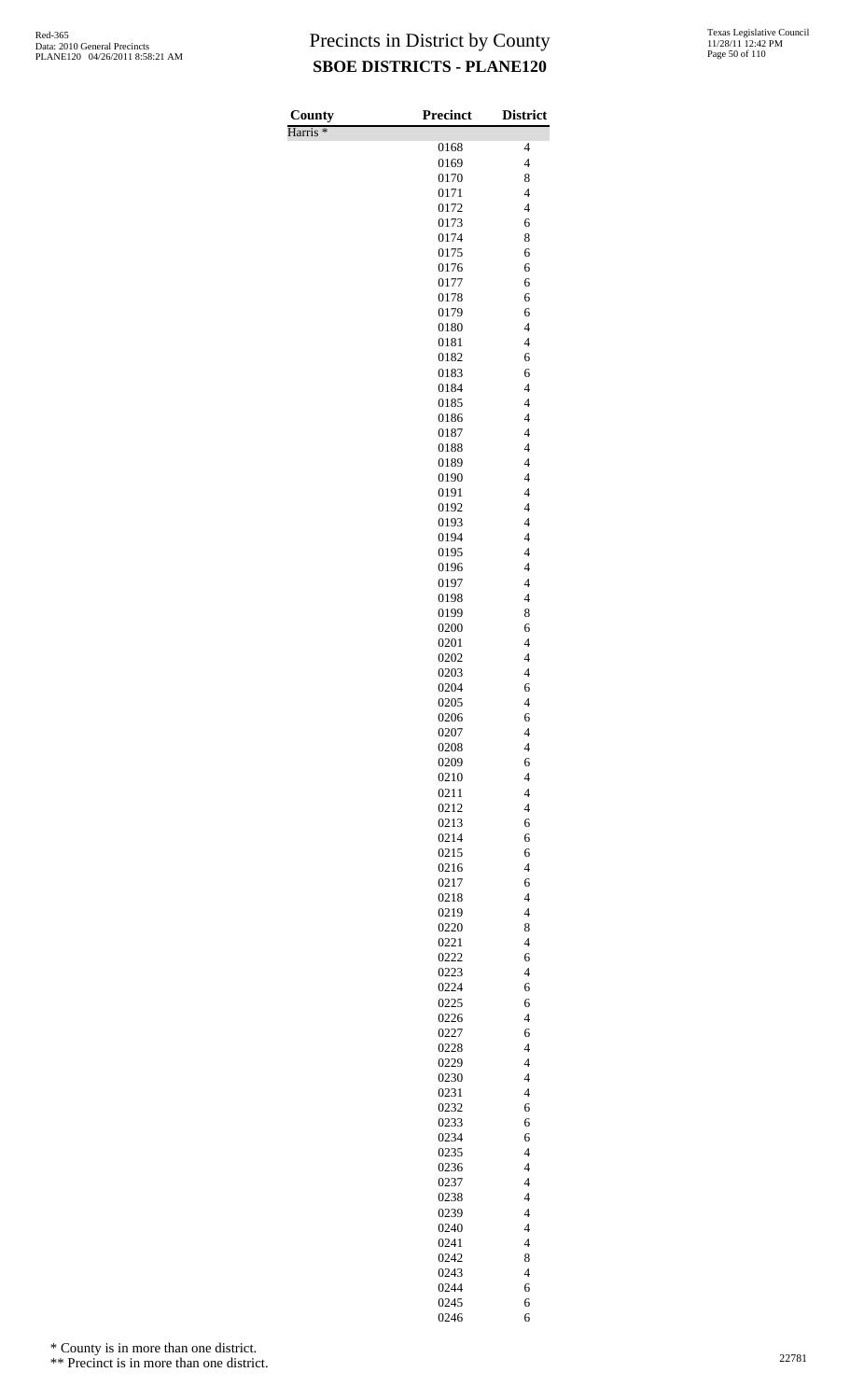| County              | <b>Precinct</b> | <b>District</b>                            |
|---------------------|-----------------|--------------------------------------------|
| Harris <sup>*</sup> | 0168            | 4                                          |
|                     | 0169            | $\overline{\mathcal{L}}$                   |
|                     | 0170            | 8                                          |
|                     | 0171            | $\overline{\mathcal{L}}$                   |
|                     | 0172            | $\overline{\mathcal{L}}$                   |
|                     | 0173<br>0174    | 6<br>8                                     |
|                     | 0175            | 6                                          |
|                     | 0176            | 6                                          |
|                     | 0177            | 6                                          |
|                     | 0178<br>0179    | 6<br>6                                     |
|                     | 0180            | $\overline{\mathcal{L}}$                   |
|                     | 0181            | $\overline{\mathcal{L}}$                   |
|                     | 0182<br>0183    | 6<br>6                                     |
|                     | 0184            | $\overline{4}$                             |
|                     | 0185            | $\overline{4}$                             |
|                     | 0186            | $\overline{4}$                             |
|                     | 0187<br>0188    | $\overline{4}$<br>$\overline{4}$           |
|                     | 0189            | $\overline{4}$                             |
|                     | 0190            | $\overline{4}$                             |
|                     | 0191            | $\overline{4}$                             |
|                     | 0192<br>0193    | $\overline{4}$<br>$\overline{4}$           |
|                     | 0194            | $\overline{4}$                             |
|                     | 0195            | $\overline{4}$                             |
|                     | 0196            | $\overline{4}$                             |
|                     | 0197<br>0198    | $\overline{4}$<br>$\overline{4}$           |
|                     | 0199            | 8                                          |
|                     | 0200            | 6                                          |
|                     | 0201            | $\overline{\mathcal{L}}$                   |
|                     | 0202<br>0203    | $\overline{4}$<br>$\overline{4}$           |
|                     | 0204            | 6                                          |
|                     | 0205            | $\overline{\mathcal{L}}$                   |
|                     | 0206<br>0207    | 6<br>4                                     |
|                     | 0208            | $\overline{\mathcal{L}}$                   |
|                     | 0209            | 6                                          |
|                     | 0210            | $\overline{4}$                             |
|                     | 0211<br>0212    | $\overline{4}$<br>$\overline{\mathcal{L}}$ |
|                     | 0213            | 6                                          |
|                     | 0214            | 6                                          |
|                     | 0215            | 6                                          |
|                     | 0216<br>0217    | $\overline{4}$<br>6                        |
|                     | 0218            | $\overline{\mathcal{L}}$                   |
|                     | 0219            | $\overline{\mathcal{L}}$                   |
|                     | 0220            | 8<br>$\overline{4}$                        |
|                     | 0221<br>0222    | 6                                          |
|                     | 0223            | $\overline{\mathcal{L}}$                   |
|                     | 0224            | 6                                          |
|                     | 0225<br>0226    | 6<br>$\overline{4}$                        |
|                     | 0227            | 6                                          |
|                     | 0228            | $\overline{\mathcal{L}}$                   |
|                     | 0229            | $\overline{\mathcal{L}}$                   |
|                     | 0230<br>0231    | $\overline{\mathcal{L}}$<br>$\overline{4}$ |
|                     | 0232            | 6                                          |
|                     | 0233            | 6                                          |
|                     | 0234<br>0235    | 6<br>$\overline{\mathbf{4}}$               |
|                     | 0236            | $\overline{\mathcal{L}}$                   |
|                     | 0237            | $\overline{4}$                             |
|                     | 0238            | $\overline{4}$                             |
|                     | 0239<br>0240    | $\overline{\mathcal{L}}$<br>$\overline{4}$ |
|                     | 0241            | $\overline{4}$                             |
|                     | 0242            | 8                                          |
|                     | 0243            | $\overline{\mathcal{L}}$                   |
|                     | 0244<br>0245    | 6<br>6                                     |
|                     | 0246            | 6                                          |

\* County is in more than one district.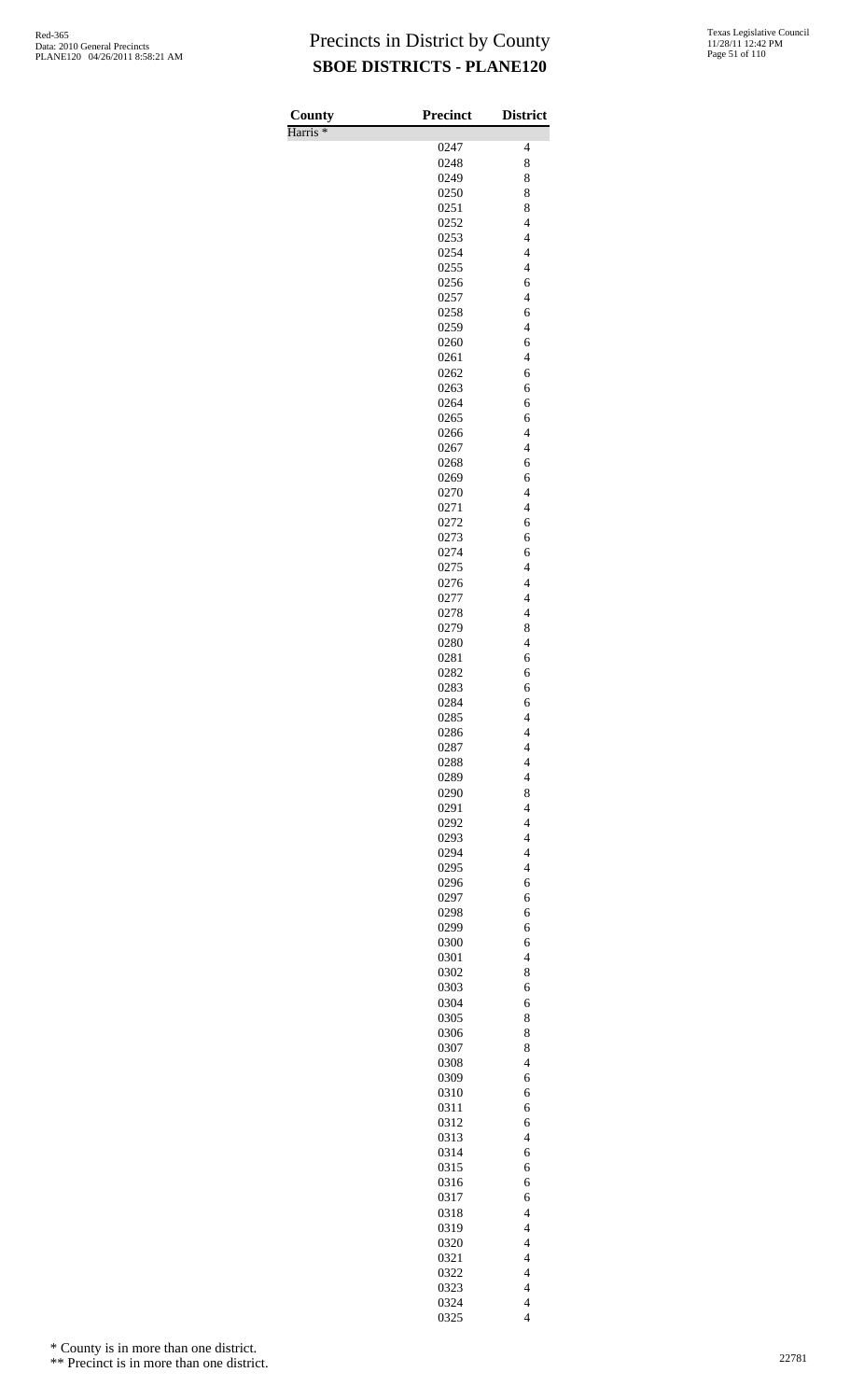| County<br>Harris <sup>*</sup> | <b>Precinct</b> | <b>District</b>                                      |
|-------------------------------|-----------------|------------------------------------------------------|
|                               | 0247            | $\overline{\mathcal{L}}$                             |
|                               | 0248            | 8                                                    |
|                               | 0249            | 8                                                    |
|                               | 0250            | 8                                                    |
|                               | 0251            | 8                                                    |
|                               | 0252            | $\overline{\mathcal{L}}$                             |
|                               | 0253            | $\overline{4}$                                       |
|                               | 0254<br>0255    | $\overline{4}$<br>$\overline{4}$                     |
|                               | 0256            | 6                                                    |
|                               | 0257            | $\overline{4}$                                       |
|                               | 0258            | 6                                                    |
|                               | 0259            | $\overline{4}$                                       |
|                               | 0260            | 6                                                    |
|                               | 0261            | $\overline{\mathcal{L}}$                             |
|                               | 0262            | 6                                                    |
|                               | 0263<br>0264    | 6<br>6                                               |
|                               | 0265            | 6                                                    |
|                               | 0266            | $\overline{4}$                                       |
|                               | 0267            | $\overline{4}$                                       |
|                               | 0268            | 6                                                    |
|                               | 0269            | 6                                                    |
|                               | 0270            | $\overline{\mathcal{L}}$                             |
|                               | 0271            | $\overline{\mathcal{L}}$                             |
|                               | 0272            | 6                                                    |
|                               | 0273<br>0274    | 6<br>6                                               |
|                               | 0275            | $\overline{4}$                                       |
|                               | 0276            | $\overline{4}$                                       |
|                               | 0277            | $\overline{4}$                                       |
|                               | 0278            | $\overline{4}$                                       |
|                               | 0279            | 8                                                    |
|                               | 0280            | $\overline{\mathcal{L}}$                             |
|                               | 0281            | 6                                                    |
|                               | 0282            | 6                                                    |
|                               | 0283<br>0284    | 6<br>6                                               |
|                               | 0285            | $\overline{\mathcal{L}}$                             |
|                               | 0286            | $\overline{\mathcal{L}}$                             |
|                               | 0287            | $\overline{4}$                                       |
|                               | 0288            | $\overline{\mathcal{L}}$                             |
|                               | 0289            | $\overline{4}$                                       |
|                               | 0290            | 8                                                    |
|                               | 0291            | $\overline{4}$                                       |
|                               | 0292<br>0293    | $\overline{\mathcal{L}}$<br>$\overline{\mathcal{L}}$ |
|                               | 0294            | $\overline{4}$                                       |
|                               | 0295            | $\overline{\mathcal{L}}$                             |
|                               | 0296            | 6                                                    |
|                               | 0297            | 6                                                    |
|                               | 0298            | 6                                                    |
|                               | 0299            | 6                                                    |
|                               | 0300            | 6                                                    |
|                               | 0301            | $\overline{\mathcal{L}}$                             |
|                               | 0302<br>0303    | 8<br>6                                               |
|                               | 0304            | 6                                                    |
|                               | 0305            | 8                                                    |
|                               | 0306            | 8                                                    |
|                               | 0307            | 8                                                    |
|                               | 0308            | $\overline{\mathcal{L}}$                             |
|                               | 0309            | 6                                                    |
|                               | 0310            | 6                                                    |
|                               | 0311            | 6                                                    |
|                               | 0312<br>0313    | 6<br>$\overline{\mathcal{L}}$                        |
|                               | 0314            | 6                                                    |
|                               | 0315            | 6                                                    |
|                               | 0316            | 6                                                    |
|                               | 0317            | 6                                                    |
|                               | 0318            | $\overline{\mathcal{L}}$                             |
|                               | 0319            | $\overline{4}$                                       |
|                               | 0320            | $\overline{4}$                                       |
|                               | 0321<br>0322    | $\overline{4}$<br>$\overline{\mathcal{L}}$           |
|                               | 0323            | $\overline{\mathcal{L}}$                             |
|                               | 0324            | $\overline{4}$                                       |
|                               | 0325            | $\overline{\mathcal{L}}$                             |

\* County is in more than one district.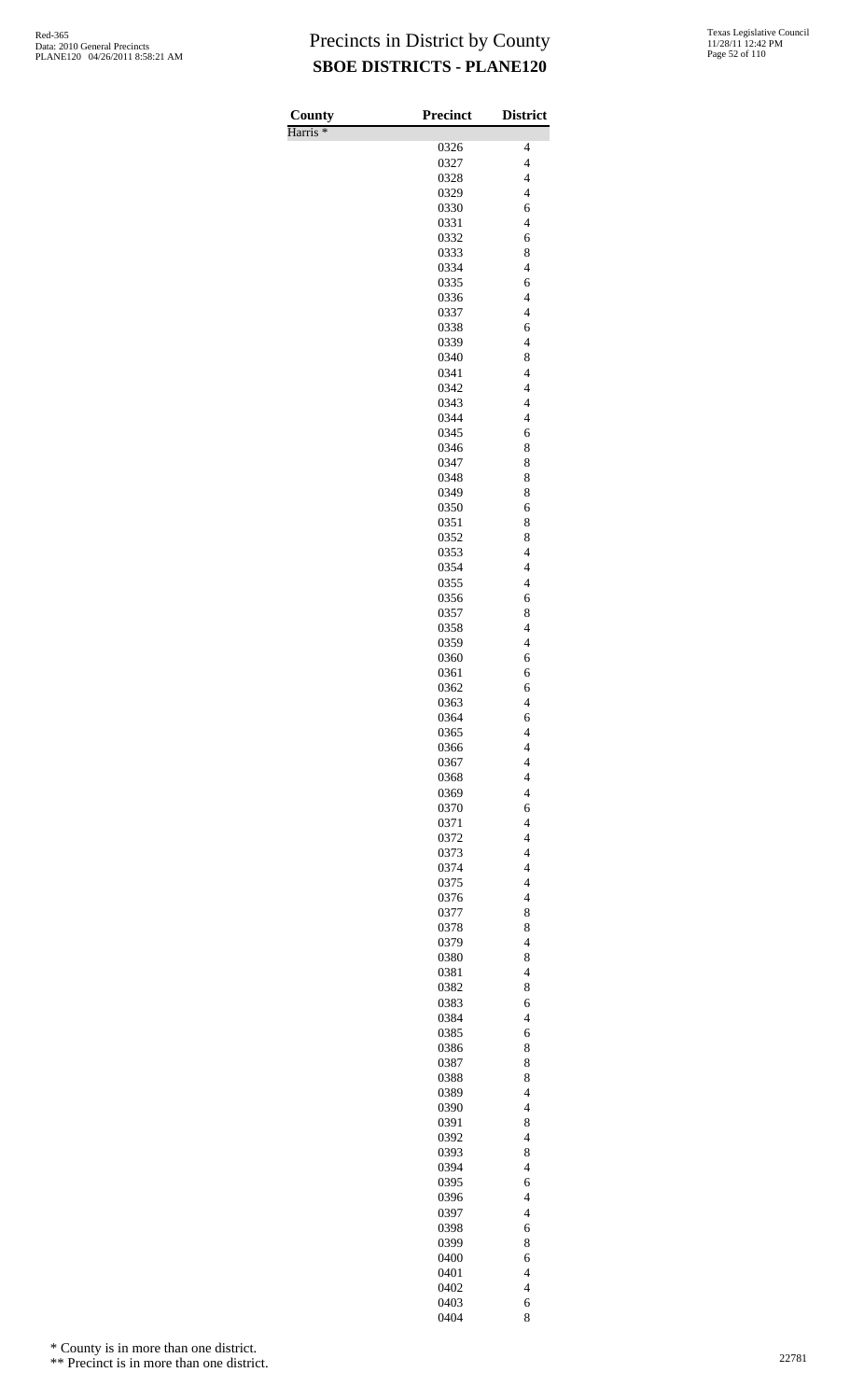Harris \*

| County              | <b>Precinct</b> | <b>District</b>                                      |
|---------------------|-----------------|------------------------------------------------------|
| Harris <sup>*</sup> | 0326            | 4                                                    |
|                     | 0327            | $\overline{4}$                                       |
|                     | 0328            | $\overline{\mathcal{L}}$                             |
|                     | 0329            | $\overline{\mathcal{L}}$                             |
|                     | 0330            | 6                                                    |
|                     | 0331            | $\overline{4}$                                       |
|                     | 0332            | 6                                                    |
|                     | 0333            | 8                                                    |
|                     | 0334            | $\overline{\mathcal{L}}$                             |
|                     | 0335<br>0336    | 6<br>$\overline{4}$                                  |
|                     | 0337            | $\overline{4}$                                       |
|                     | 0338            | 6                                                    |
|                     | 0339            | $\overline{\mathcal{L}}$                             |
|                     | 0340            | 8                                                    |
|                     | 0341            | $\overline{4}$                                       |
|                     | 0342            | $\overline{4}$                                       |
|                     | 0343            | $\overline{\mathcal{L}}$<br>$\overline{\mathcal{L}}$ |
|                     | 0344<br>0345    | 6                                                    |
|                     | 0346            | 8                                                    |
|                     | 0347            | 8                                                    |
|                     | 0348            | 8                                                    |
|                     | 0349            | 8                                                    |
|                     | 0350            | 6                                                    |
|                     | 0351            | 8                                                    |
|                     | 0352            | 8                                                    |
|                     | 0353<br>0354    | $\overline{\mathcal{L}}$<br>$\overline{\mathcal{L}}$ |
|                     | 0355            | $\overline{4}$                                       |
|                     | 0356            | 6                                                    |
|                     | 0357            | 8                                                    |
|                     | 0358            | $\overline{\mathcal{L}}$                             |
|                     | 0359            | $\overline{\mathcal{L}}$                             |
|                     | 0360            | 6                                                    |
|                     | 0361            | 6                                                    |
|                     | 0362            | 6                                                    |
|                     | 0363<br>0364    | $\overline{\mathcal{L}}$<br>6                        |
|                     | 0365            | 4                                                    |
|                     | 0366            | $\overline{4}$                                       |
|                     | 0367            | $\overline{\mathcal{L}}$                             |
|                     | 0368            | $\overline{\mathcal{L}}$                             |
|                     | 0369            | $\overline{\mathcal{L}}$                             |
|                     | 0370            | 6                                                    |
|                     | 0371            | $\overline{4}$                                       |
|                     | 0372<br>0373    | $\overline{4}$<br>$\overline{\mathcal{L}}$           |
|                     | 0374            | $\overline{\mathcal{L}}$                             |
|                     | 0375            | $\overline{4}$                                       |
|                     | 0376            | $\overline{4}$                                       |
|                     | 0377            | 8                                                    |
|                     | 0378            | 8                                                    |
|                     | 0379            | $\overline{\mathcal{L}}$                             |
|                     | 0380            | 8                                                    |
|                     | 0381            | $\overline{4}$<br>8                                  |
|                     | 0382<br>0383    | 6                                                    |
|                     | 0384            | $\overline{4}$                                       |
|                     | 0385            | 6                                                    |
|                     | 0386            | 8                                                    |
|                     | 0387            | 8                                                    |
|                     | 0388            | 8                                                    |
|                     | 0389            | $\overline{\mathcal{L}}$                             |
|                     | 0390            | $\overline{\mathcal{L}}$                             |
|                     | 0391<br>0392    | 8<br>$\overline{\mathcal{L}}$                        |
|                     | 0393            | 8                                                    |
|                     | 0394            | $\overline{\mathcal{L}}$                             |
|                     | 0395            | 6                                                    |
|                     | 0396            | $\overline{4}$                                       |
|                     | 0397            | $\overline{4}$                                       |
|                     | 0398            | 6                                                    |
|                     | 0399            | 8                                                    |
|                     | 0400<br>0401    | 6<br>$\overline{4}$                                  |
|                     | 0402            | $\overline{4}$                                       |
|                     | 0403            | 6                                                    |
|                     | 0404            | 8                                                    |

\* County is in more than one district.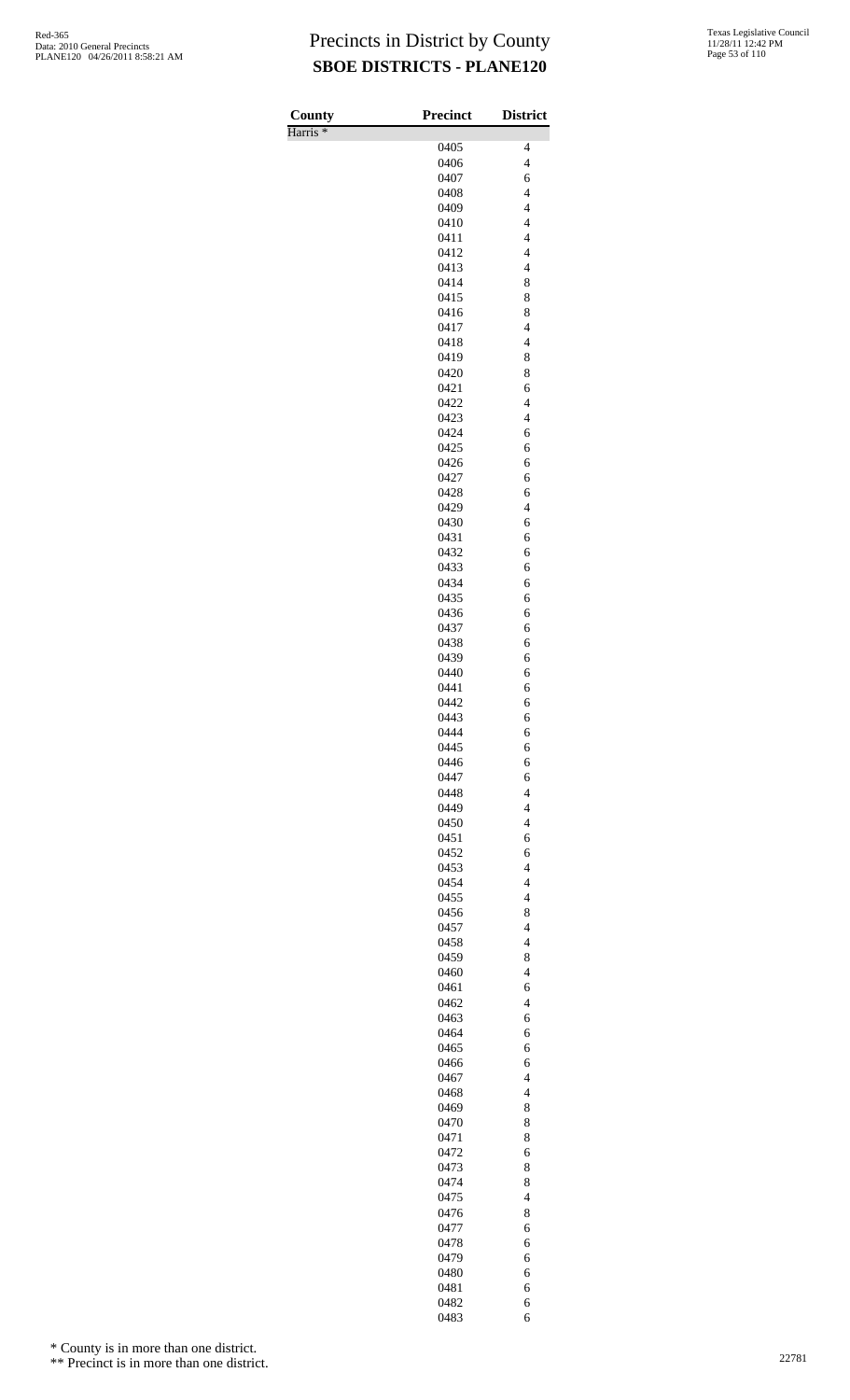| County<br>Harris <sup>*</sup> | <b>Precinct</b> | <b>District</b>                                      |
|-------------------------------|-----------------|------------------------------------------------------|
|                               | 0405            | $\overline{\mathcal{L}}$                             |
|                               | 0406            | $\overline{4}$                                       |
|                               | 0407            | 6                                                    |
|                               | 0408            | $\overline{\mathcal{L}}$                             |
|                               | 0409            | $\overline{\mathcal{L}}$                             |
|                               | 0410<br>0411    | $\overline{4}$<br>$\overline{4}$                     |
|                               | 0412            | $\overline{\mathcal{L}}$                             |
|                               | 0413            | $\overline{\mathcal{L}}$                             |
|                               | 0414            | 8                                                    |
|                               | 0415            | 8                                                    |
|                               | 0416            | 8                                                    |
|                               | 0417<br>0418    | $\overline{\mathcal{L}}$<br>$\overline{\mathcal{L}}$ |
|                               | 0419            | 8                                                    |
|                               | 0420            | 8                                                    |
|                               | 0421            | 6                                                    |
|                               | 0422            | $\overline{4}$                                       |
|                               | 0423            | $\overline{\mathcal{L}}$                             |
|                               | 0424<br>0425    | 6<br>6                                               |
|                               | 0426            | 6                                                    |
|                               | 0427            | 6                                                    |
|                               | 0428            | 6                                                    |
|                               | 0429            | $\overline{4}$                                       |
|                               | 0430<br>0431    | 6                                                    |
|                               | 0432            | 6<br>6                                               |
|                               | 0433            | 6                                                    |
|                               | 0434            | 6                                                    |
|                               | 0435            | 6                                                    |
|                               | 0436            | 6                                                    |
|                               | 0437<br>0438    | 6<br>6                                               |
|                               | 0439            | 6                                                    |
|                               | 0440            | 6                                                    |
|                               | 0441            | 6                                                    |
|                               | 0442            | 6                                                    |
|                               | 0443            | 6                                                    |
|                               | 0444<br>0445    | 6                                                    |
|                               | 0446            | 6<br>6                                               |
|                               | 0447            | 6                                                    |
|                               | 0448            | $\overline{4}$                                       |
|                               | 0449            | $\overline{\mathcal{L}}$                             |
|                               | 0450            | $\overline{4}$                                       |
|                               | 0451<br>0452    | 6<br>6                                               |
|                               | 0453            | $\overline{4}$                                       |
|                               | 0454            | $\overline{4}$                                       |
|                               | 0455            | $\overline{\mathcal{L}}$                             |
|                               | 0456            | 8                                                    |
|                               | 0457            | $\overline{4}$                                       |
|                               | 0458<br>0459    | $\overline{\mathcal{L}}$<br>8                        |
|                               | 0460            | $\overline{\mathcal{L}}$                             |
|                               | 0461            | 6                                                    |
|                               | 0462            | $\overline{4}$                                       |
|                               | 0463            | 6                                                    |
|                               | 0464            | 6                                                    |
|                               | 0465<br>0466    | 6<br>6                                               |
|                               | 0467            | $\overline{4}$                                       |
|                               | 0468            | $\overline{4}$                                       |
|                               | 0469            | 8                                                    |
|                               | 0470            | 8                                                    |
|                               | 0471<br>0472    | 8<br>6                                               |
|                               | 0473            | 8                                                    |
|                               | 0474            | 8                                                    |
|                               | 0475            | $\overline{4}$                                       |
|                               | 0476            | 8                                                    |
|                               | 0477            | 6                                                    |
|                               | 0478<br>0479    | 6<br>6                                               |
|                               | 0480            | 6                                                    |
|                               | 0481            | 6                                                    |
|                               | 0482            | 6                                                    |
|                               | 0483            | 6                                                    |

\* County is in more than one district.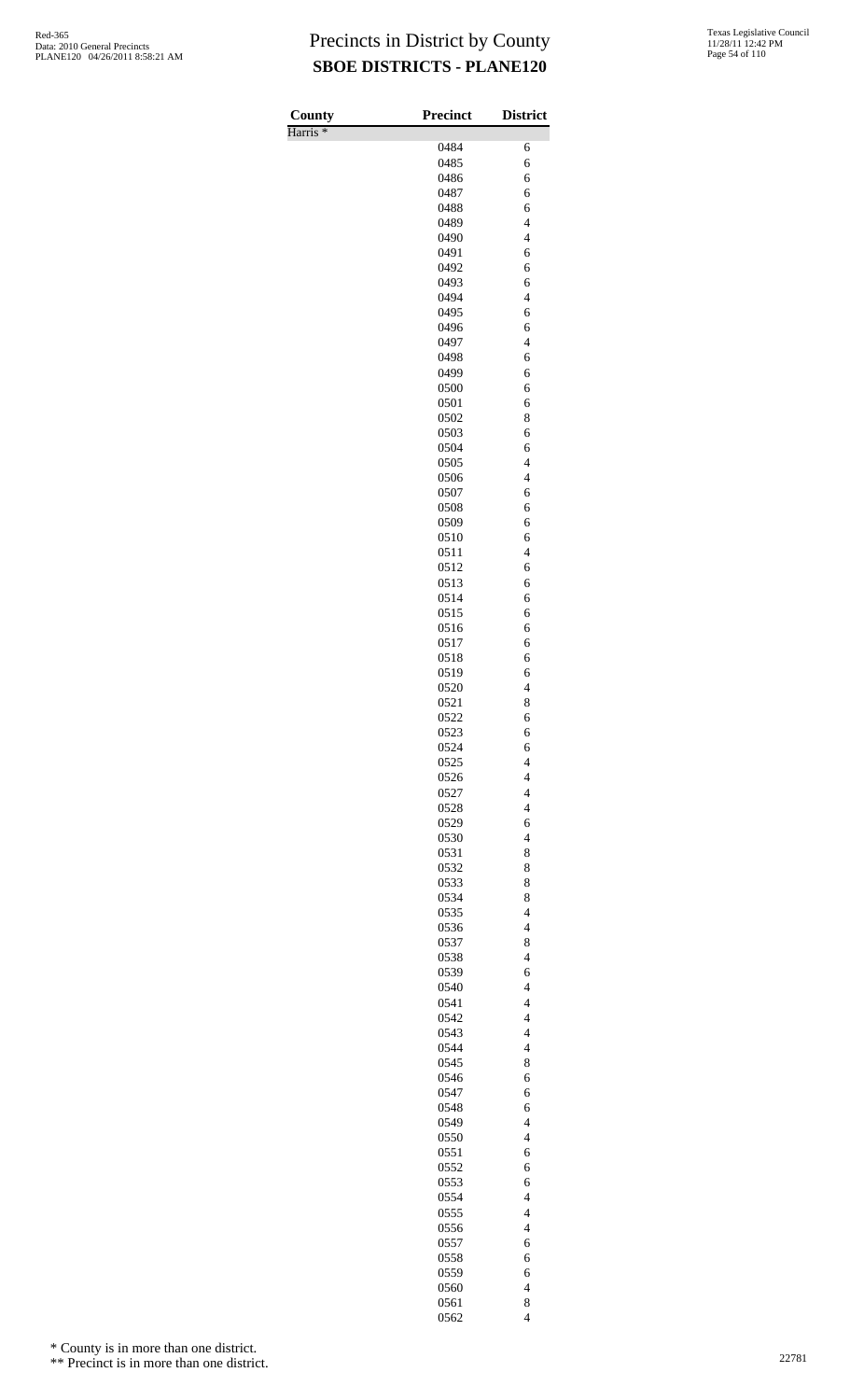Harris \*

| County              | <b>Precinct</b> | <b>District</b>                                      |
|---------------------|-----------------|------------------------------------------------------|
| Harris <sup>*</sup> | 0484            |                                                      |
|                     | 0485            | 6<br>6                                               |
|                     | 0486            | 6                                                    |
|                     | 0487            | 6                                                    |
|                     | 0488            | 6                                                    |
|                     | 0489            | $\overline{4}$                                       |
|                     | 0490            | $\overline{\mathcal{L}}$                             |
|                     | 0491            | 6                                                    |
|                     | 0492            | 6                                                    |
|                     | 0493            | 6                                                    |
|                     | 0494            | $\overline{4}$                                       |
|                     | 0495<br>0496    | 6<br>6                                               |
|                     | 0497            | $\overline{\mathcal{L}}$                             |
|                     | 0498            | 6                                                    |
|                     | 0499            | 6                                                    |
|                     | 0500            | 6                                                    |
|                     | 0501            | 6                                                    |
|                     | 0502            | 8                                                    |
|                     | 0503            | 6                                                    |
|                     | 0504            | 6                                                    |
|                     | 0505            | $\overline{\mathcal{L}}$                             |
|                     | 0506<br>0507    | $\overline{\mathcal{L}}$<br>6                        |
|                     | 0508            | 6                                                    |
|                     | 0509            | 6                                                    |
|                     | 0510            | 6                                                    |
|                     | 0511            | $\overline{\mathcal{L}}$                             |
|                     | 0512            | 6                                                    |
|                     | 0513            | 6                                                    |
|                     | 0514            | 6                                                    |
|                     | 0515            | 6                                                    |
|                     | 0516<br>0517    | 6<br>6                                               |
|                     | 0518            | 6                                                    |
|                     | 0519            | 6                                                    |
|                     | 0520            | $\overline{4}$                                       |
|                     | 0521            | 8                                                    |
|                     | 0522            | 6                                                    |
|                     | 0523            | 6                                                    |
|                     | 0524            | 6                                                    |
|                     | 0525<br>0526    | $\overline{\mathcal{L}}$<br>$\overline{\mathcal{L}}$ |
|                     | 0527            | $\overline{\mathcal{L}}$                             |
|                     | 0528            | $\overline{4}$                                       |
|                     | 0529            | 6                                                    |
|                     | 0530            | $\overline{4}$                                       |
|                     | 0531            | 8                                                    |
|                     | 0532            | 8                                                    |
|                     | 0533            | 8                                                    |
|                     | 0534<br>0535    | 8<br>$\overline{4}$                                  |
|                     | 0536            | $\overline{\mathcal{L}}$                             |
|                     | 0537            | 8                                                    |
|                     | 0538            | $\overline{4}$                                       |
|                     | 0539            | 6                                                    |
|                     | 0540            | $\overline{4}$                                       |
|                     | 0541            | $\overline{\mathcal{L}}$                             |
|                     | 0542            | $\overline{\mathcal{L}}$                             |
|                     | 0543            | $\overline{\mathcal{L}}$<br>$\overline{4}$           |
|                     | 0544<br>0545    | 8                                                    |
|                     | 0546            | 6                                                    |
|                     | 0547            | 6                                                    |
|                     | 0548            | 6                                                    |
|                     | 0549            | $\overline{4}$                                       |
|                     | 0550            | $\overline{\mathcal{L}}$                             |
|                     | 0551            | 6                                                    |
|                     | 0552            | 6                                                    |
|                     | 0553<br>0554    | 6<br>$\overline{4}$                                  |
|                     | 0555            | $\overline{4}$                                       |
|                     | 0556            | $\overline{\mathcal{L}}$                             |
|                     | 0557            | 6                                                    |
|                     | 0558            | 6                                                    |
|                     | 0559            | 6                                                    |
|                     | 0560            | $\overline{\mathcal{L}}$                             |
|                     | 0561            | 8                                                    |
|                     | 0562            | $\overline{\mathcal{L}}$                             |

\* County is in more than one district.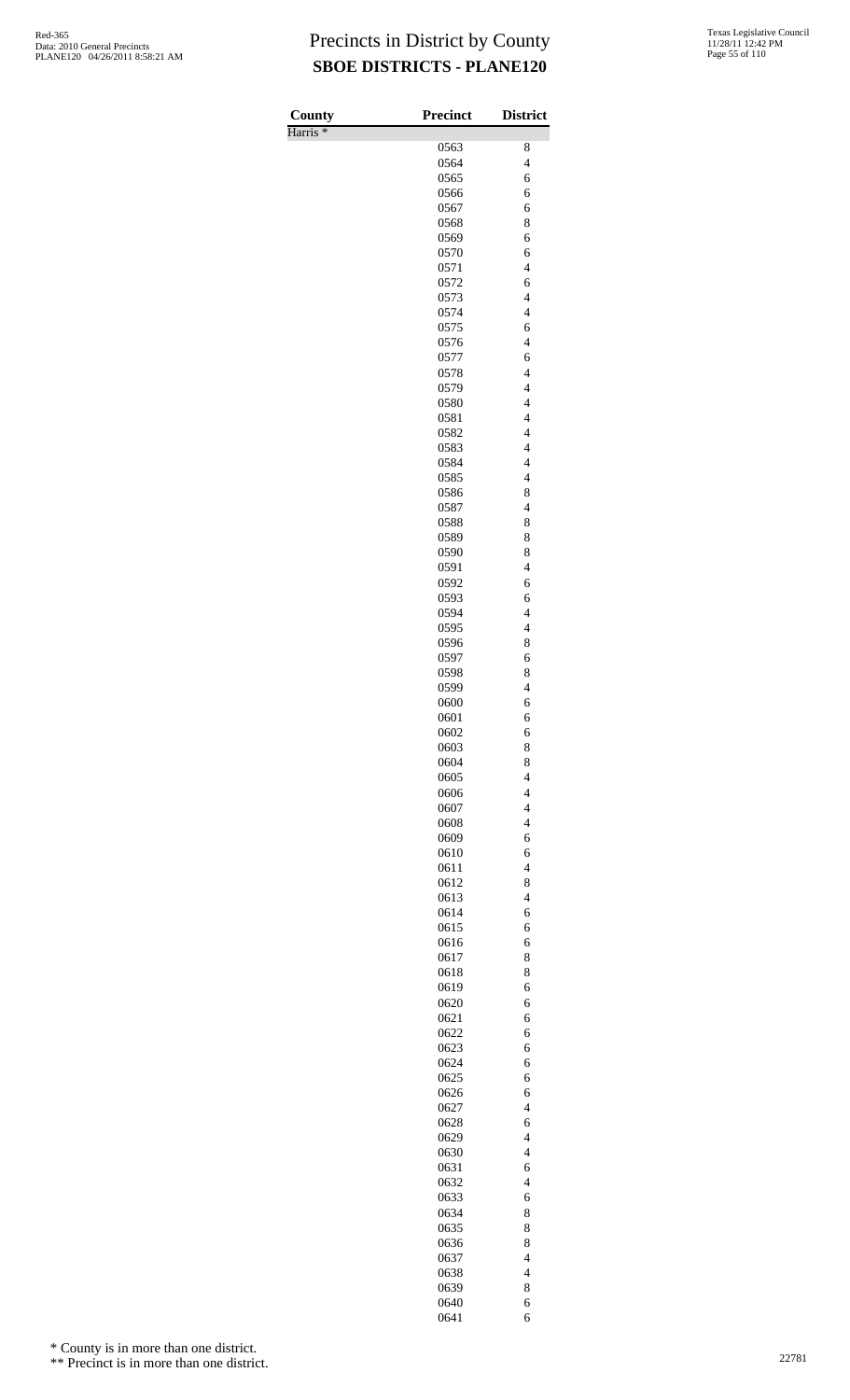| County<br>Harris <sup>*</sup> | <b>Precinct</b> | <b>District</b>                                      |
|-------------------------------|-----------------|------------------------------------------------------|
|                               | 0563            | 8                                                    |
|                               | 0564            | $\overline{\mathcal{L}}$                             |
|                               | 0565            | 6                                                    |
|                               | 0566            | 6                                                    |
|                               | 0567            | 6                                                    |
|                               | 0568<br>0569    | 8<br>6                                               |
|                               | 0570            | 6                                                    |
|                               | 0571            | $\overline{\mathbf{4}}$                              |
|                               | 0572            | 6                                                    |
|                               | 0573            | $\overline{\mathbf{4}}$                              |
|                               | 0574            | $\overline{\mathbf{4}}$                              |
|                               | 0575            | 6<br>$\overline{\mathbf{4}}$                         |
|                               | 0576<br>0577    | 6                                                    |
|                               | 0578            | $\overline{\mathbf{4}}$                              |
|                               | 0579            | $\overline{\mathbf{4}}$                              |
|                               | 0580            | $\overline{\mathbf{4}}$                              |
|                               | 0581            | $\overline{\mathbf{4}}$                              |
|                               | 0582            | $\overline{\mathbf{4}}$                              |
|                               | 0583            | $\overline{\mathbf{4}}$<br>$\overline{\mathbf{4}}$   |
|                               | 0584<br>0585    | $\overline{\mathbf{4}}$                              |
|                               | 0586            | 8                                                    |
|                               | 0587            | $\overline{\mathcal{L}}$                             |
|                               | 0588            | 8                                                    |
|                               | 0589            | 8                                                    |
|                               | 0590            | 8                                                    |
|                               | 0591<br>0592    | $\overline{\mathcal{L}}$<br>6                        |
|                               | 0593            | 6                                                    |
|                               | 0594            | $\overline{\mathcal{L}}$                             |
|                               | 0595            | $\overline{\mathbf{4}}$                              |
|                               | 0596            | 8                                                    |
|                               | 0597            | 6                                                    |
|                               | 0598<br>0599    | 8<br>$\overline{\mathcal{L}}$                        |
|                               | 0600            | 6                                                    |
|                               | 0601            | 6                                                    |
|                               | 0602            | 6                                                    |
|                               | 0603            | 8                                                    |
|                               | 0604            | 8                                                    |
|                               | 0605            | $\overline{4}$                                       |
|                               | 0606<br>0607    | $\overline{\mathbf{4}}$<br>$\overline{\mathcal{L}}$  |
|                               | 0608            | $\overline{\mathcal{L}}$                             |
|                               | 0609            | 6                                                    |
|                               | 0610            | 6                                                    |
|                               | 0611            | $\overline{4}$                                       |
|                               | 0612            | 8                                                    |
|                               | 0613            | $\overline{\mathcal{L}}$                             |
|                               | 0614<br>0615    | 6<br>6                                               |
|                               | 0616            | 6                                                    |
|                               | 0617            | 8                                                    |
|                               | 0618            | 8                                                    |
|                               | 0619            | 6                                                    |
|                               | 0620            | 6                                                    |
|                               | 0621<br>0622    | 6<br>6                                               |
|                               | 0623            | 6                                                    |
|                               | 0624            | 6                                                    |
|                               | 0625            | 6                                                    |
|                               | 0626            | 6                                                    |
|                               | 0627            | $\overline{4}$                                       |
|                               | 0628            | 6<br>$\overline{4}$                                  |
|                               | 0629<br>0630    | $\overline{\mathcal{L}}$                             |
|                               | 0631            | 6                                                    |
|                               | 0632            | $\overline{4}$                                       |
|                               | 0633            | 6                                                    |
|                               | 0634            | 8                                                    |
|                               | 0635            | 8                                                    |
|                               | 0636            | 8                                                    |
|                               | 0637<br>0638    | $\overline{\mathcal{L}}$<br>$\overline{\mathcal{L}}$ |
|                               | 0639            | 8                                                    |
|                               | 0640            | 6                                                    |
|                               | 0641            | 6                                                    |

\* County is in more than one district.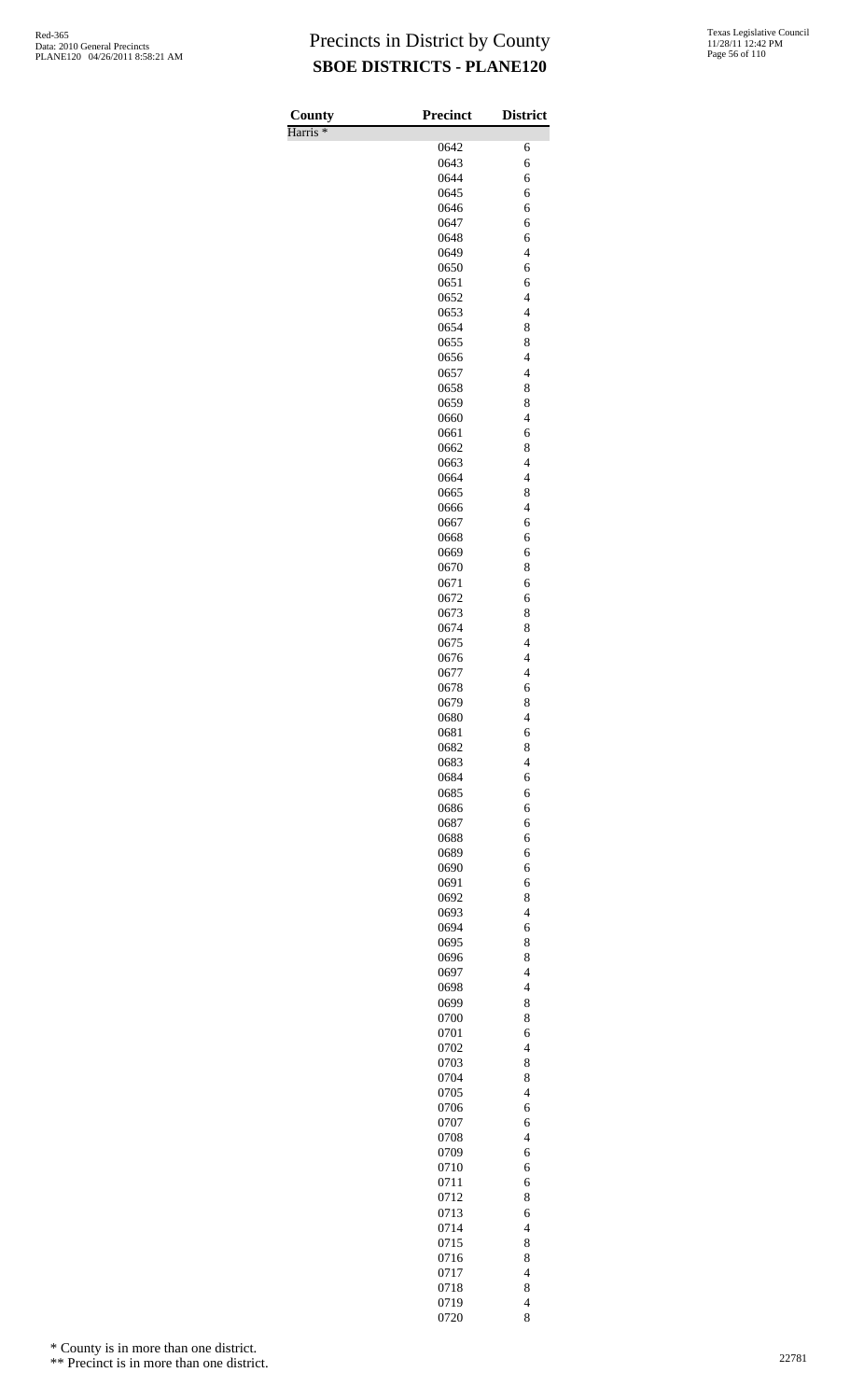Harris \*

| County<br>Harris <sup>*</sup> | <b>Precinct</b> | <b>District</b>                                      |
|-------------------------------|-----------------|------------------------------------------------------|
|                               | 0642            | 6                                                    |
|                               | 0643            | 6                                                    |
|                               | 0644            | 6                                                    |
|                               | 0645            | 6                                                    |
|                               | 0646            | 6                                                    |
|                               | 0647            | 6                                                    |
|                               | 0648<br>0649    | 6<br>$\overline{\mathcal{L}}$                        |
|                               | 0650            | 6                                                    |
|                               | 0651            | 6                                                    |
|                               | 0652            | $\overline{4}$                                       |
|                               | 0653            | $\overline{4}$                                       |
|                               | 0654            | 8                                                    |
|                               | 0655            | 8                                                    |
|                               | 0656            | $\overline{\mathcal{L}}$                             |
|                               | 0657<br>0658    | $\overline{4}$<br>8                                  |
|                               | 0659            | 8                                                    |
|                               | 0660            | $\overline{\mathcal{L}}$                             |
|                               | 0661            | 6                                                    |
|                               | 0662            | 8                                                    |
|                               | 0663            | $\overline{4}$                                       |
|                               | 0664            | $\overline{\mathcal{L}}$                             |
|                               | 0665            | 8                                                    |
|                               | 0666<br>0667    | $\overline{4}$<br>6                                  |
|                               | 0668            | 6                                                    |
|                               | 0669            | 6                                                    |
|                               | 0670            | 8                                                    |
|                               | 0671            | 6                                                    |
|                               | 0672            | 6                                                    |
|                               | 0673            | 8                                                    |
|                               | 0674            | 8                                                    |
|                               | 0675            | $\overline{\mathcal{L}}$<br>$\overline{\mathcal{L}}$ |
|                               | 0676<br>0677    | $\overline{4}$                                       |
|                               | 0678            | 6                                                    |
|                               | 0679            | 8                                                    |
|                               | 0680            | $\overline{\mathcal{L}}$                             |
|                               | 0681            | 6                                                    |
|                               | 0682            | 8                                                    |
|                               | 0683            | $\overline{4}$                                       |
|                               | 0684            | 6                                                    |
|                               | 0685<br>0686    | 6<br>6                                               |
|                               | 0687            | 6                                                    |
|                               | 0688            | 6                                                    |
|                               | 0689            | 6                                                    |
|                               | 0690            | 6                                                    |
|                               | 0691            | 6                                                    |
|                               | 0692            | 8                                                    |
|                               | 0693            | $\overline{4}$                                       |
|                               | 0694<br>0695    | 6<br>8                                               |
|                               | 0696            | 8                                                    |
|                               | 0697            | $\overline{\mathcal{L}}$                             |
|                               | 0698            | $\overline{4}$                                       |
|                               | 0699            | 8                                                    |
|                               | 0700            | 8                                                    |
|                               | 0701            | 6                                                    |
|                               | 0702            | $\overline{\mathcal{L}}$                             |
|                               | 0703            | 8                                                    |
|                               | 0704<br>0705    | 8<br>$\overline{\mathcal{L}}$                        |
|                               | 0706            | 6                                                    |
|                               | 0707            | 6                                                    |
|                               | 0708            | $\overline{4}$                                       |
|                               | 0709            | 6                                                    |
|                               | 0710            | 6                                                    |
|                               | 0711            | 6                                                    |
|                               | 0712            | 8                                                    |
|                               | 0713            | 6                                                    |
|                               | 0714            | $\overline{4}$                                       |
|                               | 0715<br>0716    | 8<br>8                                               |
|                               | 0717            | $\overline{\mathcal{L}}$                             |
|                               | 0718            | 8                                                    |
|                               | 0719            | $\overline{4}$                                       |
|                               | 0720            | 8                                                    |

\* County is in more than one district.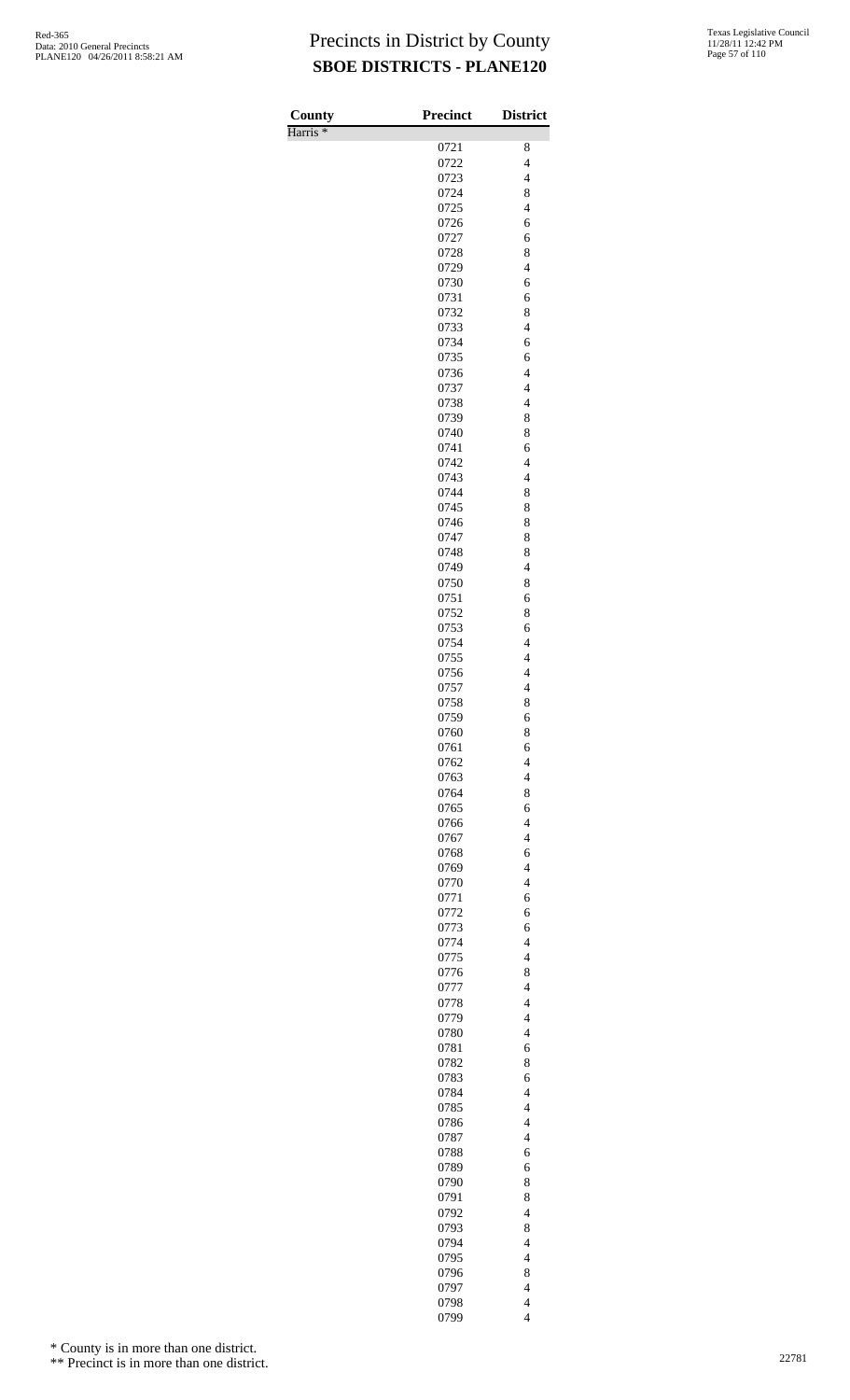Harris \*

| County              | <b>Precinct</b> | <b>District</b>                            |
|---------------------|-----------------|--------------------------------------------|
| Harris <sup>*</sup> | 0721            | 8                                          |
|                     | 0722            | $\overline{4}$                             |
|                     | 0723            | $\overline{\mathcal{L}}$                   |
|                     | 0724            | 8                                          |
|                     | 0725            | $\overline{4}$                             |
|                     | 0726            | 6                                          |
|                     | 0727            | 6                                          |
|                     | 0728            | 8                                          |
|                     | 0729            | $\overline{\mathcal{L}}$                   |
|                     | 0730<br>0731    | 6<br>6                                     |
|                     | 0732            | 8                                          |
|                     | 0733            | $\overline{\mathcal{L}}$                   |
|                     | 0734            | 6                                          |
|                     | 0735            | 6                                          |
|                     | 0736            | $\overline{4}$                             |
|                     | 0737            | $\overline{4}$                             |
|                     | 0738            | $\overline{\mathcal{L}}$                   |
|                     | 0739<br>0740    | 8<br>8                                     |
|                     | 0741            | 6                                          |
|                     | 0742            | $\overline{4}$                             |
|                     | 0743            | $\overline{\mathcal{L}}$                   |
|                     | 0744            | 8                                          |
|                     | 0745            | 8                                          |
|                     | 0746            | 8                                          |
|                     | 0747            | 8                                          |
|                     | 0748<br>0749    | 8<br>$\overline{\mathcal{L}}$              |
|                     | 0750            | 8                                          |
|                     | 0751            | 6                                          |
|                     | 0752            | 8                                          |
|                     | 0753            | 6                                          |
|                     | 0754            | $\overline{4}$                             |
|                     | 0755            | $\overline{\mathcal{L}}$                   |
|                     | 0756            | $\overline{4}$                             |
|                     | 0757            | $\overline{4}$                             |
|                     | 0758<br>0759    | 8<br>6                                     |
|                     | 0760            | 8                                          |
|                     | 0761            | 6                                          |
|                     | 0762            | $\overline{\mathcal{L}}$                   |
|                     | 0763            | $\overline{\mathcal{L}}$                   |
|                     | 0764            | 8                                          |
|                     | 0765            | 6                                          |
|                     | 0766            | $\overline{4}$                             |
|                     | 0767<br>0768    | $\overline{4}$<br>6                        |
|                     | 0769            | $\overline{\mathcal{L}}$                   |
|                     | 0770            | $\overline{4}$                             |
|                     | 0771            | 6                                          |
|                     | 0772            | 6                                          |
|                     | 0773            | 6                                          |
|                     | 0774            | $\overline{4}$                             |
|                     | 0775            | $\overline{4}$                             |
|                     | 0776            | 8                                          |
|                     | 0777<br>0778    | $\overline{4}$<br>$\overline{\mathcal{L}}$ |
|                     | 0779            | $\overline{\mathcal{L}}$                   |
|                     | 0780            | $\overline{4}$                             |
|                     | 0781            | 6                                          |
|                     | 0782            | 8                                          |
|                     | 0783            | 6                                          |
|                     | 0784            | $\overline{4}$                             |
|                     | 0785            | $\overline{4}$                             |
|                     | 0786<br>0787    | $\overline{4}$<br>$\overline{4}$           |
|                     | 0788            | 6                                          |
|                     | 0789            | 6                                          |
|                     | 0790            | 8                                          |
|                     | 0791            | 8                                          |
|                     | 0792            | $\overline{4}$                             |
|                     | 0793            | 8                                          |
|                     | 0794            | $\overline{\mathcal{L}}$                   |
|                     | 0795            | $\overline{4}$                             |
|                     | 0796<br>0797    | 8<br>$\overline{\mathcal{L}}$              |
|                     | 0798            | $\overline{\mathcal{L}}$                   |
|                     | 0799            | $\overline{4}$                             |

\* County is in more than one district.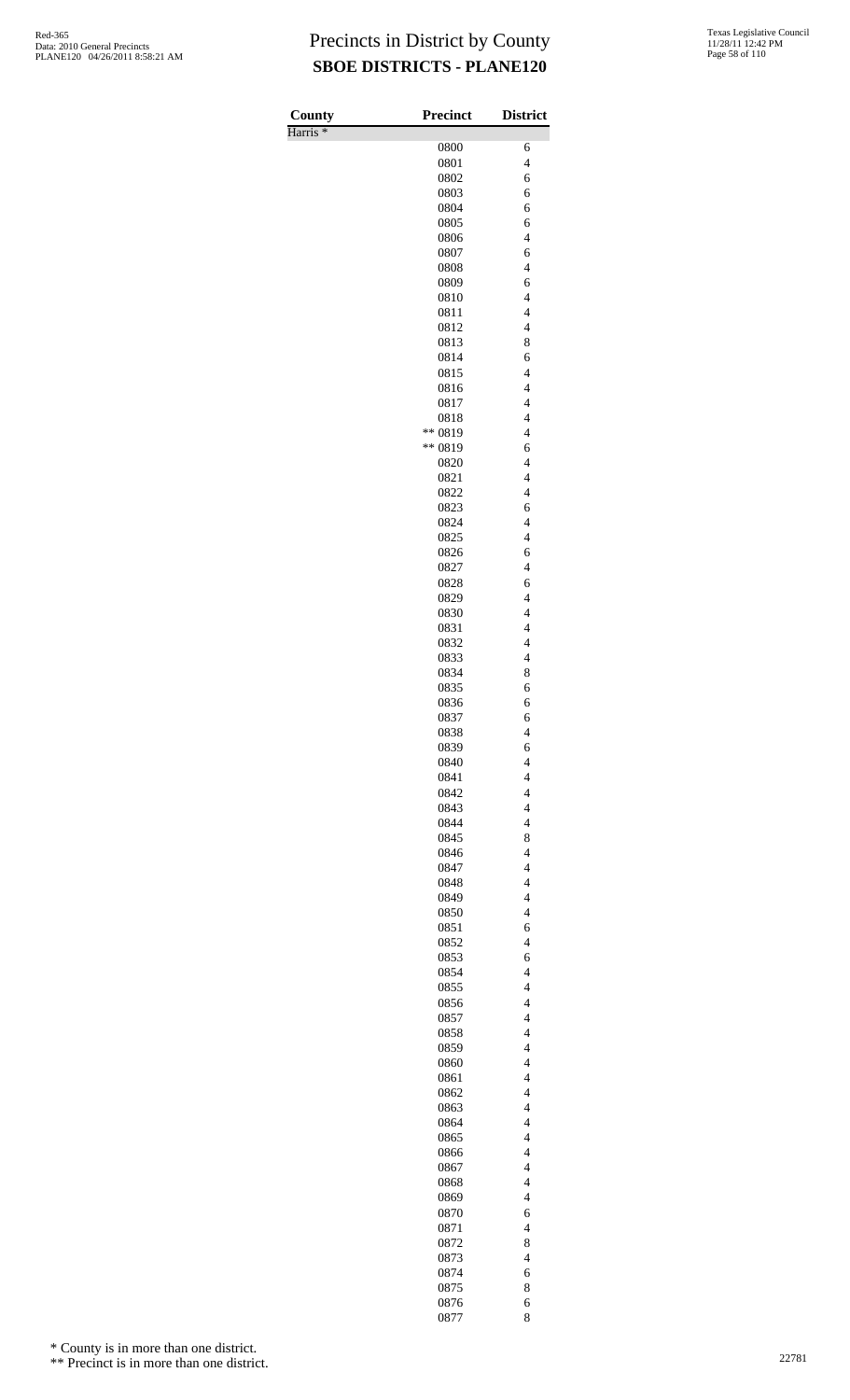Harris \*

| County              | <b>Precinct</b> | <b>District</b>                                      |
|---------------------|-----------------|------------------------------------------------------|
| Harris <sup>*</sup> |                 |                                                      |
|                     | 0800            | 6<br>$\overline{\mathcal{L}}$                        |
|                     | 0801<br>0802    | 6                                                    |
|                     | 0803            | 6                                                    |
|                     | 0804            | 6                                                    |
|                     | 0805            | 6                                                    |
|                     | 0806            | $\overline{4}$                                       |
|                     | 0807            | 6                                                    |
|                     | 0808            | $\overline{\mathcal{L}}$                             |
|                     | 0809            | 6                                                    |
|                     | 0810            | $\overline{4}$                                       |
|                     | 0811            | $\overline{\mathcal{L}}$<br>$\overline{\mathcal{L}}$ |
|                     | 0812<br>0813    | 8                                                    |
|                     | 0814            | 6                                                    |
|                     | 0815            | $\overline{\mathcal{L}}$                             |
|                     | 0816            | $\overline{4}$                                       |
|                     | 0817            | $\overline{\mathcal{L}}$                             |
|                     | 0818            | $\overline{\mathcal{L}}$                             |
|                     | ** 0819         | $\overline{4}$                                       |
|                     | ** 0819         | 6                                                    |
|                     | 0820            | $\overline{\mathcal{L}}$                             |
|                     | 0821            | $\overline{\mathcal{L}}$                             |
|                     | 0822<br>0823    | $\overline{\mathcal{L}}$<br>6                        |
|                     | 0824            | $\overline{4}$                                       |
|                     | 0825            | $\overline{\mathcal{L}}$                             |
|                     | 0826            | 6                                                    |
|                     | 0827            | $\overline{\mathcal{L}}$                             |
|                     | 0828            | 6                                                    |
|                     | 0829            | $\overline{4}$                                       |
|                     | 0830            | $\overline{4}$                                       |
|                     | 0831            | $\overline{\mathcal{L}}$                             |
|                     | 0832            | $\overline{\mathcal{L}}$                             |
|                     | 0833            | $\overline{\mathcal{L}}$                             |
|                     | 0834            | 8                                                    |
|                     | 0835<br>0836    | 6<br>6                                               |
|                     | 0837            | 6                                                    |
|                     | 0838            | $\overline{\mathcal{L}}$                             |
|                     | 0839            | 6                                                    |
|                     | 0840            | $\overline{\mathcal{L}}$                             |
|                     | 0841            | $\overline{\mathcal{L}}$                             |
|                     | 0842            | $\overline{\mathcal{L}}$                             |
|                     | 0843            | $\overline{4}$                                       |
|                     | 0844            | $\overline{4}$                                       |
|                     | 0845<br>0846    | 8<br>$\overline{\mathcal{L}}$                        |
|                     | 0847            | $\overline{\mathcal{L}}$                             |
|                     | 0848            | $\overline{\mathcal{L}}$                             |
|                     | 0849            | $\overline{4}$                                       |
|                     | 0850            | $\overline{4}$                                       |
|                     | 0851            | 6                                                    |
|                     | 0852            | $\overline{\mathcal{L}}$                             |
|                     | 0853            | 6                                                    |
|                     | 0854            | $\overline{4}$                                       |
|                     | 0855            | $\overline{\mathcal{L}}$                             |
|                     | 0856<br>0857    | $\overline{\mathcal{L}}$<br>$\overline{\mathcal{L}}$ |
|                     | 0858            | $\overline{\mathcal{L}}$                             |
|                     | 0859            | $\overline{\mathcal{L}}$                             |
|                     | 0860            | $\overline{4}$                                       |
|                     | 0861            | $\overline{\mathcal{L}}$                             |
|                     | 0862            | $\overline{\mathcal{L}}$                             |
|                     | 0863            | $\overline{\mathcal{L}}$                             |
|                     | 0864            | $\overline{4}$                                       |
|                     | 0865            | $\overline{4}$                                       |
|                     | 0866<br>0867    | $\overline{\mathcal{L}}$<br>$\overline{\mathcal{L}}$ |
|                     | 0868            | $\overline{\mathcal{L}}$                             |
|                     | 0869            | $\overline{4}$                                       |
|                     | 0870            | 6                                                    |
|                     | 0871            | $\overline{\mathcal{L}}$                             |
|                     | 0872            | 8                                                    |
|                     | 0873            | $\overline{\mathcal{L}}$                             |
|                     | 0874            | 6                                                    |
|                     | 0875            | 8                                                    |
|                     | 0876            | 6                                                    |
|                     | 0877            | 8                                                    |

\* County is in more than one district.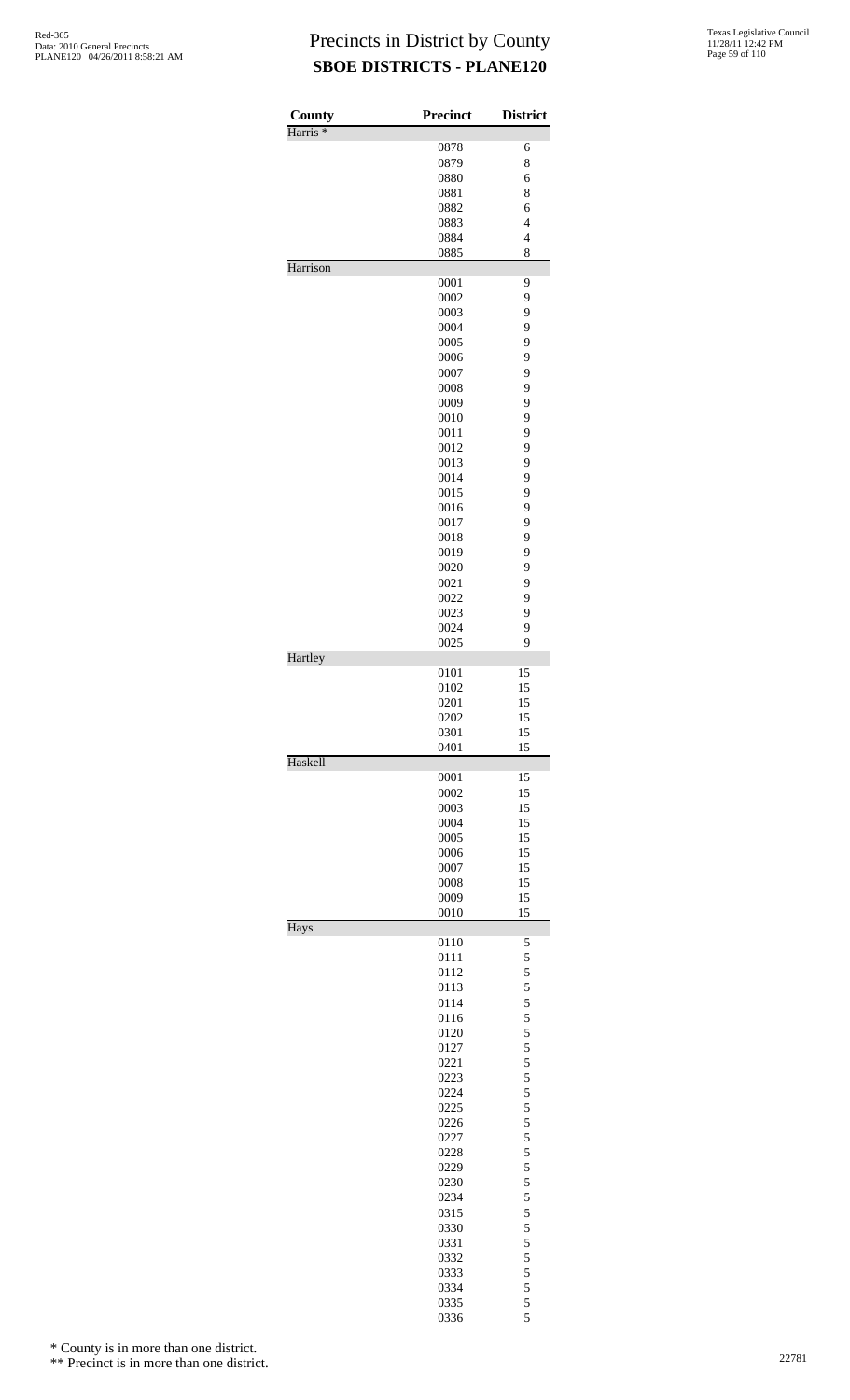| County              | <b>Precinct</b> | <b>District</b>                            |
|---------------------|-----------------|--------------------------------------------|
| Harris <sup>*</sup> |                 |                                            |
|                     | 0878            | 6                                          |
|                     | 0879            | 8                                          |
|                     | 0880<br>0881    | 6<br>8                                     |
|                     | 0882            | 6                                          |
|                     | 0883            | $\overline{4}$                             |
|                     | 0884            | $\overline{4}$                             |
|                     | 0885            | 8                                          |
| Harrison            |                 |                                            |
|                     | 0001            | 9                                          |
|                     | 0002            | 9                                          |
|                     | 0003<br>0004    | 9<br>9                                     |
|                     | 0005            | 9                                          |
|                     | 0006            | 9                                          |
|                     | 0007            | 9                                          |
|                     | 0008            | 9                                          |
|                     | 0009            | 9                                          |
|                     | 0010            | 9                                          |
|                     | 0011            | 9                                          |
|                     | 0012            | 9                                          |
|                     | 0013            | 9                                          |
|                     | 0014<br>0015    | 9<br>9                                     |
|                     | 0016            | 9                                          |
|                     | 0017            | 9                                          |
|                     | 0018            | 9                                          |
|                     | 0019            | 9                                          |
|                     | 0020            | 9                                          |
|                     | 0021            | 9                                          |
|                     | 0022            | 9                                          |
|                     | 0023            | 9                                          |
|                     | 0024            | 9<br>9                                     |
| Hartley             | 0025            |                                            |
|                     | 0101            | 15                                         |
|                     | 0102            | 15                                         |
|                     | 0201            | 15                                         |
|                     | 0202            | 15                                         |
|                     | 0301            | 15                                         |
|                     | 0401            | 15                                         |
| Haskell             | 0001            | 15                                         |
|                     | 0002            | 15                                         |
|                     | 0003            | 15                                         |
|                     | 0004            | 15                                         |
|                     | 0005            | 15                                         |
|                     | 0006            | 15                                         |
|                     | 0007            | 15                                         |
|                     | 0008            | 15                                         |
|                     | 0009            | 15                                         |
| Hays                | 0010            | 15                                         |
|                     | 0110            | 5                                          |
|                     | 0111            | 5                                          |
|                     | 0112            | 5                                          |
|                     | 0113            | 5                                          |
|                     | 0114            | $\frac{5}{5}$                              |
|                     | 0116            |                                            |
|                     | 0120<br>0127    | 5                                          |
|                     | 0221            | $\frac{5}{5}$                              |
|                     | 0223            |                                            |
|                     | 0224            | $\frac{5}{5}$                              |
|                     | 0225            | 5                                          |
|                     | 0226            | $\frac{5}{5}$                              |
|                     | 0227            |                                            |
|                     | 0228            | $\frac{5}{5}$                              |
|                     | 0229            |                                            |
|                     | 0230            | 5                                          |
|                     | 0234<br>0315    | $\frac{5}{5}$                              |
|                     | 0330            |                                            |
|                     | 0331            | $\frac{5}{5}$                              |
|                     | 0332            |                                            |
|                     | 0333            | $\begin{array}{c} 5 \\ 5 \\ 5 \end{array}$ |
|                     | 0334            |                                            |
|                     | 0335            | 5                                          |
|                     | 0336            | 5                                          |

\* County is in more than one district.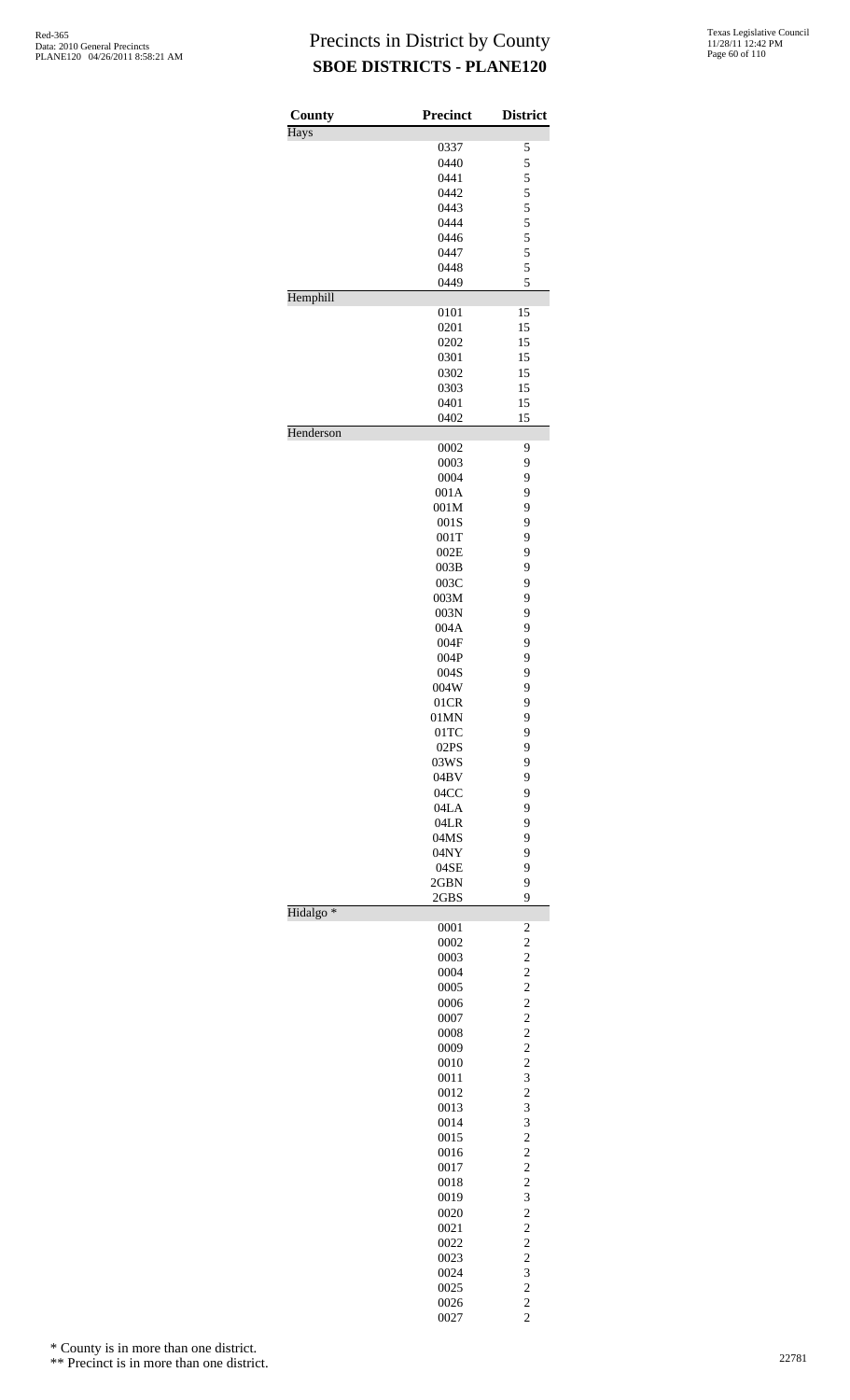| County<br><b>Hays</b> | <b>Precinct</b> | <b>District</b>                  |
|-----------------------|-----------------|----------------------------------|
|                       | 0337            | 5                                |
|                       | 0440            | 5                                |
|                       | 0441            | 5                                |
|                       | 0442            | 5                                |
|                       | 0443            | 5                                |
|                       | 0444            |                                  |
|                       | 0446            | $\frac{5}{5}$                    |
|                       | 0447            | $\overline{5}$                   |
|                       | 0448            | 5                                |
|                       | 0449            | 5                                |
| Hemphill              | 0101            | 15                               |
|                       | 0201            | 15                               |
|                       | 0202            | 15                               |
|                       | 0301            | 15                               |
|                       | 0302            | 15                               |
|                       | 0303            | 15                               |
|                       | 0401            | 15                               |
|                       | 0402            | 15                               |
| Henderson             | 0002            | 9                                |
|                       | 0003            | 9                                |
|                       | 0004            | 9                                |
|                       | 001A            | 9                                |
|                       | 001M            | 9                                |
|                       | 001S            | 9                                |
|                       | 001T            | 9                                |
|                       | 002E            | 9                                |
|                       | 003B            | 9                                |
|                       | 003C            | 9                                |
|                       | 003M            | 9                                |
|                       | $003\mathrm{N}$ | 9                                |
|                       | 004A            | 9                                |
|                       | 004F            | 9                                |
|                       | 004P            | 9                                |
|                       | 004S            | 9                                |
|                       | 004W            | 9                                |
|                       | 01CR            | 9                                |
|                       | 01MN            | 9                                |
|                       | 01TC            | 9                                |
|                       | 02PS            | 9                                |
|                       | 03WS            | 9                                |
|                       | 04BV<br>04CC    | 9<br>9                           |
|                       | 04LA            | 9                                |
|                       | 04LR            | 9                                |
|                       | 04MS            | 9                                |
|                       | 04NY            | 9                                |
|                       | 04SE            | 9                                |
|                       | 2GBN            | 9                                |
|                       | 2GBS            | 9                                |
| Hidalgo <sup>*</sup>  | 0001            | $\overline{\mathbf{c}}$          |
|                       | 0002            | $\overline{c}$                   |
|                       | 0003            | $\overline{c}$                   |
|                       | 0004            | $\overline{c}$                   |
|                       | 0005            | $\overline{c}$                   |
|                       | 0006            | $\overline{c}$                   |
|                       | 0007            | $\overline{c}$                   |
|                       | 0008            | $\overline{c}$                   |
|                       | 0009            | $\overline{c}$                   |
|                       | 0010            | $\overline{c}$                   |
|                       | 0011            | 3                                |
|                       | 0012            | $\overline{c}$                   |
|                       | 0013            | 3                                |
|                       | 0014            | 3                                |
|                       | 0015<br>0016    | $\overline{c}$<br>$\overline{c}$ |
|                       | 0017            | $\overline{c}$                   |
|                       | 0018            | $\overline{c}$                   |
|                       | 0019            | 3                                |
|                       | 0020            | $\overline{c}$                   |
|                       | 0021            | $\overline{c}$                   |
|                       | 0022            | $\overline{c}$                   |
|                       | 0023            | $\overline{c}$                   |
|                       | 0024            | 3                                |
|                       | 0025            | $\overline{c}$                   |
|                       | 0026            | $\overline{c}$                   |
|                       | 0027            | $\overline{c}$                   |

\* County is in more than one district.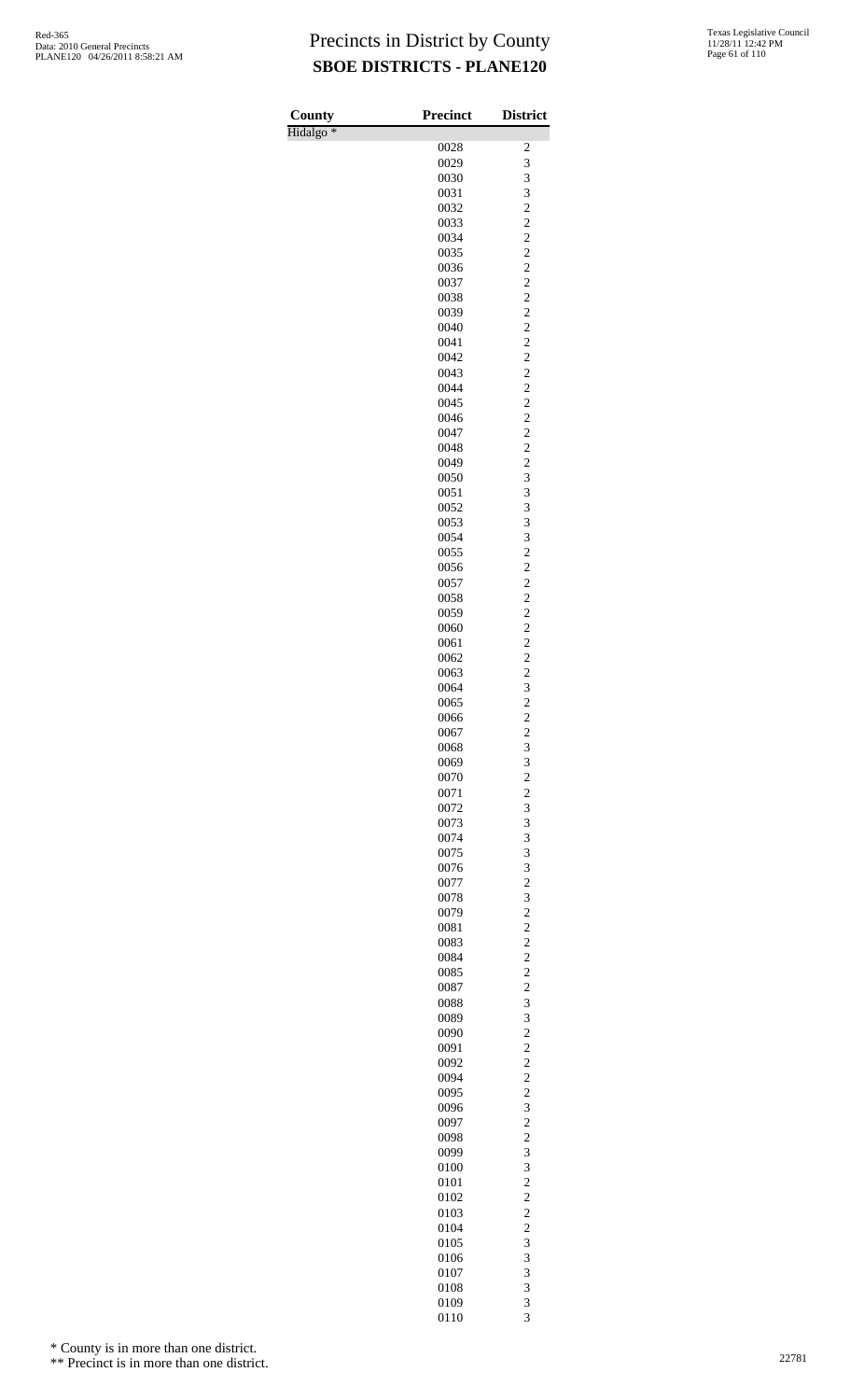| County               | Precinct     | <b>District</b>                                    |
|----------------------|--------------|----------------------------------------------------|
| Hidalgo <sup>*</sup> |              | $\overline{\mathbf{c}}$                            |
|                      | 0028<br>0029 | 3                                                  |
|                      | 0030         | 3                                                  |
|                      | 0031         | 3                                                  |
|                      | 0032         | $\overline{c}$                                     |
|                      | 0033         | $\overline{c}$                                     |
|                      | 0034         | $\overline{\mathbf{c}}$<br>$\overline{\mathbf{c}}$ |
|                      | 0035<br>0036 | $\overline{c}$                                     |
|                      | 0037         | $\overline{c}$                                     |
|                      | 0038         | $\overline{c}$                                     |
|                      | 0039         | $\overline{\mathbf{c}}$                            |
|                      | 0040         | $\overline{\mathbf{c}}$                            |
|                      | 0041<br>0042 | $\overline{c}$<br>$\overline{c}$                   |
|                      | 0043         | $\overline{c}$                                     |
|                      | 0044         | $\overline{\mathbf{c}}$                            |
|                      | 0045         | $\overline{\mathbf{c}}$                            |
|                      | 0046         | $\overline{c}$                                     |
|                      | 0047         | $\overline{c}$                                     |
|                      | 0048         | $\overline{c}$                                     |
|                      | 0049<br>0050 | $\overline{\mathbf{c}}$<br>$\overline{3}$          |
|                      | 0051         | 3                                                  |
|                      | 0052         | 3                                                  |
|                      | 0053         | 3                                                  |
|                      | 0054         | 3                                                  |
|                      | 0055         | $\overline{c}$<br>$\overline{c}$                   |
|                      | 0056<br>0057 | $\overline{c}$                                     |
|                      | 0058         | $\overline{c}$                                     |
|                      | 0059         | $\overline{\mathbf{c}}$                            |
|                      | 0060         | $\overline{\mathbf{c}}$                            |
|                      | 0061         | $\overline{c}$                                     |
|                      | 0062         | $\overline{c}$<br>$\overline{c}$                   |
|                      | 0063<br>0064 | 3                                                  |
|                      | 0065         | $\overline{c}$                                     |
|                      | 0066         | $\overline{c}$                                     |
|                      | 0067         | $\overline{\mathbf{c}}$                            |
|                      | 0068         | 3                                                  |
|                      | 0069<br>0070 | 3<br>$\overline{c}$                                |
|                      | 0071         | $\overline{c}$                                     |
|                      | 0072         | 3                                                  |
|                      | 0073         | 3                                                  |
|                      | 0074         | 3                                                  |
|                      | 0075         | 3                                                  |
|                      | 0076<br>0077 | 3<br>$\overline{c}$                                |
|                      | 0078         | 3                                                  |
|                      | 0079         | $\overline{\mathbf{c}}$                            |
|                      | 0081         | $\overline{c}$                                     |
|                      | 0083         | $\overline{c}$                                     |
|                      | 0084         | $\overline{c}$                                     |
|                      | 0085<br>0087 | $\overline{c}$<br>$\overline{\mathbf{c}}$          |
|                      | 0088         | 3                                                  |
|                      | 0089         | 3                                                  |
|                      | 0090         | $\overline{c}$                                     |
|                      | 0091         | $\overline{c}$                                     |
|                      | 0092<br>0094 | $\overline{\mathbf{c}}$<br>$\overline{c}$          |
|                      | 0095         | $\overline{c}$                                     |
|                      | 0096         | 3                                                  |
|                      | 0097         | $\overline{c}$                                     |
|                      | 0098         | $\overline{\mathbf{c}}$                            |
|                      | 0099         | 3                                                  |
|                      | 0100<br>0101 | 3<br>$\overline{c}$                                |
|                      | 0102         | $\overline{c}$                                     |
|                      | 0103         | $\overline{\mathbf{c}}$                            |
|                      | 0104         | $\overline{c}$                                     |
|                      | 0105         | 3                                                  |
|                      | 0106         | 3                                                  |
|                      | 0107         | 3                                                  |
|                      | 0108<br>0109 | 3<br>3                                             |
|                      | 0110         | 3                                                  |

\* County is in more than one district.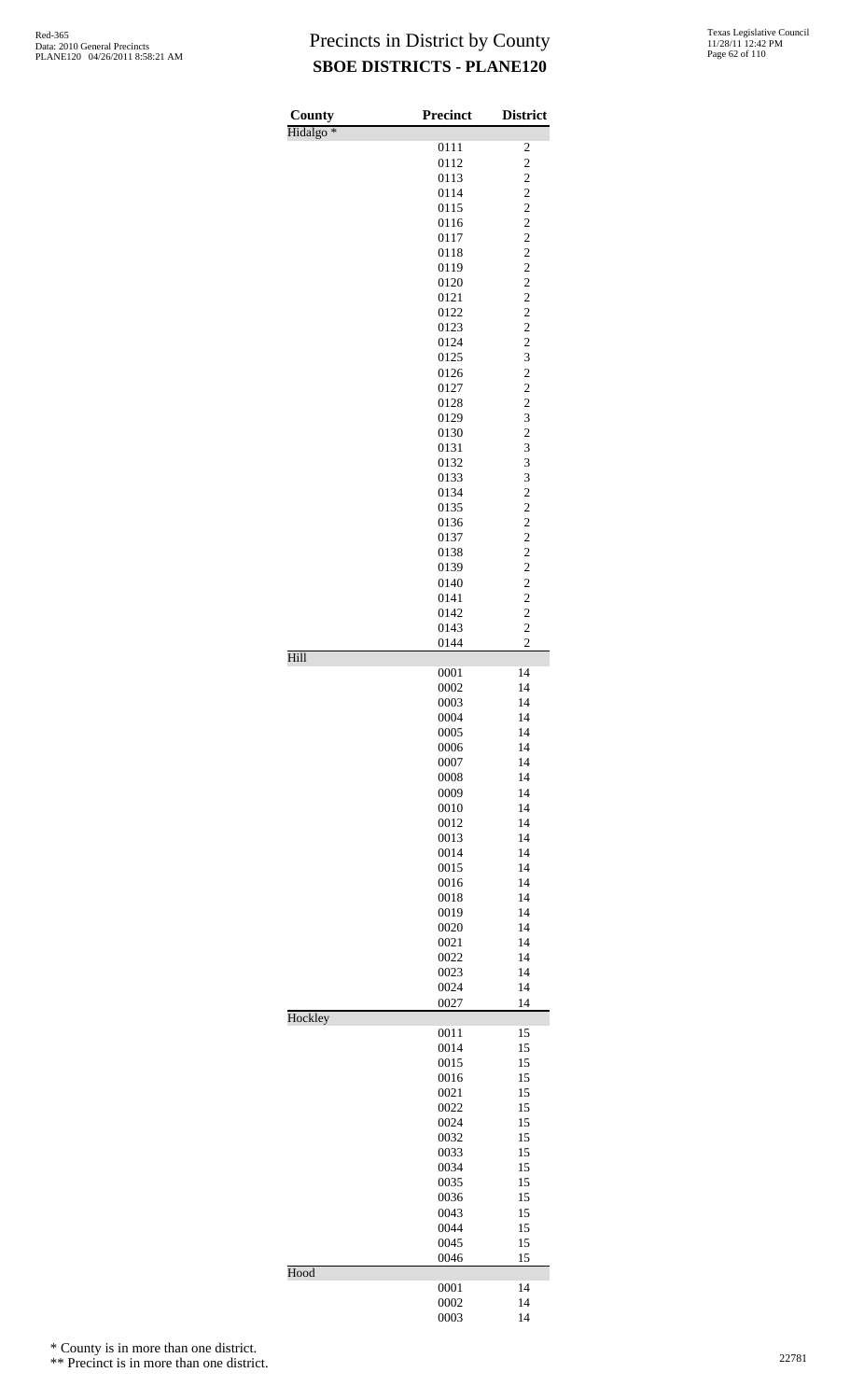| Texas Legislative Council |
|---------------------------|
| 11/28/11 12:42 PM         |
| Page 62 of 110            |

| County               | Precinct     | <b>District</b>                  |
|----------------------|--------------|----------------------------------|
| Hidalgo <sup>*</sup> | 0111         | $\overline{\mathbf{c}}$          |
|                      | 0112         | $\overline{c}$                   |
|                      | 0113         | $\overline{\mathbf{c}}$          |
|                      | 0114         | $\overline{c}$                   |
|                      | 0115         | $\overline{c}$                   |
|                      | 0116         | $\overline{c}$                   |
|                      | 0117         | $\overline{c}$                   |
|                      | 0118<br>0119 | $\overline{c}$<br>$\overline{c}$ |
|                      | 0120         | $\overline{c}$                   |
|                      | 0121         | $\overline{c}$                   |
|                      | 0122         | $\overline{c}$                   |
|                      | 0123         | $\overline{c}$                   |
|                      | 0124         | $\overline{c}$                   |
|                      | 0125         | 3                                |
|                      | 0126         | $\overline{c}$                   |
|                      | 0127         | $\overline{\mathbf{c}}$          |
|                      | 0128<br>0129 | $\overline{\mathbf{c}}$<br>3     |
|                      | 0130         | $\overline{c}$                   |
|                      | 0131         | 3                                |
|                      | 0132         | 3                                |
|                      | 0133         | 3                                |
|                      | 0134         | $\overline{c}$                   |
|                      | 0135         | $\overline{c}$                   |
|                      | 0136         | $\overline{c}$                   |
|                      | 0137         | $\overline{c}$<br>$\frac{1}{2}$  |
|                      | 0138<br>0139 | $\overline{c}$                   |
|                      | 0140         | $\overline{c}$                   |
|                      | 0141         | $\overline{c}$                   |
|                      | 0142         | $\overline{c}$                   |
|                      | 0143         | $\overline{c}$                   |
| Hill                 | 0144         | $\overline{c}$                   |
|                      | 0001         | 14                               |
|                      | 0002         | 14                               |
|                      | 0003         | 14                               |
|                      | 0004         | 14                               |
|                      | 0005         | 14                               |
|                      | 0006<br>0007 | 14<br>14                         |
|                      | 0008         | 14                               |
|                      | 0009         | 14                               |
|                      | 0010         | 14                               |
|                      | 0012         | 14                               |
|                      | 0013         | 14                               |
|                      | 0014         | 14                               |
|                      | 0015         | 14                               |
|                      | 0016         | 14                               |
|                      | 0018<br>0019 | 14<br>14                         |
|                      | 0020         | 14                               |
|                      | 0021         | 14                               |
|                      | 0022         | 14                               |
|                      | 0023         | 14                               |
|                      | 0024         | 14                               |
| Hockley              | 0027         | 14                               |
|                      | 0011         | 15                               |
|                      | 0014         | 15                               |
|                      | 0015         | 15                               |
|                      | 0016         | 15                               |
|                      | 0021         | 15                               |
|                      | 0022<br>0024 | 15<br>15                         |
|                      | 0032         | 15                               |
|                      | 0033         | 15                               |
|                      | 0034         | 15                               |
|                      | 0035         | 15                               |
|                      | 0036         | 15                               |
|                      | 0043         | 15                               |
|                      | 0044         | 15                               |
|                      | 0045         | 15                               |
| Hood                 | 0046         | 15                               |
|                      | 0001         | 14                               |
|                      | 0002         | 14                               |
|                      | 0003         | 14                               |

\* County is in more than one district.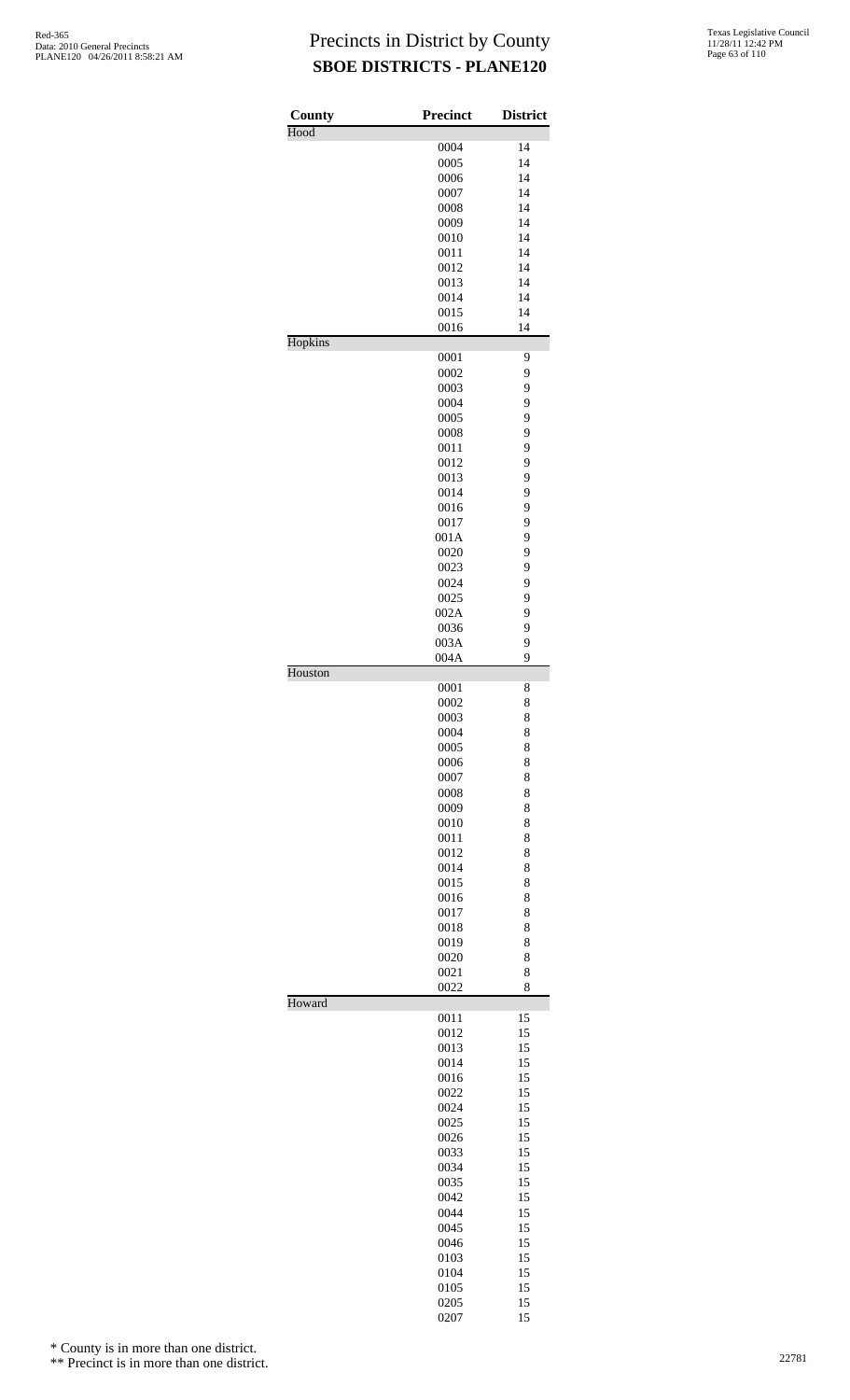| County<br>Hood | <b>Precinct</b> | <b>District</b> |
|----------------|-----------------|-----------------|
|                | 0004            | 14              |
|                | 0005            | 14              |
|                | 0006            | 14              |
|                | 0007            | 14              |
|                | 0008            | 14              |
|                | 0009            | 14              |
|                | 0010            | 14              |
|                | 0011            | 14              |
|                | 0012            | 14              |
|                | 0013            | 14              |
|                | 0014            | 14              |
|                | 0015<br>0016    | 14<br>14        |
| Hopkins        |                 |                 |
|                | 0001<br>0002    | 9<br>9          |
|                | 0003            | 9               |
|                | 0004            | 9               |
|                | 0005            | 9               |
|                | 0008            | 9               |
|                | 0011            | 9               |
|                | 0012            | 9               |
|                | 0013            | 9               |
|                | 0014            | 9               |
|                | 0016            | 9               |
|                | 0017            | 9               |
|                | 001A            | 9               |
|                | 0020            | 9               |
|                | 0023            | 9               |
|                | 0024            | 9<br>9          |
|                | 0025<br>002A    | 9               |
|                | 0036            | 9               |
|                | 003A            | 9               |
|                | 004A            | 9               |
| Houston        |                 |                 |
|                | 0001            | 8               |
|                | 0002            | 8               |
|                | 0003            | 8               |
|                | 0004<br>0005    | 8<br>8          |
|                | 0006            | 8               |
|                | 0007            | 8               |
|                | 0008            | 8               |
|                | 0009            | 8               |
|                | 0010            | 8               |
|                | 0011            | 8               |
|                | 0012            | 8               |
|                | 0014            | 8               |
|                | 0015            | 8               |
|                | 0016            | 8               |
|                | 0017            | 8               |
|                | 0018            | 8               |
|                | 0019            | 8               |
|                | 0020            | 8               |
|                | 0021<br>0022    | 8<br>8          |
| Howard         |                 |                 |
|                | 0011            | 15              |
|                | 0012            | 15              |
|                | 0013            | 15              |
|                | 0014            | 15              |
|                | 0016            | 15              |
|                | 0022            | 15              |
|                | 0024            | 15<br>15        |
|                | 0025<br>0026    | 15              |
|                | 0033            | 15              |
|                | 0034            | 15              |
|                | 0035            | 15              |
|                | 0042            | 15              |
|                | 0044            | 15              |
|                | 0045            | 15              |
|                | 0046            | 15              |
|                | 0103            | 15              |
|                | 0104            | 15              |
|                | 0105            | 15              |
|                | 0205            | 15              |
|                | 0207            | 15              |

\* County is in more than one district.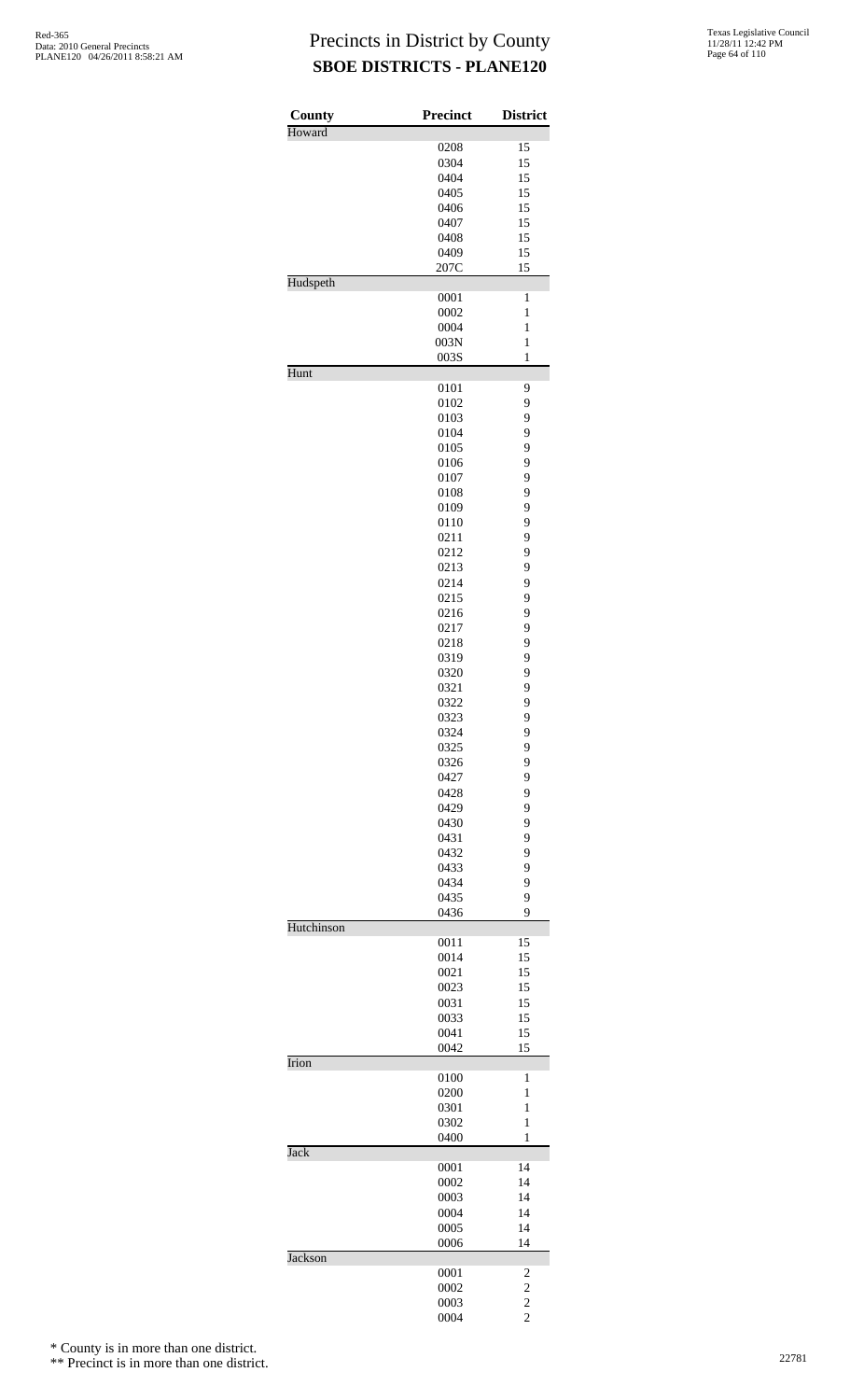| County         | <b>Precinct</b> | <b>District</b>                  |
|----------------|-----------------|----------------------------------|
| Howard         |                 |                                  |
|                | 0208<br>0304    | 15<br>15                         |
|                | 0404            | 15                               |
|                | 0405            | 15                               |
|                | 0406            | 15                               |
|                | 0407            | 15                               |
|                | 0408            | 15                               |
|                | 0409            | 15                               |
|                | 207C            | 15                               |
| Hudspeth       |                 |                                  |
|                | 0001            | $\mathbf{1}$                     |
|                | 0002<br>0004    | $\mathbf{1}$<br>$\mathbf{1}$     |
|                | 003N            | $\mathbf{1}$                     |
|                | 003S            | $\mathbf{1}$                     |
| Hunt           |                 |                                  |
|                | 0101            | 9                                |
|                | 0102            | 9                                |
|                | 0103            | 9                                |
|                | 0104            | 9                                |
|                | 0105            | 9                                |
|                | 0106            | 9                                |
|                | 0107            | 9                                |
|                | 0108            | 9<br>9                           |
|                | 0109<br>0110    | 9                                |
|                | 0211            | 9                                |
|                | 0212            | 9                                |
|                | 0213            | 9                                |
|                | 0214            | 9                                |
|                | 0215            | 9                                |
|                | 0216            | 9                                |
|                | 0217            | 9                                |
|                | 0218            | 9                                |
|                | 0319            | 9                                |
|                | 0320            | 9                                |
|                | 0321            | 9                                |
|                | 0322            | 9                                |
|                | 0323            | 9                                |
|                | 0324            | 9                                |
|                | 0325            | 9                                |
|                | 0326            | 9                                |
|                | 0427            | 9                                |
|                | 0428            | 9                                |
|                | 0429            | 9                                |
|                | 0430<br>0431    | 9<br>9                           |
|                | 0432            | 9                                |
|                | 0433            | 9                                |
|                | 0434            | 9                                |
|                | 0435            | 9                                |
|                | 0436            | 9                                |
| Hutchinson     |                 |                                  |
|                | 0011            | 15                               |
|                | 0014            | 15                               |
|                | 0021            | 15                               |
|                | 0023            | 15                               |
|                | 0031            | 15<br>15                         |
|                | 0033<br>0041    | 15                               |
|                | 0042            | 15                               |
| Irion          |                 |                                  |
|                | 0100            | 1                                |
|                | 0200            | $\mathbf{1}$                     |
|                | 0301            | $\mathbf{1}$                     |
|                | 0302            | $\mathbf{1}$                     |
| <b>Jack</b>    | 0400            | 1                                |
|                | 0001            | 14                               |
|                | 0002            | 14                               |
|                | 0003            | 14                               |
|                | 0004            | 14                               |
|                | 0005            | 14                               |
|                | 0006            | 14                               |
| <b>Jackson</b> |                 |                                  |
|                | 0001            | 2                                |
|                | 0002            | $\overline{\mathbf{c}}$          |
|                | 0003<br>0004    | $\overline{c}$<br>$\overline{c}$ |
|                |                 |                                  |

\* County is in more than one district.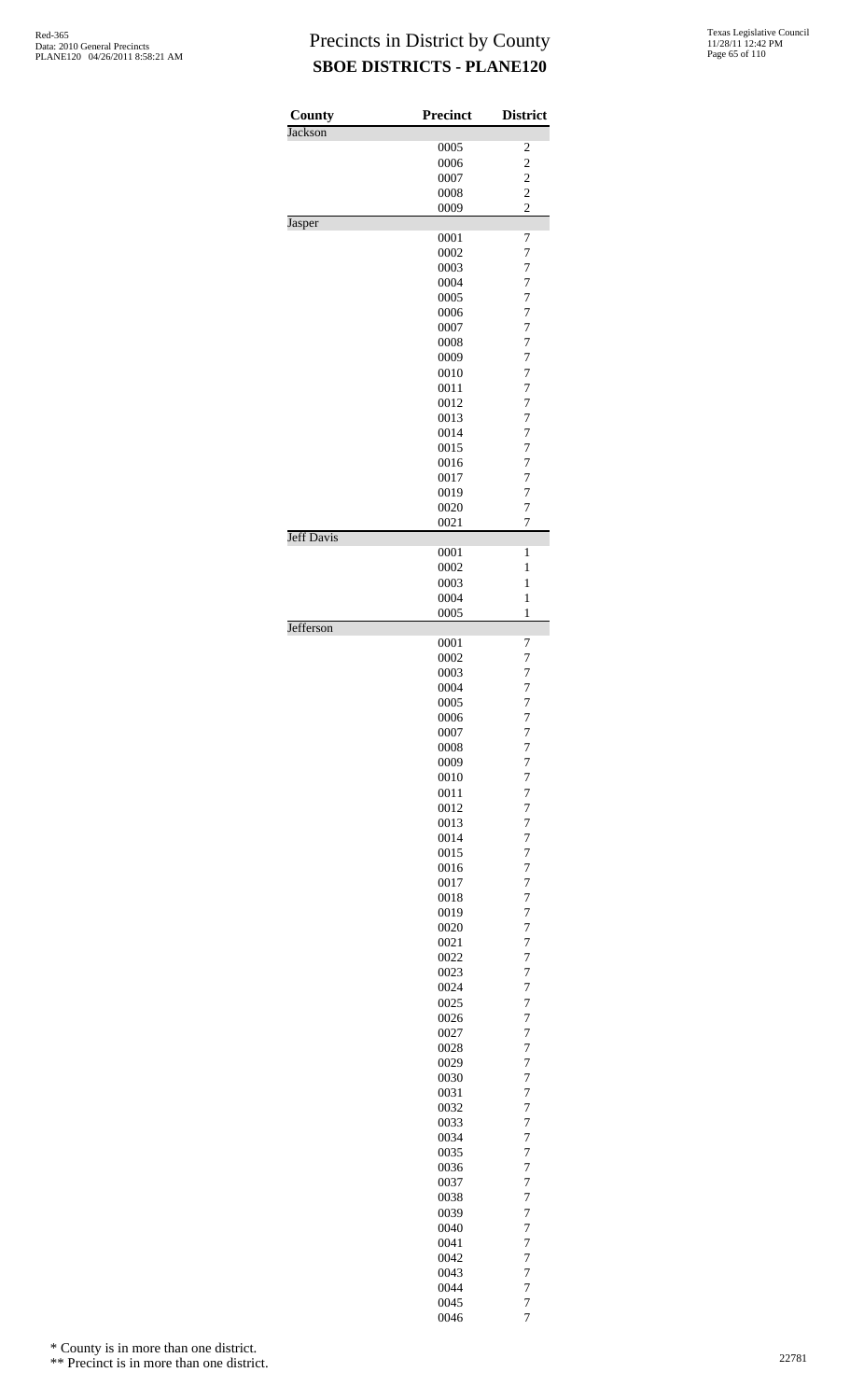| County            | <b>Precinct</b> | <b>District</b>                  |
|-------------------|-----------------|----------------------------------|
| <b>Jackson</b>    |                 |                                  |
|                   | 0005            | $\overline{\mathbf{c}}$          |
|                   | 0006            | $\overline{c}$                   |
|                   | 0007            | $\overline{\mathbf{c}}$          |
|                   | 0008            | $\overline{c}$                   |
|                   | 0009            | $\overline{2}$                   |
| Jasper            | 0001            | 7                                |
|                   | 0002            | 7                                |
|                   | 0003            | $\overline{7}$                   |
|                   | 0004            | $\overline{7}$                   |
|                   | 0005            | $\overline{7}$                   |
|                   | 0006            | $\overline{7}$                   |
|                   | 0007            | $\overline{7}$                   |
|                   | 0008            | $\overline{7}$                   |
|                   | 0009            | $\overline{7}$                   |
|                   | 0010            | $\overline{7}$                   |
|                   | 0011            | $\overline{7}$                   |
|                   | 0012            | $\overline{7}$                   |
|                   | 0013            | $\overline{7}$                   |
|                   | 0014            | $\overline{7}$                   |
|                   | 0015            | $\overline{7}$                   |
|                   | 0016            | $\overline{7}$                   |
|                   | 0017            | $\overline{7}$                   |
|                   | 0019            | $\overline{7}$                   |
|                   | 0020            | $\overline{7}$                   |
|                   | 0021            | $\overline{7}$                   |
| <b>Jeff Davis</b> | 0001            | 1                                |
|                   | 0002            | 1                                |
|                   | 0003            | 1                                |
|                   | 0004            | 1                                |
|                   | 0005            | $\mathbf{1}$                     |
| Jefferson         |                 |                                  |
|                   | 0001<br>0002    | 7<br>$\overline{7}$              |
|                   | 0003            | $\overline{7}$                   |
|                   | 0004            | $\overline{7}$                   |
|                   | 0005            | 7                                |
|                   | 0006            | 7                                |
|                   | 0007            | $\overline{7}$                   |
|                   | 0008            | $\overline{7}$                   |
|                   | 0009            | $\overline{7}$                   |
|                   | 0010            | $\overline{7}$                   |
|                   | 0011            | $\overline{7}$                   |
|                   | 0012            | $\overline{7}$                   |
|                   | 0013<br>0014    | $\overline{7}$                   |
|                   | 0015            | 7<br>$\overline{7}$              |
|                   | 0016            | $\overline{7}$                   |
|                   | 0017            | $\overline{7}$                   |
|                   | 0018            | $\overline{7}$                   |
|                   | 0019            | 7                                |
|                   | 0020            | $\overline{7}$                   |
|                   | 0021            | $\overline{7}$                   |
|                   | 0022            | $\overline{7}$                   |
|                   | 0023            | $\overline{7}$                   |
|                   | 0024            | 7                                |
|                   | 0025            | $\overline{7}$                   |
|                   | 0026            | $\overline{7}$                   |
|                   | 0027            | $\overline{7}$                   |
|                   | 0028<br>0029    | $\overline{7}$<br>7              |
|                   | 0030            | $\overline{7}$                   |
|                   | 0031            | $\overline{7}$                   |
|                   | 0032            | $\overline{7}$                   |
|                   | 0033            | $\overline{7}$                   |
|                   | 0034            | 7                                |
|                   | 0035            | $\overline{7}$                   |
|                   | 0036            | $\overline{7}$                   |
|                   | 0037            | $\overline{7}$                   |
|                   | 0038            | $\overline{7}$                   |
|                   | 0039            | 7                                |
|                   | 0040<br>0041    | $\overline{7}$<br>$\overline{7}$ |
|                   | 0042            | 7                                |
|                   | 0043            | $\overline{7}$                   |
|                   | 0044            | $\overline{7}$                   |
|                   | 0045            | $\overline{7}$                   |
|                   | 0046            | $\overline{7}$                   |

\* County is in more than one district.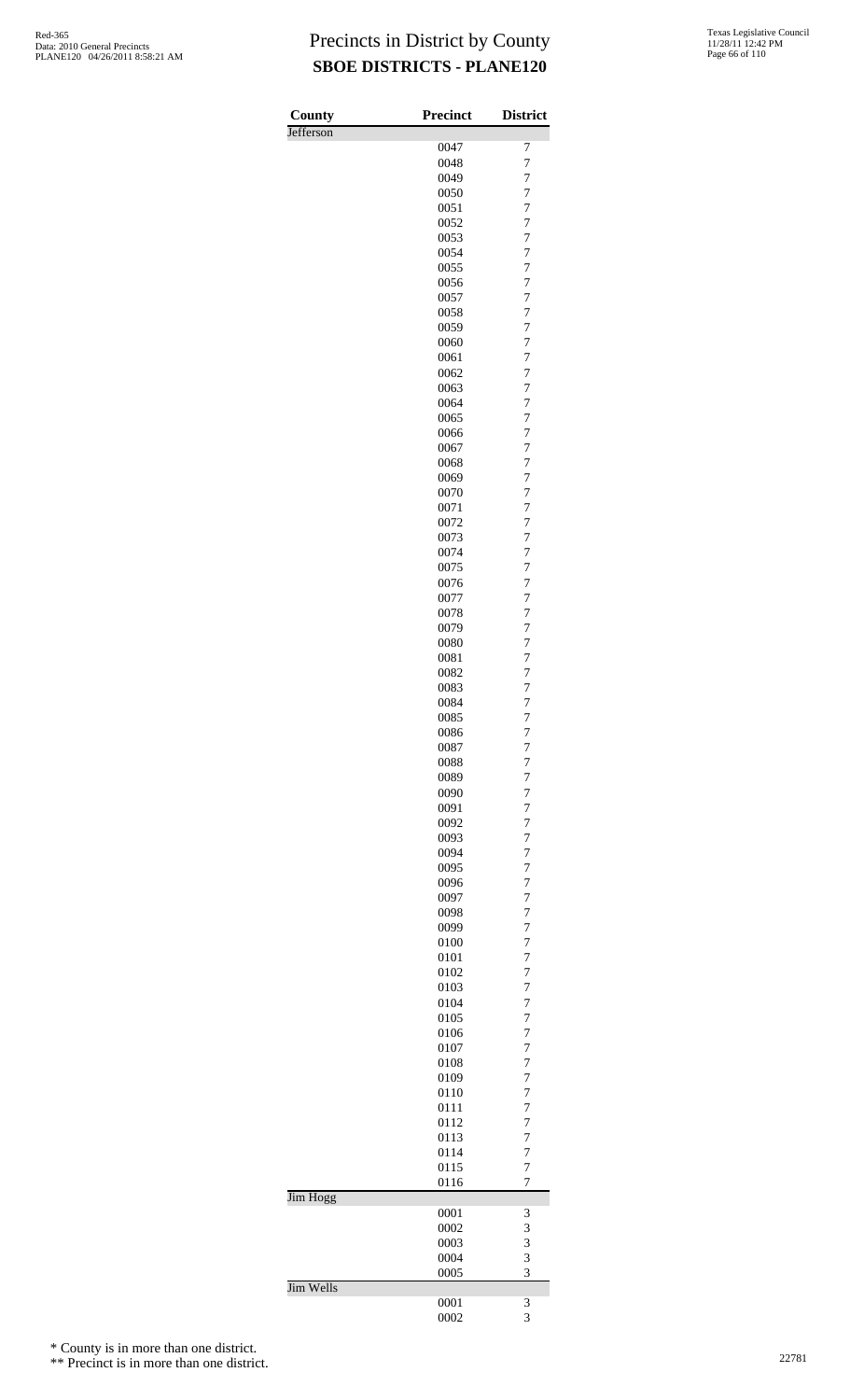| County    | <b>Precinct</b> | <b>District</b>                  |
|-----------|-----------------|----------------------------------|
| Jefferson |                 |                                  |
|           | 0047<br>0048    | 7<br>$\overline{7}$              |
|           | 0049            | $\overline{7}$                   |
|           | 0050            | $\overline{7}$                   |
|           | 0051            | $\overline{7}$                   |
|           | 0052            | $\overline{7}$                   |
|           | 0053<br>0054    | $\overline{7}$<br>7              |
|           | 0055            | 7                                |
|           | 0056            | $\overline{7}$                   |
|           | 0057            | $\overline{7}$                   |
|           | 0058            | $\overline{7}$                   |
|           | 0059            | $\overline{7}$                   |
|           | 0060<br>0061    | $\overline{7}$<br>$\overline{7}$ |
|           | 0062            | $\overline{7}$                   |
|           | 0063            | $\overline{7}$                   |
|           | 0064            | 7                                |
|           | 0065            | 7                                |
|           | 0066<br>0067    | $\overline{7}$<br>$\overline{7}$ |
|           | 0068            | $\overline{7}$                   |
|           | 0069            | $\overline{7}$                   |
|           | 0070            | $\overline{7}$                   |
|           | 0071            | $\overline{7}$                   |
|           | 0072<br>0073    | $\overline{7}$<br>$\overline{7}$ |
|           | 0074            | 7                                |
|           | 0075            | $\overline{7}$                   |
|           | 0076            | $\overline{7}$                   |
|           | 0077            | $\overline{7}$                   |
|           | 0078<br>0079    | $\overline{7}$<br>$\overline{7}$ |
|           | 0080            | $\overline{7}$                   |
|           | 0081            | $\overline{7}$                   |
|           | 0082            | $\overline{7}$                   |
|           | 0083            | $\overline{7}$                   |
|           | 0084<br>0085    | $\overline{7}$<br>$\overline{7}$ |
|           | 0086            | $\overline{7}$                   |
|           | 0087            | $\overline{7}$                   |
|           | 0088            | $\overline{7}$                   |
|           | 0089            | $\overline{7}$                   |
|           | 0090<br>0091    | $\overline{7}$<br>$\overline{7}$ |
|           | 0092            | $\overline{7}$                   |
|           | 0093            | $\overline{7}$                   |
|           | 0094            | $\overline{7}$                   |
|           | 0095            | $\overline{7}$                   |
|           | 0096            | $\overline{7}$                   |
|           | 0097<br>0098    | 7<br>7                           |
|           | 0099            | $\overline{7}$                   |
|           | 0100            | $\overline{7}$                   |
|           | 0101            | $\overline{7}$                   |
|           | 0102            | $\overline{7}$                   |
|           | 0103<br>0104    | $\overline{7}$<br>$\overline{7}$ |
|           | 0105            | $\overline{7}$                   |
|           | 0106            | $\overline{7}$                   |
|           | 0107            | 7                                |
|           | 0108            | 7                                |
|           | 0109<br>0110    | 7<br>$\overline{7}$              |
|           | 0111            | $\overline{7}$                   |
|           | 0112            | $\overline{7}$                   |
|           | 0113            | $\overline{7}$                   |
|           | 0114            | $\overline{7}$                   |
|           | 0115<br>0116    | $\overline{7}$<br>$\overline{7}$ |
| Jim Hogg  |                 |                                  |
|           | 0001            | 3                                |
|           | 0002            | 3                                |
|           | 0003            | 3                                |
|           | 0004<br>0005    | 3<br>3                           |
| Jim Wells |                 |                                  |
|           | 0001            | 3                                |
|           | 0002            | 3                                |

\* County is in more than one district.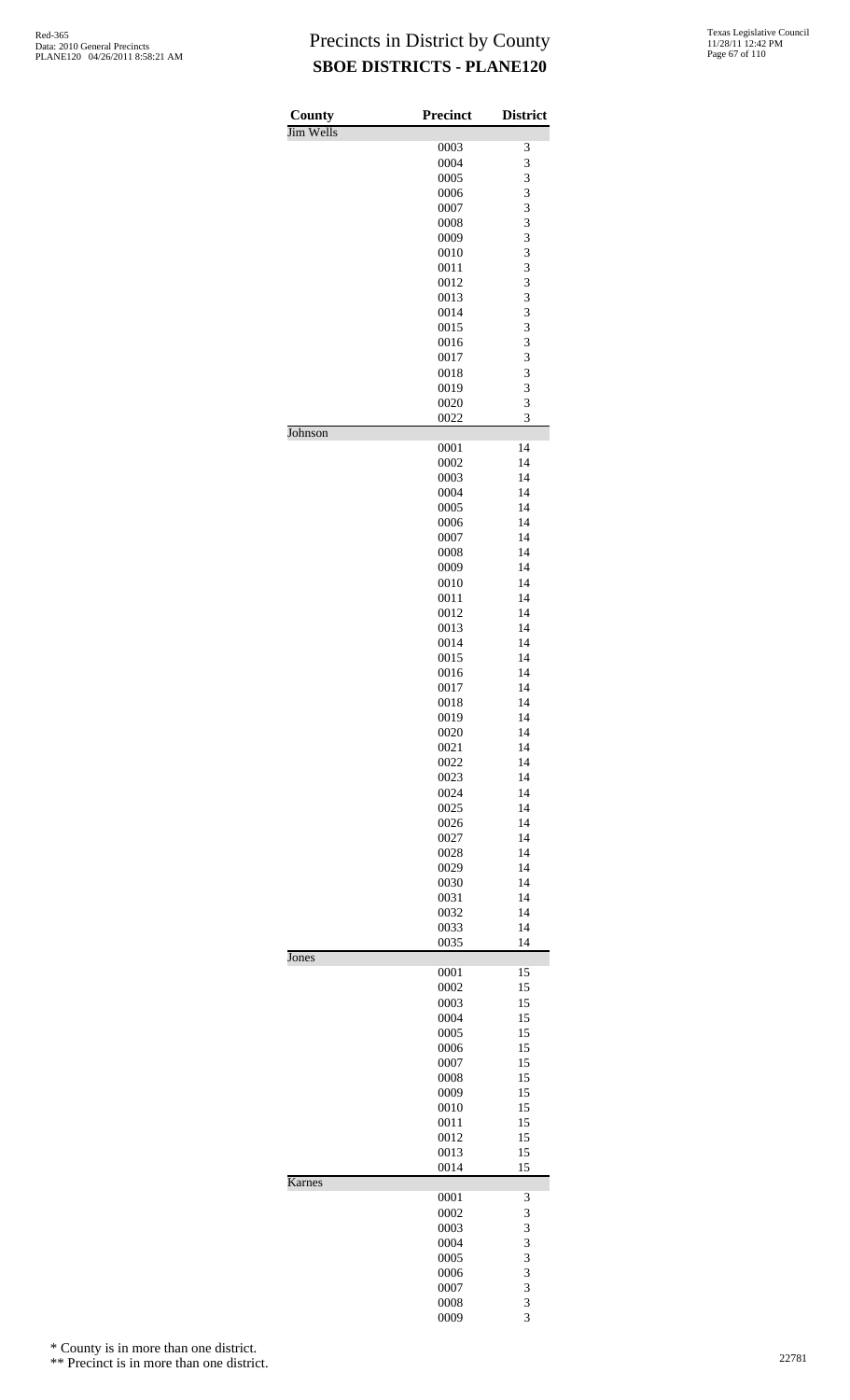| County    | <b>Precinct</b> | <b>District</b> |
|-----------|-----------------|-----------------|
| Jim Wells | 0003            | 3               |
|           | 0004            | 3               |
|           | 0005            | 3               |
|           | 0006            | 3               |
|           | 0007            | 3               |
|           | 0008            | 3               |
|           | 0009            | 3               |
|           | 0010            | 3               |
|           | 0011            | 3               |
|           | 0012            | 3               |
|           | 0013            | 3               |
|           | 0014            | 3               |
|           | 0015            | 3               |
|           | 0016            | 3               |
|           | 0017            | 3               |
|           | 0018            | 3               |
|           | 0019            | 3               |
|           | 0020            | 3<br>3          |
| Johnson   | 0022            |                 |
|           | 0001            | 14              |
|           | 0002            | 14              |
|           | 0003            | 14              |
|           | 0004            | 14              |
|           | 0005            | 14              |
|           | 0006            | 14              |
|           | 0007            | 14              |
|           | 0008            | 14<br>14        |
|           | 0009<br>0010    | 14              |
|           | 0011            | 14              |
|           | 0012            | 14              |
|           | 0013            | 14              |
|           | 0014            | 14              |
|           | 0015            | 14              |
|           | 0016            | 14              |
|           | 0017            | 14              |
|           | 0018            | 14              |
|           | 0019            | 14              |
|           | 0020            | 14              |
|           | 0021            | 14              |
|           | 0022            | 14              |
|           | 0023            | 14              |
|           | 0024            | 14              |
|           | 0025            | 14              |
|           | 0026            | 14              |
|           | 0027            | 14              |
|           | 0028            | 14              |
|           | 0029            | 14              |
|           | 0030            | 14              |
|           | 0031            | 14              |
|           | 0032            | 14              |
|           | 0033            | 14              |
| Jones     | 0035            | 14              |
|           | 0001            | 15              |
|           | 0002            | 15              |
|           | 0003            | 15              |
|           | 0004            | 15              |
|           | 0005            | 15              |
|           | 0006            | 15              |
|           | 0007            | 15              |
|           | 0008            | 15              |
|           | 0009<br>0010    | 15<br>15        |
|           | 0011            | 15              |
|           | 0012            | 15              |
|           | 0013            | 15              |
|           | 0014            | 15              |
| Karnes    |                 |                 |
|           | 0001<br>0002    | 3<br>3          |
|           | 0003            | 3               |
|           | 0004            | 3               |
|           | 0005            | 3               |
|           | 0006            | 3               |
|           | 0007            | 3               |
|           | 0008            | 3               |
|           | 0009            | 3               |

\* County is in more than one district.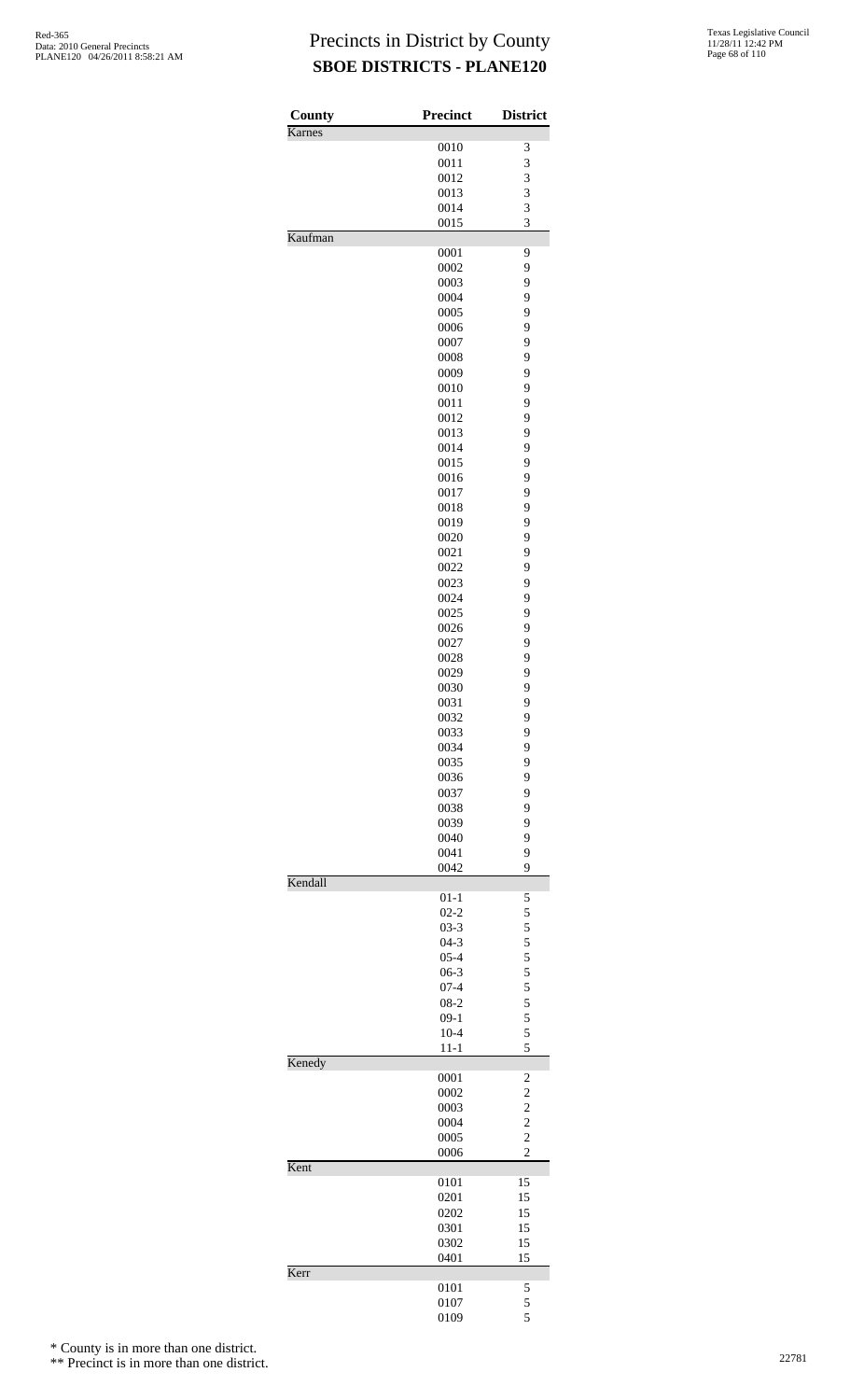| County<br>Karnes | <b>Precinct</b>      | <b>District</b>                            |
|------------------|----------------------|--------------------------------------------|
|                  | 0010                 | 3                                          |
|                  | 0011                 | 3                                          |
|                  | 0012                 | 3                                          |
|                  | 0013                 | 3                                          |
|                  | 0014                 | 3                                          |
|                  | 0015                 | 3                                          |
| Kaufman          |                      |                                            |
|                  | 0001                 | 9                                          |
|                  | 0002                 | 9                                          |
|                  | 0003                 | 9                                          |
|                  | 0004                 | 9                                          |
|                  | 0005                 | 9                                          |
|                  | 0006                 | 9                                          |
|                  | 0007                 | 9                                          |
|                  | 0008                 | 9<br>9                                     |
|                  | 0009<br>0010         | 9                                          |
|                  | 0011                 | 9                                          |
|                  | 0012                 | 9                                          |
|                  | 0013                 | 9                                          |
|                  | 0014                 | 9                                          |
|                  | 0015                 | 9                                          |
|                  | 0016                 | 9                                          |
|                  | 0017                 | 9                                          |
|                  | 0018                 | 9                                          |
|                  | 0019                 | 9                                          |
|                  | 0020                 | 9                                          |
|                  | 0021                 | 9                                          |
|                  | 0022                 | 9                                          |
|                  | 0023                 | 9                                          |
|                  | 0024                 | 9                                          |
|                  | 0025                 | 9                                          |
|                  | 0026                 | 9                                          |
|                  | 0027                 | 9                                          |
|                  | 0028                 | 9                                          |
|                  | 0029                 | 9                                          |
|                  | 0030                 | 9                                          |
|                  | 0031                 | 9                                          |
|                  | 0032                 | 9                                          |
|                  | 0033                 | 9                                          |
|                  | 0034                 | 9                                          |
|                  | 0035                 | 9                                          |
|                  | 0036                 | 9<br>9                                     |
|                  | 0037<br>0038         | 9                                          |
|                  | 0039                 | 9                                          |
|                  | 0040                 | 9                                          |
|                  | 0041                 | 9                                          |
|                  | 0042                 | 9                                          |
| Kendall          |                      |                                            |
|                  | $01 - 1$<br>$02 - 2$ | 5<br>5                                     |
|                  | $03 - 3$             |                                            |
|                  | $04-3$               |                                            |
|                  | $05 - 4$             | $\begin{array}{c} 5 \\ 5 \\ 5 \end{array}$ |
|                  | $06-3$               | 5                                          |
|                  | $07 - 4$             |                                            |
|                  | $08-2$               |                                            |
|                  | $09-1$               | $\frac{5}{5}$ 5 5                          |
|                  | $10 - 4$             |                                            |
|                  | $11 - 1$             | 5                                          |
| Kenedy           | 0001                 |                                            |
|                  | 0002                 | $\overline{\mathbf{c}}$                    |
|                  | 0003                 | $\frac{2}{2}$                              |
|                  | 0004                 | $\overline{\mathbf{c}}$                    |
|                  | 0005                 | $\overline{c}$                             |
|                  | 0006                 | $\overline{c}$                             |
| Kent             |                      |                                            |
|                  | 0101                 | 15                                         |
|                  | 0201                 | 15                                         |
|                  | 0202<br>0301         | 15<br>15                                   |
|                  | 0302                 | 15                                         |
|                  | 0401                 | 15                                         |
| Kerr             |                      |                                            |
|                  | 0101                 | 5                                          |
|                  | 0107                 | 5                                          |
|                  | 0109                 | 5                                          |

\* County is in more than one district.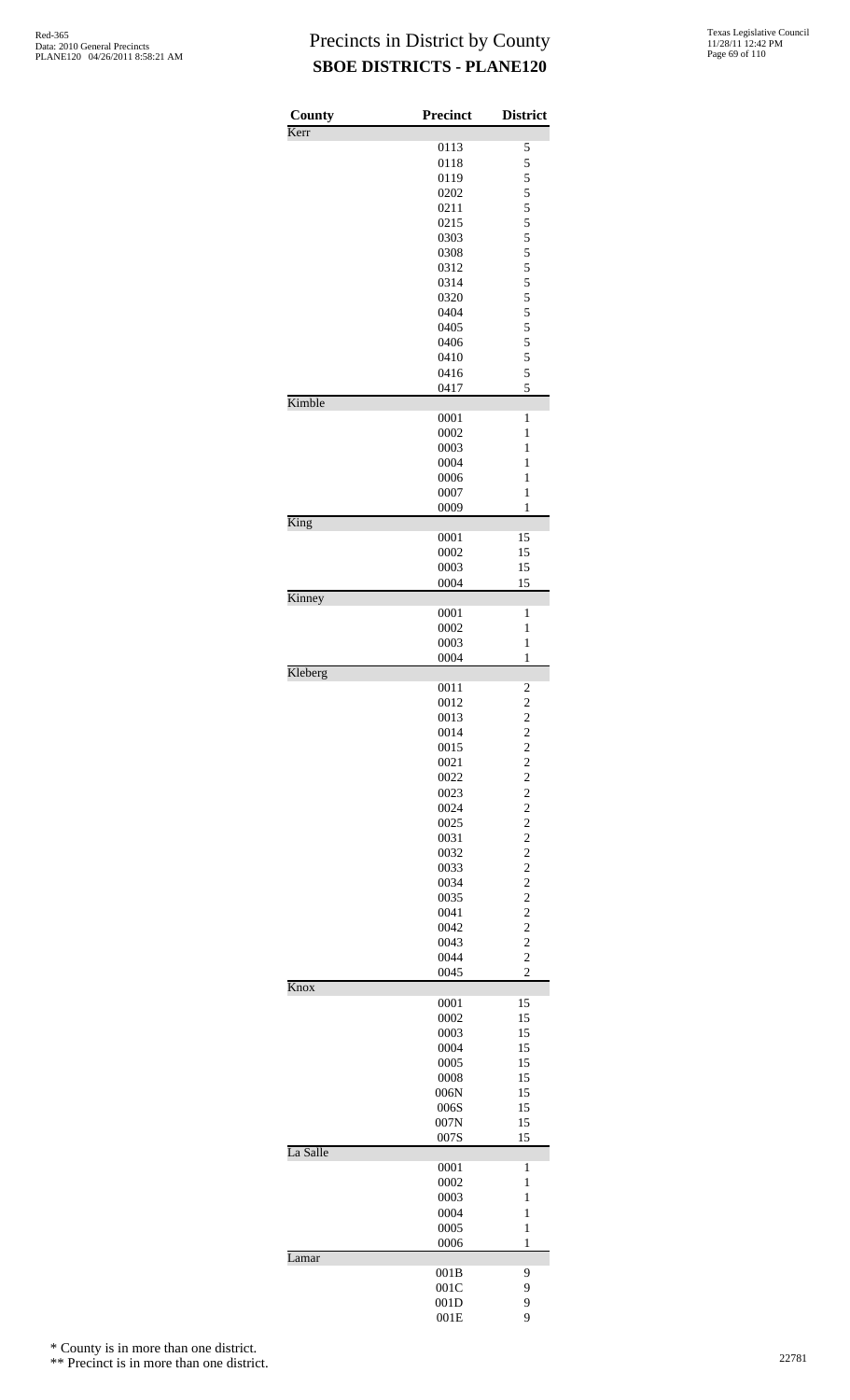| County   | Precinct     | <b>District</b>                            |
|----------|--------------|--------------------------------------------|
| Kerr     |              |                                            |
|          | 0113         | 5                                          |
|          | 0118         | 5                                          |
|          | 0119<br>0202 | 5<br>5                                     |
|          | 0211         | 5                                          |
|          | 0215         | 5                                          |
|          | 0303         | 5                                          |
|          | 0308         | 5                                          |
|          | 0312         | $\frac{5}{5}$                              |
|          | 0314         |                                            |
|          | 0320<br>0404 | 5<br>5                                     |
|          | 0405         | 5                                          |
|          | 0406         | 5                                          |
|          | 0410         | 5                                          |
|          | 0416         | 5                                          |
|          | 0417         | 5                                          |
| Kimble   | 0001         | 1                                          |
|          | 0002         | 1                                          |
|          | 0003         | 1                                          |
|          | 0004         | 1                                          |
|          | 0006         | $\mathbf{1}$                               |
|          | 0007         | 1                                          |
| King     | 0009         | 1                                          |
|          | 0001         | 15                                         |
|          | 0002         | 15                                         |
|          | 0003         | 15                                         |
|          | 0004         | 15                                         |
| Kinney   | 0001         | 1                                          |
|          | 0002         | 1                                          |
|          | 0003         | 1                                          |
|          | 0004         | 1                                          |
| Kleberg  |              |                                            |
|          | 0011         | $\overline{\mathbf{c}}$                    |
|          | 0012<br>0013 | $\overline{\mathbf{c}}$<br>$\overline{c}$  |
|          | 0014         | $\overline{\mathbf{c}}$                    |
|          | 0015         |                                            |
|          | 0021         | $\begin{array}{c} 2 \\ 2 \\ 2 \end{array}$ |
|          | 0022         |                                            |
|          | 0023         | $\frac{2}{2}$                              |
|          | 0024         |                                            |
|          | 0025<br>0031 |                                            |
|          | 0032         | $\begin{array}{c} 2 \\ 2 \\ 2 \end{array}$ |
|          | 0033         |                                            |
|          | 0034         | $\frac{2}{2}$                              |
|          | 0035         | $\frac{2}{2}$                              |
|          | 0041         |                                            |
|          | 0042<br>0043 | $\overline{c}$                             |
|          | 0044         | $\frac{2}{2}$                              |
|          | 0045         | $\overline{c}$                             |
| Knox     |              |                                            |
|          | 0001         | 15                                         |
|          | 0002<br>0003 | 15<br>15                                   |
|          | 0004         | 15                                         |
|          | 0005         | 15                                         |
|          | 0008         | 15                                         |
|          | 006N         | 15                                         |
|          | 006S         | 15                                         |
|          | 007N<br>007S | 15<br>15                                   |
| La Salle |              |                                            |
|          | 0001         | 1                                          |
|          | 0002         | $\mathbf{1}$                               |
|          | 0003         | 1                                          |
|          | 0004         | $\mathbf{1}$                               |
|          | 0005<br>0006 | $\mathbf{1}$<br>1                          |
| Lamar    |              |                                            |
|          | 001B         | 9                                          |
|          | 001C         | 9                                          |
|          | 001D         | 9                                          |
|          | 001E         | 9                                          |

\* County is in more than one district.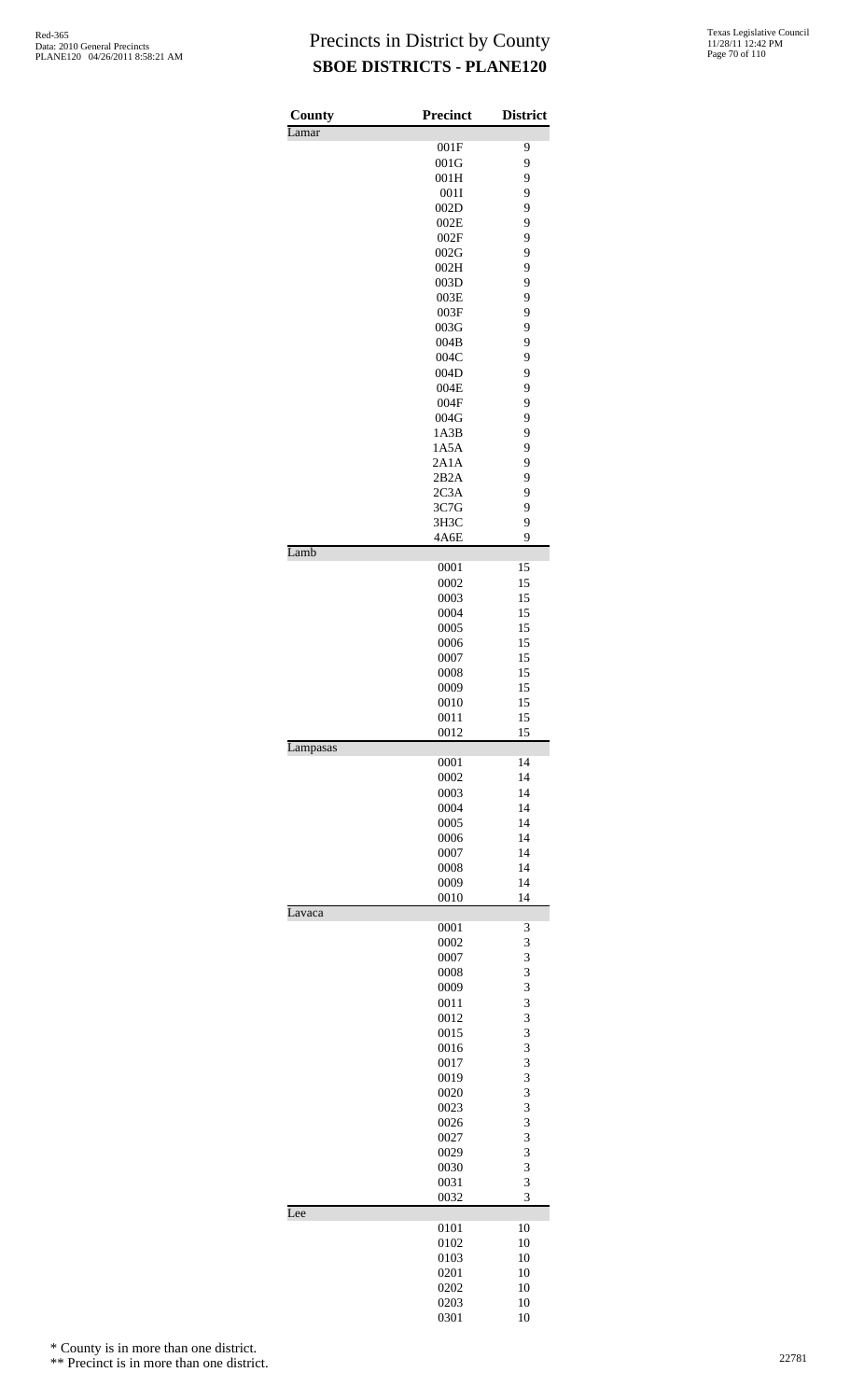| <b>County</b> | Precinct     | <b>District</b> |
|---------------|--------------|-----------------|
| Lamar         |              |                 |
|               | 001F         | 9               |
|               | 001G<br>001H | 9<br>9          |
|               | 001I         | 9               |
|               | 002D         | 9               |
|               | 002E         | 9               |
|               | 002F         | 9               |
|               | 002G<br>002H | 9<br>9          |
|               | 003D         | 9               |
|               | 003E         | 9               |
|               | 003F         | 9               |
|               | 003G         | 9               |
|               | 004B<br>004C | 9<br>9          |
|               | 004D         | 9               |
|               | 004E         | 9               |
|               | 004F         | 9               |
|               | 004G         | 9               |
|               | 1A3B<br>1A5A | 9<br>9          |
|               | 2A1A         | 9               |
|               | 2B2A         | 9               |
|               | 2C3A         | 9               |
|               | 3C7G         | 9               |
|               | 3H3C<br>4A6E | 9<br>9          |
| Lamb          |              |                 |
|               | 0001         | 15              |
|               | 0002         | 15              |
|               | 0003         | 15              |
|               | 0004<br>0005 | 15<br>15        |
|               | 0006         | 15              |
|               | 0007         | 15              |
|               | 0008         | 15              |
|               | 0009         | 15              |
|               | 0010<br>0011 | 15<br>15        |
|               | 0012         | 15              |
| Lampasas      |              |                 |
|               | 0001         | 14              |
|               | 0002<br>0003 | 14<br>14        |
|               | 0004         | 14              |
|               | 0005         | 14              |
|               | 0006         | 14              |
|               | 0007         | 14              |
|               | 0008<br>0009 | 14<br>14        |
|               | 0010         | 14              |
| Lavaca        |              |                 |
|               | 0001         | 3               |
|               | 0002<br>0007 | 3<br>3          |
|               | 0008         | 3               |
|               | 0009         | 3               |
|               | 0011         | 3               |
|               | 0012         | 3               |
|               | 0015<br>0016 | 3<br>3          |
|               | 0017         | 3               |
|               | 0019         | 3               |
|               | 0020         | 3               |
|               | 0023         | 3               |
|               | 0026         | 3<br>3          |
|               | 0027<br>0029 | 3               |
|               | 0030         | 3               |
|               | 0031         | 3               |
|               | 0032         | 3               |
| Lee           |              |                 |
|               | 0101<br>0102 | 10<br>10        |
|               | 0103         | 10              |
|               | 0201         | 10              |
|               | 0202         | 10              |
|               | 0203         | 10              |
|               | 0301         | 10              |

\* County is in more than one district.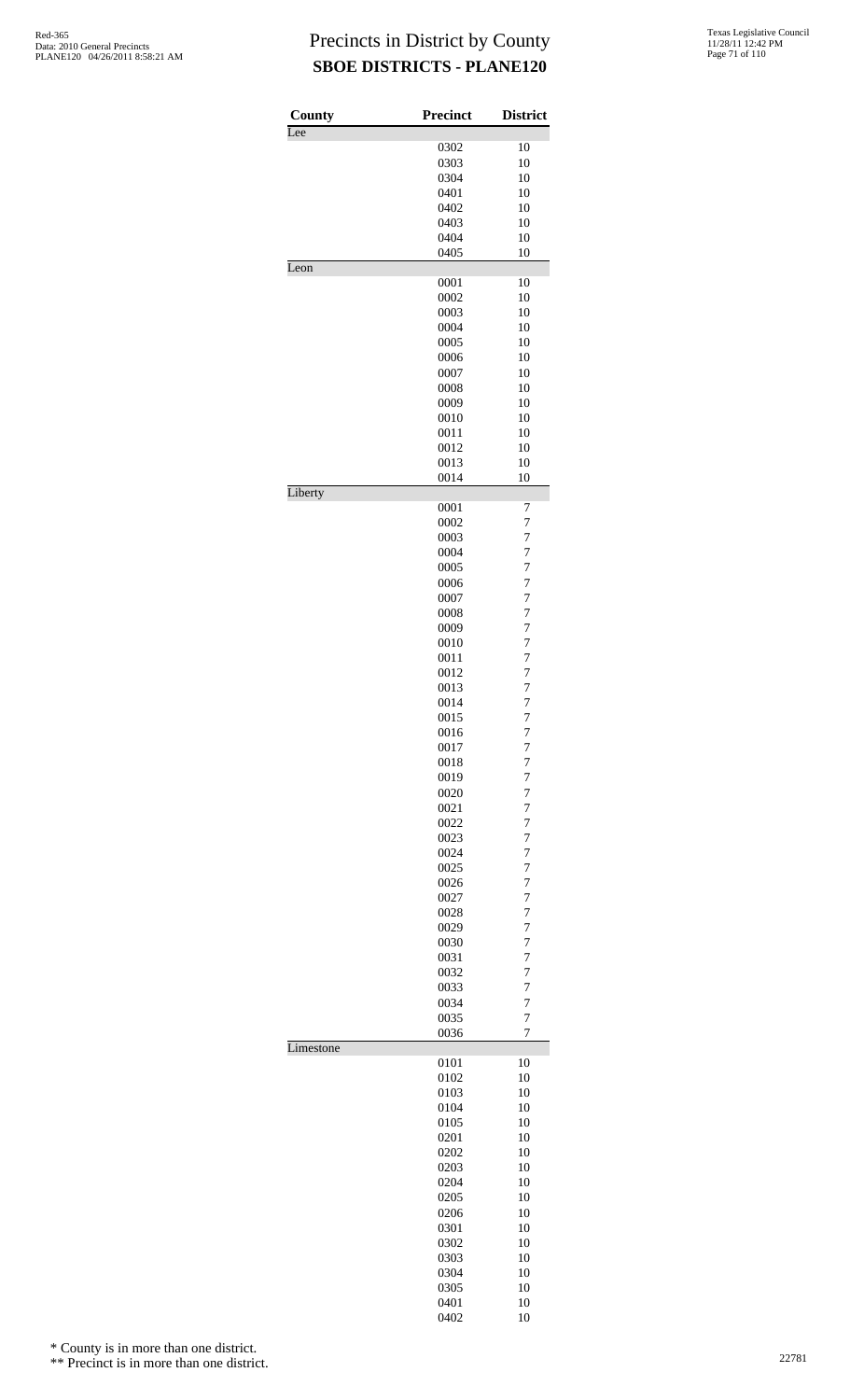| County<br>Lee | Precinct     | <b>District</b>                  |
|---------------|--------------|----------------------------------|
|               | 0302         | 10                               |
|               | 0303         | 10                               |
|               | 0304         | 10                               |
|               | 0401         | 10                               |
|               | 0402         | 10                               |
|               | 0403         | 10                               |
|               | 0404         | 10                               |
|               | 0405         | 10                               |
| Leon          |              |                                  |
|               | 0001         | 10                               |
|               | 0002         | 10                               |
|               | 0003         | 10                               |
|               | 0004<br>0005 | 10<br>10                         |
|               | 0006         | 10                               |
|               | 0007         | 10                               |
|               | 0008         | 10                               |
|               | 0009         | 10                               |
|               | 0010         | 10                               |
|               | 0011         | 10                               |
|               | 0012         | 10                               |
|               | 0013         | 10                               |
|               | 0014         | 10                               |
| Liberty       |              |                                  |
|               | 0001         | 7                                |
|               | 0002         | $\overline{7}$                   |
|               | 0003         | $\overline{7}$                   |
|               | 0004         | $\overline{7}$                   |
|               | 0005         | 7                                |
|               | 0006         | $\overline{7}$                   |
|               | 0007         | $\overline{7}$<br>$\overline{7}$ |
|               | 0008<br>0009 | $\overline{7}$                   |
|               | 0010         | 7                                |
|               | 0011         | $\overline{7}$                   |
|               | 0012         | $\overline{7}$                   |
|               | 0013         | $\overline{7}$                   |
|               | 0014         | $\overline{7}$                   |
|               | 0015         | 7                                |
|               | 0016         | 7                                |
|               | 0017         | $\overline{7}$                   |
|               | 0018         | $\overline{7}$                   |
|               | 0019         | $\overline{7}$                   |
|               | 0020         | 7                                |
|               | 0021         | $\overline{7}$                   |
|               | 0022         | $\overline{7}$                   |
|               | 0023         | $\overline{7}$                   |
|               | 0024         | $\overline{7}$                   |
|               | 0025         | 7                                |
|               | 0026         | $\overline{7}$                   |
|               | 0027         | $\overline{7}$                   |
|               | 0028         | $\overline{7}$                   |
|               | 0029         | $\overline{7}$                   |
|               | 0030         | 7                                |
|               | 0031         | $\overline{7}$                   |
|               | 0032         | $\overline{7}$<br>$\overline{7}$ |
|               | 0033<br>0034 | $\overline{7}$                   |
|               | 0035         | $\overline{7}$                   |
|               | 0036         | 7                                |
| Limestone     |              |                                  |
|               | 0101         | 10                               |
|               | 0102         | 10                               |
|               | 0103         | 10                               |
|               | 0104         | 10                               |
|               | 0105         | 10                               |
|               | 0201         | 10                               |
|               | 0202         | 10                               |
|               | 0203         | 10                               |
|               | 0204         | 10                               |
|               | 0205         | 10                               |
|               | 0206         | 10                               |
|               | 0301         | 10                               |
|               | 0302         | 10                               |
|               | 0303         | 10                               |
|               | 0304         | 10                               |
|               | 0305         | 10                               |
|               |              |                                  |
|               | 0401<br>0402 | 10<br>10                         |

\* County is in more than one district.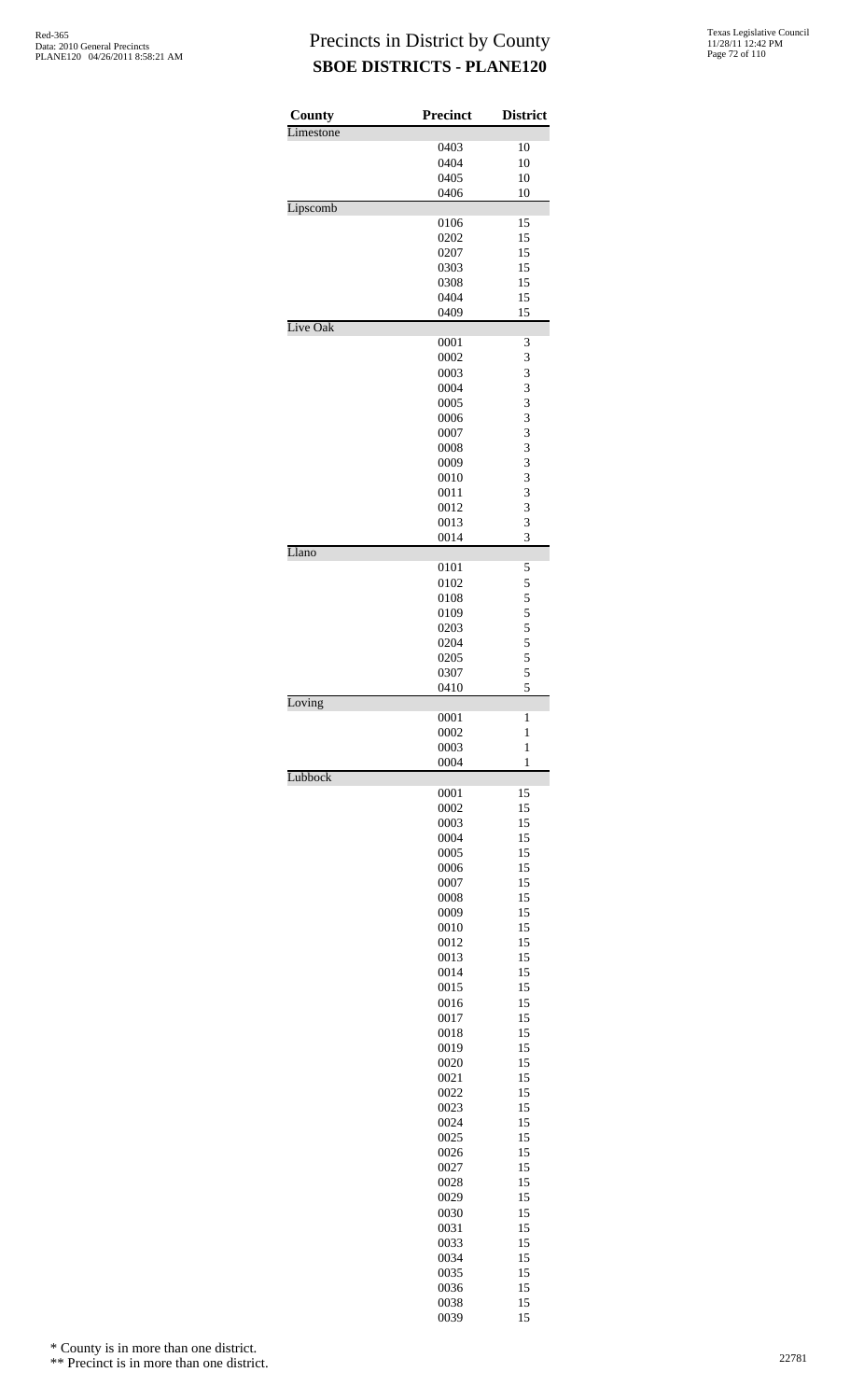| County    | <b>Precinct</b> | <b>District</b>   |
|-----------|-----------------|-------------------|
| Limestone | 0403            | 10                |
|           | 0404            | 10                |
|           | 0405            | 10                |
|           | 0406            | 10                |
| Lipscomb  | 0106            | 15                |
|           | 0202            | 15                |
|           | 0207            | 15                |
|           | 0303            | 15                |
|           | 0308            | 15                |
|           | 0404            | 15                |
| Live Oak  | 0409            | 15                |
|           | 0001            | 3                 |
|           | 0002            | 3                 |
|           | 0003<br>0004    | 3                 |
|           | 0005            | 3<br>3            |
|           | 0006            | 3                 |
|           | 0007            | 3                 |
|           | 0008            | 3                 |
|           | 0009            | 3                 |
|           | 0010            | 3                 |
|           | 0011            | 3                 |
|           | 0012            | 3                 |
|           | 0013            | 3                 |
| Llano     | 0014            | 3                 |
|           | 0101            | 5                 |
|           | 0102            | 5                 |
|           | 0108            | $\frac{5}{5}$     |
|           | 0109            |                   |
|           | 0203<br>0204    | $\frac{5}{5}$     |
|           | 0205            | 5                 |
|           | 0307            | 5                 |
|           | 0410            | 5                 |
| Loving    |                 |                   |
|           | 0001<br>0002    | 1<br>$\mathbf{1}$ |
|           | 0003            | $\mathbf{1}$      |
|           | 0004            | $\mathbf{1}$      |
| Lubbock   | 0001            | 15                |
|           | 0002            | 15                |
|           | 0003            | 15                |
|           | 0004            | 15                |
|           | 0005            | 15                |
|           | 0006            | 15                |
|           | 0007<br>0008    | 15<br>15          |
|           | 0009            | 15                |
|           | 0010            | 15                |
|           | 0012            | 15                |
|           | 0013            | 15                |
|           | 0014            | 15                |
|           | 0015            | 15                |
|           | 0016            | 15                |
|           | 0017            | 15                |
|           | 0018            | 15<br>15          |
|           | 0019<br>0020    | 15                |
|           | 0021            | 15                |
|           | 0022            | 15                |
|           | 0023            | 15                |
|           | 0024            | 15                |
|           | 0025            | 15                |
|           | 0026            | 15                |
|           | 0027            | 15                |
|           | 0028            | 15                |
|           | 0029            | 15                |
|           | 0030            | 15                |
|           | 0031            | 15                |
|           | 0033            | 15<br>15          |
|           | 0034<br>0035    | 15                |
|           | 0036            | 15                |
|           | 0038            | 15                |
|           | 0039            | 15                |

\* County is in more than one district.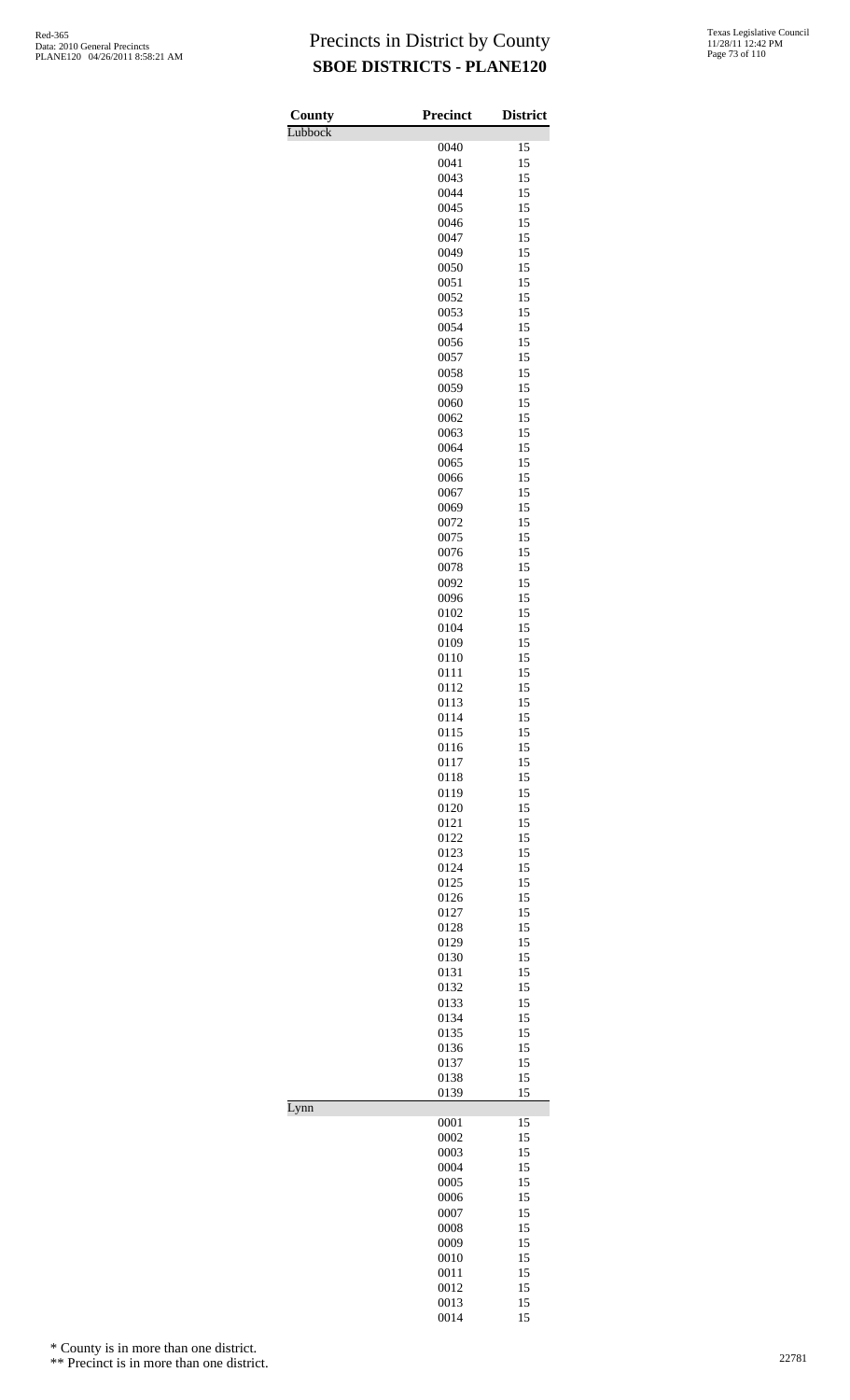| Texas Legislative Council |
|---------------------------|
| 11/28/11 12:42 PM         |
| Page 73 of 110            |

| County  | <b>Precinct</b> | <b>District</b> |
|---------|-----------------|-----------------|
| Lubbock |                 |                 |
|         | 0040            | 15              |
|         | 0041<br>0043    | 15<br>15        |
|         | 0044            | 15              |
|         | 0045            | 15              |
|         | 0046            | 15              |
|         | 0047            | 15              |
|         | 0049            | 15              |
|         | 0050<br>0051    | 15<br>15        |
|         | 0052            | 15              |
|         | 0053            | 15              |
|         | 0054            | 15              |
|         | 0056            | 15              |
|         | 0057            | 15              |
|         | 0058<br>0059    | 15<br>15        |
|         | 0060            | 15              |
|         | 0062            | 15              |
|         | 0063            | 15              |
|         | 0064            | 15              |
|         | 0065            | 15              |
|         | 0066<br>0067    | 15<br>15        |
|         | 0069            | 15              |
|         | 0072            | 15              |
|         | 0075            | 15              |
|         | 0076            | 15              |
|         | 0078            | 15              |
|         | 0092            | 15              |
|         | 0096<br>0102    | 15<br>15        |
|         | 0104            | 15              |
|         | 0109            | 15              |
|         | 0110            | 15              |
|         | 0111            | 15              |
|         | 0112            | 15              |
|         | 0113<br>0114    | 15<br>15        |
|         | 0115            | 15              |
|         | 0116            | 15              |
|         | 0117            | 15              |
|         | 0118            | 15              |
|         | 0119            | 15              |
|         | 0120<br>0121    | 15<br>15        |
|         | 0122            | 15              |
|         | 0123            | 15              |
|         | 0124            | 15              |
|         | 0125            | 15              |
|         | 0126<br>0127    | 15<br>15        |
|         | 0128            | 15              |
|         | 0129            | 15              |
|         | 0130            | 15              |
|         | 0131            | 15              |
|         | 0132            | 15              |
|         | 0133<br>0134    | 15<br>15        |
|         | 0135            | 15              |
|         | 0136            | 15              |
|         | 0137            | 15              |
|         | 0138            | 15              |
| Lynn    | 0139            | 15              |
|         | 0001            | 15              |
|         | 0002            | 15              |
|         | 0003            | 15              |
|         | 0004            | 15              |
|         | 0005<br>0006    | 15<br>15        |
|         | 0007            | 15              |
|         | 0008            | 15              |
|         | 0009            | 15              |
|         | 0010            | 15              |
|         | 0011            | 15              |
|         | 0012<br>0013    | 15              |
|         | 0014            | 15<br>15        |

\* County is in more than one district.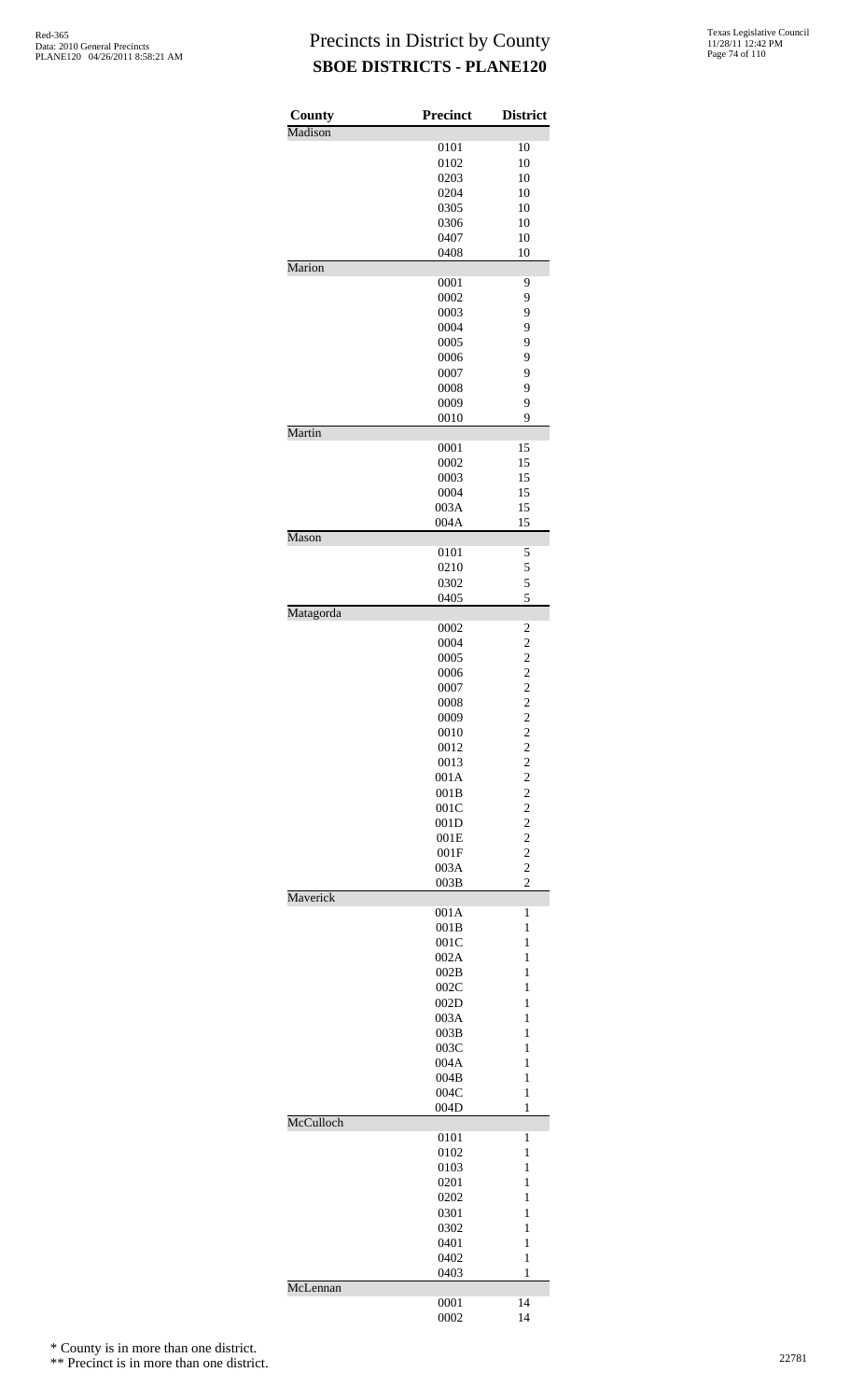| County    | Precinct     | <b>District</b>                           |
|-----------|--------------|-------------------------------------------|
| Madison   |              |                                           |
|           | 0101         | 10                                        |
|           | 0102         | 10                                        |
|           | 0203<br>0204 | 10<br>10                                  |
|           | 0305         | 10                                        |
|           | 0306         | 10                                        |
|           | 0407         | 10                                        |
|           | 0408         | 10                                        |
| Marion    |              |                                           |
|           | 0001         | 9                                         |
|           | 0002         | 9                                         |
|           | 0003<br>0004 | 9<br>9                                    |
|           | 0005         | 9                                         |
|           | 0006         | 9                                         |
|           | 0007         | 9                                         |
|           | 0008         | 9                                         |
|           | 0009         | 9                                         |
| Martin    | 0010         | 9                                         |
|           | 0001         | 15                                        |
|           | 0002         | 15                                        |
|           | 0003         | 15                                        |
|           | 0004         | 15                                        |
|           | 003A         | 15                                        |
|           | 004A         | 15                                        |
| Mason     | 0101         | 5                                         |
|           | 0210         | 5                                         |
|           | 0302         | 5                                         |
|           | 0405         | 5                                         |
| Matagorda |              |                                           |
|           | 0002         | 2                                         |
|           | 0004<br>0005 | $\overline{c}$<br>$\overline{c}$          |
|           | 0006         | $\overline{c}$                            |
|           | 0007         |                                           |
|           | 0008         | $\frac{2}{2}$                             |
|           | 0009         | $\overline{c}$                            |
|           | 0010         | $\overline{c}$                            |
|           | 0012         | $\overline{c}$                            |
|           | 0013         | $\overline{\mathbf{c}}$<br>$\overline{c}$ |
|           | 001A<br>001B | $\overline{c}$                            |
|           | 001C         | $\overline{c}$                            |
|           | 001D         | $\overline{c}$                            |
|           | 001E         | $\overline{\mathbf{c}}$                   |
|           | 001F         | $\overline{c}$                            |
|           | 003A         | $\overline{c}$                            |
| Maverick  | 003B         | $\overline{c}$                            |
|           | 001A         | 1                                         |
|           | 001B         | $\mathbf{1}$                              |
|           | 001C         | $\mathbf{1}$                              |
|           | 002A         | 1                                         |
|           | 002B         | 1                                         |
|           | 002C<br>002D | 1<br>$\mathbf{1}$                         |
|           | 003A         | $\mathbf{1}$                              |
|           | 003B         | 1                                         |
|           | 003C         | 1                                         |
|           | 004A         | 1                                         |
|           | 004B         | $\mathbf{1}$                              |
|           | 004C         | $\mathbf{1}$                              |
| McCulloch | 004D         | 1                                         |
|           | 0101         | 1                                         |
|           | 0102         | $\mathbf{1}$                              |
|           | 0103         | $\mathbf{1}$                              |
|           | 0201         | 1                                         |
|           | 0202         | 1                                         |
|           | 0301<br>0302 | 1<br>$\mathbf{1}$                         |
|           | 0401         | $\mathbf{1}$                              |
|           | 0402         | 1                                         |
|           | 0403         | 1                                         |
| McLennan  |              |                                           |
|           | 0001         | 14                                        |
|           | 0002         | 14                                        |

\* County is in more than one district.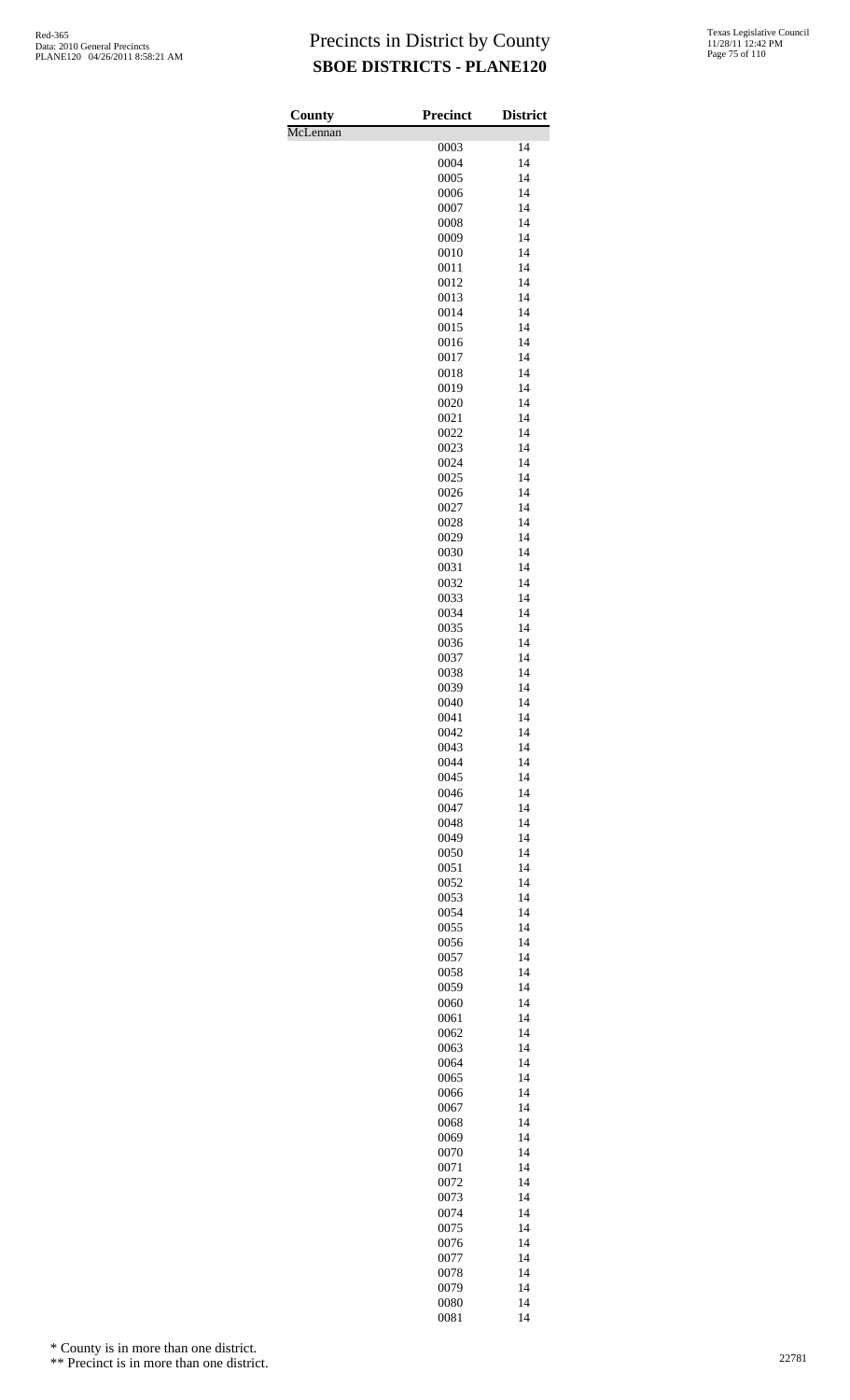| County<br>McLennan | Precinct     | <b>District</b> |
|--------------------|--------------|-----------------|
|                    | 0003         | 14              |
|                    | 0004         | 14              |
|                    | 0005         | 14              |
|                    | 0006         | 14              |
|                    | 0007         | 14              |
|                    | 0008         | 14              |
|                    | 0009<br>0010 | 14<br>14        |
|                    | 0011         | 14              |
|                    | 0012         | 14              |
|                    | 0013         | 14              |
|                    | 0014         | 14              |
|                    | 0015         | 14              |
|                    | 0016         | 14<br>14        |
|                    | 0017<br>0018 | 14              |
|                    | 0019         | 14              |
|                    | 0020         | 14              |
|                    | 0021         | 14              |
|                    | 0022         | 14              |
|                    | 0023         | 14              |
|                    | 0024<br>0025 | 14<br>14        |
|                    | 0026         | 14              |
|                    | 0027         | 14              |
|                    | 0028         | 14              |
|                    | 0029         | 14              |
|                    | 0030         | 14              |
|                    | 0031         | 14              |
|                    | 0032<br>0033 | 14<br>14        |
|                    | 0034         | 14              |
|                    | 0035         | 14              |
|                    | 0036         | 14              |
|                    | 0037         | 14              |
|                    | 0038         | 14              |
|                    | 0039         | 14              |
|                    | 0040<br>0041 | 14<br>14        |
|                    | 0042         | 14              |
|                    | 0043         | 14              |
|                    | 0044         | 14              |
|                    | 0045         | 14              |
|                    | 0046         | 14              |
|                    | 0047<br>0048 | 14<br>14        |
|                    | 0049         | 14              |
|                    | 0050         | 14              |
|                    | 0051         | 14              |
|                    | 0052         | 14              |
|                    | 0053         | 14              |
|                    | 0054         | 14              |
|                    | 0055<br>0056 | 14<br>14        |
|                    | 0057         | 14              |
|                    | 0058         | 14              |
|                    | 0059         | 14              |
|                    | 0060         | 14              |
|                    | 0061         | 14              |
|                    | 0062<br>0063 | 14<br>14        |
|                    | 0064         | 14              |
|                    | 0065         | 14              |
|                    | 0066         | 14              |
|                    | 0067         | 14              |
|                    | 0068         | 14              |
|                    | 0069         | 14              |
|                    | 0070<br>0071 | 14<br>14        |
|                    | 0072         | 14              |
|                    | 0073         | 14              |
|                    | 0074         | 14              |
|                    | 0075         | 14              |
|                    | 0076         | 14              |
|                    | 0077         | 14              |
|                    | 0078         | 14              |
|                    | 0079<br>0080 | 14<br>14        |
|                    | 0081         | 14              |

\* County is in more than one district.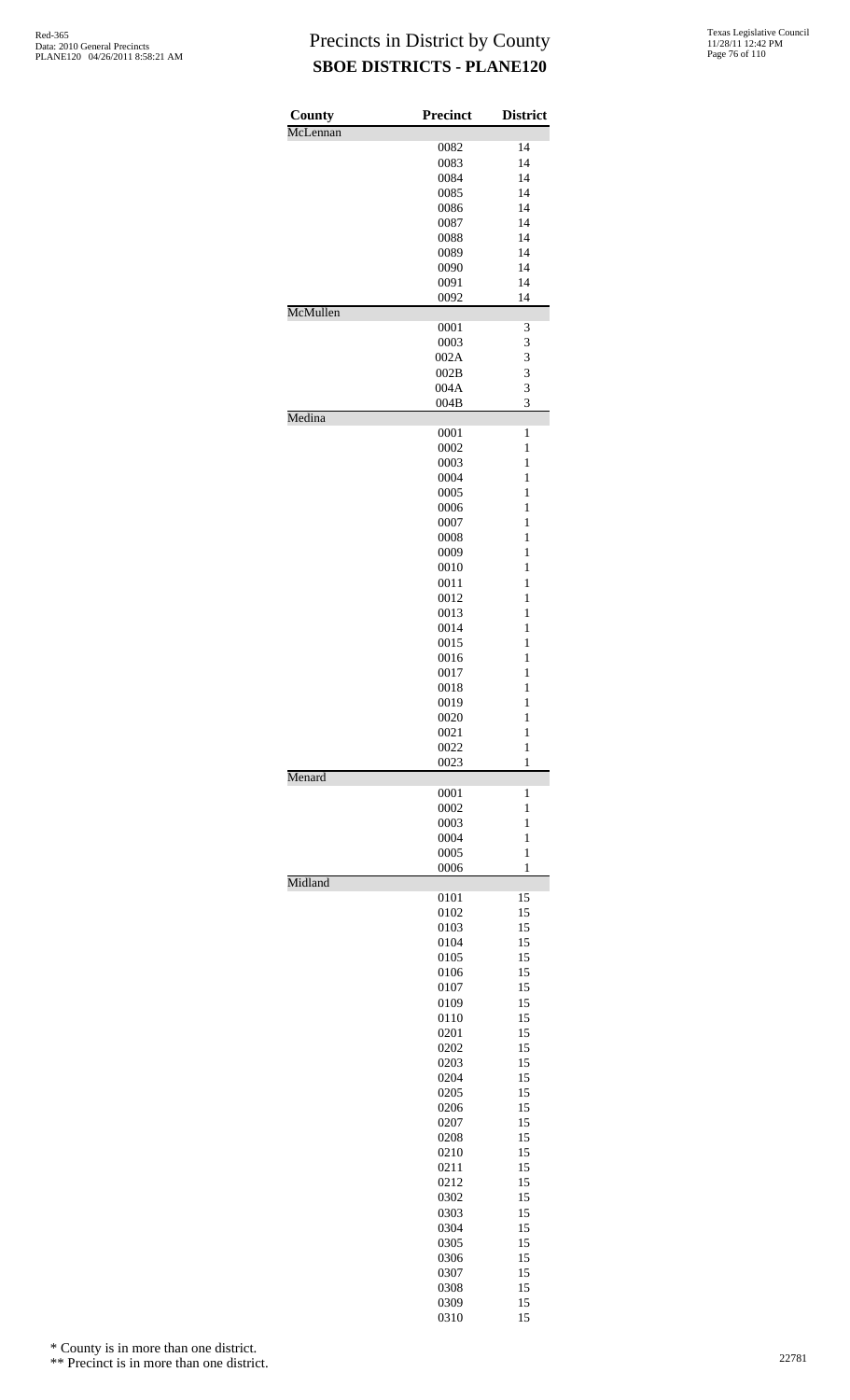| County   | <b>Precinct</b> | <b>District</b> |
|----------|-----------------|-----------------|
| McLennan |                 |                 |
|          | 0082            | 14              |
|          | 0083            | 14              |
|          | 0084            | 14              |
|          | 0085            | 14              |
|          | 0086            | 14              |
|          | 0087            | 14              |
|          | 0088            | 14              |
|          | 0089            | 14              |
|          | 0090            | 14              |
|          | 0091            | 14              |
|          | 0092            | 14              |
| McMullen |                 |                 |
|          | 0001            | 3               |
|          | 0003            | 3               |
|          |                 | 3               |
|          | 002A            |                 |
|          | 002B            | 3               |
|          | 004A            | 3               |
|          | 004B            | 3               |
| Medina   |                 |                 |
|          | 0001            | 1               |
|          | 0002            | $\mathbf{1}$    |
|          | 0003            | $\mathbf{1}$    |
|          | 0004            | $\mathbf{1}$    |
|          | 0005            | 1               |
|          | 0006            | 1               |
|          | 0007            | $\mathbf{1}$    |
|          | 0008            | $\mathbf{1}$    |
|          | 0009            | 1               |
|          | 0010            | 1               |
|          | 0011            | 1               |
|          | 0012            | $\mathbf{1}$    |
|          | 0013            | $\mathbf{1}$    |
|          | 0014            | $\mathbf{1}$    |
|          | 0015            | 1               |
|          | 0016            | 1               |
|          | 0017            | $\mathbf{1}$    |
|          |                 | $\mathbf{1}$    |
|          | 0018            | 1               |
|          | 0019            |                 |
|          | 0020            | $\mathbf{1}$    |
|          | 0021            | $\mathbf{1}$    |
|          | 0022            | $\mathbf{1}$    |
|          | 0023            | $\mathbf{1}$    |
| Menard   |                 |                 |
|          | 0001            | 1               |
|          | 0002            | 1               |
|          | 0003            | $\mathbf{1}$    |
|          | 0004            | $\mathbf{1}$    |
|          | 0005            | 1               |
|          | 0006            | 1               |
| Midland  |                 |                 |
|          | 0101            | 15              |
|          | 0102            | 15              |
|          | 0103            | 15              |
|          | 0104            | 15              |
|          | 0105            | 15              |
|          | 0106            | 15              |
|          | 0107            | 15              |
|          | 0109            | 15              |
|          | 0110            | 15              |
|          | 0201            | 15              |
|          | 0202            | 15              |
|          | 0203            | 15              |
|          | 0204            | 15              |
|          | 0205            | 15              |
|          | 0206            | 15              |
|          | 0207            | 15              |
|          |                 |                 |
|          | 0208            | 15              |
|          | 0210            | 15              |
|          | 0211            | 15              |
|          | 0212            | 15              |
|          | 0302            | 15              |
|          | 0303            | 15              |
|          | 0304            | 15              |
|          | 0305            | 15              |
|          | 0306            | 15              |
|          | 0307            | 15              |
|          | 0308            | 15              |
|          | 0309            | 15              |
|          | 0310            | 15              |

\* County is in more than one district.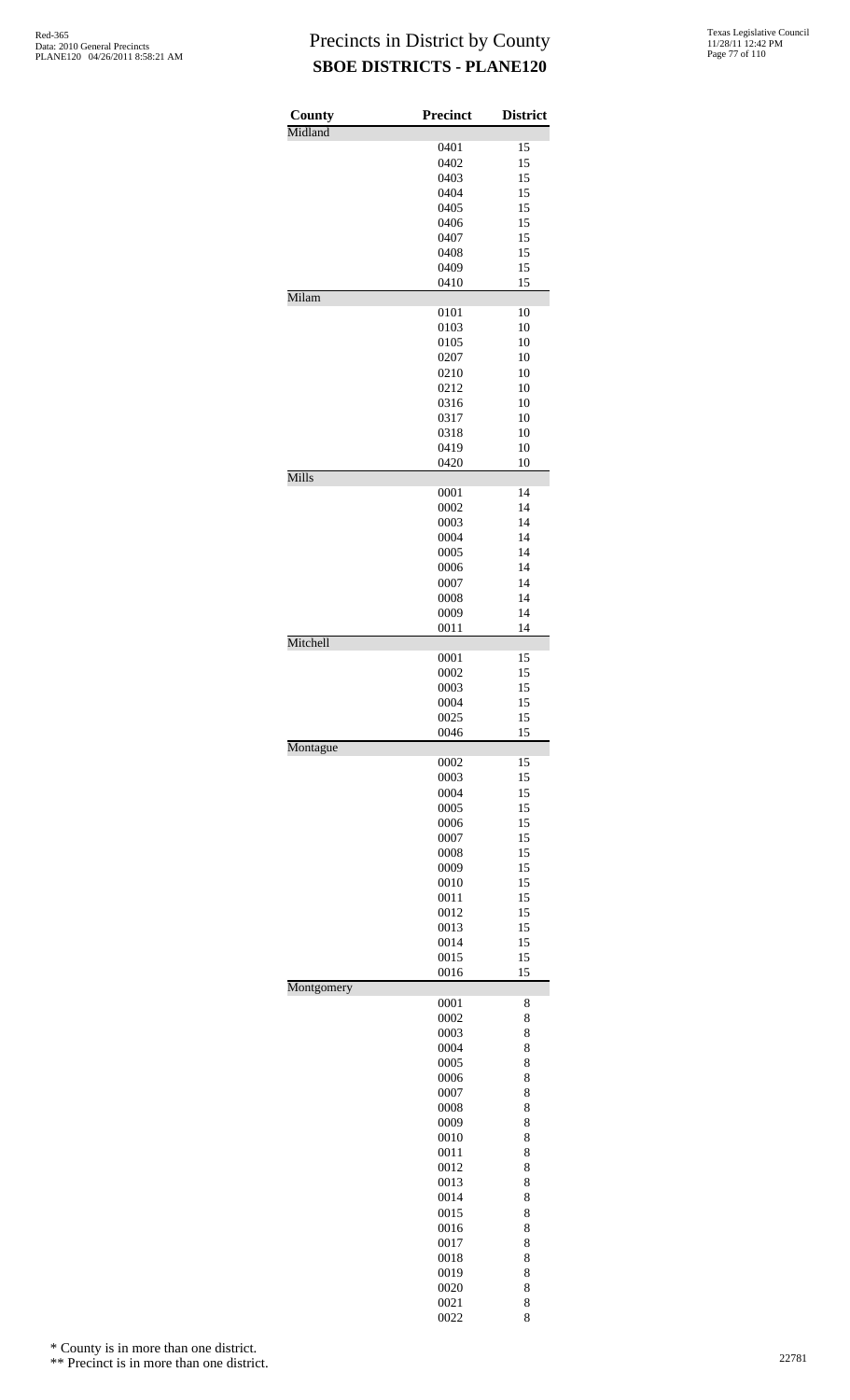| County     | <b>Precinct</b> | <b>District</b> |
|------------|-----------------|-----------------|
| Midland    |                 |                 |
|            | 0401            | 15              |
|            | 0402            | 15              |
|            | 0403<br>0404    | 15<br>15        |
|            | 0405            | 15              |
|            | 0406            | 15              |
|            | 0407            | 15              |
|            | 0408            | 15              |
|            | 0409            | 15              |
| Milam      | 0410            | 15              |
|            | 0101            | 10              |
|            | 0103            | 10              |
|            | 0105            | 10              |
|            | 0207            | 10              |
|            | 0210            | 10              |
|            | 0212            | 10              |
|            | 0316<br>0317    | 10<br>10        |
|            | 0318            | 10              |
|            | 0419            | 10              |
|            | 0420            | 10              |
| Mills      |                 | 14              |
|            | 0001<br>0002    | 14              |
|            | 0003            | 14              |
|            | 0004            | 14              |
|            | 0005            | 14              |
|            | 0006            | 14              |
|            | 0007            | 14              |
|            | 0008            | 14              |
|            | 0009<br>0011    | 14<br>14        |
| Mitchell   |                 |                 |
|            | 0001            | 15              |
|            | 0002            | 15              |
|            | 0003            | 15              |
|            | 0004<br>0025    | 15<br>15        |
|            | 0046            | 15              |
| Montague   |                 |                 |
|            | 0002            | 15              |
|            | 0003<br>0004    | 15<br>15        |
|            | 0005            | 15              |
|            | 0006            | 15              |
|            | 0007            | 15              |
|            | 0008            | 15              |
|            | 0009            | 15              |
|            | 0010<br>0011    | 15              |
|            | 0012            | 15<br>15        |
|            | 0013            | 15              |
|            | 0014            | 15              |
|            | 0015            | 15              |
|            | 0016            | 15              |
| Montgomery | 0001            | 8               |
|            | 0002            | 8               |
|            | 0003            | 8               |
|            | 0004            | 8               |
|            | 0005            | 8               |
|            | 0006            | 8               |
|            | 0007<br>0008    | 8<br>8          |
|            | 0009            | 8               |
|            | 0010            | 8               |
|            | 0011            | 8               |
|            | 0012            | 8               |
|            | 0013            | 8               |
|            | 0014            | 8               |
|            | 0015<br>0016    | 8<br>8          |
|            | 0017            | 8               |
|            | 0018            | 8               |
|            | 0019            | 8               |
|            | 0020            | 8               |
|            | 0021            | 8               |

8

\* County is in more than one district.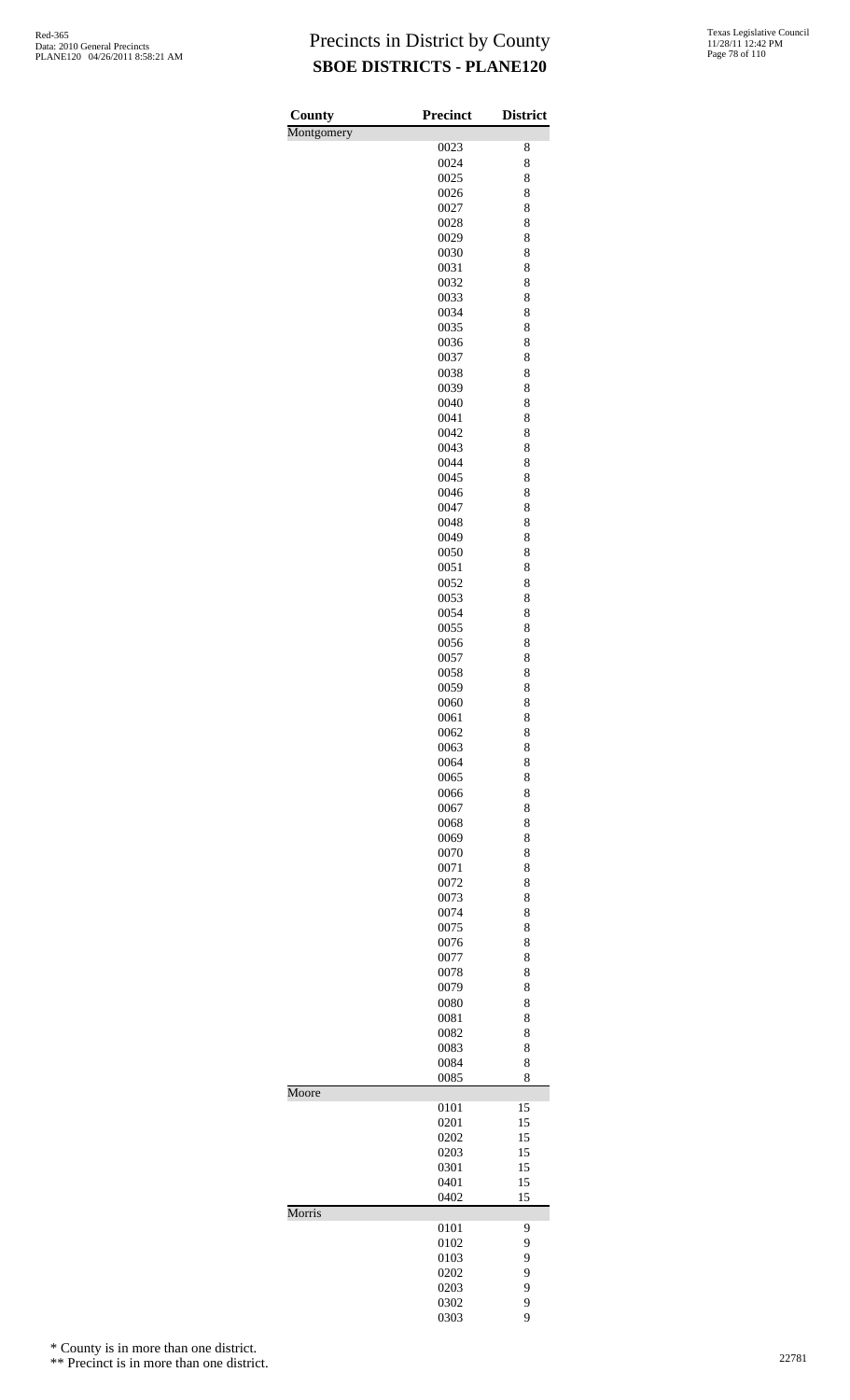| County     | <b>Precinct</b> | <b>District</b> |
|------------|-----------------|-----------------|
| Montgomery |                 |                 |
|            | 0023            | 8               |
|            | 0024            | 8               |
|            | 0025<br>0026    | 8<br>8          |
|            | 0027            | 8               |
|            | 0028            | 8               |
|            | 0029            | 8               |
|            | 0030            | 8               |
|            | 0031            | 8               |
|            | 0032            | 8               |
|            | 0033<br>0034    | 8<br>8          |
|            | 0035            | 8               |
|            | 0036            | 8               |
|            | 0037            | 8               |
|            | 0038            | 8               |
|            | 0039            | 8               |
|            | 0040<br>0041    | 8<br>8          |
|            | 0042            | 8               |
|            | 0043            | 8               |
|            | 0044            | 8               |
|            | 0045            | 8               |
|            | 0046            | 8               |
|            | 0047            | 8               |
|            | 0048<br>0049    | 8<br>8          |
|            | 0050            | 8               |
|            | 0051            | 8               |
|            | 0052            | 8               |
|            | 0053            | 8               |
|            | 0054            | 8               |
|            | 0055            | 8               |
|            | 0056<br>0057    | 8<br>8          |
|            | 0058            | 8               |
|            | 0059            | 8               |
|            | 0060            | 8               |
|            | 0061            | 8               |
|            | 0062            | 8               |
|            | 0063            | 8               |
|            | 0064<br>0065    | 8<br>8          |
|            | 0066            | 8               |
|            | 0067            | 8               |
|            | 0068            | 8               |
|            | 0069            | 8               |
|            | 0070            | 8               |
|            | 0071            | 8               |
|            | 0072<br>0073    | 8<br>8          |
|            | 0074            | 8               |
|            | 0075            | 8               |
|            | 0076            | 8               |
|            | 0077            | 8               |
|            | 0078            | 8               |
|            | 0079<br>0080    | 8<br>8          |
|            | 0081            | 8               |
|            | 0082            | 8               |
|            | 0083            | 8               |
|            | 0084            | 8               |
|            | 0085            | 8               |
| Moore      | 0101            | 15              |
|            | 0201            | 15              |
|            | 0202            | 15              |
|            | 0203            | 15              |
|            | 0301            | 15              |
|            | 0401<br>0402    | 15              |
| Morris     |                 | 15              |
|            | 0101            | 9               |
|            | 0102            | 9               |
|            | 0103            | 9               |
|            | 0202            | 9               |
|            | 0203<br>0302    | 9<br>9          |
|            | 0303            | 9               |

\* County is in more than one district.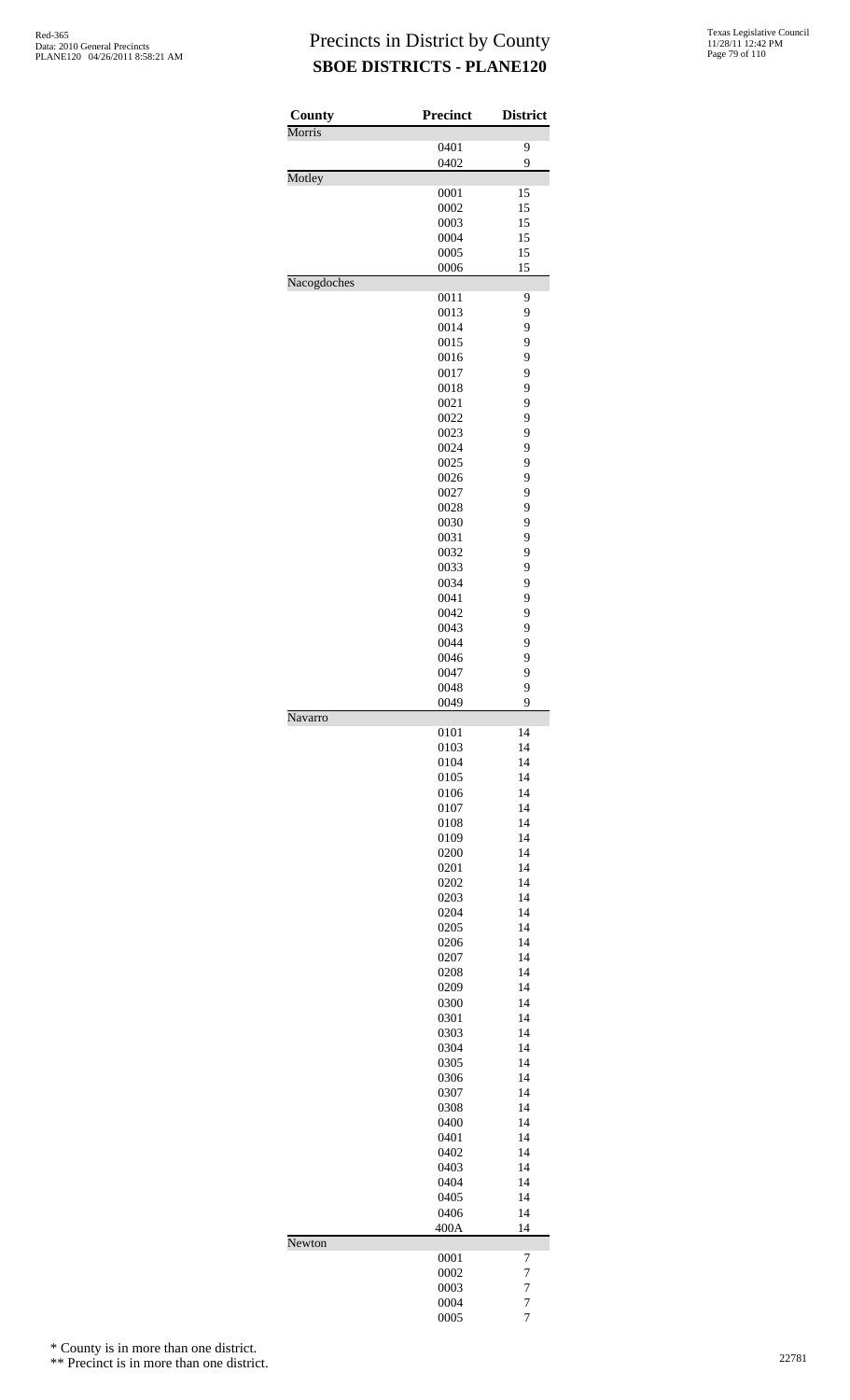| County      | Precinct     | <b>District</b>                  |
|-------------|--------------|----------------------------------|
| Morris      |              | 9                                |
|             | 0401<br>0402 | 9                                |
| Motley      |              |                                  |
|             | 0001         | 15                               |
|             | 0002         | 15                               |
|             | 0003         | 15                               |
|             | 0004<br>0005 | 15<br>15                         |
|             | 0006         | 15                               |
| Nacogdoches |              |                                  |
|             | 0011         | 9                                |
|             | 0013         | 9                                |
|             | 0014<br>0015 | 9<br>9                           |
|             | 0016         | 9                                |
|             | 0017         | 9                                |
|             | 0018         | 9                                |
|             | 0021         | 9                                |
|             | 0022         | 9                                |
|             | 0023         | 9<br>9                           |
|             | 0024<br>0025 | 9                                |
|             | 0026         | 9                                |
|             | 0027         | 9                                |
|             | 0028         | 9                                |
|             | 0030         | 9                                |
|             | 0031         | 9                                |
|             | 0032<br>0033 | 9<br>9                           |
|             | 0034         | 9                                |
|             | 0041         | 9                                |
|             | 0042         | 9                                |
|             | 0043         | 9                                |
|             | 0044         | 9                                |
|             | 0046         | 9<br>9                           |
|             | 0047<br>0048 | 9                                |
|             | 0049         | 9                                |
| Navarro     |              |                                  |
|             | 0101         | 14                               |
|             | 0103         | 14                               |
|             | 0104<br>0105 | 14<br>14                         |
|             | 0106         | 14                               |
|             | 0107         | 14                               |
|             | 0108         | 14                               |
|             | 0109         | 14                               |
|             | 0200         | 14                               |
|             | 0201<br>0202 | 14<br>14                         |
|             | 0203         | 14                               |
|             | 0204         | 14                               |
|             | 0205         | 14                               |
|             | 0206         | 14                               |
|             | 0207         | 14                               |
|             | 0208         | 14                               |
|             | 0209<br>0300 | 14<br>14                         |
|             | 0301         | 14                               |
|             | 0303         | 14                               |
|             | 0304         | 14                               |
|             | 0305         | 14                               |
|             | 0306         | 14                               |
|             | 0307         | 14                               |
|             | 0308<br>0400 | 14<br>14                         |
|             | 0401         | 14                               |
|             | 0402         | 14                               |
|             | 0403         | 14                               |
|             | 0404         | 14                               |
|             | 0405         | 14                               |
|             | 0406<br>400A | 14<br>14                         |
| Newton      |              |                                  |
|             | 0001         | 7                                |
|             | 0002         | 7                                |
|             | 0003         | $\overline{7}$                   |
|             | 0004         | $\overline{7}$<br>$\overline{7}$ |
|             | 0005         |                                  |

\* County is in more than one district.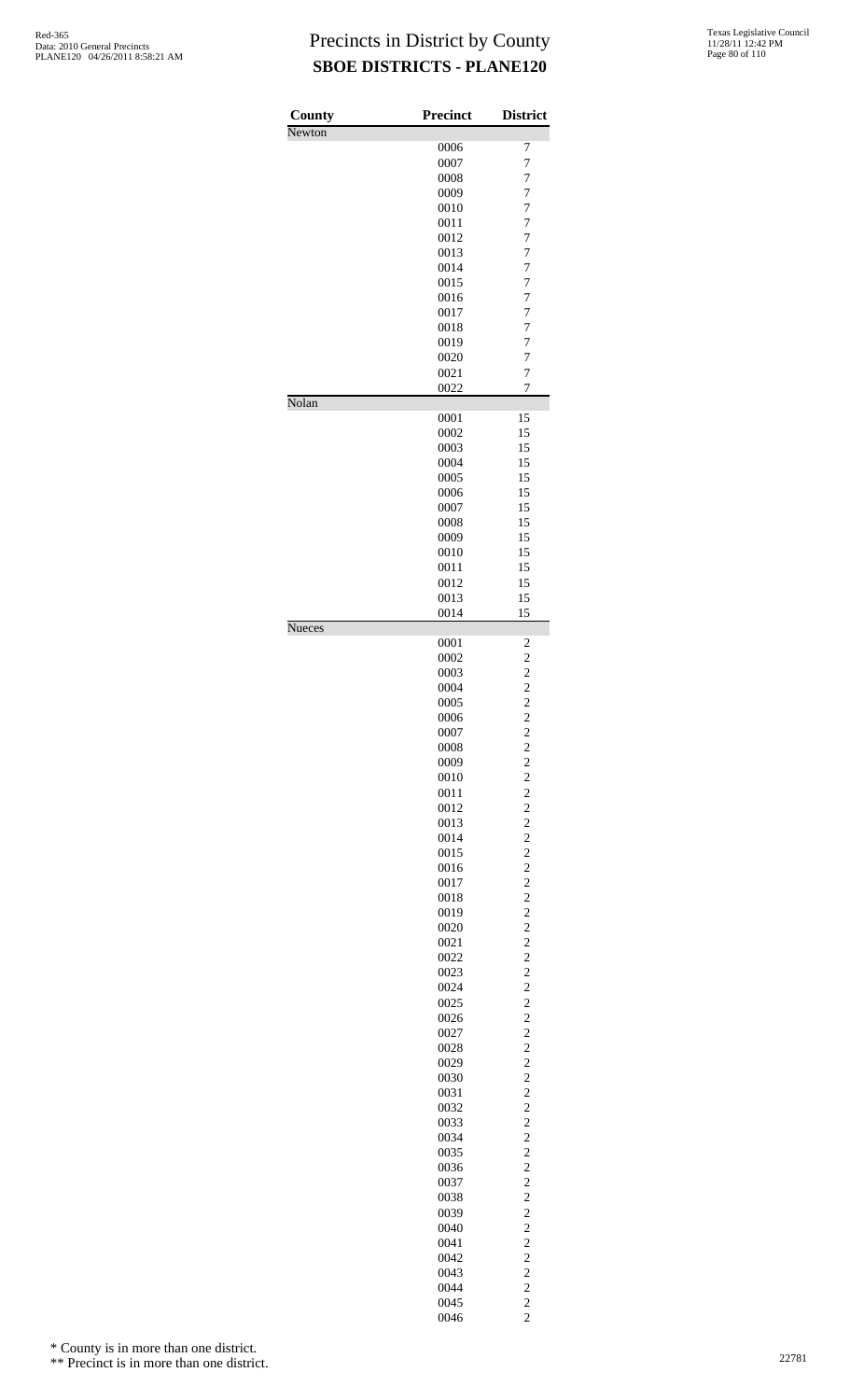| County | <b>Precinct</b> | <b>District</b>                            |
|--------|-----------------|--------------------------------------------|
| Newton | 0006            | 7                                          |
|        | 0007            | $\overline{7}$                             |
|        | 0008            | 7                                          |
|        | 0009            | $\overline{7}$                             |
|        | 0010            | $\overline{7}$                             |
|        | 0011            | $\overline{7}$                             |
|        | 0012            | $\overline{7}$                             |
|        | 0013            | 7                                          |
|        | 0014            | $\overline{7}$                             |
|        | 0015            | $\overline{7}$                             |
|        | 0016            | $\overline{7}$                             |
|        | 0017            | $\overline{7}$                             |
|        | 0018            | 7                                          |
|        | 0019            | $\overline{7}$                             |
|        | 0020            | 7                                          |
|        | 0021            | $\overline{7}$                             |
|        | 0022            | $\overline{7}$                             |
| Nolan  |                 |                                            |
|        | 0001<br>0002    | 15<br>15                                   |
|        | 0003            | 15                                         |
|        | 0004            | 15                                         |
|        | 0005            | 15                                         |
|        | 0006            | 15                                         |
|        | 0007            | 15                                         |
|        | 0008            | 15                                         |
|        | 0009            | 15                                         |
|        | 0010            | 15                                         |
|        | 0011            | 15                                         |
|        | 0012            | 15                                         |
|        | 0013            | 15                                         |
|        | 0014            | 15                                         |
| Nueces | 0001            | $\overline{\mathbf{c}}$                    |
|        | 0002            | $\overline{\mathbf{c}}$                    |
|        | 0003            |                                            |
|        | 0004            |                                            |
|        | 0005            | $\begin{array}{c} 2 \\ 2 \\ 2 \end{array}$ |
|        | 0006            |                                            |
|        | 0007<br>0008    | $\overline{\mathbf{c}}$                    |
|        | 0009            | $\frac{2}{2}$                              |
|        | 0010            |                                            |
|        | 0011            | $\frac{2}{2}$                              |
|        | 0012            | $\overline{\mathbf{c}}$                    |
|        | 0013            | $\frac{2}{2}$                              |
|        | 0014            |                                            |
|        | 0015            | $\frac{2}{2}$                              |
|        | 0016            |                                            |
|        | 0017            | $\overline{\mathbf{c}}$                    |
|        | 0018            | $\frac{2}{2}$                              |
|        | 0019            |                                            |
|        | 0020            | $\frac{2}{2}$                              |
|        | 0021            |                                            |
|        | 0022            | $\overline{\mathbf{c}}$                    |
|        | 0023            | $\frac{2}{2}$                              |
|        | 0024            |                                            |
|        | 0025            | $\frac{2}{2}$                              |
|        | 0026<br>0027    | $\overline{\mathbf{c}}$                    |
|        | 0028            |                                            |
|        | 0029            | $\frac{2}{2}$                              |
|        | 0030            |                                            |
|        | 0031            | $\frac{2}{2}$                              |
|        | 0032            | $\overline{\mathbf{c}}$                    |
|        | 0033            |                                            |
|        | 0034            | $\frac{2}{2}$                              |
|        | 0035            | $\frac{2}{2}$                              |
|        | 0036            |                                            |
|        | 0037            | $\overline{\mathbf{c}}$                    |
|        | 0038            | $\frac{2}{2}$                              |
|        | 0039            |                                            |
|        | 0040            | $\frac{2}{2}$                              |
|        | 0041<br>0042    | $\overline{\mathbf{c}}$                    |
|        | 0043            |                                            |
|        | 0044            | $\frac{2}{2}$                              |
|        | 0045            |                                            |
|        | 0046            | $\frac{2}{2}$                              |

\* County is in more than one district.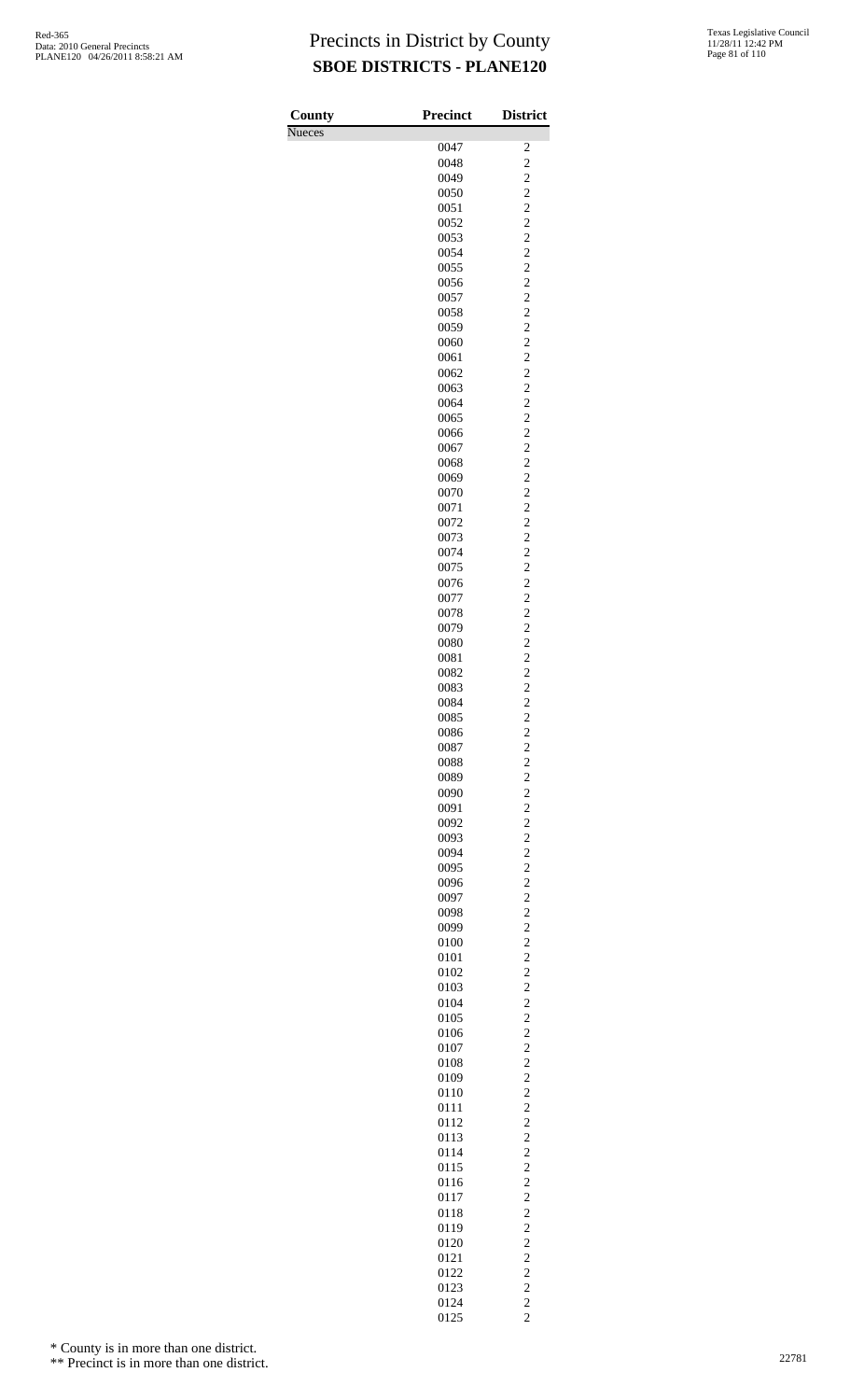| County        | <b>Precinct</b> | <b>District</b>                                    |
|---------------|-----------------|----------------------------------------------------|
| <b>Nueces</b> | 0047            |                                                    |
|               | 0048            | $\overline{\mathbf{c}}$<br>$\overline{c}$          |
|               | 0049            | $\overline{c}$                                     |
|               | 0050            | $\overline{c}$                                     |
|               | 0051            | $\overline{c}$                                     |
|               | 0052            | $\overline{c}$                                     |
|               | 0053<br>0054    | $\overline{c}$<br>$\overline{c}$                   |
|               | 0055            | $\overline{c}$                                     |
|               | 0056            | $\overline{c}$                                     |
|               | 0057            | $\overline{c}$                                     |
|               | 0058            | $\overline{c}$                                     |
|               | 0059            | $\overline{c}$                                     |
|               | 0060            | $\overline{c}$                                     |
|               | 0061<br>0062    | $\overline{c}$<br>$\overline{c}$                   |
|               | 0063            | $\overline{c}$                                     |
|               | 0064            | $\overline{c}$                                     |
|               | 0065            | $\overline{c}$                                     |
|               | 0066            | $\overline{c}$                                     |
|               | 0067            | $\overline{c}$                                     |
|               | 0068<br>0069    | $\overline{c}$<br>$\overline{c}$                   |
|               | 0070            | $\overline{c}$                                     |
|               | 0071            | $\overline{c}$                                     |
|               | 0072            | $\overline{c}$                                     |
|               | 0073            | $\overline{c}$                                     |
|               | 0074            | $\overline{c}$                                     |
|               | 0075<br>0076    | $\overline{c}$<br>$\overline{c}$                   |
|               | 0077            | $\overline{c}$                                     |
|               | 0078            | $\overline{c}$                                     |
|               | 0079            | $\overline{c}$                                     |
|               | 0080            | $\overline{c}$                                     |
|               | 0081            | $\overline{c}$                                     |
|               | 0082<br>0083    | $\overline{c}$<br>$\overline{c}$                   |
|               | 0084            | $\overline{c}$                                     |
|               | 0085            | $\overline{\mathbf{c}}$                            |
|               | 0086            |                                                    |
|               | 0087            | $\frac{2}{2}$                                      |
|               | 0088            | $\overline{\mathbf{c}}$                            |
|               | 0089            | $\overline{\mathbf{c}}$<br>$\overline{c}$          |
|               | 0090<br>0091    | $\overline{\mathbf{c}}$                            |
|               | 0092            | $\overline{\mathbf{c}}$                            |
|               | 0093            | $\overline{c}$                                     |
|               | 0094            | $\overline{c}$                                     |
|               | 0095            | $\overline{c}$                                     |
|               | 0096            | $\overline{c}$                                     |
|               | 0097<br>0098    | $\overline{\mathbf{c}}$<br>$\overline{c}$          |
|               | 0099            | $\overline{\mathbf{c}}$                            |
|               | 0100            | $\overline{\mathbf{c}}$                            |
|               | 0101            | $\overline{\mathbf{c}}$                            |
|               | 0102            | $\overline{\mathbf{c}}$                            |
|               | 0103            | $\overline{c}$                                     |
|               | 0104<br>0105    | $\overline{c}$<br>$\overline{c}$                   |
|               | 0106            | $\overline{c}$                                     |
|               | 0107            | $\overline{c}$                                     |
|               | 0108            | $\overline{c}$                                     |
|               | 0109            | $\overline{\mathbf{c}}$                            |
|               | 0110            | $\overline{\mathbf{c}}$                            |
|               | 0111<br>0112    | $\overline{\mathbf{c}}$<br>$\overline{\mathbf{c}}$ |
|               | 0113            | $\overline{c}$                                     |
|               | 0114            | $\overline{c}$                                     |
|               | 0115            | $\overline{c}$                                     |
|               | 0116            | $\overline{c}$                                     |
|               | 0117            | $\overline{c}$                                     |
|               | 0118            | $\overline{c}$                                     |
|               | 0119<br>0120    | $\overline{c}$<br>$\overline{\mathbf{c}}$          |
|               | 0121            | $\overline{c}$                                     |
|               | 0122            | $\overline{\mathbf{c}}$                            |
|               | 0123            | $\overline{c}$                                     |
|               | 0124            | $\overline{\mathbf{c}}$                            |
|               | 0125            | $\overline{2}$                                     |

\* County is in more than one district.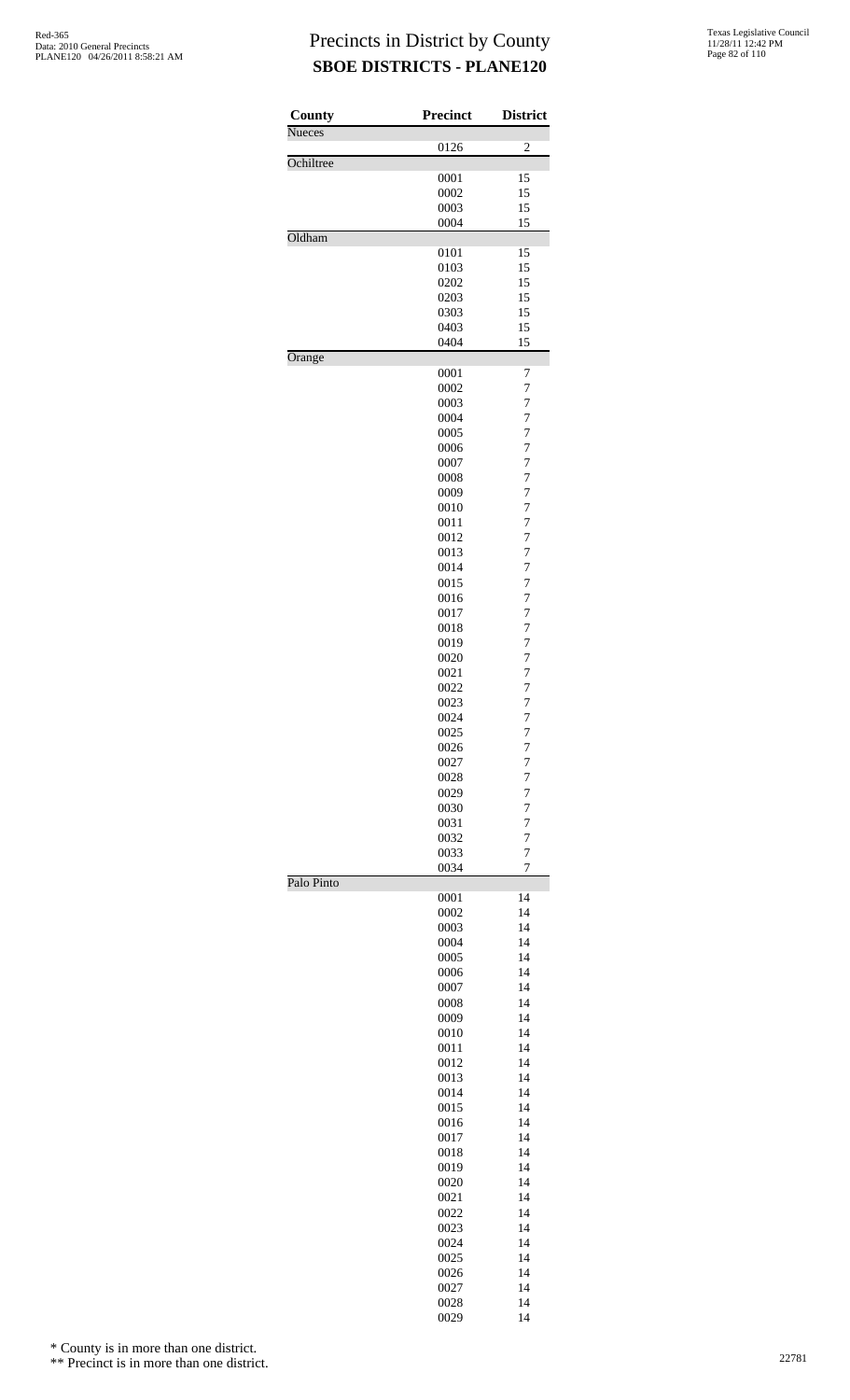| County        | <b>Precinct</b> | <b>District</b>                  |
|---------------|-----------------|----------------------------------|
| <b>Nueces</b> | 0126            | 2                                |
| Ochiltree     |                 |                                  |
|               | 0001<br>0002    | 15<br>15                         |
|               | 0003            | 15                               |
|               | 0004            | 15                               |
| Oldham        | 0101            | 15                               |
|               | 0103            | 15                               |
|               | 0202            | 15                               |
|               | 0203            | 15                               |
|               | 0303<br>0403    | 15<br>15                         |
|               | 0404            | 15                               |
| Orange        |                 |                                  |
|               | 0001<br>0002    | 7<br>7                           |
|               | 0003            | 7                                |
|               | 0004            | $\overline{7}$                   |
|               | 0005            | 7                                |
|               | 0006            | $\overline{7}$                   |
|               | 0007<br>0008    | $\overline{7}$<br>$\overline{7}$ |
|               | 0009            | $\overline{7}$                   |
|               | 0010            | $\overline{7}$                   |
|               | 0011            | $\overline{7}$                   |
|               | 0012<br>0013    | $\overline{7}$<br>$\overline{7}$ |
|               | 0014            | $\overline{7}$                   |
|               | 0015            | $\overline{7}$                   |
|               | 0016            | $\overline{7}$                   |
|               | 0017<br>0018    | 7<br>$\overline{7}$              |
|               | 0019            | 7                                |
|               | 0020            | $\overline{7}$                   |
|               | 0021            | $\overline{7}$                   |
|               | 0022<br>0023    | $\overline{7}$<br>$\overline{7}$ |
|               | 0024            | 7                                |
|               | 0025            | 7                                |
|               | 0026            | $\overline{7}$                   |
|               | 0027<br>0028    | $\overline{7}$<br>$\overline{7}$ |
|               | 0029            | 7                                |
|               | 0030            | 7                                |
|               | 0031            | $\overline{7}$                   |
|               | 0032<br>0033    | 7<br>$\overline{7}$              |
|               | 0034            | 7                                |
| Palo Pinto    |                 |                                  |
|               | 0001<br>0002    | 14<br>14                         |
|               | 0003            | 14                               |
|               | 0004            | 14                               |
|               | 0005<br>0006    | 14<br>14                         |
|               | 0007            | 14                               |
|               | 0008            | 14                               |
|               | 0009            | 14                               |
|               | 0010<br>0011    | 14<br>14                         |
|               | 0012            | 14                               |
|               | 0013            | 14                               |
|               | 0014            | 14                               |
|               | 0015<br>0016    | 14<br>14                         |
|               | 0017            | 14                               |
|               | 0018            | 14                               |
|               | 0019            | 14                               |
|               | 0020<br>0021    | 14<br>14                         |
|               | 0022            | 14                               |
|               | 0023            | 14                               |
|               | 0024            | 14                               |
|               | 0025<br>0026    | 14<br>14                         |
|               | 0027            | 14                               |
|               | 0028            | 14                               |
|               | 0029            | 14                               |

\* County is in more than one district.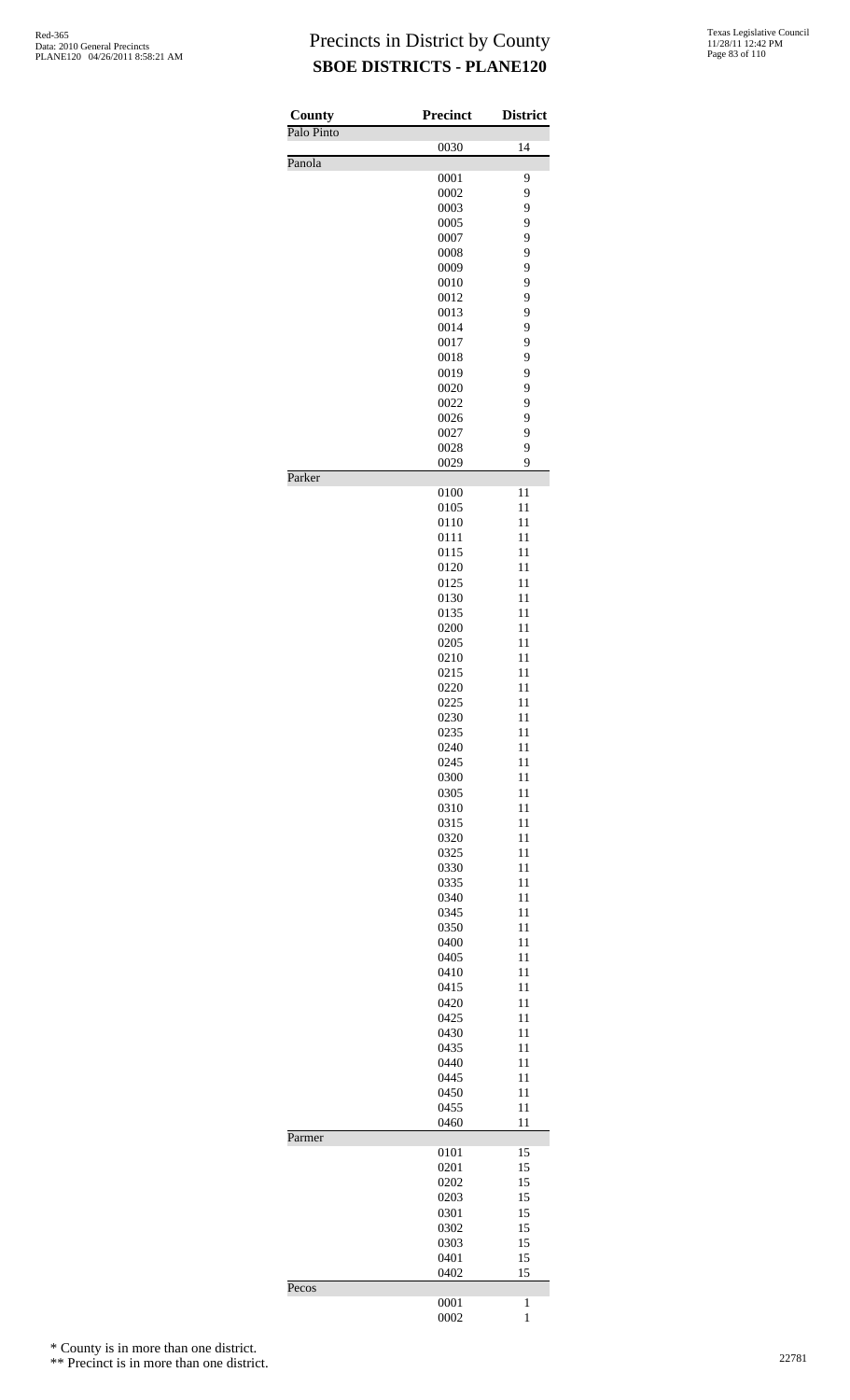| County     | <b>Precinct</b> | <b>District</b>   |
|------------|-----------------|-------------------|
| Palo Pinto | 0030            | 14                |
| Panola     |                 |                   |
|            | 0001<br>0002    | 9<br>9            |
|            | 0003            | 9                 |
|            | 0005            | 9                 |
|            | 0007            | 9                 |
|            | 0008            | 9                 |
|            | 0009<br>0010    | 9<br>9            |
|            | 0012            | 9                 |
|            | 0013            | 9                 |
|            | 0014            | 9                 |
|            | 0017            | 9                 |
|            | 0018<br>0019    | 9<br>9            |
|            | 0020            | 9                 |
|            | 0022            | 9                 |
|            | 0026            | 9                 |
|            | 0027            | 9                 |
|            | 0028<br>0029    | 9<br>9            |
| Parker     |                 |                   |
|            | 0100<br>0105    | 11<br>11          |
|            | 0110            | 11                |
|            | 0111            | 11                |
|            | 0115            | 11                |
|            | 0120            | 11                |
|            | 0125            | 11                |
|            | 0130<br>0135    | 11<br>11          |
|            | 0200            | 11                |
|            | 0205            | 11                |
|            | 0210            | 11                |
|            | 0215            | 11                |
|            | 0220<br>0225    | 11<br>11          |
|            | 0230            | 11                |
|            | 0235            | 11                |
|            | 0240            | 11                |
|            | 0245            | 11                |
|            | 0300            | 11                |
|            | 0305<br>0310    | 11<br>11          |
|            | 0315            | 11                |
|            | 0320            | 11                |
|            | 0325            | 11                |
|            | 0330            | 11                |
|            | 0335            | 11                |
|            | 0340<br>0345    | 11<br>11          |
|            | 0350            | 11                |
|            | 0400            | 11                |
|            | 0405            | 11                |
|            | 0410            | 11                |
|            | 0415<br>0420    | 11<br>11          |
|            | 0425            | 11                |
|            | 0430            | 11                |
|            | 0435            | 11                |
|            | 0440            | 11                |
|            | 0445            | 11                |
|            | 0450<br>0455    | 11<br>11          |
|            | 0460            | 11                |
| Parmer     |                 |                   |
|            | 0101<br>0201    | 15<br>15          |
|            | 0202            | 15                |
|            | 0203            | 15                |
|            | 0301            | 15                |
|            | 0302<br>0303    | 15<br>15          |
|            | 0401            | 15                |
|            | 0402            | 15                |
| Pecos      | 0001            |                   |
|            | 0002            | 1<br>$\mathbf{1}$ |

\* County is in more than one district.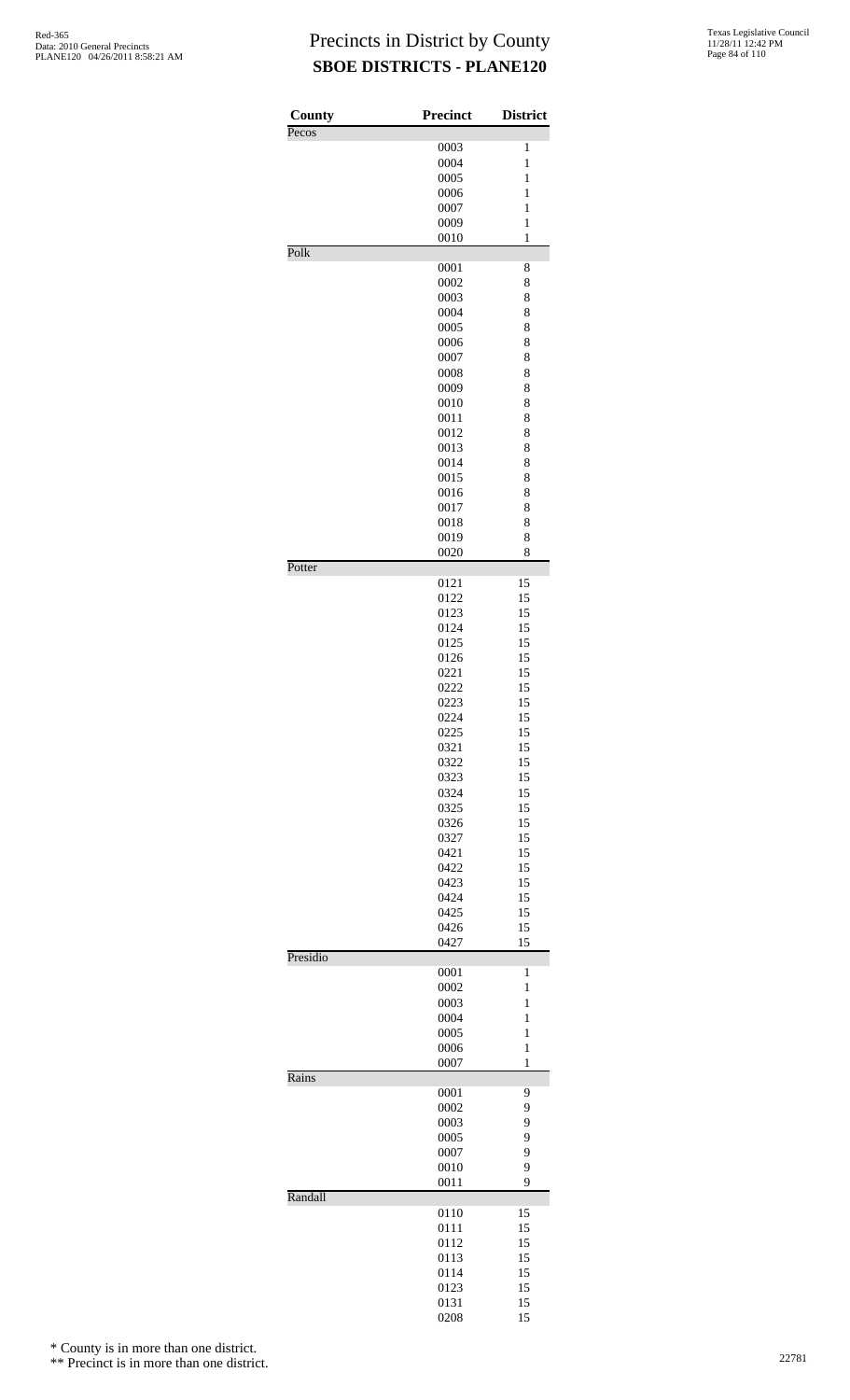| 0003<br>$\mathbf{1}$<br>0004<br>$\mathbf{1}$<br>0005<br>1<br>0006<br>$\mathbf{1}$<br>0007<br>$\mathbf{1}$<br>0009<br>$\,1$<br>0010<br>1<br>Polk<br>0001<br>8<br>0002<br>8<br>0003<br>8<br>0004<br>8<br>0005<br>8<br>0006<br>8<br>0007<br>8<br>0008<br>8<br>0009<br>8<br>0010<br>8<br>0011<br>8<br>0012<br>8<br>0013<br>8<br>0014<br>8<br>0015<br>8<br>0016<br>8<br>0017<br>8<br>8<br>0018<br>0019<br>8<br>8<br>0020<br>Potter<br>15<br>0121<br>0122<br>15<br>15<br>0123<br>15<br>0124<br>0125<br>15<br>0126<br>15<br>0221<br>15<br>15<br>0222<br>15<br>0223<br>0224<br>15<br>0225<br>15<br>0321<br>15<br>15<br>0322<br>15<br>0323<br>0324<br>15<br>0325<br>15<br>15<br>0326<br>15<br>0327<br>15<br>0421<br>0422<br>15<br>0423<br>15<br>0424<br>15<br>15<br>0425<br>0426<br>15<br>15<br>0427<br>Presidio<br>0001<br>1<br>0002<br>1<br>0003<br>1<br>0004<br>$\mathbf{1}$<br>0005<br>$\mathbf{1}$<br>0006<br>$\,1$<br>0007<br>1<br>Rains<br>0001<br>9<br>0002<br>9<br>9<br>0003<br>9<br>0005<br>0007<br>9<br>0010<br>9<br>0011<br>9<br>Randall<br>0110<br>15<br>15<br>0111<br>15<br>0112<br>15<br>0113<br>15<br>0114<br>15<br>0123<br>0131<br>15 | County<br>Pecos | <b>Precinct</b> | <b>District</b> |
|-----------------------------------------------------------------------------------------------------------------------------------------------------------------------------------------------------------------------------------------------------------------------------------------------------------------------------------------------------------------------------------------------------------------------------------------------------------------------------------------------------------------------------------------------------------------------------------------------------------------------------------------------------------------------------------------------------------------------------------------------------------------------------------------------------------------------------------------------------------------------------------------------------------------------------------------------------------------------------------------------------------------------------------------------------------------------------------------------------------------------------------------------|-----------------|-----------------|-----------------|
|                                                                                                                                                                                                                                                                                                                                                                                                                                                                                                                                                                                                                                                                                                                                                                                                                                                                                                                                                                                                                                                                                                                                               |                 |                 |                 |
|                                                                                                                                                                                                                                                                                                                                                                                                                                                                                                                                                                                                                                                                                                                                                                                                                                                                                                                                                                                                                                                                                                                                               |                 |                 |                 |
|                                                                                                                                                                                                                                                                                                                                                                                                                                                                                                                                                                                                                                                                                                                                                                                                                                                                                                                                                                                                                                                                                                                                               |                 |                 |                 |
|                                                                                                                                                                                                                                                                                                                                                                                                                                                                                                                                                                                                                                                                                                                                                                                                                                                                                                                                                                                                                                                                                                                                               |                 |                 |                 |
|                                                                                                                                                                                                                                                                                                                                                                                                                                                                                                                                                                                                                                                                                                                                                                                                                                                                                                                                                                                                                                                                                                                                               |                 |                 |                 |
|                                                                                                                                                                                                                                                                                                                                                                                                                                                                                                                                                                                                                                                                                                                                                                                                                                                                                                                                                                                                                                                                                                                                               |                 |                 |                 |
|                                                                                                                                                                                                                                                                                                                                                                                                                                                                                                                                                                                                                                                                                                                                                                                                                                                                                                                                                                                                                                                                                                                                               |                 |                 |                 |
|                                                                                                                                                                                                                                                                                                                                                                                                                                                                                                                                                                                                                                                                                                                                                                                                                                                                                                                                                                                                                                                                                                                                               |                 |                 |                 |
|                                                                                                                                                                                                                                                                                                                                                                                                                                                                                                                                                                                                                                                                                                                                                                                                                                                                                                                                                                                                                                                                                                                                               |                 |                 |                 |
|                                                                                                                                                                                                                                                                                                                                                                                                                                                                                                                                                                                                                                                                                                                                                                                                                                                                                                                                                                                                                                                                                                                                               |                 |                 |                 |
|                                                                                                                                                                                                                                                                                                                                                                                                                                                                                                                                                                                                                                                                                                                                                                                                                                                                                                                                                                                                                                                                                                                                               |                 |                 |                 |
|                                                                                                                                                                                                                                                                                                                                                                                                                                                                                                                                                                                                                                                                                                                                                                                                                                                                                                                                                                                                                                                                                                                                               |                 |                 |                 |
|                                                                                                                                                                                                                                                                                                                                                                                                                                                                                                                                                                                                                                                                                                                                                                                                                                                                                                                                                                                                                                                                                                                                               |                 |                 |                 |
|                                                                                                                                                                                                                                                                                                                                                                                                                                                                                                                                                                                                                                                                                                                                                                                                                                                                                                                                                                                                                                                                                                                                               |                 |                 |                 |
|                                                                                                                                                                                                                                                                                                                                                                                                                                                                                                                                                                                                                                                                                                                                                                                                                                                                                                                                                                                                                                                                                                                                               |                 |                 |                 |
|                                                                                                                                                                                                                                                                                                                                                                                                                                                                                                                                                                                                                                                                                                                                                                                                                                                                                                                                                                                                                                                                                                                                               |                 |                 |                 |
|                                                                                                                                                                                                                                                                                                                                                                                                                                                                                                                                                                                                                                                                                                                                                                                                                                                                                                                                                                                                                                                                                                                                               |                 |                 |                 |
|                                                                                                                                                                                                                                                                                                                                                                                                                                                                                                                                                                                                                                                                                                                                                                                                                                                                                                                                                                                                                                                                                                                                               |                 |                 |                 |
|                                                                                                                                                                                                                                                                                                                                                                                                                                                                                                                                                                                                                                                                                                                                                                                                                                                                                                                                                                                                                                                                                                                                               |                 |                 |                 |
|                                                                                                                                                                                                                                                                                                                                                                                                                                                                                                                                                                                                                                                                                                                                                                                                                                                                                                                                                                                                                                                                                                                                               |                 |                 |                 |
|                                                                                                                                                                                                                                                                                                                                                                                                                                                                                                                                                                                                                                                                                                                                                                                                                                                                                                                                                                                                                                                                                                                                               |                 |                 |                 |
|                                                                                                                                                                                                                                                                                                                                                                                                                                                                                                                                                                                                                                                                                                                                                                                                                                                                                                                                                                                                                                                                                                                                               |                 |                 |                 |
|                                                                                                                                                                                                                                                                                                                                                                                                                                                                                                                                                                                                                                                                                                                                                                                                                                                                                                                                                                                                                                                                                                                                               |                 |                 |                 |
|                                                                                                                                                                                                                                                                                                                                                                                                                                                                                                                                                                                                                                                                                                                                                                                                                                                                                                                                                                                                                                                                                                                                               |                 |                 |                 |
|                                                                                                                                                                                                                                                                                                                                                                                                                                                                                                                                                                                                                                                                                                                                                                                                                                                                                                                                                                                                                                                                                                                                               |                 |                 |                 |
|                                                                                                                                                                                                                                                                                                                                                                                                                                                                                                                                                                                                                                                                                                                                                                                                                                                                                                                                                                                                                                                                                                                                               |                 |                 |                 |
|                                                                                                                                                                                                                                                                                                                                                                                                                                                                                                                                                                                                                                                                                                                                                                                                                                                                                                                                                                                                                                                                                                                                               |                 |                 |                 |
|                                                                                                                                                                                                                                                                                                                                                                                                                                                                                                                                                                                                                                                                                                                                                                                                                                                                                                                                                                                                                                                                                                                                               |                 |                 |                 |
|                                                                                                                                                                                                                                                                                                                                                                                                                                                                                                                                                                                                                                                                                                                                                                                                                                                                                                                                                                                                                                                                                                                                               |                 |                 |                 |
|                                                                                                                                                                                                                                                                                                                                                                                                                                                                                                                                                                                                                                                                                                                                                                                                                                                                                                                                                                                                                                                                                                                                               |                 |                 |                 |
|                                                                                                                                                                                                                                                                                                                                                                                                                                                                                                                                                                                                                                                                                                                                                                                                                                                                                                                                                                                                                                                                                                                                               |                 |                 |                 |
|                                                                                                                                                                                                                                                                                                                                                                                                                                                                                                                                                                                                                                                                                                                                                                                                                                                                                                                                                                                                                                                                                                                                               |                 |                 |                 |
|                                                                                                                                                                                                                                                                                                                                                                                                                                                                                                                                                                                                                                                                                                                                                                                                                                                                                                                                                                                                                                                                                                                                               |                 |                 |                 |
|                                                                                                                                                                                                                                                                                                                                                                                                                                                                                                                                                                                                                                                                                                                                                                                                                                                                                                                                                                                                                                                                                                                                               |                 |                 |                 |
|                                                                                                                                                                                                                                                                                                                                                                                                                                                                                                                                                                                                                                                                                                                                                                                                                                                                                                                                                                                                                                                                                                                                               |                 |                 |                 |
|                                                                                                                                                                                                                                                                                                                                                                                                                                                                                                                                                                                                                                                                                                                                                                                                                                                                                                                                                                                                                                                                                                                                               |                 |                 |                 |
|                                                                                                                                                                                                                                                                                                                                                                                                                                                                                                                                                                                                                                                                                                                                                                                                                                                                                                                                                                                                                                                                                                                                               |                 |                 |                 |
|                                                                                                                                                                                                                                                                                                                                                                                                                                                                                                                                                                                                                                                                                                                                                                                                                                                                                                                                                                                                                                                                                                                                               |                 |                 |                 |
|                                                                                                                                                                                                                                                                                                                                                                                                                                                                                                                                                                                                                                                                                                                                                                                                                                                                                                                                                                                                                                                                                                                                               |                 |                 |                 |
|                                                                                                                                                                                                                                                                                                                                                                                                                                                                                                                                                                                                                                                                                                                                                                                                                                                                                                                                                                                                                                                                                                                                               |                 |                 |                 |
|                                                                                                                                                                                                                                                                                                                                                                                                                                                                                                                                                                                                                                                                                                                                                                                                                                                                                                                                                                                                                                                                                                                                               |                 |                 |                 |
|                                                                                                                                                                                                                                                                                                                                                                                                                                                                                                                                                                                                                                                                                                                                                                                                                                                                                                                                                                                                                                                                                                                                               |                 |                 |                 |
|                                                                                                                                                                                                                                                                                                                                                                                                                                                                                                                                                                                                                                                                                                                                                                                                                                                                                                                                                                                                                                                                                                                                               |                 |                 |                 |
|                                                                                                                                                                                                                                                                                                                                                                                                                                                                                                                                                                                                                                                                                                                                                                                                                                                                                                                                                                                                                                                                                                                                               |                 |                 |                 |
|                                                                                                                                                                                                                                                                                                                                                                                                                                                                                                                                                                                                                                                                                                                                                                                                                                                                                                                                                                                                                                                                                                                                               |                 |                 |                 |
|                                                                                                                                                                                                                                                                                                                                                                                                                                                                                                                                                                                                                                                                                                                                                                                                                                                                                                                                                                                                                                                                                                                                               |                 |                 |                 |
|                                                                                                                                                                                                                                                                                                                                                                                                                                                                                                                                                                                                                                                                                                                                                                                                                                                                                                                                                                                                                                                                                                                                               |                 |                 |                 |
|                                                                                                                                                                                                                                                                                                                                                                                                                                                                                                                                                                                                                                                                                                                                                                                                                                                                                                                                                                                                                                                                                                                                               |                 |                 |                 |
|                                                                                                                                                                                                                                                                                                                                                                                                                                                                                                                                                                                                                                                                                                                                                                                                                                                                                                                                                                                                                                                                                                                                               |                 |                 |                 |
|                                                                                                                                                                                                                                                                                                                                                                                                                                                                                                                                                                                                                                                                                                                                                                                                                                                                                                                                                                                                                                                                                                                                               |                 |                 |                 |
|                                                                                                                                                                                                                                                                                                                                                                                                                                                                                                                                                                                                                                                                                                                                                                                                                                                                                                                                                                                                                                                                                                                                               |                 |                 |                 |
|                                                                                                                                                                                                                                                                                                                                                                                                                                                                                                                                                                                                                                                                                                                                                                                                                                                                                                                                                                                                                                                                                                                                               |                 |                 |                 |
|                                                                                                                                                                                                                                                                                                                                                                                                                                                                                                                                                                                                                                                                                                                                                                                                                                                                                                                                                                                                                                                                                                                                               |                 |                 |                 |
|                                                                                                                                                                                                                                                                                                                                                                                                                                                                                                                                                                                                                                                                                                                                                                                                                                                                                                                                                                                                                                                                                                                                               |                 |                 |                 |
|                                                                                                                                                                                                                                                                                                                                                                                                                                                                                                                                                                                                                                                                                                                                                                                                                                                                                                                                                                                                                                                                                                                                               |                 |                 |                 |
|                                                                                                                                                                                                                                                                                                                                                                                                                                                                                                                                                                                                                                                                                                                                                                                                                                                                                                                                                                                                                                                                                                                                               |                 |                 |                 |
|                                                                                                                                                                                                                                                                                                                                                                                                                                                                                                                                                                                                                                                                                                                                                                                                                                                                                                                                                                                                                                                                                                                                               |                 |                 |                 |
|                                                                                                                                                                                                                                                                                                                                                                                                                                                                                                                                                                                                                                                                                                                                                                                                                                                                                                                                                                                                                                                                                                                                               |                 |                 |                 |
|                                                                                                                                                                                                                                                                                                                                                                                                                                                                                                                                                                                                                                                                                                                                                                                                                                                                                                                                                                                                                                                                                                                                               |                 |                 |                 |
|                                                                                                                                                                                                                                                                                                                                                                                                                                                                                                                                                                                                                                                                                                                                                                                                                                                                                                                                                                                                                                                                                                                                               |                 |                 |                 |
|                                                                                                                                                                                                                                                                                                                                                                                                                                                                                                                                                                                                                                                                                                                                                                                                                                                                                                                                                                                                                                                                                                                                               |                 |                 |                 |
|                                                                                                                                                                                                                                                                                                                                                                                                                                                                                                                                                                                                                                                                                                                                                                                                                                                                                                                                                                                                                                                                                                                                               |                 |                 |                 |
|                                                                                                                                                                                                                                                                                                                                                                                                                                                                                                                                                                                                                                                                                                                                                                                                                                                                                                                                                                                                                                                                                                                                               |                 |                 |                 |
|                                                                                                                                                                                                                                                                                                                                                                                                                                                                                                                                                                                                                                                                                                                                                                                                                                                                                                                                                                                                                                                                                                                                               |                 |                 |                 |
|                                                                                                                                                                                                                                                                                                                                                                                                                                                                                                                                                                                                                                                                                                                                                                                                                                                                                                                                                                                                                                                                                                                                               |                 |                 |                 |
|                                                                                                                                                                                                                                                                                                                                                                                                                                                                                                                                                                                                                                                                                                                                                                                                                                                                                                                                                                                                                                                                                                                                               |                 | 0208            | 15              |

\* County is in more than one district.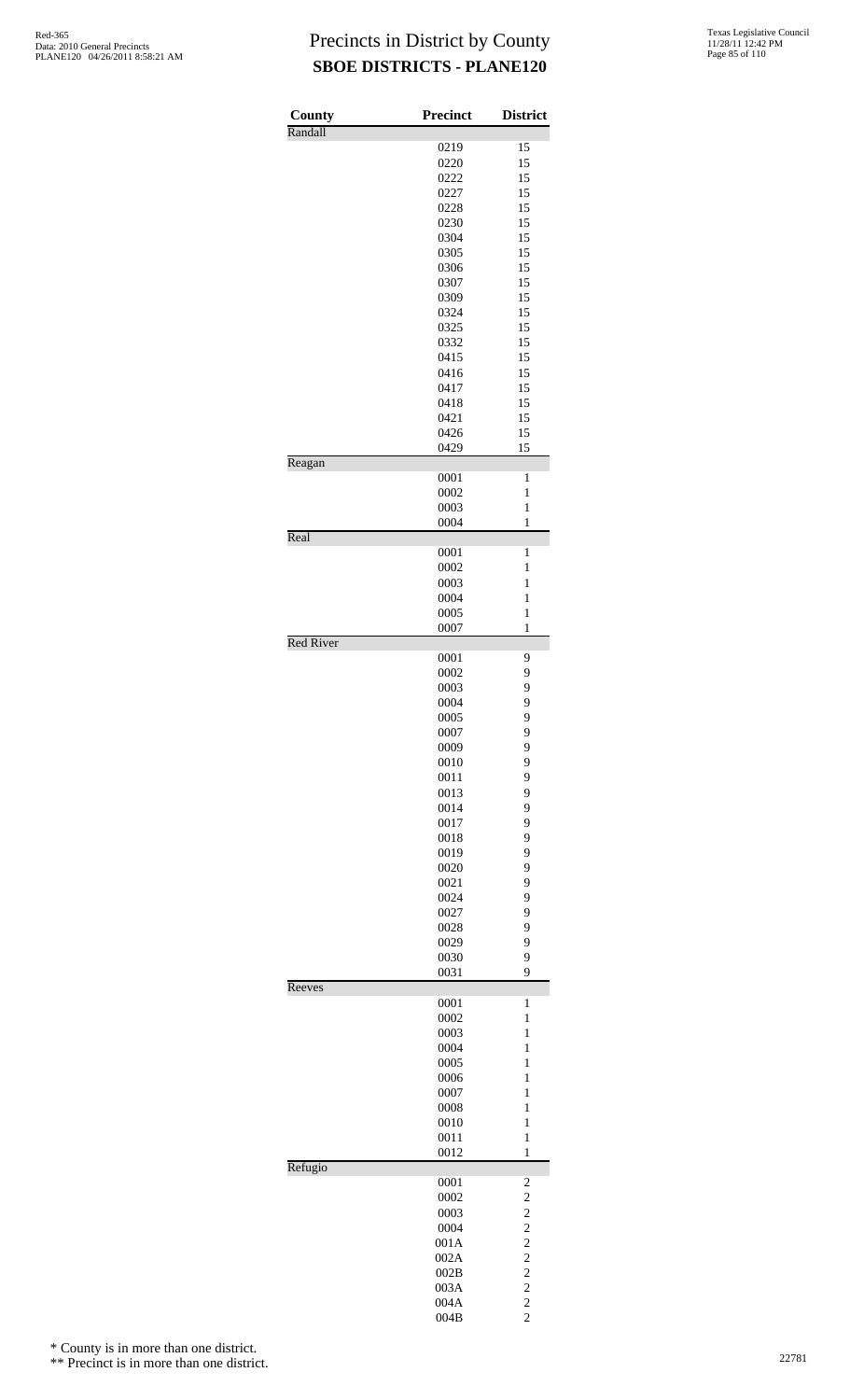| County           | <b>Precinct</b> | <b>District</b>                           |
|------------------|-----------------|-------------------------------------------|
| Randall          | 0219            | 15                                        |
|                  | 0220            | 15                                        |
|                  | 0222            | 15                                        |
|                  | 0227            | 15                                        |
|                  | 0228            | 15                                        |
|                  | 0230            | 15                                        |
|                  | 0304            | 15                                        |
|                  | 0305            | 15                                        |
|                  | 0306            | 15                                        |
|                  | 0307            | 15                                        |
|                  | 0309            | 15                                        |
|                  | 0324            | 15                                        |
|                  | 0325            | 15                                        |
|                  | 0332            | 15                                        |
|                  | 0415            | 15                                        |
|                  | 0416<br>0417    | 15<br>15                                  |
|                  | 0418            | 15                                        |
|                  | 0421            | 15                                        |
|                  | 0426            | 15                                        |
|                  | 0429            | 15                                        |
| Reagan           |                 |                                           |
|                  | 0001            | $\mathbf{1}$                              |
|                  | 0002            | $\mathbf{1}$                              |
|                  | 0003            | $\mathbf{1}$                              |
| Real             | 0004            | 1                                         |
|                  | 0001            | 1                                         |
|                  | 0002            | $\mathbf{1}$                              |
|                  | 0003            | $\mathbf{1}$                              |
|                  | 0004            | $\mathbf{1}$                              |
|                  | 0005            | $\mathbf{1}$                              |
|                  | 0007            | 1                                         |
| <b>Red River</b> | 0001            | 9                                         |
|                  | 0002            | 9                                         |
|                  | 0003            | 9                                         |
|                  | 0004            | 9                                         |
|                  | 0005            | 9                                         |
|                  | 0007            | 9                                         |
|                  | 0009            | 9                                         |
|                  | 0010            | 9                                         |
|                  | 0011            | 9                                         |
|                  | 0013            | 9                                         |
|                  | 0014            | 9                                         |
|                  | 0017            | 9                                         |
|                  | 0018            | 9                                         |
|                  | 0019            | 9                                         |
|                  | 0020            | 9                                         |
|                  | 0021            | 9                                         |
|                  | 0024            | 9                                         |
|                  | 0027            | 9                                         |
|                  | 0028            | 9                                         |
|                  | 0029            | 9                                         |
|                  | 0030<br>0031    | 9<br>9                                    |
| Reeves           |                 |                                           |
|                  | 0001            | 1                                         |
|                  | 0002            | $\mathbf{1}$                              |
|                  | 0003            | $\mathbf{1}$                              |
|                  | 0004            | $\mathbf{1}$                              |
|                  | 0005<br>0006    | $\mathbf{1}$<br>$\mathbf{1}$              |
|                  | 0007            | $\mathbf{1}$                              |
|                  | 0008            | $\mathbf{1}$                              |
|                  | 0010            | $\mathbf{1}$                              |
|                  | 0011            | $\mathbf{1}$                              |
|                  | 0012            | $\mathbf{1}$                              |
| Refugio          |                 |                                           |
|                  | 0001<br>0002    | $\overline{\mathbf{c}}$<br>$\overline{c}$ |
|                  | 0003            | $\overline{c}$                            |
|                  | 0004            | $\overline{\mathbf{c}}$                   |
|                  | 001A            | $\overline{c}$                            |
|                  | 002A            | $\overline{c}$                            |
|                  | 002B            | $\overline{c}$                            |
|                  | 003A            | $\overline{\mathbf{c}}$                   |
|                  | 004A            | $\overline{c}$                            |
|                  | 004B            | $\overline{c}$                            |

\* County is in more than one district.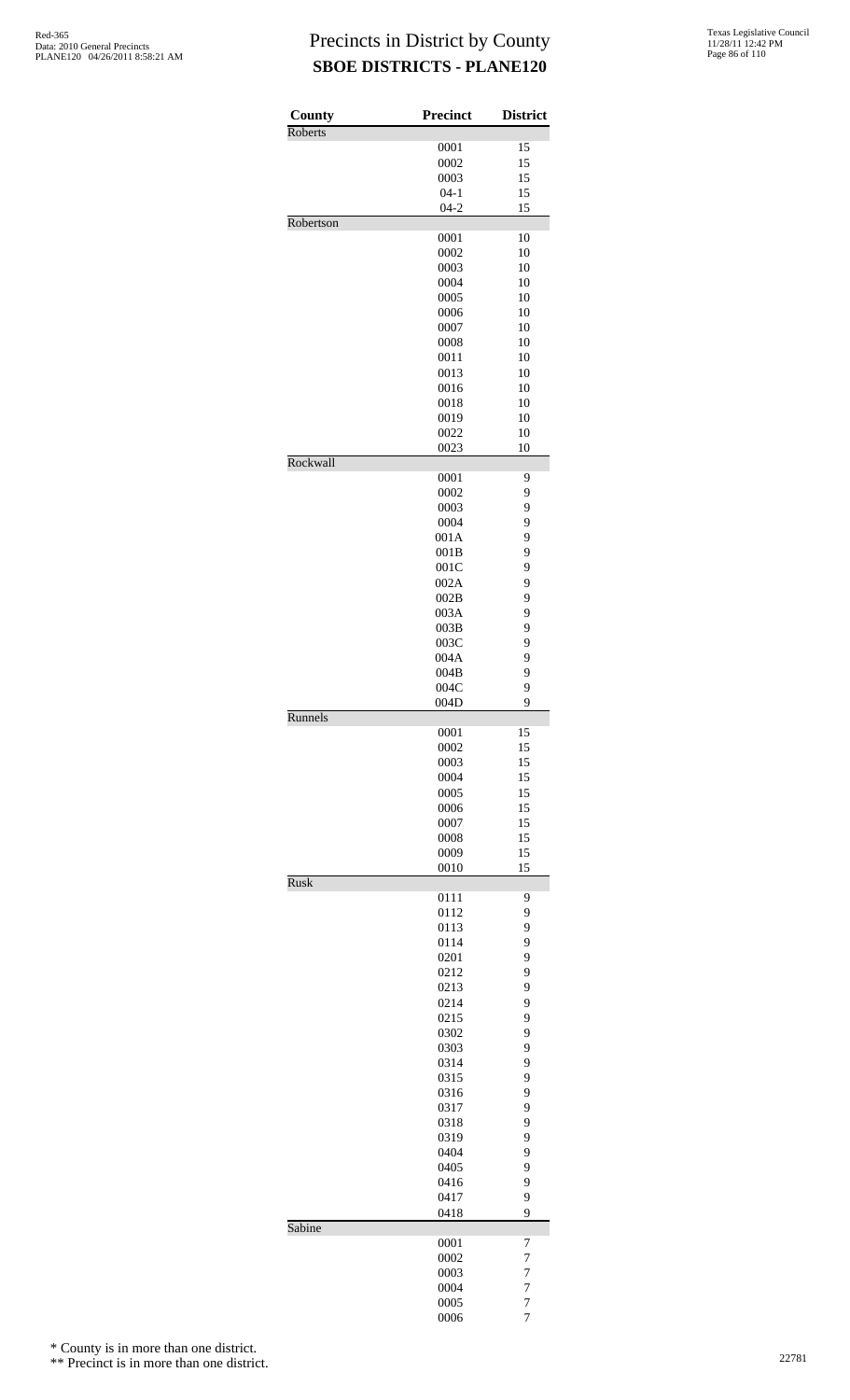| County      | <b>Precinct</b> | <b>District</b> |
|-------------|-----------------|-----------------|
| Roberts     | 0001            | 15              |
|             | 0002            | 15              |
|             | 0003            | 15              |
|             | $04 - 1$        | 15              |
|             | $04 - 2$        | 15              |
| Robertson   |                 |                 |
|             | 0001<br>0002    | 10<br>10        |
|             | 0003            | 10              |
|             | 0004            | 10              |
|             | 0005            | 10              |
|             | 0006            | 10              |
|             | 0007            | 10              |
|             | 0008            | 10              |
|             | 0011            | 10              |
|             | 0013            | 10              |
|             | 0016            | 10              |
|             | 0018<br>0019    | 10<br>10        |
|             | 0022            | 10              |
|             | 0023            | 10              |
| Rockwall    |                 |                 |
|             | 0001            | 9               |
|             | 0002            | 9               |
|             | 0003            | 9               |
|             | 0004<br>001A    | 9<br>9          |
|             | 001B            | 9               |
|             | 001C            | 9               |
|             | 002A            | 9               |
|             | 002B            | 9               |
|             | 003A            | 9               |
|             | 003B            | 9               |
|             | 003C            | 9               |
|             | 004A            | 9               |
|             | 004B            | 9               |
|             | 004C<br>004D    | 9<br>9          |
| Runnels     |                 |                 |
|             | 0001            | 15              |
|             | 0002            | 15              |
|             | 0003            | 15              |
|             | 0004            | 15              |
|             | 0005            | 15              |
|             | 0006<br>0007    | 15<br>15        |
|             | 0008            | 15              |
|             | 0009            | 15              |
|             | 0010            | 15              |
| <b>Rusk</b> |                 |                 |
|             | 0111<br>0112    | 9<br>9          |
|             | 0113            | 9               |
|             | 0114            | 9               |
|             | 0201            | 9               |
|             | 0212            | 9               |
|             | 0213            | 9               |
|             | 0214            | 9               |
|             | 0215            | 9               |
|             | 0302            | 9               |
|             | 0303            | 9               |
|             | 0314<br>0315    | 9<br>9          |
|             | 0316            | 9               |
|             | 0317            | 9               |
|             | 0318            | 9               |
|             | 0319            | 9               |
|             | 0404            | 9               |
|             | 0405            | 9               |
|             | 0416            | 9               |
|             | 0417            | 9               |
| Sabine      | 0418            | 9               |
|             | 0001            | 7               |
|             | 0002            | 7               |
|             | 0003            | $\overline{7}$  |
|             | 0004            | $\overline{7}$  |
|             | 0005            | 7<br>7          |
|             | 0006            |                 |

\* County is in more than one district.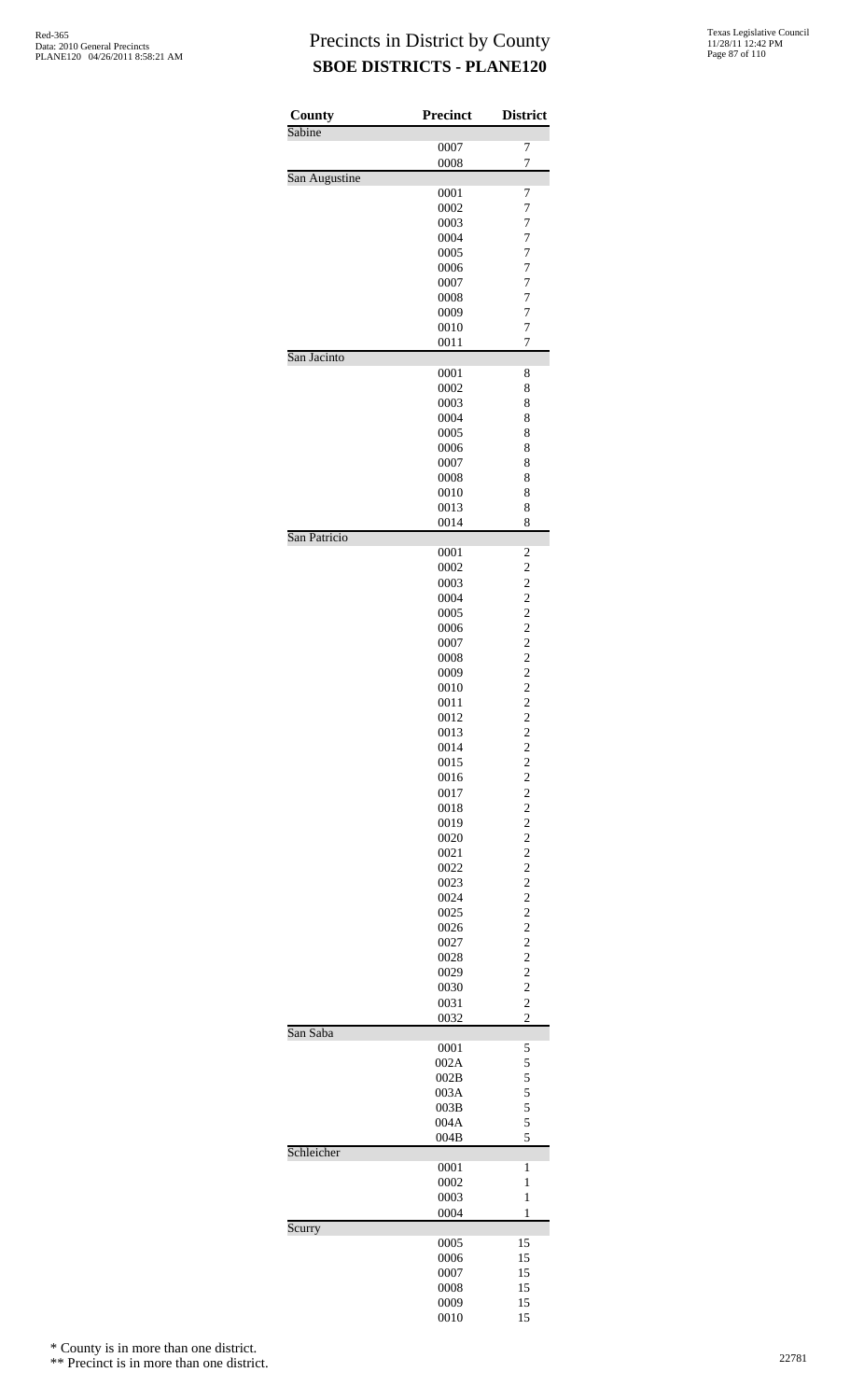| County        | Precinct     | <b>District</b>                           |
|---------------|--------------|-------------------------------------------|
| Sabine        | 0007         | 7                                         |
|               | 0008         | $\overline{7}$                            |
| San Augustine |              |                                           |
|               | 0001         | 7                                         |
|               | 0002         | $\overline{7}$                            |
|               | 0003         | $\overline{7}$                            |
|               | 0004<br>0005 | $\overline{7}$<br>7                       |
|               | 0006         | 7                                         |
|               | 0007         | $\overline{7}$                            |
|               | 0008         | $\overline{7}$                            |
|               | 0009         | $\overline{7}$                            |
|               | 0010<br>0011 | 7<br>7                                    |
| San Jacinto   |              |                                           |
|               | 0001         | 8                                         |
|               | 0002         | 8                                         |
|               | 0003         | 8                                         |
|               | 0004<br>0005 | 8<br>8                                    |
|               | 0006         | 8                                         |
|               | 0007         | 8                                         |
|               | 0008         | 8                                         |
|               | 0010         | 8                                         |
|               | 0013         | 8                                         |
| San Patricio  | 0014         | 8                                         |
|               | 0001         | $\overline{\mathbf{c}}$                   |
|               | 0002         | $\overline{c}$                            |
|               | 0003         | $\overline{c}$                            |
|               | 0004         | $\overline{c}$                            |
|               | 0005         | $\overline{c}$                            |
|               | 0006<br>0007 | $\overline{c}$<br>$\overline{c}$          |
|               | 0008         | $\overline{c}$                            |
|               | 0009         | $\overline{c}$                            |
|               | 0010         | $\overline{c}$                            |
|               | 0011         | $\overline{c}$                            |
|               | 0012         | $\overline{c}$                            |
|               | 0013         | $\overline{\mathbf{c}}$                   |
|               | 0014<br>0015 | $\frac{2}{2}$                             |
|               | 0016         |                                           |
|               | 0017         | $\frac{2}{2}$                             |
|               | 0018         | $\overline{c}$                            |
|               | 0019         | $\overline{\mathbf{c}}$                   |
|               | 0020         | $\overline{c}$                            |
|               | 0021<br>0022 | $\overline{\mathbf{c}}$<br>$\overline{c}$ |
|               | 0023         | $\overline{c}$                            |
|               | 0024         | $\overline{\mathbf{c}}$                   |
|               | 0025         | $\overline{c}$                            |
|               | 0026         | $\frac{2}{2}$                             |
|               | 0027         |                                           |
|               | 0028         | $\overline{c}$                            |
|               | 0029<br>0030 | $\overline{\mathbf{c}}$<br>$\overline{c}$ |
|               | 0031         | $\overline{c}$                            |
|               | 0032         | $\overline{c}$                            |
| San Saba      |              |                                           |
|               | 0001         | 5                                         |
|               | 002A<br>002B | 5<br>5                                    |
|               | 003A         | 5                                         |
|               | 003B         | 5                                         |
|               | 004A         | 5                                         |
|               | 004B         | 5                                         |
| Schleicher    | 0001         | $\mathbf{1}$                              |
|               | 0002         | 1                                         |
|               | 0003         | $\mathbf{1}$                              |
|               | 0004         | 1                                         |
| Scurry        |              |                                           |
|               | 0005         | 15<br>15                                  |
|               | 0006<br>0007 | 15                                        |
|               | 0008         | 15                                        |
|               | 0009         | 15                                        |
|               | 0010         | 15                                        |

\* County is in more than one district.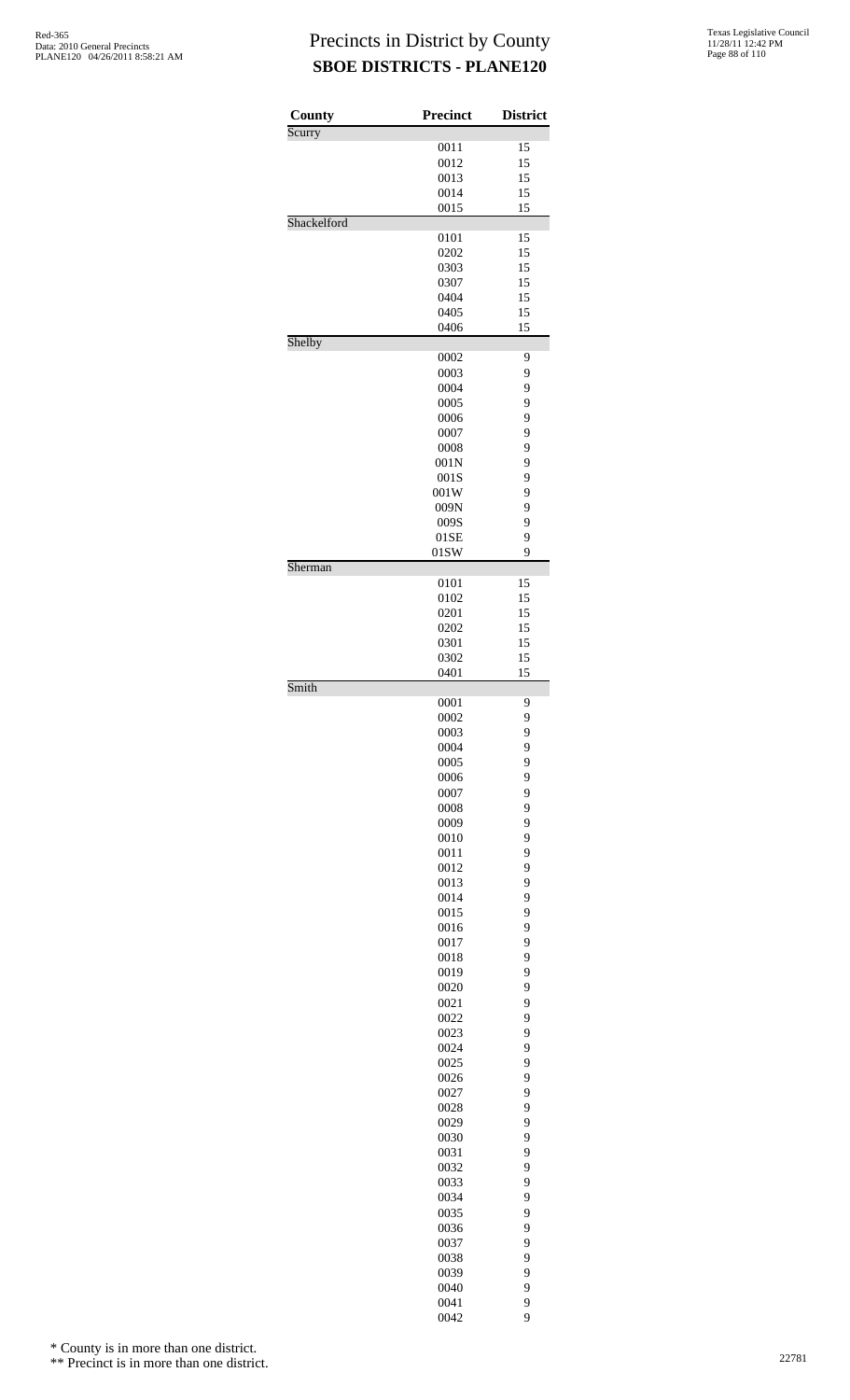| 0011<br>15<br>15<br>0012<br>0013<br>15<br>0014<br>15<br>0015<br>15<br>Shackelford<br>0101<br>15<br>0202<br>15<br>0303<br>15<br>0307<br>15<br>15<br>0404<br>15<br>0405<br>0406<br>15<br>Shelby<br>0002<br>9<br>9<br>0003<br>9<br>0004<br>9<br>0005<br>9<br>0006<br>9<br>0007<br>9<br>0008<br>9<br>001N<br>9<br>001S<br>9<br>001W<br>9<br>009N<br>9<br>009S<br>9<br>01SE<br>9<br>01SW<br>Sherman<br>15<br>0101<br>0102<br>15<br>15<br>0201<br>0202<br>15<br>15<br>0301<br>15<br>0302<br>15<br>0401<br>Smith<br>0001<br>9<br>9<br>0002<br>0003<br>9<br>0004<br>9<br>9<br>0005<br>9<br>0006<br>9<br>0007<br>9<br>0008<br>0009<br>9<br>9<br>0010<br>9<br>0011<br>9<br>0012<br>0013<br>9<br>9<br>0014<br>9<br>0015<br>9<br>0016<br>9<br>0017<br>9<br>0018<br>0019<br>9<br>9<br>0020<br>9<br>0021<br>0022<br>9<br>0023<br>9<br>9<br>0024<br>9<br>0025<br>9<br>0026<br>9<br>0027<br>9<br>0028<br>9<br>0029<br>9<br>0030<br>9<br>0031<br>9<br>0032<br>0033<br>9<br>9<br>0034<br>9<br>0035<br>9<br>0036<br>9<br>0037<br>0038<br>9<br>9<br>0039<br>9<br>0040<br>9<br>0041 | County | <b>Precinct</b> | <b>District</b> |
|----------------------------------------------------------------------------------------------------------------------------------------------------------------------------------------------------------------------------------------------------------------------------------------------------------------------------------------------------------------------------------------------------------------------------------------------------------------------------------------------------------------------------------------------------------------------------------------------------------------------------------------------------------------------------------------------------------------------------------------------------------------------------------------------------------------------------------------------------------------------------------------------------------------------------------------------------------------------------------------------------------------------------------------------------------------|--------|-----------------|-----------------|
|                                                                                                                                                                                                                                                                                                                                                                                                                                                                                                                                                                                                                                                                                                                                                                                                                                                                                                                                                                                                                                                                | Scurry |                 |                 |
|                                                                                                                                                                                                                                                                                                                                                                                                                                                                                                                                                                                                                                                                                                                                                                                                                                                                                                                                                                                                                                                                |        |                 |                 |
|                                                                                                                                                                                                                                                                                                                                                                                                                                                                                                                                                                                                                                                                                                                                                                                                                                                                                                                                                                                                                                                                |        |                 |                 |
|                                                                                                                                                                                                                                                                                                                                                                                                                                                                                                                                                                                                                                                                                                                                                                                                                                                                                                                                                                                                                                                                |        |                 |                 |
|                                                                                                                                                                                                                                                                                                                                                                                                                                                                                                                                                                                                                                                                                                                                                                                                                                                                                                                                                                                                                                                                |        |                 |                 |
|                                                                                                                                                                                                                                                                                                                                                                                                                                                                                                                                                                                                                                                                                                                                                                                                                                                                                                                                                                                                                                                                |        |                 |                 |
|                                                                                                                                                                                                                                                                                                                                                                                                                                                                                                                                                                                                                                                                                                                                                                                                                                                                                                                                                                                                                                                                |        |                 |                 |
|                                                                                                                                                                                                                                                                                                                                                                                                                                                                                                                                                                                                                                                                                                                                                                                                                                                                                                                                                                                                                                                                |        |                 |                 |
|                                                                                                                                                                                                                                                                                                                                                                                                                                                                                                                                                                                                                                                                                                                                                                                                                                                                                                                                                                                                                                                                |        |                 |                 |
|                                                                                                                                                                                                                                                                                                                                                                                                                                                                                                                                                                                                                                                                                                                                                                                                                                                                                                                                                                                                                                                                |        |                 |                 |
|                                                                                                                                                                                                                                                                                                                                                                                                                                                                                                                                                                                                                                                                                                                                                                                                                                                                                                                                                                                                                                                                |        |                 |                 |
|                                                                                                                                                                                                                                                                                                                                                                                                                                                                                                                                                                                                                                                                                                                                                                                                                                                                                                                                                                                                                                                                |        |                 |                 |
|                                                                                                                                                                                                                                                                                                                                                                                                                                                                                                                                                                                                                                                                                                                                                                                                                                                                                                                                                                                                                                                                |        |                 |                 |
|                                                                                                                                                                                                                                                                                                                                                                                                                                                                                                                                                                                                                                                                                                                                                                                                                                                                                                                                                                                                                                                                |        |                 |                 |
|                                                                                                                                                                                                                                                                                                                                                                                                                                                                                                                                                                                                                                                                                                                                                                                                                                                                                                                                                                                                                                                                |        |                 |                 |
|                                                                                                                                                                                                                                                                                                                                                                                                                                                                                                                                                                                                                                                                                                                                                                                                                                                                                                                                                                                                                                                                |        |                 |                 |
|                                                                                                                                                                                                                                                                                                                                                                                                                                                                                                                                                                                                                                                                                                                                                                                                                                                                                                                                                                                                                                                                |        |                 |                 |
|                                                                                                                                                                                                                                                                                                                                                                                                                                                                                                                                                                                                                                                                                                                                                                                                                                                                                                                                                                                                                                                                |        |                 |                 |
|                                                                                                                                                                                                                                                                                                                                                                                                                                                                                                                                                                                                                                                                                                                                                                                                                                                                                                                                                                                                                                                                |        |                 |                 |
|                                                                                                                                                                                                                                                                                                                                                                                                                                                                                                                                                                                                                                                                                                                                                                                                                                                                                                                                                                                                                                                                |        |                 |                 |
|                                                                                                                                                                                                                                                                                                                                                                                                                                                                                                                                                                                                                                                                                                                                                                                                                                                                                                                                                                                                                                                                |        |                 |                 |
|                                                                                                                                                                                                                                                                                                                                                                                                                                                                                                                                                                                                                                                                                                                                                                                                                                                                                                                                                                                                                                                                |        |                 |                 |
|                                                                                                                                                                                                                                                                                                                                                                                                                                                                                                                                                                                                                                                                                                                                                                                                                                                                                                                                                                                                                                                                |        |                 |                 |
|                                                                                                                                                                                                                                                                                                                                                                                                                                                                                                                                                                                                                                                                                                                                                                                                                                                                                                                                                                                                                                                                |        |                 |                 |
|                                                                                                                                                                                                                                                                                                                                                                                                                                                                                                                                                                                                                                                                                                                                                                                                                                                                                                                                                                                                                                                                |        |                 |                 |
|                                                                                                                                                                                                                                                                                                                                                                                                                                                                                                                                                                                                                                                                                                                                                                                                                                                                                                                                                                                                                                                                |        |                 |                 |
|                                                                                                                                                                                                                                                                                                                                                                                                                                                                                                                                                                                                                                                                                                                                                                                                                                                                                                                                                                                                                                                                |        |                 |                 |
|                                                                                                                                                                                                                                                                                                                                                                                                                                                                                                                                                                                                                                                                                                                                                                                                                                                                                                                                                                                                                                                                |        |                 |                 |
|                                                                                                                                                                                                                                                                                                                                                                                                                                                                                                                                                                                                                                                                                                                                                                                                                                                                                                                                                                                                                                                                |        |                 |                 |
|                                                                                                                                                                                                                                                                                                                                                                                                                                                                                                                                                                                                                                                                                                                                                                                                                                                                                                                                                                                                                                                                |        |                 |                 |
|                                                                                                                                                                                                                                                                                                                                                                                                                                                                                                                                                                                                                                                                                                                                                                                                                                                                                                                                                                                                                                                                |        |                 |                 |
|                                                                                                                                                                                                                                                                                                                                                                                                                                                                                                                                                                                                                                                                                                                                                                                                                                                                                                                                                                                                                                                                |        |                 |                 |
|                                                                                                                                                                                                                                                                                                                                                                                                                                                                                                                                                                                                                                                                                                                                                                                                                                                                                                                                                                                                                                                                |        |                 |                 |
|                                                                                                                                                                                                                                                                                                                                                                                                                                                                                                                                                                                                                                                                                                                                                                                                                                                                                                                                                                                                                                                                |        |                 |                 |
|                                                                                                                                                                                                                                                                                                                                                                                                                                                                                                                                                                                                                                                                                                                                                                                                                                                                                                                                                                                                                                                                |        |                 |                 |
|                                                                                                                                                                                                                                                                                                                                                                                                                                                                                                                                                                                                                                                                                                                                                                                                                                                                                                                                                                                                                                                                |        |                 |                 |
|                                                                                                                                                                                                                                                                                                                                                                                                                                                                                                                                                                                                                                                                                                                                                                                                                                                                                                                                                                                                                                                                |        |                 |                 |
|                                                                                                                                                                                                                                                                                                                                                                                                                                                                                                                                                                                                                                                                                                                                                                                                                                                                                                                                                                                                                                                                |        |                 |                 |
|                                                                                                                                                                                                                                                                                                                                                                                                                                                                                                                                                                                                                                                                                                                                                                                                                                                                                                                                                                                                                                                                |        |                 |                 |
|                                                                                                                                                                                                                                                                                                                                                                                                                                                                                                                                                                                                                                                                                                                                                                                                                                                                                                                                                                                                                                                                |        |                 |                 |
|                                                                                                                                                                                                                                                                                                                                                                                                                                                                                                                                                                                                                                                                                                                                                                                                                                                                                                                                                                                                                                                                |        |                 |                 |
|                                                                                                                                                                                                                                                                                                                                                                                                                                                                                                                                                                                                                                                                                                                                                                                                                                                                                                                                                                                                                                                                |        |                 |                 |
|                                                                                                                                                                                                                                                                                                                                                                                                                                                                                                                                                                                                                                                                                                                                                                                                                                                                                                                                                                                                                                                                |        |                 |                 |
|                                                                                                                                                                                                                                                                                                                                                                                                                                                                                                                                                                                                                                                                                                                                                                                                                                                                                                                                                                                                                                                                |        |                 |                 |
|                                                                                                                                                                                                                                                                                                                                                                                                                                                                                                                                                                                                                                                                                                                                                                                                                                                                                                                                                                                                                                                                |        |                 |                 |
|                                                                                                                                                                                                                                                                                                                                                                                                                                                                                                                                                                                                                                                                                                                                                                                                                                                                                                                                                                                                                                                                |        |                 |                 |
|                                                                                                                                                                                                                                                                                                                                                                                                                                                                                                                                                                                                                                                                                                                                                                                                                                                                                                                                                                                                                                                                |        |                 |                 |
|                                                                                                                                                                                                                                                                                                                                                                                                                                                                                                                                                                                                                                                                                                                                                                                                                                                                                                                                                                                                                                                                |        |                 |                 |
|                                                                                                                                                                                                                                                                                                                                                                                                                                                                                                                                                                                                                                                                                                                                                                                                                                                                                                                                                                                                                                                                |        |                 |                 |
|                                                                                                                                                                                                                                                                                                                                                                                                                                                                                                                                                                                                                                                                                                                                                                                                                                                                                                                                                                                                                                                                |        |                 |                 |
|                                                                                                                                                                                                                                                                                                                                                                                                                                                                                                                                                                                                                                                                                                                                                                                                                                                                                                                                                                                                                                                                |        |                 |                 |
|                                                                                                                                                                                                                                                                                                                                                                                                                                                                                                                                                                                                                                                                                                                                                                                                                                                                                                                                                                                                                                                                |        |                 |                 |
|                                                                                                                                                                                                                                                                                                                                                                                                                                                                                                                                                                                                                                                                                                                                                                                                                                                                                                                                                                                                                                                                |        |                 |                 |
|                                                                                                                                                                                                                                                                                                                                                                                                                                                                                                                                                                                                                                                                                                                                                                                                                                                                                                                                                                                                                                                                |        |                 |                 |
|                                                                                                                                                                                                                                                                                                                                                                                                                                                                                                                                                                                                                                                                                                                                                                                                                                                                                                                                                                                                                                                                |        |                 |                 |
|                                                                                                                                                                                                                                                                                                                                                                                                                                                                                                                                                                                                                                                                                                                                                                                                                                                                                                                                                                                                                                                                |        |                 |                 |
|                                                                                                                                                                                                                                                                                                                                                                                                                                                                                                                                                                                                                                                                                                                                                                                                                                                                                                                                                                                                                                                                |        |                 |                 |
|                                                                                                                                                                                                                                                                                                                                                                                                                                                                                                                                                                                                                                                                                                                                                                                                                                                                                                                                                                                                                                                                |        |                 |                 |
|                                                                                                                                                                                                                                                                                                                                                                                                                                                                                                                                                                                                                                                                                                                                                                                                                                                                                                                                                                                                                                                                |        |                 |                 |
|                                                                                                                                                                                                                                                                                                                                                                                                                                                                                                                                                                                                                                                                                                                                                                                                                                                                                                                                                                                                                                                                |        |                 |                 |
|                                                                                                                                                                                                                                                                                                                                                                                                                                                                                                                                                                                                                                                                                                                                                                                                                                                                                                                                                                                                                                                                |        |                 |                 |
|                                                                                                                                                                                                                                                                                                                                                                                                                                                                                                                                                                                                                                                                                                                                                                                                                                                                                                                                                                                                                                                                |        |                 |                 |
|                                                                                                                                                                                                                                                                                                                                                                                                                                                                                                                                                                                                                                                                                                                                                                                                                                                                                                                                                                                                                                                                |        |                 |                 |
|                                                                                                                                                                                                                                                                                                                                                                                                                                                                                                                                                                                                                                                                                                                                                                                                                                                                                                                                                                                                                                                                |        |                 |                 |
|                                                                                                                                                                                                                                                                                                                                                                                                                                                                                                                                                                                                                                                                                                                                                                                                                                                                                                                                                                                                                                                                |        |                 |                 |
|                                                                                                                                                                                                                                                                                                                                                                                                                                                                                                                                                                                                                                                                                                                                                                                                                                                                                                                                                                                                                                                                |        |                 |                 |
|                                                                                                                                                                                                                                                                                                                                                                                                                                                                                                                                                                                                                                                                                                                                                                                                                                                                                                                                                                                                                                                                |        |                 |                 |
|                                                                                                                                                                                                                                                                                                                                                                                                                                                                                                                                                                                                                                                                                                                                                                                                                                                                                                                                                                                                                                                                |        |                 |                 |
|                                                                                                                                                                                                                                                                                                                                                                                                                                                                                                                                                                                                                                                                                                                                                                                                                                                                                                                                                                                                                                                                |        |                 |                 |
|                                                                                                                                                                                                                                                                                                                                                                                                                                                                                                                                                                                                                                                                                                                                                                                                                                                                                                                                                                                                                                                                |        |                 |                 |
|                                                                                                                                                                                                                                                                                                                                                                                                                                                                                                                                                                                                                                                                                                                                                                                                                                                                                                                                                                                                                                                                |        |                 |                 |
|                                                                                                                                                                                                                                                                                                                                                                                                                                                                                                                                                                                                                                                                                                                                                                                                                                                                                                                                                                                                                                                                |        |                 |                 |
|                                                                                                                                                                                                                                                                                                                                                                                                                                                                                                                                                                                                                                                                                                                                                                                                                                                                                                                                                                                                                                                                |        |                 |                 |
|                                                                                                                                                                                                                                                                                                                                                                                                                                                                                                                                                                                                                                                                                                                                                                                                                                                                                                                                                                                                                                                                |        |                 |                 |
|                                                                                                                                                                                                                                                                                                                                                                                                                                                                                                                                                                                                                                                                                                                                                                                                                                                                                                                                                                                                                                                                |        |                 |                 |
|                                                                                                                                                                                                                                                                                                                                                                                                                                                                                                                                                                                                                                                                                                                                                                                                                                                                                                                                                                                                                                                                |        | 0042            | 9               |

\* County is in more than one district.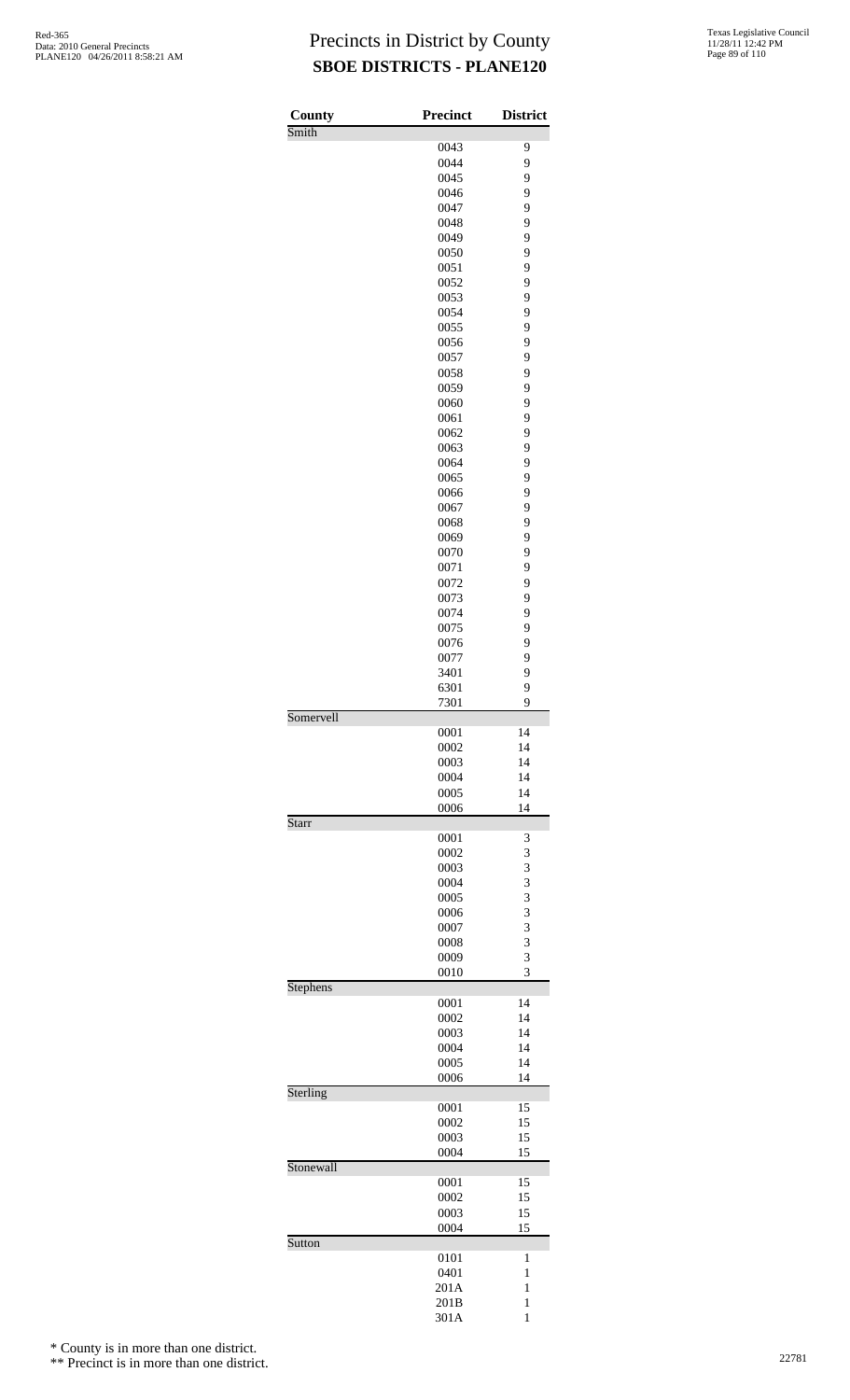| <b>Texas Legislative Council</b> |
|----------------------------------|
| 11/28/11 12:42 PM                |
| Page 89 of 110                   |

| County<br>Smith | <b>Precinct</b> | <b>District</b> |
|-----------------|-----------------|-----------------|
|                 | 0043            | 9               |
|                 | 0044            | 9               |
|                 | 0045            | 9               |
|                 | 0046            | 9               |
|                 | 0047<br>0048    | 9<br>9          |
|                 | 0049            | 9               |
|                 | 0050            | 9               |
|                 | 0051            | 9               |
|                 | 0052            | 9               |
|                 | 0053            | 9               |
|                 | 0054            | 9               |
|                 | 0055            | 9               |
|                 | 0056<br>0057    | 9<br>9          |
|                 | 0058            | 9               |
|                 | 0059            | 9               |
|                 | 0060            | 9               |
|                 | 0061            | 9               |
|                 | 0062            | 9               |
|                 | 0063            | 9               |
|                 | 0064            | 9               |
|                 | 0065            | 9               |
|                 | 0066            | 9               |
|                 | 0067<br>0068    | 9<br>9          |
|                 | 0069            | 9               |
|                 | 0070            | 9               |
|                 | 0071            | 9               |
|                 | 0072            | 9               |
|                 | 0073            | 9               |
|                 | 0074            | 9               |
|                 | 0075            | 9               |
|                 | 0076            | 9               |
|                 | 0077            | 9               |
|                 | 3401            | 9<br>9          |
|                 | 6301<br>7301    | 9               |
| Somervell       |                 |                 |
|                 | 0001            | 14              |
|                 | 0002            | 14              |
|                 | 0003            | 14              |
|                 | 0004            | 14              |
|                 | 0005            | 14              |
| <b>Starr</b>    | 0006            | 14              |
|                 | 0001            | 3               |
|                 | 0002            | 3               |
|                 | 0003            | 3               |
|                 | 0004            | 3               |
|                 | 0005            | 3               |
|                 | 0006            | 3               |
|                 | 0007            | 3               |
|                 | 0008            | 3               |
|                 | 0009<br>0010    | 3<br>3          |
| <b>Stephens</b> |                 |                 |
|                 | 0001            | 14              |
|                 | 0002            | 14              |
|                 | 0003            | 14              |
|                 | 0004            | 14              |
|                 | 0005            | 14              |
|                 | 0006            | 14              |
| Sterling        | 0001            | 15              |
|                 | 0002            | 15              |
|                 | 0003            | 15              |
|                 | 0004            | 15              |
| Stonewall       |                 |                 |
|                 | 0001            | 15              |
|                 | 0002            | 15              |
|                 | 0003            | 15              |
| Sutton          | 0004            | 15              |
|                 | 0101            | 1               |
|                 | 0401            | 1               |
|                 | 201A            | $\mathbf{1}$    |
|                 | 201B            | 1               |
|                 | 301A            | $\mathbf{1}$    |

\* County is in more than one district.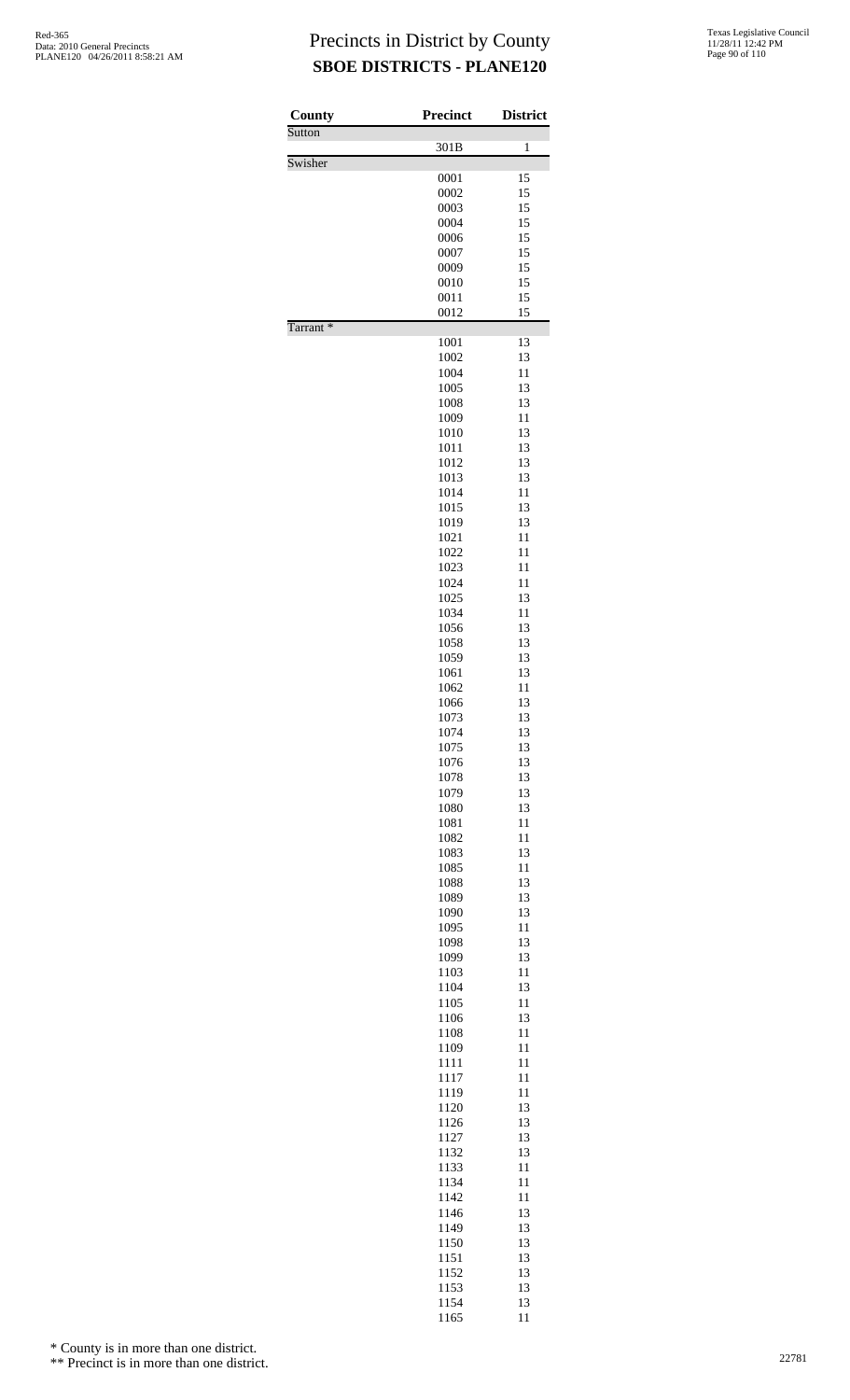| County               | <b>Precinct</b> | <b>District</b> |
|----------------------|-----------------|-----------------|
| Sutton               |                 |                 |
| Swisher              | 301B            | 1               |
|                      | 0001            | 15              |
|                      | 0002            | 15              |
|                      | 0003<br>0004    | 15<br>15        |
|                      | 0006            | 15              |
|                      | 0007            | 15              |
|                      | 0009            | 15              |
|                      | 0010            | 15              |
|                      | 0011<br>0012    | 15<br>15        |
| Tarrant <sup>*</sup> |                 |                 |
|                      | 1001            | 13              |
|                      | 1002            | 13              |
|                      | 1004<br>1005    | 11<br>13        |
|                      | 1008            | 13              |
|                      | 1009            | 11              |
|                      | 1010            | 13              |
|                      | 1011            | 13              |
|                      | 1012<br>1013    | 13<br>13        |
|                      | 1014            | 11              |
|                      | 1015            | 13              |
|                      | 1019            | 13              |
|                      | 1021            | 11              |
|                      | 1022<br>1023    | 11<br>11        |
|                      | 1024            | 11              |
|                      | 1025            | 13              |
|                      | 1034            | 11              |
|                      | 1056            | 13              |
|                      | 1058<br>1059    | 13<br>13        |
|                      | 1061            | 13              |
|                      | 1062            | 11              |
|                      | 1066            | 13              |
|                      | 1073            | 13              |
|                      | 1074<br>1075    | 13<br>13        |
|                      | 1076            | 13              |
|                      | 1078            | 13              |
|                      | 1079            | 13              |
|                      | 1080            | 13              |
|                      | 1081<br>1082    | 11<br>11        |
|                      | 1083            | 13              |
|                      | 1085            | 11              |
|                      | 1088            | 13              |
|                      | 1089            | 13              |
|                      | 1090<br>1095    | 13<br>11        |
|                      | 1098            | 13              |
|                      | 1099            | 13              |
|                      | 1103            | 11              |
|                      | 1104<br>1105    | 13<br>11        |
|                      | 1106            | 13              |
|                      | 1108            | 11              |
|                      | 1109            | 11              |
|                      | 1111            | 11              |
|                      | 1117            | 11<br>11        |
|                      | 1119<br>1120    | 13              |
|                      | 1126            | 13              |
|                      | 1127            | 13              |
|                      | 1132            | 13              |
|                      | 1133<br>1134    | 11<br>11        |
|                      | 1142            | 11              |
|                      | 1146            | 13              |
|                      | 1149            | 13              |
|                      | 1150            | 13              |
|                      | 1151            | 13<br>13        |
|                      | 1152<br>1153    | 13              |
|                      | 1154            | 13              |
|                      | 1165            | 11              |

\* County is in more than one district.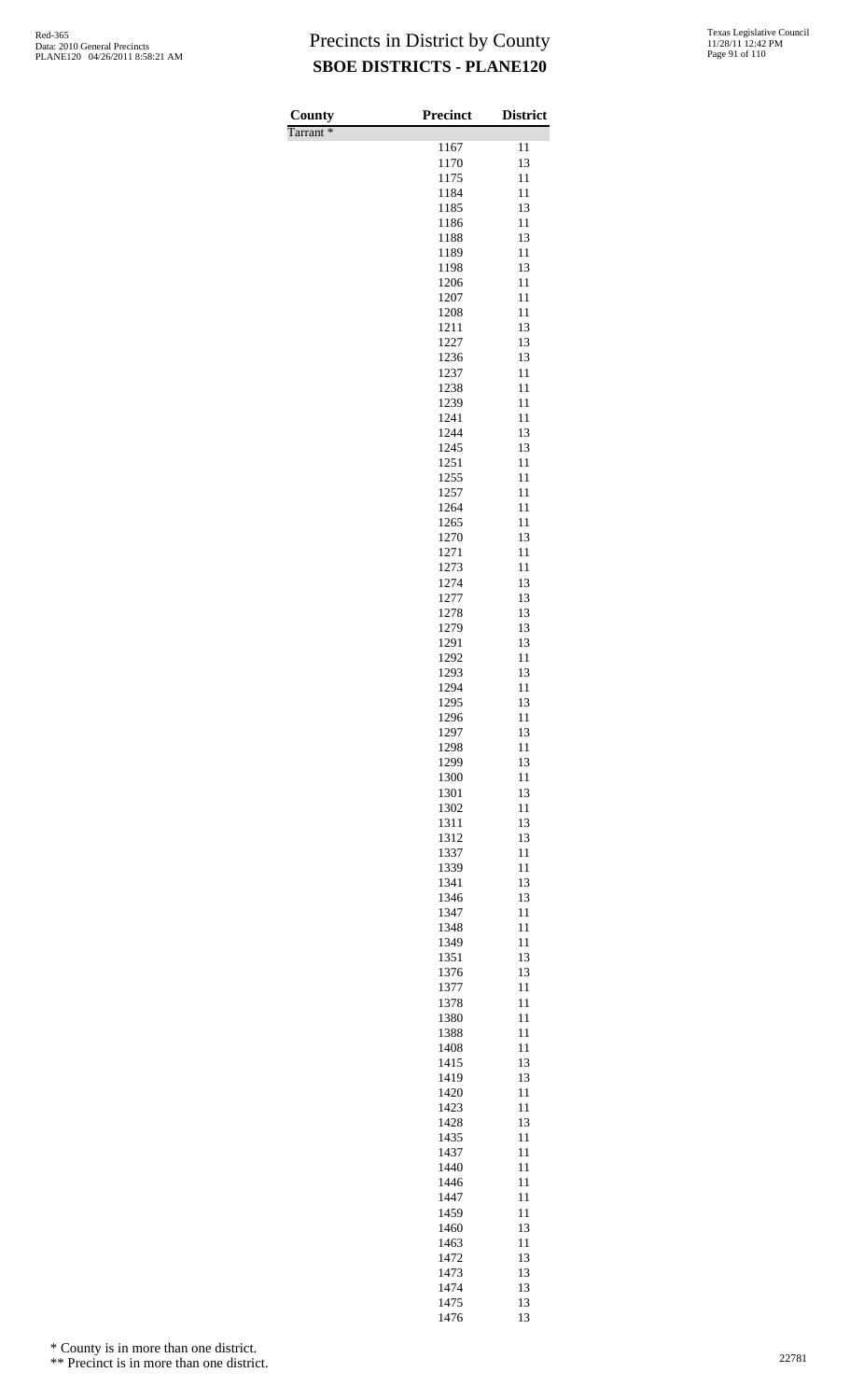| Texas Legislative Council |
|---------------------------|
| 11/28/11 12:42 PM         |
| Page 91 of 110            |

| County               | Precinct     | <b>District</b> |
|----------------------|--------------|-----------------|
| Tarrant <sup>*</sup> |              |                 |
|                      | 1167<br>1170 | 11<br>13        |
|                      | 1175         | 11              |
|                      | 1184         | 11              |
|                      | 1185         | 13              |
|                      | 1186         | 11              |
|                      | 1188         | 13              |
|                      | 1189         | 11              |
|                      | 1198         | 13              |
|                      | 1206         | 11<br>11        |
|                      | 1207<br>1208 | 11              |
|                      | 1211         | 13              |
|                      | 1227         | 13              |
|                      | 1236         | 13              |
|                      | 1237         | 11              |
|                      | 1238         | 11              |
|                      | 1239         | 11              |
|                      | 1241         | 11<br>13        |
|                      | 1244<br>1245 | 13              |
|                      | 1251         | 11              |
|                      | 1255         | 11              |
|                      | 1257         | 11              |
|                      | 1264         | 11              |
|                      | 1265         | 11              |
|                      | 1270         | 13              |
|                      | 1271         | 11              |
|                      | 1273<br>1274 | 11<br>13        |
|                      | 1277         | 13              |
|                      | 1278         | 13              |
|                      | 1279         | 13              |
|                      | 1291         | 13              |
|                      | 1292         | 11              |
|                      | 1293         | 13              |
|                      | 1294         | 11              |
|                      | 1295         | 13              |
|                      | 1296<br>1297 | 11<br>13        |
|                      | 1298         | 11              |
|                      | 1299         | 13              |
|                      | 1300         | 11              |
|                      | 1301         | 13              |
|                      | 1302         | 11              |
|                      | 1311         | 13              |
|                      | 1312<br>1337 | 13<br>11        |
|                      | 1339         | 11              |
|                      | 1341         | 13              |
|                      | 1346         | 13              |
|                      | 1347         | 11              |
|                      | 1348         | 11              |
|                      | 1349         | 11              |
|                      | 1351         | 13              |
|                      | 1376         | 13              |
|                      | 1377<br>1378 | 11<br>11        |
|                      | 1380         | 11              |
|                      | 1388         | 11              |
|                      | 1408         | 11              |
|                      | 1415         | 13              |
|                      | 1419         | 13              |
|                      | 1420         | 11              |
|                      | 1423         | 11              |
|                      | 1428<br>1435 | 13<br>11        |
|                      | 1437         | 11              |
|                      | 1440         | 11              |
|                      | 1446         | 11              |
|                      | 1447         | 11              |
|                      | 1459         | 11              |
|                      | 1460         | 13              |
|                      | 1463         | 11              |
|                      | 1472         | 13              |
|                      | 1473         | 13              |
|                      | 1474<br>1475 | 13              |
|                      |              | 13<br>13        |

\* County is in more than one district.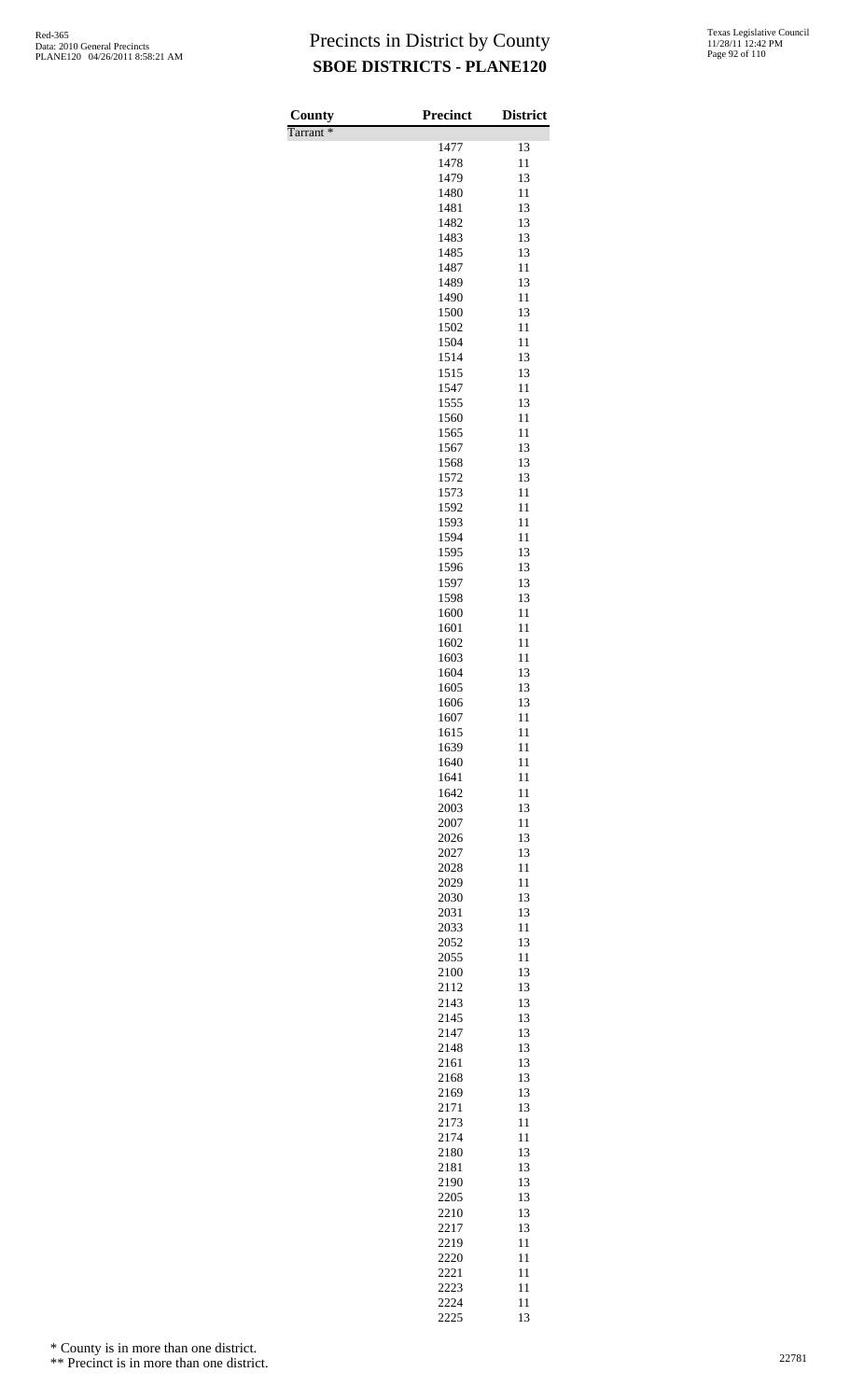| County<br>Tarrant* | Precinct     | <b>District</b> |
|--------------------|--------------|-----------------|
|                    | 1477         | 13              |
|                    | 1478         | 11              |
|                    | 1479         | 13              |
|                    | 1480         | 11              |
|                    | 1481         | 13              |
|                    | 1482         | 13              |
|                    | 1483<br>1485 | 13<br>13        |
|                    | 1487         | 11              |
|                    | 1489         | 13              |
|                    | 1490         | 11              |
|                    | 1500         | 13              |
|                    | 1502         | 11              |
|                    | 1504         | 11              |
|                    | 1514<br>1515 | 13<br>13        |
|                    | 1547         | 11              |
|                    | 1555         | 13              |
|                    | 1560         | 11              |
|                    | 1565         | 11              |
|                    | 1567         | 13              |
|                    | 1568         | 13              |
|                    | 1572<br>1573 | 13<br>11        |
|                    | 1592         | 11              |
|                    | 1593         | 11              |
|                    | 1594         | 11              |
|                    | 1595         | 13              |
|                    | 1596         | 13              |
|                    | 1597         | 13              |
|                    | 1598<br>1600 | 13<br>11        |
|                    | 1601         | 11              |
|                    | 1602         | 11              |
|                    | 1603         | 11              |
|                    | 1604         | 13              |
|                    | 1605         | 13              |
|                    | 1606         | 13              |
|                    | 1607<br>1615 | 11<br>11        |
|                    | 1639         | 11              |
|                    | 1640         | 11              |
|                    | 1641         | 11              |
|                    | 1642         | 11              |
|                    | 2003         | 13              |
|                    | 2007         | 11<br>13        |
|                    | 2026<br>2027 | 13              |
|                    | 2028         | 11              |
|                    | 2029         | 11              |
|                    | 2030         | 13              |
|                    | 2031         | 13              |
|                    | 2033         | 11              |
|                    | 2052         | 13              |
|                    | 2055<br>2100 | 11<br>13        |
|                    | 2112         | 13              |
|                    | 2143         | 13              |
|                    | 2145         | 13              |
|                    | 2147         | 13              |
|                    | 2148         | 13              |
|                    | 2161<br>2168 | 13<br>13        |
|                    | 2169         | 13              |
|                    | 2171         | 13              |
|                    | 2173         | 11              |
|                    | 2174         | 11              |
|                    | 2180         | 13              |
|                    | 2181         | 13              |
|                    | 2190<br>2205 | 13<br>13        |
|                    | 2210         | 13              |
|                    | 2217         | 13              |
|                    | 2219         | 11              |
|                    | 2220         | 11              |
|                    | 2221         | 11              |
|                    | 2223         | 11              |
|                    | 2224<br>2225 | 11<br>13        |

\* County is in more than one district.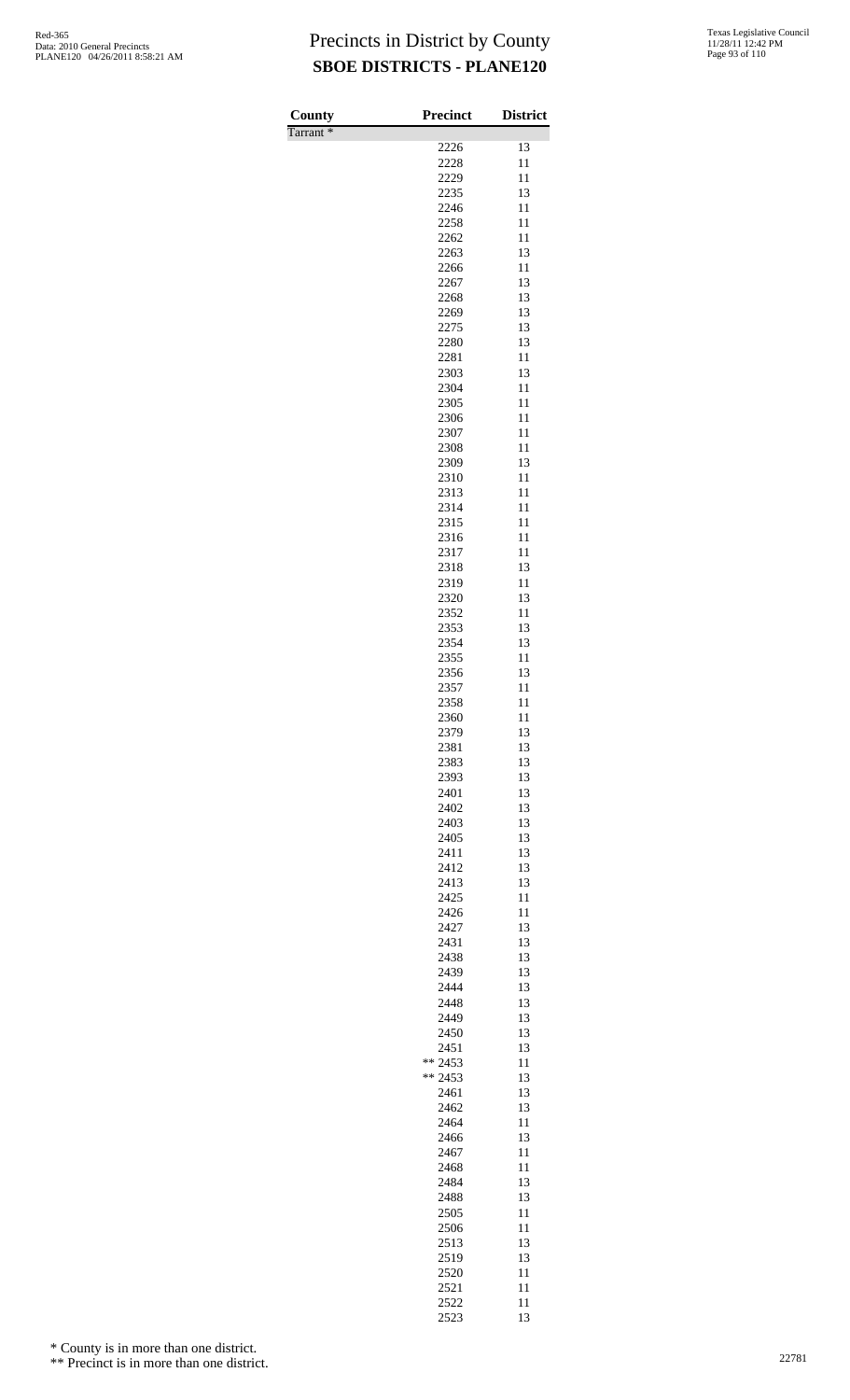Tarrant \*

| County               | <b>Precinct</b> | <b>District</b> |
|----------------------|-----------------|-----------------|
| Tarrant <sup>*</sup> | 2226            | 13              |
|                      | 2228            | 11              |
|                      | 2229            | 11              |
|                      | 2235            | 13              |
|                      | 2246            | 11              |
|                      | 2258            | 11              |
|                      | 2262<br>2263    | 11<br>13        |
|                      | 2266            | 11              |
|                      | 2267            | 13              |
|                      | 2268            | 13              |
|                      | 2269            | 13              |
|                      | 2275<br>2280    | 13<br>13        |
|                      | 2281            | 11              |
|                      | 2303            | 13              |
|                      | 2304            | 11              |
|                      | 2305            | 11              |
|                      | 2306            | 11<br>11        |
|                      | 2307<br>2308    | 11              |
|                      | 2309            | 13              |
|                      | 2310            | 11              |
|                      | 2313            | 11              |
|                      | 2314            | 11              |
|                      | 2315<br>2316    | 11<br>11        |
|                      | 2317            | 11              |
|                      | 2318            | 13              |
|                      | 2319            | 11              |
|                      | 2320            | 13              |
|                      | 2352<br>2353    | 11<br>13        |
|                      | 2354            | 13              |
|                      | 2355            | 11              |
|                      | 2356            | 13              |
|                      | 2357            | 11              |
|                      | 2358<br>2360    | 11<br>11        |
|                      | 2379            | 13              |
|                      | 2381            | 13              |
|                      | 2383            | 13              |
|                      | 2393            | 13<br>13        |
|                      | 2401<br>2402    | 13              |
|                      | 2403            | 13              |
|                      | 2405            | 13              |
|                      | 2411            | 13              |
|                      | 2412<br>2413    | 13<br>13        |
|                      | 2425            | 11              |
|                      | 2426            | 11              |
|                      | 2427            | 13              |
|                      | 2431            | 13              |
|                      | 2438<br>2439    | 13<br>13        |
|                      | 2444            | 13              |
|                      | 2448            | 13              |
|                      | 2449            | 13              |
|                      | 2450            | 13<br>13        |
|                      | 2451<br>** 2453 | 11              |
|                      | ** 2453         | 13              |
|                      | 2461            | 13              |
|                      | 2462            | 13              |
|                      | 2464<br>2466    | 11<br>13        |
|                      | 2467            | 11              |
|                      | 2468            | 11              |
|                      | 2484            | 13              |
|                      | 2488            | 13              |
|                      | 2505<br>2506    | 11<br>11        |
|                      | 2513            | 13              |
|                      | 2519            | 13              |
|                      | 2520            | 11              |
|                      | 2521            | 11              |
|                      | 2522<br>2523    | 11<br>13        |
|                      |                 |                 |

\* County is in more than one district.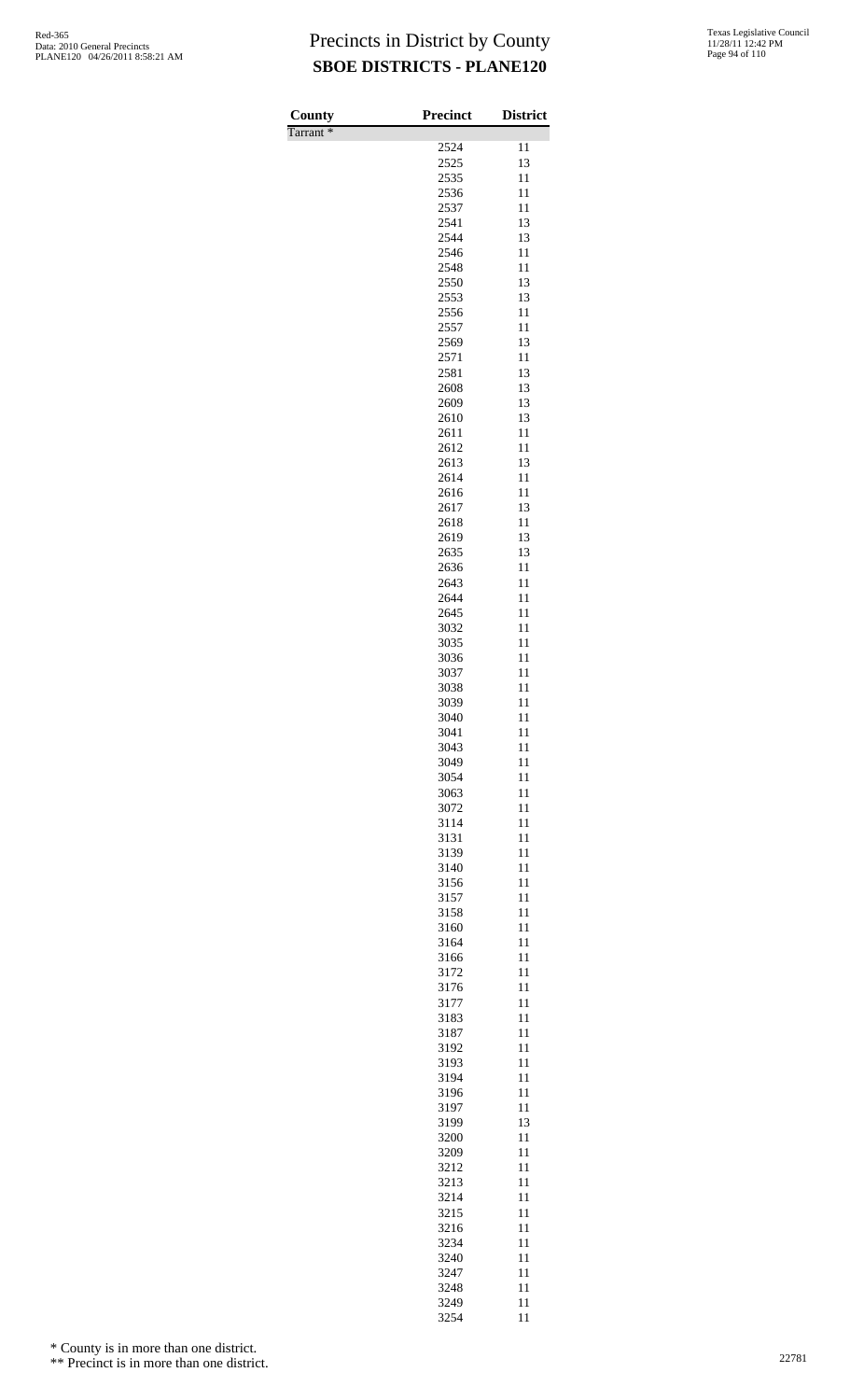| County   | Precinct     | <b>District</b> |
|----------|--------------|-----------------|
| Tarrant* | 2524         | 11              |
|          | 2525         | 13              |
|          | 2535         | 11              |
|          | 2536         | 11              |
|          | 2537         | 11<br>13        |
|          | 2541<br>2544 | 13              |
|          | 2546         | 11              |
|          | 2548         | 11              |
|          | 2550         | 13              |
|          | 2553<br>2556 | 13<br>11        |
|          | 2557         | 11              |
|          | 2569         | 13              |
|          | 2571         | 11              |
|          | 2581         | 13              |
|          | 2608<br>2609 | 13<br>13        |
|          | 2610         | 13              |
|          | 2611         | 11              |
|          | 2612         | 11              |
|          | 2613         | 13              |
|          | 2614<br>2616 | 11<br>11        |
|          | 2617         | 13              |
|          | 2618         | 11              |
|          | 2619         | 13              |
|          | 2635         | 13              |
|          | 2636         | 11<br>11        |
|          | 2643<br>2644 | 11              |
|          | 2645         | 11              |
|          | 3032         | 11              |
|          | 3035         | 11              |
|          | 3036<br>3037 | 11<br>11        |
|          | 3038         | 11              |
|          | 3039         | 11              |
|          | 3040         | 11              |
|          | 3041         | 11              |
|          | 3043         | 11              |
|          | 3049<br>3054 | 11<br>11        |
|          | 3063         | 11              |
|          | 3072         | 11              |
|          | 3114         | 11              |
|          | 3131         | 11              |
|          | 3139<br>3140 | 11<br>11        |
|          | 3156         | 11              |
|          | 3157         | 11              |
|          | 3158         | 11              |
|          | 3160         | 11              |
|          | 3164         | 11<br>11        |
|          | 3166<br>3172 | 11              |
|          | 3176         | 11              |
|          | 3177         | 11              |
|          | 3183         | 11              |
|          | 3187<br>3192 | 11<br>11        |
|          | 3193         | 11              |
|          | 3194         | 11              |
|          | 3196         | 11              |
|          | 3197         | 11              |
|          | 3199<br>3200 | 13<br>11        |
|          | 3209         | 11              |
|          | 3212         | 11              |
|          | 3213         | 11              |
|          | 3214         | 11              |
|          | 3215         | 11              |
|          | 3216<br>3234 | 11<br>11        |
|          | 3240         | 11              |
|          | 3247         | 11              |
|          | 3248         | 11              |
|          | 3249<br>3254 | 11<br>11        |

\* County is in more than one district.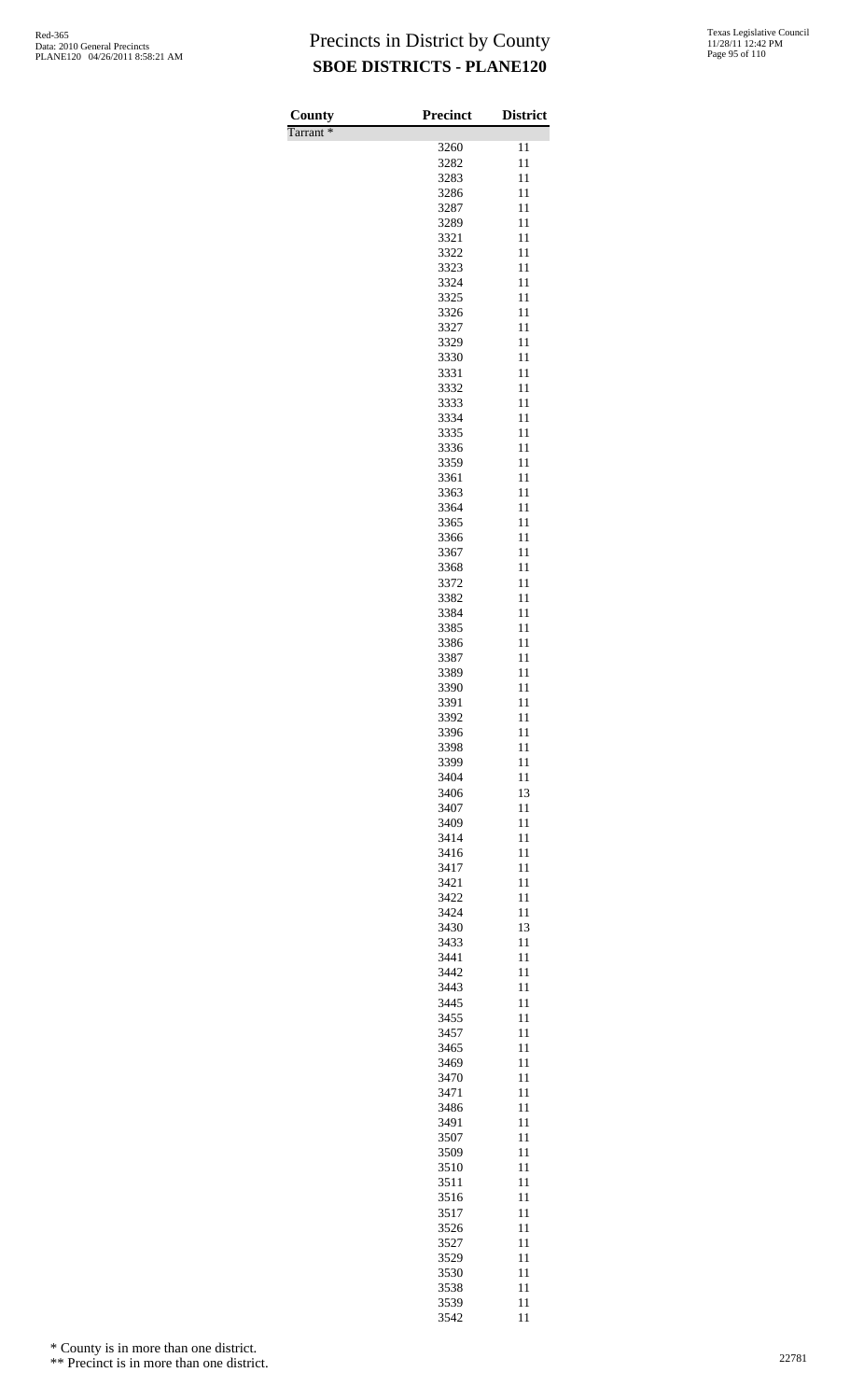| County               | <b>Precinct</b> | <b>District</b> |
|----------------------|-----------------|-----------------|
| Tarrant <sup>*</sup> |                 | 11              |
|                      | 3260<br>3282    | 11              |
|                      | 3283            | 11              |
|                      | 3286            | 11              |
|                      | 3287            | 11              |
|                      | 3289<br>3321    | 11<br>11        |
|                      | 3322            | 11              |
|                      | 3323            | 11              |
|                      | 3324            | 11              |
|                      | 3325            | 11              |
|                      | 3326<br>3327    | 11<br>11        |
|                      | 3329            | 11              |
|                      | 3330            | 11              |
|                      | 3331            | 11              |
|                      | 3332<br>3333    | 11<br>11        |
|                      | 3334            | 11              |
|                      | 3335            | 11              |
|                      | 3336            | 11              |
|                      | 3359            | 11              |
|                      | 3361<br>3363    | 11<br>11        |
|                      | 3364            | 11              |
|                      | 3365            | 11              |
|                      | 3366            | 11              |
|                      | 3367            | 11              |
|                      | 3368<br>3372    | 11<br>11        |
|                      | 3382            | 11              |
|                      | 3384            | 11              |
|                      | 3385            | 11              |
|                      | 3386            | 11              |
|                      | 3387<br>3389    | 11<br>11        |
|                      | 3390            | 11              |
|                      | 3391            | 11              |
|                      | 3392            | 11              |
|                      | 3396<br>3398    | 11<br>11        |
|                      | 3399            | 11              |
|                      | 3404            | 11              |
|                      | 3406            | 13              |
|                      | 3407            | 11              |
|                      | 3409<br>3414    | 11<br>11        |
|                      | 3416            | 11              |
|                      | 3417            | 11              |
|                      | 3421            | 11              |
|                      | 3422            | 11              |
|                      | 3424<br>3430    | 11<br>13        |
|                      | 3433            | 11              |
|                      | 3441            | 11              |
|                      | 3442            | 11              |
|                      | 3443<br>3445    | 11<br>11        |
|                      | 3455            | 11              |
|                      | 3457            | 11              |
|                      | 3465            | 11              |
|                      | 3469            | 11              |
|                      | 3470<br>3471    | 11<br>11        |
|                      | 3486            | 11              |
|                      | 3491            | 11              |
|                      | 3507            | 11              |
|                      | 3509<br>3510    | 11<br>11        |
|                      | 3511            | 11              |
|                      | 3516            | 11              |
|                      | 3517            | 11              |
|                      | 3526            | 11              |
|                      | 3527<br>3529    | 11<br>11        |
|                      | 3530            | 11              |
|                      | 3538            | 11              |
|                      | 3539            | 11              |
|                      | 3542            | 11              |

\* County is in more than one district.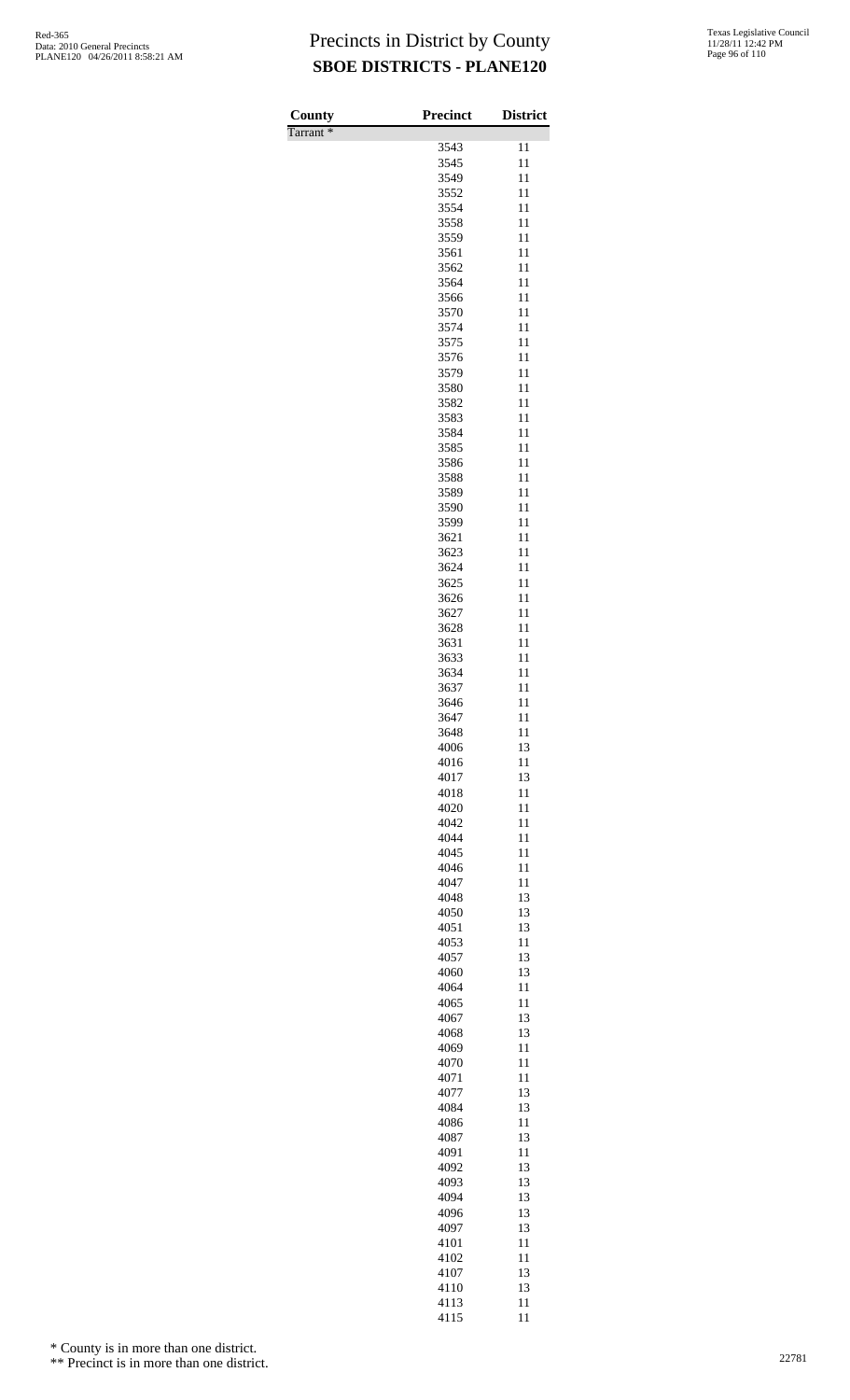| County               | Precinct     | <b>District</b> |
|----------------------|--------------|-----------------|
| Tarrant <sup>*</sup> |              |                 |
|                      | 3543<br>3545 | 11<br>11        |
|                      | 3549         | 11              |
|                      | 3552         | 11              |
|                      | 3554         | 11              |
|                      | 3558         | 11              |
|                      | 3559         | 11              |
|                      | 3561<br>3562 | 11              |
|                      | 3564         | 11<br>11        |
|                      | 3566         | 11              |
|                      | 3570         | 11              |
|                      | 3574         | 11              |
|                      | 3575         | 11              |
|                      | 3576<br>3579 | 11<br>11        |
|                      | 3580         | 11              |
|                      | 3582         | 11              |
|                      | 3583         | 11              |
|                      | 3584         | 11              |
|                      | 3585         | 11              |
|                      | 3586<br>3588 | 11<br>11        |
|                      | 3589         | 11              |
|                      | 3590         | 11              |
|                      | 3599         | 11              |
|                      | 3621         | 11              |
|                      | 3623         | 11              |
|                      | 3624<br>3625 | 11<br>11        |
|                      | 3626         | 11              |
|                      | 3627         | 11              |
|                      | 3628         | 11              |
|                      | 3631         | 11              |
|                      | 3633         | 11<br>11        |
|                      | 3634<br>3637 | 11              |
|                      | 3646         | 11              |
|                      | 3647         | 11              |
|                      | 3648         | 11              |
|                      | 4006         | 13              |
|                      | 4016<br>4017 | 11<br>13        |
|                      | 4018         | 11              |
|                      | 4020         | 11              |
|                      | 4042         | 11              |
|                      | 4044         | 11              |
|                      | 4045<br>4046 | 11<br>11        |
|                      | 4047         | 11              |
|                      | 4048         | 13              |
|                      | 4050         | 13              |
|                      | 4051         | 13              |
|                      | 4053         | 11              |
|                      | 4057<br>4060 | 13<br>13        |
|                      | 4064         | 11              |
|                      | 4065         | 11              |
|                      | 4067         | 13              |
|                      | 4068         | 13              |
|                      | 4069<br>4070 | 11<br>11        |
|                      | 4071         | 11              |
|                      | 4077         | 13              |
|                      | 4084         | 13              |
|                      | 4086         | 11              |
|                      | 4087<br>4091 | 13<br>11        |
|                      | 4092         | 13              |
|                      | 4093         | 13              |
|                      | 4094         | 13              |
|                      | 4096         | 13              |
|                      | 4097<br>4101 | 13<br>11        |
|                      | 4102         | 11              |
|                      | 4107         | 13              |
|                      | 4110         | 13              |
|                      | 4113         | 11              |
|                      | 4115         | 11              |

\* County is in more than one district.

<sup>\*\*</sup> Precinct is in more than one district.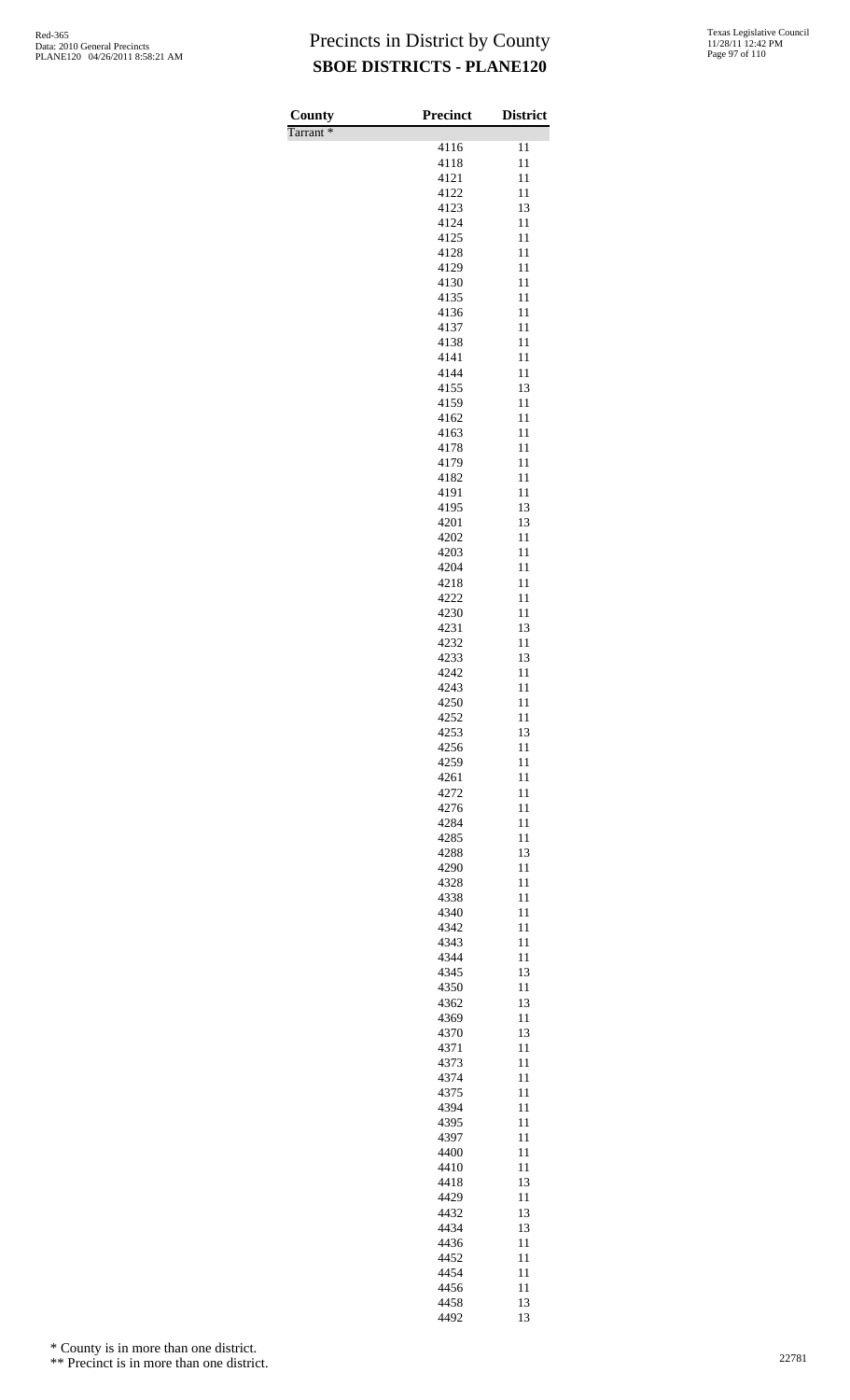| 4116<br>11<br>4118<br>11<br>4121<br>11<br>4122<br>11<br>4123<br>13<br>11<br>4124<br>11<br>4125<br>4128<br>11<br>4129<br>11<br>11<br>4130<br>4135<br>11<br>11<br>4136<br>4137<br>11<br>11<br>4138<br>11<br>4141<br>4144<br>11<br>13<br>4155<br>4159<br>11<br>4162<br>11<br>11<br>4163<br>4178<br>11<br>11<br>4179<br>11<br>4182<br>11<br>4191<br>13<br>4195<br>4201<br>13<br>4202<br>11<br>4203<br>11<br>4204<br>11<br>4218<br>11<br>4222<br>11<br>4230<br>11<br>4231<br>13<br>4232<br>11<br>4233<br>13<br>4242<br>11<br>4243<br>11<br>4250<br>11<br>4252<br>11<br>4253<br>13<br>4256<br>11<br>4259<br>11<br>4261<br>11<br>11<br>4272<br>4276<br>11<br>4284<br>11<br>11<br>4285<br>13<br>4288<br>11<br>4290<br>4328<br>11<br>11<br>4338<br>4340<br>11<br>4342<br>11<br>11<br>4343<br>4344<br>11<br>4345<br>13<br>4350<br>11<br>4362<br>13<br>11<br>4369<br>4370<br>13<br>11<br>4371<br>4373<br>11<br>4374<br>11<br>11<br>4375<br>4394<br>11<br>4395<br>11<br>4397<br>11<br>4400<br>11<br>11<br>4410<br>13<br>4418<br>4429<br>11<br>4432<br>13<br>4434<br>13<br>4436<br>11<br>4452<br>11<br>4454<br>11<br>4456<br>11<br>4458<br>13 | County<br>Tarrant <sup>*</sup> | Precinct | <b>District</b> |
|----------------------------------------------------------------------------------------------------------------------------------------------------------------------------------------------------------------------------------------------------------------------------------------------------------------------------------------------------------------------------------------------------------------------------------------------------------------------------------------------------------------------------------------------------------------------------------------------------------------------------------------------------------------------------------------------------------------------------------------------------------------------------------------------------------------------------------------------------------------------------------------------------------------------------------------------------------------------------------------------------------------------------------------------------------------------------------------------------------------------------------|--------------------------------|----------|-----------------|
|                                                                                                                                                                                                                                                                                                                                                                                                                                                                                                                                                                                                                                                                                                                                                                                                                                                                                                                                                                                                                                                                                                                                  |                                |          |                 |
|                                                                                                                                                                                                                                                                                                                                                                                                                                                                                                                                                                                                                                                                                                                                                                                                                                                                                                                                                                                                                                                                                                                                  |                                |          |                 |
|                                                                                                                                                                                                                                                                                                                                                                                                                                                                                                                                                                                                                                                                                                                                                                                                                                                                                                                                                                                                                                                                                                                                  |                                |          |                 |
|                                                                                                                                                                                                                                                                                                                                                                                                                                                                                                                                                                                                                                                                                                                                                                                                                                                                                                                                                                                                                                                                                                                                  |                                |          |                 |
|                                                                                                                                                                                                                                                                                                                                                                                                                                                                                                                                                                                                                                                                                                                                                                                                                                                                                                                                                                                                                                                                                                                                  |                                |          |                 |
|                                                                                                                                                                                                                                                                                                                                                                                                                                                                                                                                                                                                                                                                                                                                                                                                                                                                                                                                                                                                                                                                                                                                  |                                |          |                 |
|                                                                                                                                                                                                                                                                                                                                                                                                                                                                                                                                                                                                                                                                                                                                                                                                                                                                                                                                                                                                                                                                                                                                  |                                |          |                 |
|                                                                                                                                                                                                                                                                                                                                                                                                                                                                                                                                                                                                                                                                                                                                                                                                                                                                                                                                                                                                                                                                                                                                  |                                |          |                 |
|                                                                                                                                                                                                                                                                                                                                                                                                                                                                                                                                                                                                                                                                                                                                                                                                                                                                                                                                                                                                                                                                                                                                  |                                |          |                 |
|                                                                                                                                                                                                                                                                                                                                                                                                                                                                                                                                                                                                                                                                                                                                                                                                                                                                                                                                                                                                                                                                                                                                  |                                |          |                 |
|                                                                                                                                                                                                                                                                                                                                                                                                                                                                                                                                                                                                                                                                                                                                                                                                                                                                                                                                                                                                                                                                                                                                  |                                |          |                 |
|                                                                                                                                                                                                                                                                                                                                                                                                                                                                                                                                                                                                                                                                                                                                                                                                                                                                                                                                                                                                                                                                                                                                  |                                |          |                 |
|                                                                                                                                                                                                                                                                                                                                                                                                                                                                                                                                                                                                                                                                                                                                                                                                                                                                                                                                                                                                                                                                                                                                  |                                |          |                 |
|                                                                                                                                                                                                                                                                                                                                                                                                                                                                                                                                                                                                                                                                                                                                                                                                                                                                                                                                                                                                                                                                                                                                  |                                |          |                 |
|                                                                                                                                                                                                                                                                                                                                                                                                                                                                                                                                                                                                                                                                                                                                                                                                                                                                                                                                                                                                                                                                                                                                  |                                |          |                 |
|                                                                                                                                                                                                                                                                                                                                                                                                                                                                                                                                                                                                                                                                                                                                                                                                                                                                                                                                                                                                                                                                                                                                  |                                |          |                 |
|                                                                                                                                                                                                                                                                                                                                                                                                                                                                                                                                                                                                                                                                                                                                                                                                                                                                                                                                                                                                                                                                                                                                  |                                |          |                 |
|                                                                                                                                                                                                                                                                                                                                                                                                                                                                                                                                                                                                                                                                                                                                                                                                                                                                                                                                                                                                                                                                                                                                  |                                |          |                 |
|                                                                                                                                                                                                                                                                                                                                                                                                                                                                                                                                                                                                                                                                                                                                                                                                                                                                                                                                                                                                                                                                                                                                  |                                |          |                 |
|                                                                                                                                                                                                                                                                                                                                                                                                                                                                                                                                                                                                                                                                                                                                                                                                                                                                                                                                                                                                                                                                                                                                  |                                |          |                 |
|                                                                                                                                                                                                                                                                                                                                                                                                                                                                                                                                                                                                                                                                                                                                                                                                                                                                                                                                                                                                                                                                                                                                  |                                |          |                 |
|                                                                                                                                                                                                                                                                                                                                                                                                                                                                                                                                                                                                                                                                                                                                                                                                                                                                                                                                                                                                                                                                                                                                  |                                |          |                 |
|                                                                                                                                                                                                                                                                                                                                                                                                                                                                                                                                                                                                                                                                                                                                                                                                                                                                                                                                                                                                                                                                                                                                  |                                |          |                 |
|                                                                                                                                                                                                                                                                                                                                                                                                                                                                                                                                                                                                                                                                                                                                                                                                                                                                                                                                                                                                                                                                                                                                  |                                |          |                 |
|                                                                                                                                                                                                                                                                                                                                                                                                                                                                                                                                                                                                                                                                                                                                                                                                                                                                                                                                                                                                                                                                                                                                  |                                |          |                 |
|                                                                                                                                                                                                                                                                                                                                                                                                                                                                                                                                                                                                                                                                                                                                                                                                                                                                                                                                                                                                                                                                                                                                  |                                |          |                 |
|                                                                                                                                                                                                                                                                                                                                                                                                                                                                                                                                                                                                                                                                                                                                                                                                                                                                                                                                                                                                                                                                                                                                  |                                |          |                 |
|                                                                                                                                                                                                                                                                                                                                                                                                                                                                                                                                                                                                                                                                                                                                                                                                                                                                                                                                                                                                                                                                                                                                  |                                |          |                 |
|                                                                                                                                                                                                                                                                                                                                                                                                                                                                                                                                                                                                                                                                                                                                                                                                                                                                                                                                                                                                                                                                                                                                  |                                |          |                 |
|                                                                                                                                                                                                                                                                                                                                                                                                                                                                                                                                                                                                                                                                                                                                                                                                                                                                                                                                                                                                                                                                                                                                  |                                |          |                 |
|                                                                                                                                                                                                                                                                                                                                                                                                                                                                                                                                                                                                                                                                                                                                                                                                                                                                                                                                                                                                                                                                                                                                  |                                |          |                 |
|                                                                                                                                                                                                                                                                                                                                                                                                                                                                                                                                                                                                                                                                                                                                                                                                                                                                                                                                                                                                                                                                                                                                  |                                |          |                 |
|                                                                                                                                                                                                                                                                                                                                                                                                                                                                                                                                                                                                                                                                                                                                                                                                                                                                                                                                                                                                                                                                                                                                  |                                |          |                 |
|                                                                                                                                                                                                                                                                                                                                                                                                                                                                                                                                                                                                                                                                                                                                                                                                                                                                                                                                                                                                                                                                                                                                  |                                |          |                 |
|                                                                                                                                                                                                                                                                                                                                                                                                                                                                                                                                                                                                                                                                                                                                                                                                                                                                                                                                                                                                                                                                                                                                  |                                |          |                 |
|                                                                                                                                                                                                                                                                                                                                                                                                                                                                                                                                                                                                                                                                                                                                                                                                                                                                                                                                                                                                                                                                                                                                  |                                |          |                 |
|                                                                                                                                                                                                                                                                                                                                                                                                                                                                                                                                                                                                                                                                                                                                                                                                                                                                                                                                                                                                                                                                                                                                  |                                |          |                 |
|                                                                                                                                                                                                                                                                                                                                                                                                                                                                                                                                                                                                                                                                                                                                                                                                                                                                                                                                                                                                                                                                                                                                  |                                |          |                 |
|                                                                                                                                                                                                                                                                                                                                                                                                                                                                                                                                                                                                                                                                                                                                                                                                                                                                                                                                                                                                                                                                                                                                  |                                |          |                 |
|                                                                                                                                                                                                                                                                                                                                                                                                                                                                                                                                                                                                                                                                                                                                                                                                                                                                                                                                                                                                                                                                                                                                  |                                |          |                 |
|                                                                                                                                                                                                                                                                                                                                                                                                                                                                                                                                                                                                                                                                                                                                                                                                                                                                                                                                                                                                                                                                                                                                  |                                |          |                 |
|                                                                                                                                                                                                                                                                                                                                                                                                                                                                                                                                                                                                                                                                                                                                                                                                                                                                                                                                                                                                                                                                                                                                  |                                |          |                 |
|                                                                                                                                                                                                                                                                                                                                                                                                                                                                                                                                                                                                                                                                                                                                                                                                                                                                                                                                                                                                                                                                                                                                  |                                |          |                 |
|                                                                                                                                                                                                                                                                                                                                                                                                                                                                                                                                                                                                                                                                                                                                                                                                                                                                                                                                                                                                                                                                                                                                  |                                |          |                 |
|                                                                                                                                                                                                                                                                                                                                                                                                                                                                                                                                                                                                                                                                                                                                                                                                                                                                                                                                                                                                                                                                                                                                  |                                |          |                 |
|                                                                                                                                                                                                                                                                                                                                                                                                                                                                                                                                                                                                                                                                                                                                                                                                                                                                                                                                                                                                                                                                                                                                  |                                |          |                 |
|                                                                                                                                                                                                                                                                                                                                                                                                                                                                                                                                                                                                                                                                                                                                                                                                                                                                                                                                                                                                                                                                                                                                  |                                |          |                 |
|                                                                                                                                                                                                                                                                                                                                                                                                                                                                                                                                                                                                                                                                                                                                                                                                                                                                                                                                                                                                                                                                                                                                  |                                |          |                 |
|                                                                                                                                                                                                                                                                                                                                                                                                                                                                                                                                                                                                                                                                                                                                                                                                                                                                                                                                                                                                                                                                                                                                  |                                |          |                 |
|                                                                                                                                                                                                                                                                                                                                                                                                                                                                                                                                                                                                                                                                                                                                                                                                                                                                                                                                                                                                                                                                                                                                  |                                |          |                 |
|                                                                                                                                                                                                                                                                                                                                                                                                                                                                                                                                                                                                                                                                                                                                                                                                                                                                                                                                                                                                                                                                                                                                  |                                |          |                 |
|                                                                                                                                                                                                                                                                                                                                                                                                                                                                                                                                                                                                                                                                                                                                                                                                                                                                                                                                                                                                                                                                                                                                  |                                |          |                 |
|                                                                                                                                                                                                                                                                                                                                                                                                                                                                                                                                                                                                                                                                                                                                                                                                                                                                                                                                                                                                                                                                                                                                  |                                |          |                 |
|                                                                                                                                                                                                                                                                                                                                                                                                                                                                                                                                                                                                                                                                                                                                                                                                                                                                                                                                                                                                                                                                                                                                  |                                |          |                 |
|                                                                                                                                                                                                                                                                                                                                                                                                                                                                                                                                                                                                                                                                                                                                                                                                                                                                                                                                                                                                                                                                                                                                  |                                |          |                 |
|                                                                                                                                                                                                                                                                                                                                                                                                                                                                                                                                                                                                                                                                                                                                                                                                                                                                                                                                                                                                                                                                                                                                  |                                |          |                 |
|                                                                                                                                                                                                                                                                                                                                                                                                                                                                                                                                                                                                                                                                                                                                                                                                                                                                                                                                                                                                                                                                                                                                  |                                |          |                 |
|                                                                                                                                                                                                                                                                                                                                                                                                                                                                                                                                                                                                                                                                                                                                                                                                                                                                                                                                                                                                                                                                                                                                  |                                |          |                 |
|                                                                                                                                                                                                                                                                                                                                                                                                                                                                                                                                                                                                                                                                                                                                                                                                                                                                                                                                                                                                                                                                                                                                  |                                |          |                 |
|                                                                                                                                                                                                                                                                                                                                                                                                                                                                                                                                                                                                                                                                                                                                                                                                                                                                                                                                                                                                                                                                                                                                  |                                |          |                 |
|                                                                                                                                                                                                                                                                                                                                                                                                                                                                                                                                                                                                                                                                                                                                                                                                                                                                                                                                                                                                                                                                                                                                  |                                |          |                 |
|                                                                                                                                                                                                                                                                                                                                                                                                                                                                                                                                                                                                                                                                                                                                                                                                                                                                                                                                                                                                                                                                                                                                  |                                |          |                 |
|                                                                                                                                                                                                                                                                                                                                                                                                                                                                                                                                                                                                                                                                                                                                                                                                                                                                                                                                                                                                                                                                                                                                  |                                |          |                 |
|                                                                                                                                                                                                                                                                                                                                                                                                                                                                                                                                                                                                                                                                                                                                                                                                                                                                                                                                                                                                                                                                                                                                  |                                |          |                 |
|                                                                                                                                                                                                                                                                                                                                                                                                                                                                                                                                                                                                                                                                                                                                                                                                                                                                                                                                                                                                                                                                                                                                  |                                |          |                 |
|                                                                                                                                                                                                                                                                                                                                                                                                                                                                                                                                                                                                                                                                                                                                                                                                                                                                                                                                                                                                                                                                                                                                  |                                | 4492     | 13              |

\* County is in more than one district.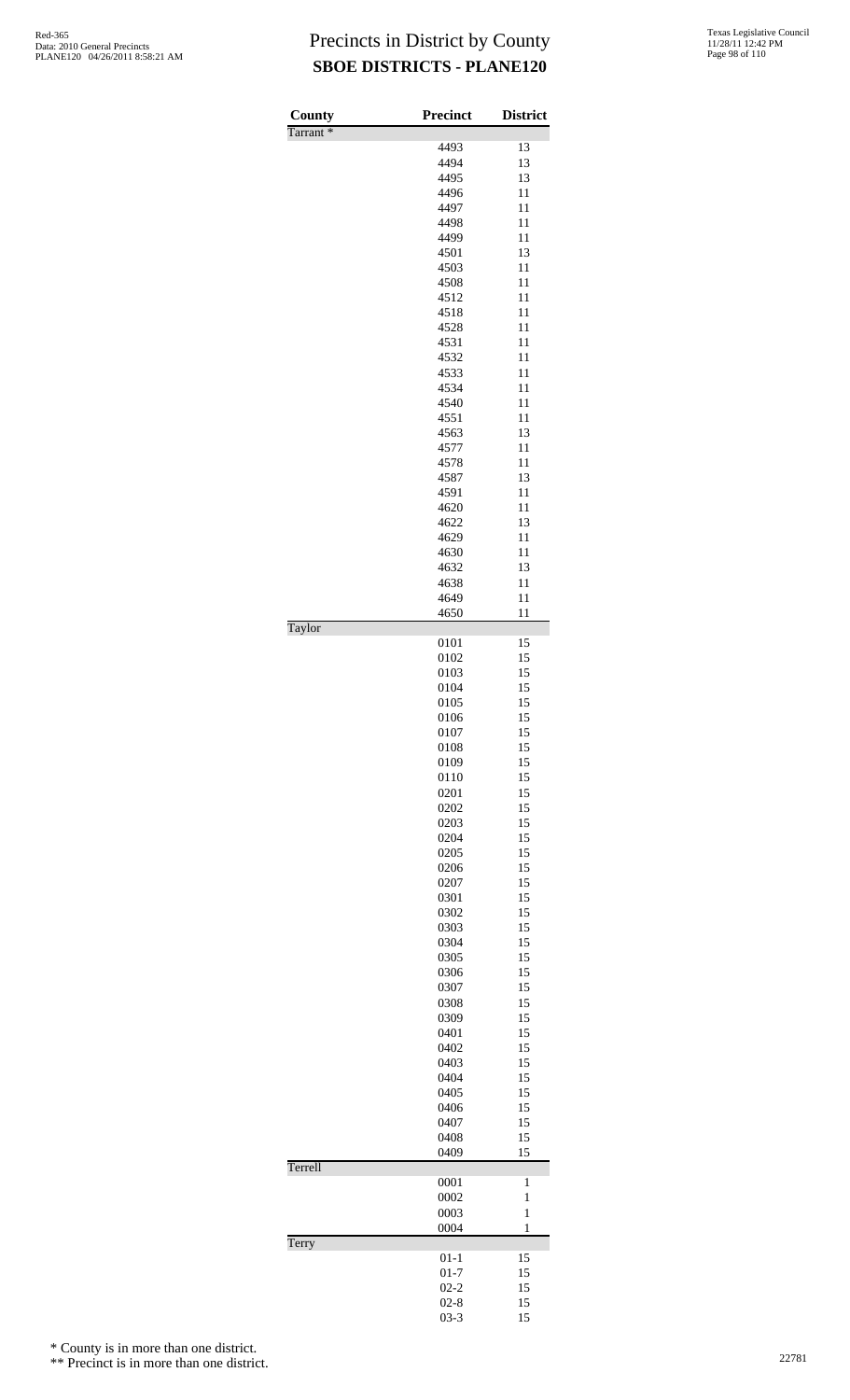| County   | <b>Precinct</b> | <b>District</b> |
|----------|-----------------|-----------------|
| Tarrant* | 4493            | 13              |
|          | 4494            | 13              |
|          | 4495            | 13              |
|          | 4496            | 11              |
|          | 4497            | 11              |
|          | 4498            | 11              |
|          | 4499            | 11              |
|          | 4501            | 13              |
|          | 4503<br>4508    | 11<br>11        |
|          | 4512            | 11              |
|          | 4518            | 11              |
|          | 4528            | 11              |
|          | 4531            | 11              |
|          | 4532            | 11              |
|          | 4533            | 11              |
|          | 4534            | 11              |
|          | 4540            | 11              |
|          | 4551<br>4563    | 11<br>13        |
|          | 4577            | 11              |
|          | 4578            | 11              |
|          | 4587            | 13              |
|          | 4591            | 11              |
|          | 4620            | 11              |
|          | 4622            | 13              |
|          | 4629            | 11              |
|          | 4630<br>4632    | 11<br>13        |
|          | 4638            | 11              |
|          | 4649            | 11              |
|          | 4650            | 11              |
| Taylor   |                 |                 |
|          | 0101            | 15              |
|          | 0102            | 15              |
|          | 0103<br>0104    | 15<br>15        |
|          | 0105            | 15              |
|          | 0106            | 15              |
|          | 0107            | 15              |
|          | 0108            | 15              |
|          | 0109            | 15              |
|          | 0110            | 15              |
|          | 0201            | 15              |
|          | 0202            | 15              |
|          | 0203<br>0204    | 15<br>15        |
|          | 0205            | 15              |
|          | 0206            | 15              |
|          | 0207            | 15              |
|          | 0301            | 15              |
|          | 0302            | 15              |
|          | 0303            | 15              |
|          | 0304            | 15              |
|          | 0305            | 15              |
|          | 0306<br>0307    | 15<br>15        |
|          | 0308            | 15              |
|          | 0309            | 15              |
|          | 0401            | 15              |
|          | 0402            | 15              |
|          | 0403            | 15              |
|          | 0404            | 15              |
|          | 0405            | 15              |
|          | 0406            | 15              |
|          | 0407<br>0408    | 15<br>15        |
|          | 0409            | 15              |
| Terrell  |                 |                 |
|          | 0001            | 1               |
|          | 0002            | $\mathbf{1}$    |
|          | 0003            | $\mathbf{1}$    |
|          | 0004            | $\mathbf{1}$    |
| Terry    | $01 - 1$        | 15              |
|          | $01 - 7$        | 15              |
|          | $02 - 2$        | 15              |
|          | $02 - 8$        | 15              |
|          | $03 - 3$        | 15              |

\* County is in more than one district.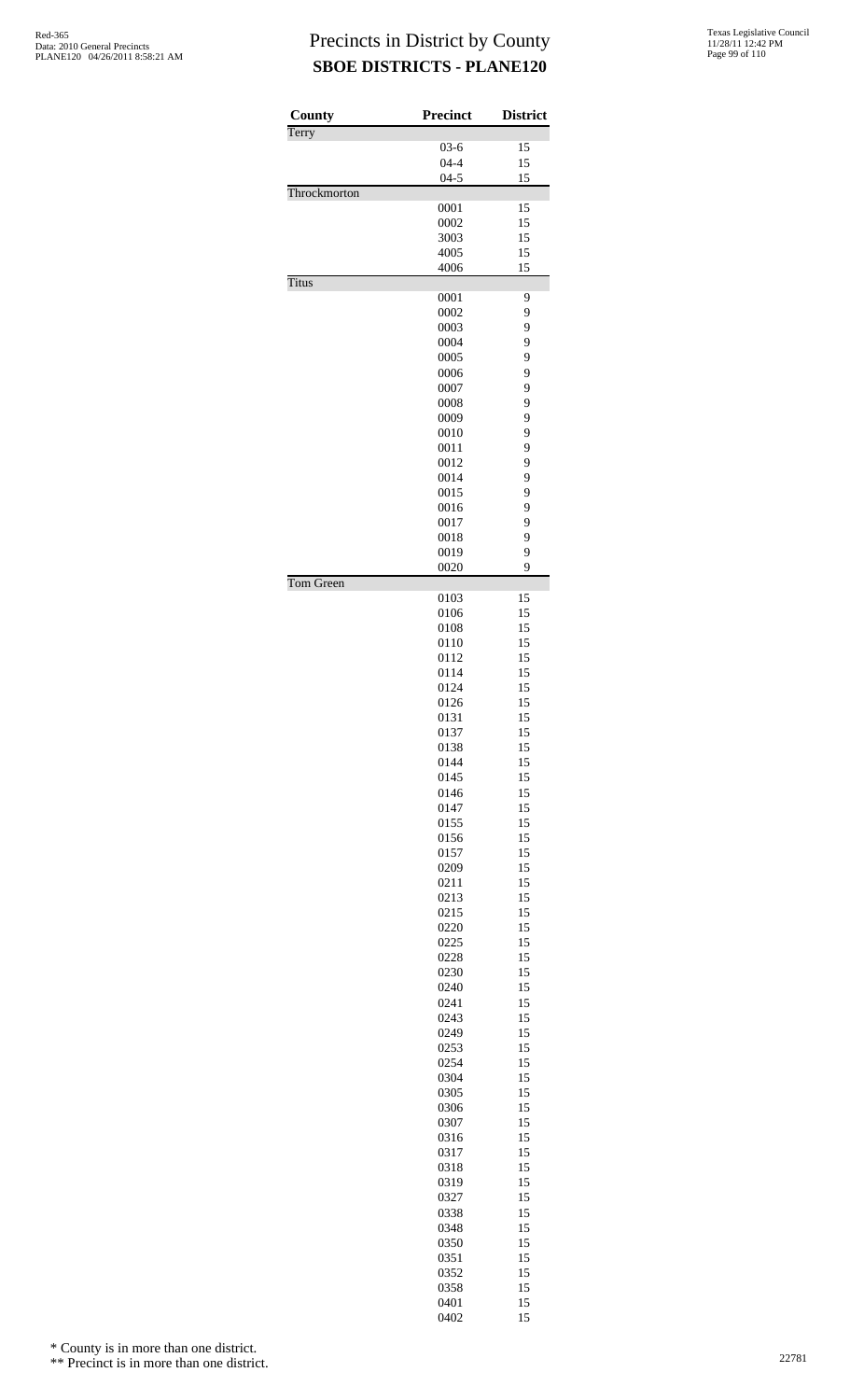| County       | <b>Precinct</b> | <b>District</b> |
|--------------|-----------------|-----------------|
| Terry        |                 |                 |
|              | $03 - 6$        | 15              |
|              | $04 - 4$        | 15              |
|              | $04 - 5$        | 15              |
| Throckmorton | 0001            | 15              |
|              | 0002            | 15              |
|              | 3003            | 15              |
|              | 4005            | 15              |
|              | 4006            | 15              |
| <b>Titus</b> |                 |                 |
|              | 0001            | 9               |
|              | 0002            | 9               |
|              | 0003<br>0004    | 9<br>9          |
|              | 0005            | 9               |
|              | 0006            | 9               |
|              | 0007            | 9               |
|              | 0008            | 9               |
|              | 0009            | 9               |
|              | 0010            | 9               |
|              | 0011            | 9               |
|              | 0012            | 9               |
|              | 0014            | 9               |
|              | 0015            | 9               |
|              | 0016<br>0017    | 9<br>9          |
|              | 0018            | 9               |
|              | 0019            | 9               |
|              | 0020            | 9               |
| Tom Green    |                 |                 |
|              | 0103            | 15              |
|              | 0106<br>0108    | 15<br>15        |
|              | 0110            | 15              |
|              | 0112            | 15              |
|              | 0114            | 15              |
|              | 0124            | 15              |
|              | 0126            | 15              |
|              | 0131            | 15              |
|              | 0137            | 15              |
|              | 0138            | 15              |
|              | 0144<br>0145    | 15<br>15        |
|              | 0146            | 15              |
|              | 0147            | 15              |
|              | 0155            | 15              |
|              | 0156            | 15              |
|              | 0157            | 15              |
|              | 0209            | 15              |
|              | 0211            | 15              |
|              | 0213            | 15              |
|              | 0215            | 15              |
|              | 0220            | 15<br>15        |
|              | 0225<br>0228    | 15              |
|              | 0230            | 15              |
|              | 0240            | 15              |
|              | 0241            | 15              |
|              | 0243            | 15              |
|              | 0249            | 15              |
|              | 0253            | 15              |
|              | 0254            | 15              |
|              | 0304            | 15              |
|              | 0305<br>0306    | 15<br>15        |
|              | 0307            | 15              |
|              | 0316            | 15              |
|              | 0317            | 15              |
|              | 0318            | 15              |
|              | 0319            | 15              |
|              | 0327            | 15              |
|              | 0338            | 15              |
|              | 0348            | 15              |
|              | 0350            | 15              |
|              | 0351            | 15              |
|              | 0352            | 15              |
|              | 0358<br>0401    | 15<br>15        |
|              | 0402            | 15              |

\* County is in more than one district.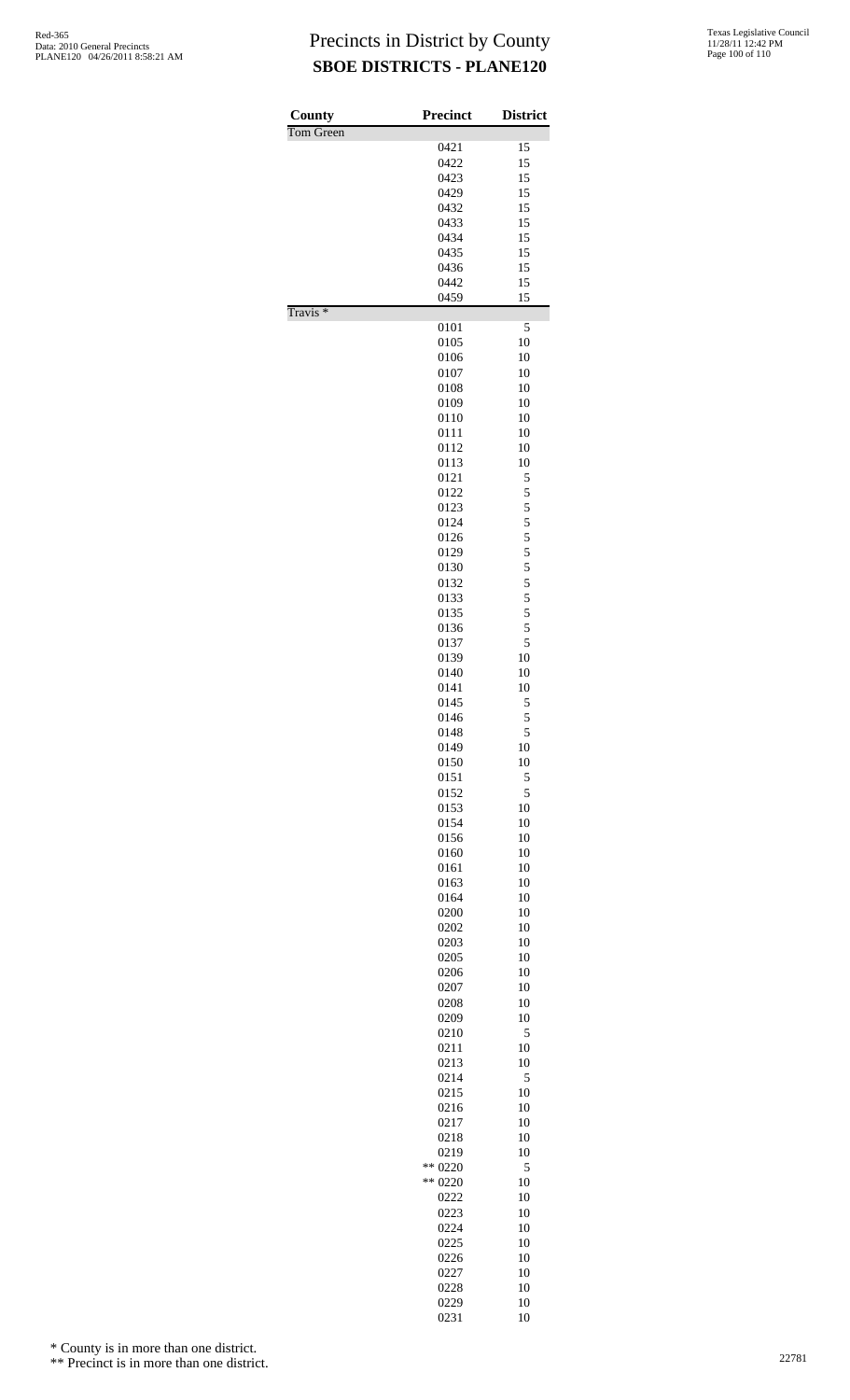| County              | <b>Precinct</b> | <b>District</b> |
|---------------------|-----------------|-----------------|
| Tom Green           |                 |                 |
|                     | 0421            | 15              |
|                     | 0422            | 15              |
|                     | 0423<br>0429    | 15<br>15        |
|                     | 0432            | 15              |
|                     | 0433            | 15              |
|                     | 0434            | 15              |
|                     | 0435            | 15              |
|                     | 0436            | 15              |
|                     | 0442            | 15              |
|                     | 0459            | 15              |
| Travis <sup>*</sup> |                 |                 |
|                     | 0101<br>0105    | 5<br>10         |
|                     | 0106            | 10              |
|                     | 0107            | 10              |
|                     | 0108            | 10              |
|                     | 0109            | 10              |
|                     | 0110            | 10              |
|                     | 0111            | 10              |
|                     | 0112            | 10              |
|                     | 0113            | 10              |
|                     | 0121            | 5               |
|                     | 0122            | 5               |
|                     | 0123            | 5               |
|                     | 0124            | 5<br>5          |
|                     | 0126<br>0129    | 5               |
|                     | 0130            | 5               |
|                     | 0132            | 5               |
|                     | 0133            | 5               |
|                     | 0135            | 5               |
|                     | 0136            | 5               |
|                     | 0137            | 5               |
|                     | 0139            | 10              |
|                     | 0140            | 10              |
|                     | 0141<br>0145    | 10              |
|                     | 0146            | 5<br>5          |
|                     | 0148            | 5               |
|                     | 0149            | 10              |
|                     | 0150            | 10              |
|                     | 0151            | 5               |
|                     | 0152            | 5               |
|                     | 0153            | 10              |
|                     | 0154            | 10              |
|                     | 0156            | 10              |
|                     | 0160<br>0161    | 10<br>10        |
|                     | 0163            | 10              |
|                     | 0164            | 10              |
|                     | 0200            | 10              |
|                     | 0202            | 10              |
|                     | 0203            | 10              |
|                     | 0205            | 10              |
|                     | 0206            | 10              |
|                     | 0207            | 10              |
|                     | 0208            | 10              |
|                     | 0209<br>0210    | 10<br>5         |
|                     | 0211            | 10              |
|                     | 0213            | 10              |
|                     | 0214            | 5               |
|                     | 0215            | 10              |
|                     | 0216            | 10              |
|                     | 0217            | 10              |
|                     | 0218            | 10              |
|                     | 0219            | 10              |
|                     | ** 0220         | 5               |
|                     | ** 0220<br>0222 | 10<br>10        |
|                     | 0223            | 10              |
|                     | 0224            | 10              |
|                     | 0225            | 10              |
|                     | 0226            | 10              |
|                     | 0227            | 10              |
|                     | 0228            | 10              |
|                     | 0229            | 10              |

10

\* County is in more than one district.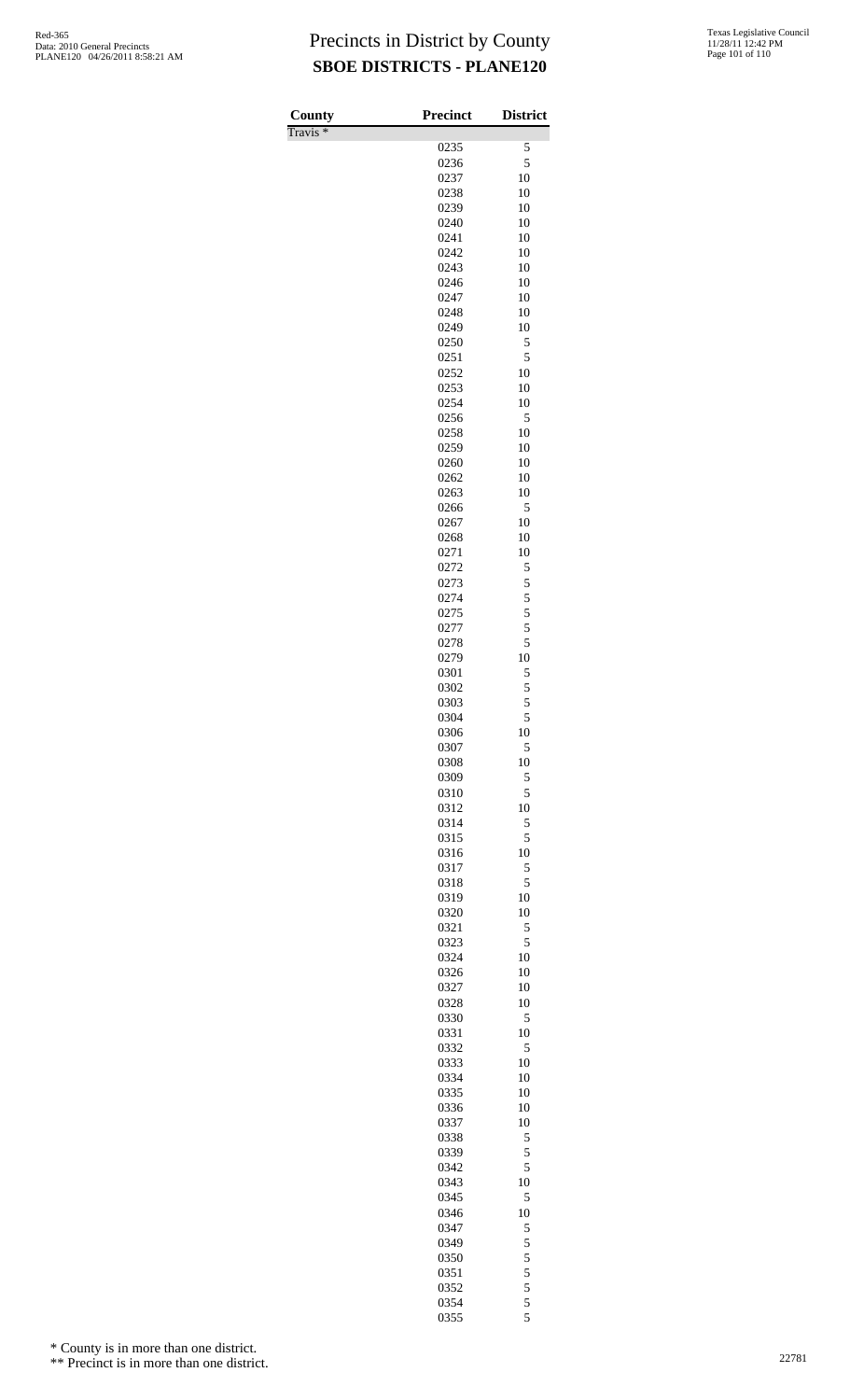Travis \*

| County                       | <b>Precinct</b> | <b>District</b> |
|------------------------------|-----------------|-----------------|
| $\overline{\text{Travis}}$ * |                 |                 |
|                              | 0235            | 5               |
|                              | 0236            | 5               |
|                              | 0237<br>0238    | 10<br>10        |
|                              | 0239            | 10              |
|                              | 0240            | 10              |
|                              | 0241            | 10              |
|                              | 0242            | 10              |
|                              | 0243            | 10              |
|                              | 0246            | 10              |
|                              | 0247            | 10              |
|                              | 0248<br>0249    | 10<br>10        |
|                              | 0250            | 5               |
|                              | 0251            | 5               |
|                              | 0252            | 10              |
|                              | 0253            | 10              |
|                              | 0254            | 10              |
|                              | 0256            | 5               |
|                              | 0258            | 10              |
|                              | 0259            | 10              |
|                              | 0260<br>0262    | 10<br>10        |
|                              | 0263            | 10              |
|                              | 0266            | 5               |
|                              | 0267            | 10              |
|                              | 0268            | 10              |
|                              | 0271            | 10              |
|                              | 0272            | 5               |
|                              | 0273            | 5               |
|                              | 0274<br>0275    | 5<br>5          |
|                              | 0277            | 5               |
|                              | 0278            | 5               |
|                              | 0279            | 10              |
|                              | 0301            | 5               |
|                              | 0302            | 5               |
|                              | 0303            | 5               |
|                              | 0304            | 5               |
|                              | 0306<br>0307    | 10<br>5         |
|                              | 0308            | 10              |
|                              | 0309            | 5               |
|                              | 0310            | 5               |
|                              | 0312            | 10              |
|                              | 0314            | 5               |
|                              | 0315            | 5               |
|                              | 0316            | 10              |
|                              | 0317            | 5               |
|                              | 0318<br>0319    | 5<br>10         |
|                              | 0320            | 10              |
|                              | 0321            | 5               |
|                              | 0323            | 5               |
|                              | 0324            | 10              |
|                              | 0326            | 10              |
|                              | 0327            | 10              |
|                              | 0328<br>0330    | 10<br>5         |
|                              | 0331            | 10              |
|                              | 0332            | 5               |
|                              | 0333            | 10              |
|                              | 0334            | 10              |
|                              | 0335            | 10              |
|                              | 0336            | 10              |
|                              | 0337            | 10              |
|                              | 0338            | 5               |
|                              | 0339<br>0342    | 5<br>5          |
|                              | 0343            | 10              |
|                              | 0345            | 5               |
|                              | 0346            | 10              |
|                              | 0347            | 5               |
|                              | 0349            | 5               |
|                              | 0350            | 5               |
|                              | 0351            | 5               |
|                              | 0352<br>0354    | 5<br>5          |
|                              | 0355            | 5               |
|                              |                 |                 |

\* County is in more than one district.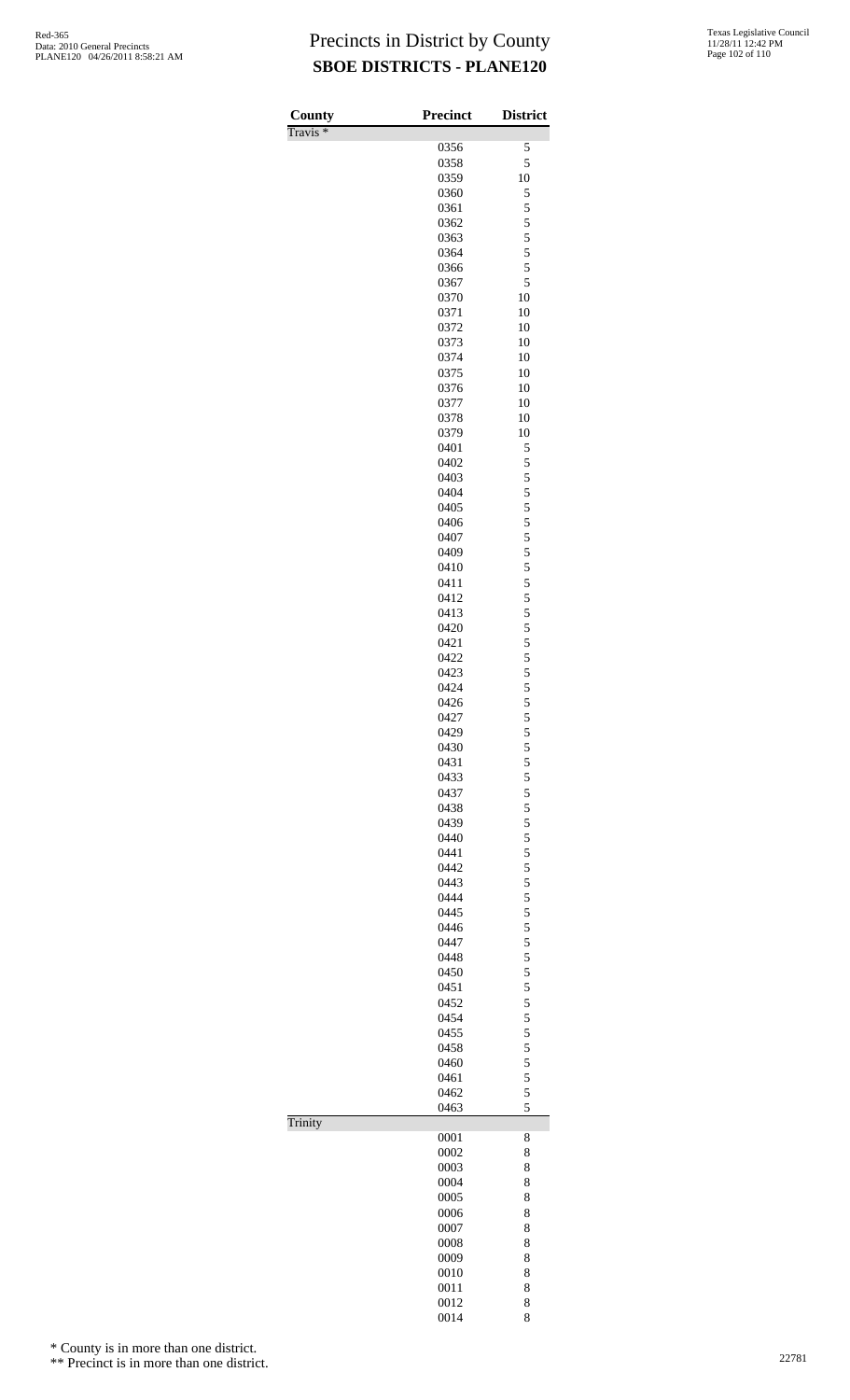| County<br>Travis <sup>*</sup> | <b>Precinct</b> | <b>District</b> |
|-------------------------------|-----------------|-----------------|
|                               | 0356            | 5               |
|                               | 0358            | 5               |
|                               | 0359            | 10              |
|                               | 0360            | 5               |
|                               | 0361            | 5               |
|                               | 0362            | 5               |
|                               | 0363            | 5               |
|                               | 0364<br>0366    | 5<br>5          |
|                               | 0367            | 5               |
|                               | 0370            | 10              |
|                               | 0371            | 10              |
|                               | 0372            | 10              |
|                               | 0373            | 10              |
|                               | 0374            | 10              |
|                               | 0375            | 10              |
|                               | 0376            | 10<br>10        |
|                               | 0377<br>0378    | 10              |
|                               | 0379            | 10              |
|                               | 0401            | 5               |
|                               | 0402            | 5               |
|                               | 0403            | 5               |
|                               | 0404            | 5               |
|                               | 0405            | 5               |
|                               | 0406            | 5               |
|                               | 0407<br>0409    | 5<br>5          |
|                               | 0410            | 5               |
|                               | 0411            | 5               |
|                               | 0412            | 5               |
|                               | 0413            | 5               |
|                               | 0420            | 5               |
|                               | 0421            | 5               |
|                               | 0422            | 5               |
|                               | 0423<br>0424    | 5<br>5          |
|                               | 0426            | 5               |
|                               | 0427            | 5               |
|                               | 0429            | 5               |
|                               | 0430            | 5               |
|                               | 0431            | 5               |
|                               | 0433            | 5               |
|                               | 0437            | 5               |
|                               | 0438            | 5               |
|                               | 0439<br>0440    | 5<br>5          |
|                               | 0441            | 5               |
|                               | 0442            | 5               |
|                               | 0443            | 5               |
|                               | 0444            | 5               |
|                               | 0445            | 5               |
|                               | 0446            | 5               |
|                               | 0447            | 5               |
|                               | 0448<br>0450    | 5<br>5          |
|                               | 0451            | 5               |
|                               | 0452            | 5               |
|                               | 0454            | 5               |
|                               | 0455            | 5               |
|                               | 0458            | 5               |
|                               | 0460            | 5               |
|                               | 0461            | 5               |
|                               | 0462            | 5<br>5          |
| Trinity                       | 0463            |                 |
|                               | 0001            | 8               |
|                               | 0002            | 8               |
|                               | 0003            | 8               |
|                               | 0004            | 8               |
|                               | 0005            | 8               |
|                               | 0006            | 8               |
|                               | 0007<br>0008    | 8<br>8          |
|                               | 0009            | 8               |
|                               | 0010            | 8               |
|                               | 0011            | 8               |
|                               | 0012            | 8               |
|                               | 0014            | 8               |

\* County is in more than one district.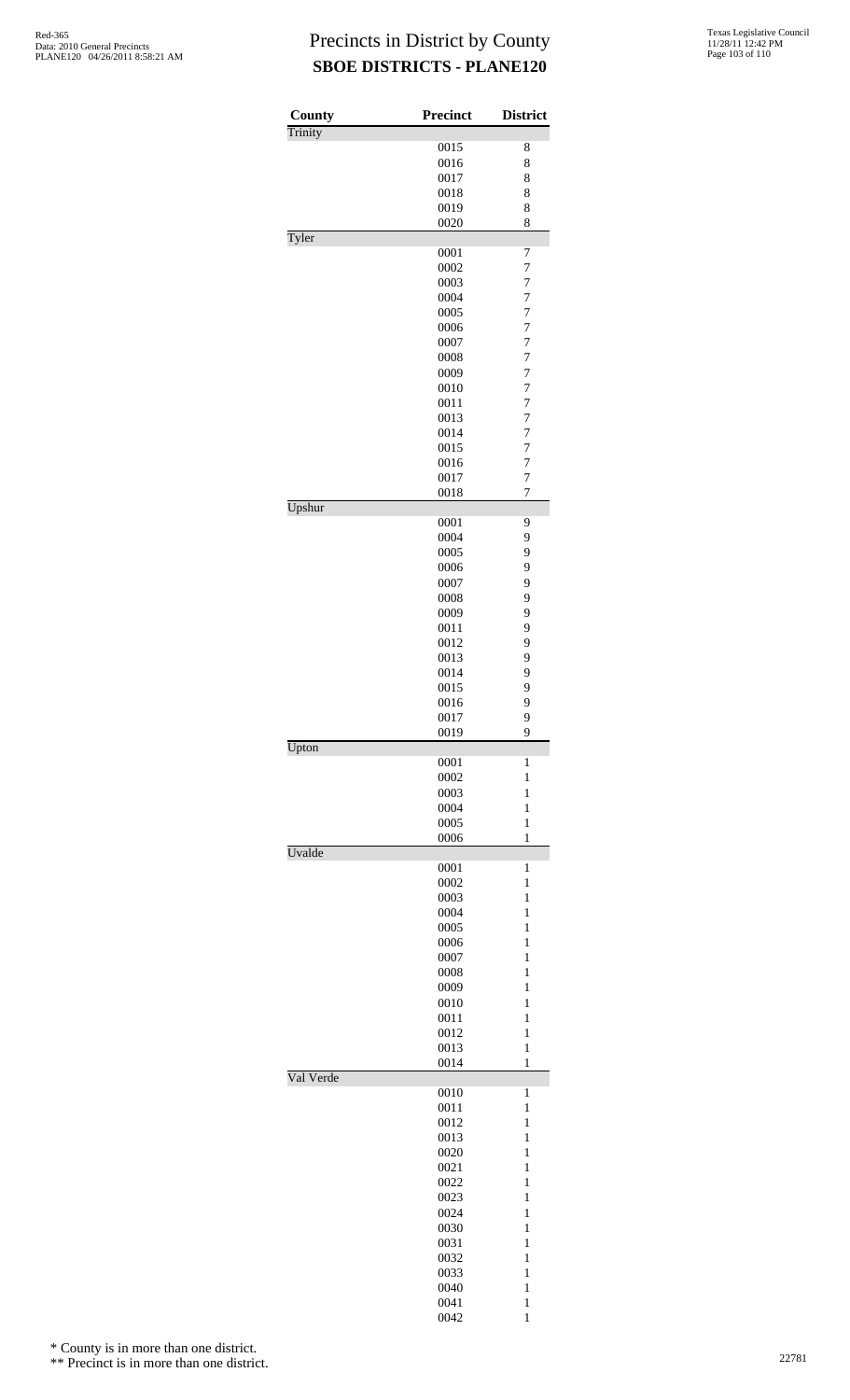| <b>County</b> | <b>Precinct</b> | <b>District</b>     |
|---------------|-----------------|---------------------|
| Trinity       |                 |                     |
|               | 0015            | 8                   |
|               | 0016            | 8                   |
|               | 0017            | 8                   |
|               | 0018            | 8                   |
|               | 0019<br>0020    | 8<br>8              |
| Tyler         |                 |                     |
|               | 0001            | 7                   |
|               | 0002            | $\overline{7}$      |
|               | 0003            | $\overline{7}$      |
|               | 0004            | 7                   |
|               | 0005            | $\overline{7}$      |
|               | 0006            | $\overline{7}$      |
|               | 0007<br>0008    | $\overline{7}$<br>7 |
|               | 0009            | $\overline{7}$      |
|               | 0010            | $\overline{7}$      |
|               | 0011            | $\overline{7}$      |
|               | 0013            | $\overline{7}$      |
|               | 0014            | $\overline{7}$      |
|               | 0015            | $\overline{7}$      |
|               | 0016            | $\overline{7}$      |
|               | 0017            | $\overline{7}$      |
|               | 0018            | $\overline{7}$      |
| Upshur        | 0001            | 9                   |
|               | 0004            | 9                   |
|               | 0005            | 9                   |
|               | 0006            | 9                   |
|               | 0007            | 9                   |
|               | 0008            | 9                   |
|               | 0009            | 9                   |
|               | 0011            | 9                   |
|               | 0012            | 9                   |
|               | 0013            | 9<br>9              |
|               | 0014<br>0015    | 9                   |
|               | 0016            | 9                   |
|               | 0017            | 9                   |
|               | 0019            | 9                   |
| Upton         |                 |                     |
|               | 0001            | $\mathbf{1}$        |
|               | 0002            | $\mathbf{1}$        |
|               | 0003            | 1                   |
|               | 0004<br>0005    | 1<br>$\mathbf{1}$   |
|               | 0006            | $\mathbf{1}$        |
| Uvalde        |                 |                     |
|               | 0001            | 1                   |
|               | 0002            | $\mathbf{1}$        |
|               | 0003            | $\mathbf{1}$        |
|               | 0004            | $\mathbf{1}$        |
|               | 0005            | $\mathbf{1}$        |
|               | 0006<br>0007    | 1<br>1              |
|               | 0008            | $\mathbf{1}$        |
|               | 0009            | $\mathbf{1}$        |
|               | 0010            | $\mathbf{1}$        |
|               | 0011            | $\mathbf{1}$        |
|               | 0012            | 1                   |
|               | 0013            | $\mathbf{1}$        |
|               | 0014            | $\mathbf{1}$        |
| Val Verde     | 0010            | 1                   |
|               | 0011            | $\mathbf{1}$        |
|               | 0012            | $\mathbf{1}$        |
|               | 0013            | $\mathbf{1}$        |
|               | 0020            | 1                   |
|               | 0021            | $\mathbf{1}$        |
|               | 0022            | 1                   |
|               | 0023            | $\mathbf{1}$        |
|               | 0024            | $\mathbf{1}$        |
|               | 0030            | $\mathbf{1}$        |
|               | 0031            | $\mathbf{1}$        |
|               | 0032            | 1<br>$\mathbf{1}$   |
|               | 0033<br>0040    | $\mathbf{1}$        |
|               | 0041            | $\mathbf{1}$        |
|               | 0042            | 1                   |

\* County is in more than one district.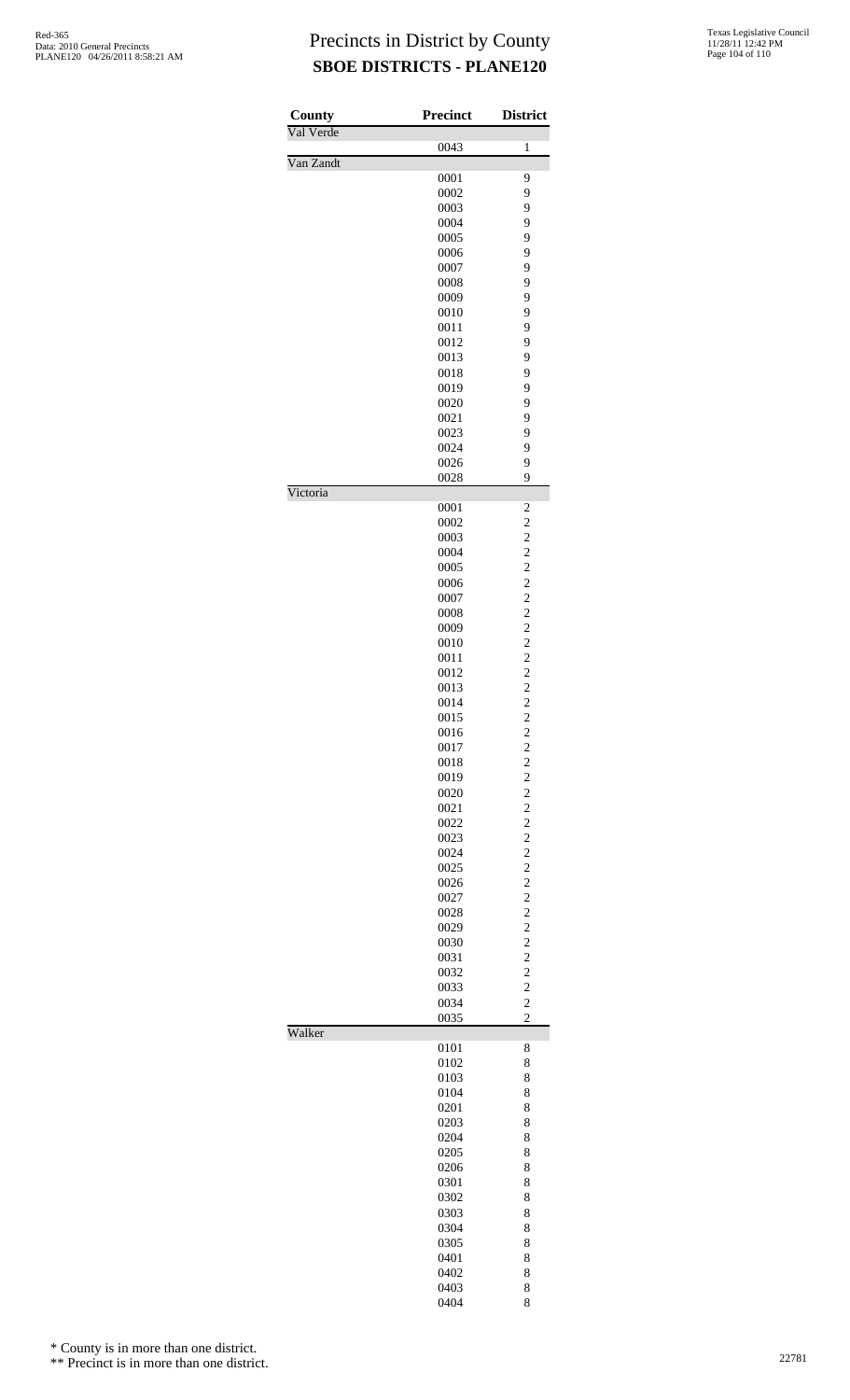| County    | <b>Precinct</b> | <b>District</b>                           |
|-----------|-----------------|-------------------------------------------|
| Val Verde | 0043            | 1                                         |
| Van Zandt | 0001            | 9                                         |
|           | 0002            | 9                                         |
|           | 0003<br>0004    | 9<br>9                                    |
|           | 0005            | 9                                         |
|           | 0006            | 9                                         |
|           | 0007            | 9                                         |
|           | 0008<br>0009    | 9<br>9                                    |
|           | 0010            | 9                                         |
|           | 0011            | 9                                         |
|           | 0012            | 9                                         |
|           | 0013            | 9<br>9                                    |
|           | 0018<br>0019    | 9                                         |
|           | 0020            | 9                                         |
|           | 0021            | 9                                         |
|           | 0023            | 9                                         |
|           | 0024<br>0026    | 9<br>9                                    |
|           | 0028            | 9                                         |
| Victoria  | 0001            | $\overline{\mathbf{c}}$                   |
|           | 0002            | $\overline{c}$                            |
|           | 0003            | $\overline{c}$                            |
|           | 0004            | $\overline{c}$                            |
|           | 0005<br>0006    | $\overline{c}$<br>$\overline{c}$          |
|           | 0007            | $\overline{c}$                            |
|           | 0008            | $\overline{c}$                            |
|           | 0009            | $\overline{c}$                            |
|           | 0010<br>0011    | $\overline{c}$<br>$\overline{c}$          |
|           | 0012            | $\overline{c}$                            |
|           | 0013            | $\overline{\mathbf{c}}$                   |
|           | 0014            | $\overline{c}$                            |
|           | 0015            | $\overline{\mathbf{c}}$                   |
|           | 0016<br>0017    | $\overline{\mathbf{c}}$<br>$\overline{c}$ |
|           | 0018            | $\overline{\mathbf{c}}$                   |
|           | 0019            | $\overline{c}$                            |
|           | 0020            | $\overline{\mathbf{c}}$                   |
|           | 0021            | $\overline{c}$                            |
|           | 0022<br>0023    | $\overline{c}$<br>$\overline{\mathbf{c}}$ |
|           | 0024            | $\overline{c}$                            |
|           | 0025            | $\overline{\mathbf{c}}$                   |
|           | 0026            | $\overline{c}$                            |
|           | 0027            | $\overline{c}$                            |
|           | 0028<br>0029    | $\overline{c}$<br>$\overline{c}$          |
|           | 0030            | $\overline{\mathbf{c}}$                   |
|           | 0031            | $\overline{\mathbf{c}}$                   |
|           | 0032            | $\overline{c}$                            |
|           | 0033<br>0034    | $\overline{c}$<br>$\overline{c}$          |
|           | 0035            | $\overline{c}$                            |
| Walker    | 0101            | 8                                         |
|           | 0102            | 8                                         |
|           | 0103            | 8                                         |
|           | 0104            | 8<br>8                                    |
|           | 0201<br>0203    | 8                                         |
|           | 0204            | 8                                         |
|           | 0205            | 8                                         |
|           | 0206            | 8                                         |
|           | 0301            | 8                                         |
|           | 0302<br>0303    | 8<br>8                                    |
|           | 0304            | 8                                         |
|           | 0305            | 8                                         |
|           | 0401            | 8                                         |
|           | 0402            | 8                                         |
|           | 0403            | 8                                         |

8

\* County is in more than one district.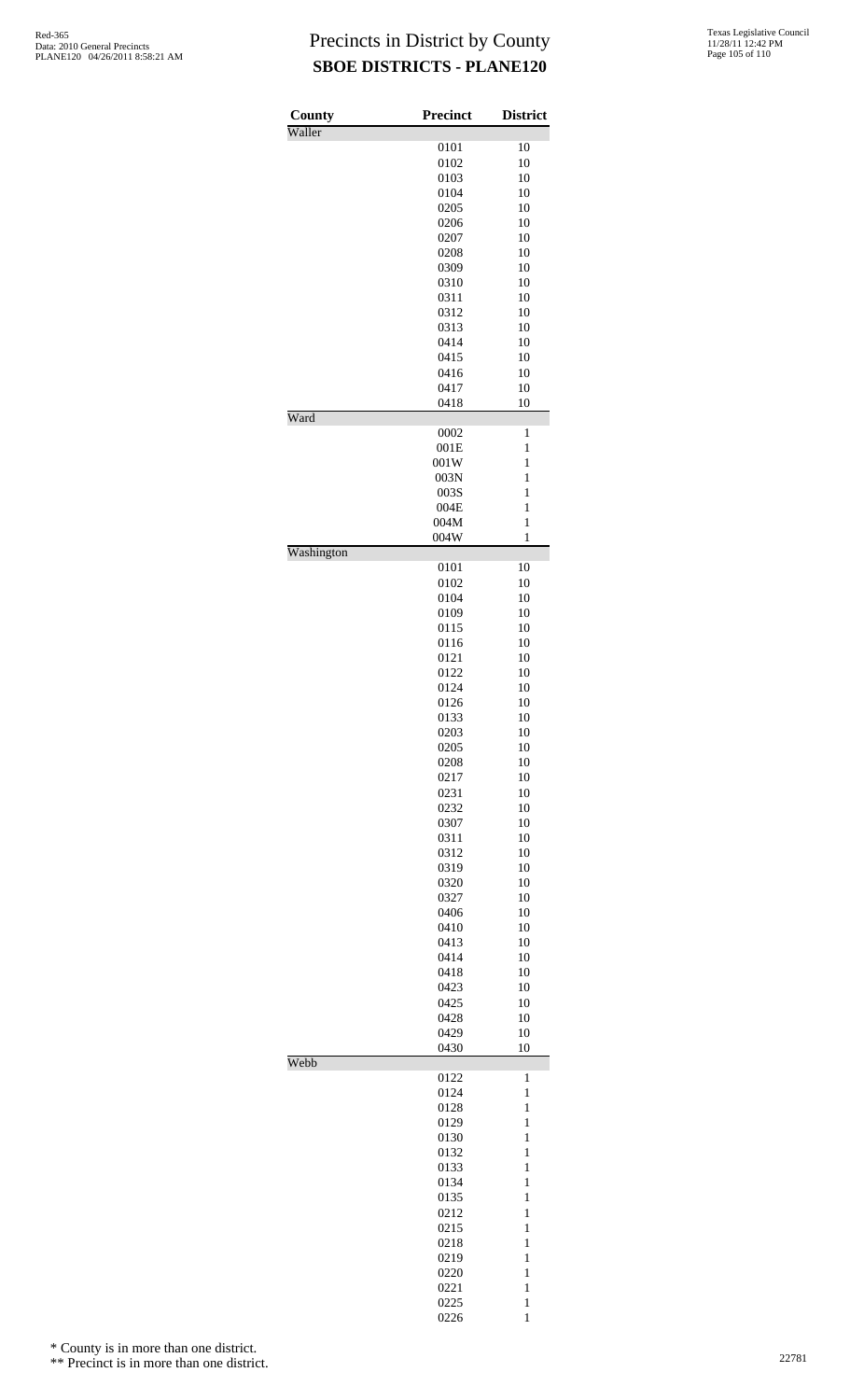| County<br>Waller | <b>Precinct</b> | <b>District</b> |
|------------------|-----------------|-----------------|
|                  | 0101            | 10              |
|                  | 0102            | 10              |
|                  | 0103            | 10              |
|                  | 0104            | 10              |
|                  | 0205            | 10              |
|                  | 0206            | 10              |
|                  | 0207            | 10              |
|                  | 0208            | 10              |
|                  | 0309            | 10              |
|                  | 0310            | 10              |
|                  | 0311<br>0312    | 10<br>10        |
|                  | 0313            | 10              |
|                  | 0414            | 10              |
|                  | 0415            | 10              |
|                  | 0416            | 10              |
|                  | 0417            | 10              |
|                  | 0418            | 10              |
| Ward             |                 |                 |
|                  | 0002            | 1               |
|                  | 001E            | $\mathbf{1}$    |
|                  | 001W            | $\mathbf{1}$    |
|                  | 003N            | 1               |
|                  | 003S            | $\,1$           |
|                  | 004E            | $\mathbf{1}$    |
|                  | 004M            | $\,1$           |
| Washington       | 004W            | $\mathbf{1}$    |
|                  | 0101            | 10              |
|                  | 0102            | 10              |
|                  | 0104            | 10              |
|                  | 0109            | 10              |
|                  | 0115            | 10              |
|                  | 0116            | 10              |
|                  | 0121            | 10              |
|                  | 0122            | 10              |
|                  | 0124            | 10              |
|                  | 0126            | 10              |
|                  | 0133<br>0203    | 10<br>10        |
|                  | 0205            | 10              |
|                  | 0208            | 10              |
|                  | 0217            | 10              |
|                  | 0231            | 10              |
|                  | 0232            | 10              |
|                  | 0307            | 10              |
|                  | 0311            | 10              |
|                  | 0312            | 10              |
|                  | 0319            | 10              |
|                  | 0320            | 10              |
|                  | 0327            | 10              |
|                  | 0406            | 10              |
|                  | 0410            | 10              |
|                  | 0413            | 10              |
|                  | 0414            | 10              |
|                  | 0418<br>0423    | 10<br>10        |
|                  | 0425            | 10              |
|                  | 0428            | 10              |
|                  | 0429            | 10              |
|                  | 0430            | 10              |
| Webb             |                 |                 |
|                  | 0122            | $\mathbf{1}$    |
|                  | 0124            | $\mathbf{1}$    |
|                  | 0128            | $\mathbf{1}$    |
|                  | 0129            | $\,1$           |
|                  | 0130            | $\mathbf{1}$    |
|                  | 0132            | $\,1$<br>$\,1$  |
|                  | 0133<br>0134    | $\mathbf{1}$    |
|                  | 0135            | $\,1$           |
|                  | 0212            | $\mathbf{1}$    |
|                  | 0215            | $\,1$           |
|                  | 0218            | $\,1$           |
|                  | 0219            | $\mathbf{1}$    |
|                  | 0220            | $\mathbf{1}$    |
|                  | 0221            | $\mathbf{1}$    |
|                  | 0225            | $\mathbf{1}$    |
|                  | 0226            | $\mathbf{1}$    |

\* County is in more than one district.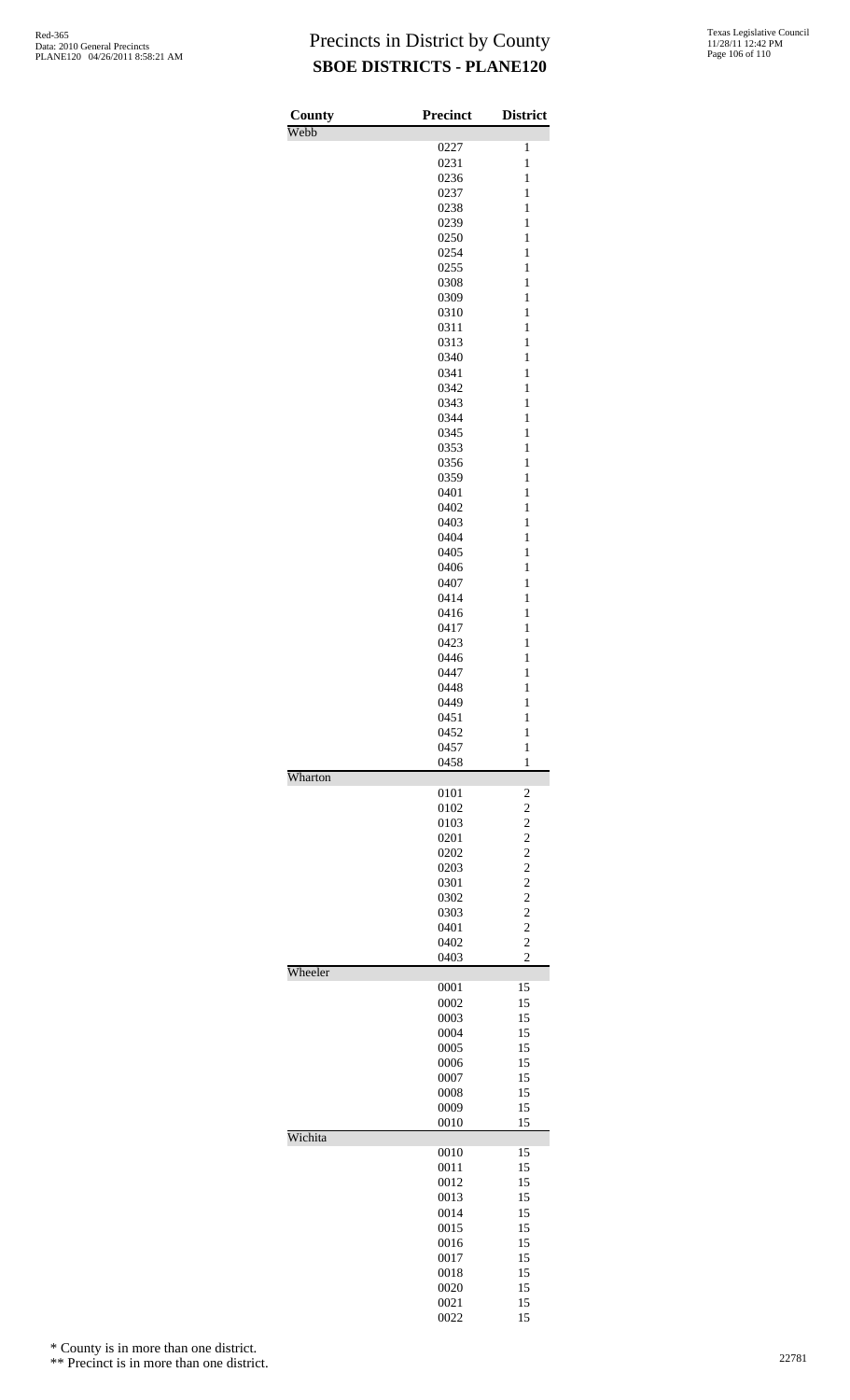| County<br>Webb | <b>Precinct</b> | <b>District</b>                           |
|----------------|-----------------|-------------------------------------------|
|                | 0227            | $\mathbf{1}$                              |
|                | 0231            | $\mathbf{1}$                              |
|                | 0236            | $\mathbf{1}$                              |
|                | 0237            | $\mathbf{1}$                              |
|                | 0238            | $\mathbf{1}$                              |
|                | 0239            | $\mathbf{1}$                              |
|                | 0250<br>0254    | $\mathbf{1}$<br>$\mathbf{1}$              |
|                | 0255            | $\mathbf{1}$                              |
|                | 0308            | $\mathbf{1}$                              |
|                | 0309            | $\mathbf{1}$                              |
|                | 0310            | $\mathbf{1}$                              |
|                | 0311            | 1                                         |
|                | 0313            | $\mathbf{1}$                              |
|                | 0340            | $\mathbf{1}$                              |
|                | 0341<br>0342    | $\mathbf{1}$<br>$\mathbf{1}$              |
|                | 0343            | $\mathbf{1}$                              |
|                | 0344            | $\mathbf{1}$                              |
|                | 0345            | $\mathbf{1}$                              |
|                | 0353            | $\mathbf{1}$                              |
|                | 0356            | $\mathbf{1}$                              |
|                | 0359            | $\mathbf{1}$                              |
|                | 0401            | $\mathbf{1}$                              |
|                | 0402<br>0403    | $\mathbf{1}$<br>$\mathbf{1}$              |
|                | 0404            | $\mathbf{1}$                              |
|                | 0405            | $\mathbf{1}$                              |
|                | 0406            | $\mathbf{1}$                              |
|                | 0407            | $\mathbf{1}$                              |
|                | 0414            | $\mathbf{1}$                              |
|                | 0416            | $\mathbf{1}$                              |
|                | 0417            | $\mathbf{1}$                              |
|                | 0423            | $\mathbf{1}$                              |
|                | 0446<br>0447    | $\mathbf{1}$<br>$\mathbf{1}$              |
|                | 0448            | $\mathbf{1}$                              |
|                | 0449            | $\mathbf{1}$                              |
|                | 0451            | $\mathbf{1}$                              |
|                | 0452            | $\mathbf{1}$                              |
|                | 0457            | $\mathbf{1}$                              |
|                | 0458            | $\mathbf{1}$                              |
| Wharton        | 0101            |                                           |
|                | 0102            | $\overline{\mathbf{c}}$<br>$\overline{c}$ |
|                | 0103            | $\overline{c}$                            |
|                | 0201            | $\overline{c}$                            |
|                | 0202            | $\overline{c}$                            |
|                | 0203            | $\overline{c}$                            |
|                | 0301            | $\overline{c}$                            |
|                | 0302            | $\overline{c}$                            |
|                | 0303            | $\overline{c}$                            |
|                | 0401<br>0402    | $\overline{c}$<br>$\overline{c}$          |
|                | 0403            | $\overline{c}$                            |
| Wheeler        |                 |                                           |
|                | 0001            | 15                                        |
|                | 0002            | 15                                        |
|                | 0003            | 15                                        |
|                | 0004            | 15                                        |
|                | 0005            | 15                                        |
|                | 0006<br>0007    | 15<br>15                                  |
|                | 0008            | 15                                        |
|                | 0009            | 15                                        |
|                | 0010            | 15                                        |
| Wichita        |                 |                                           |
|                | 0010            | 15                                        |
|                | 0011            | 15                                        |
|                | 0012            | 15                                        |
|                | 0013<br>0014    | 15<br>15                                  |
|                | 0015            | 15                                        |
|                | 0016            | 15                                        |
|                | 0017            | 15                                        |
|                | 0018            | 15                                        |
|                | 0020            | 15                                        |
|                | 0021            | 15                                        |
|                | 0022            | 15                                        |

\* County is in more than one district.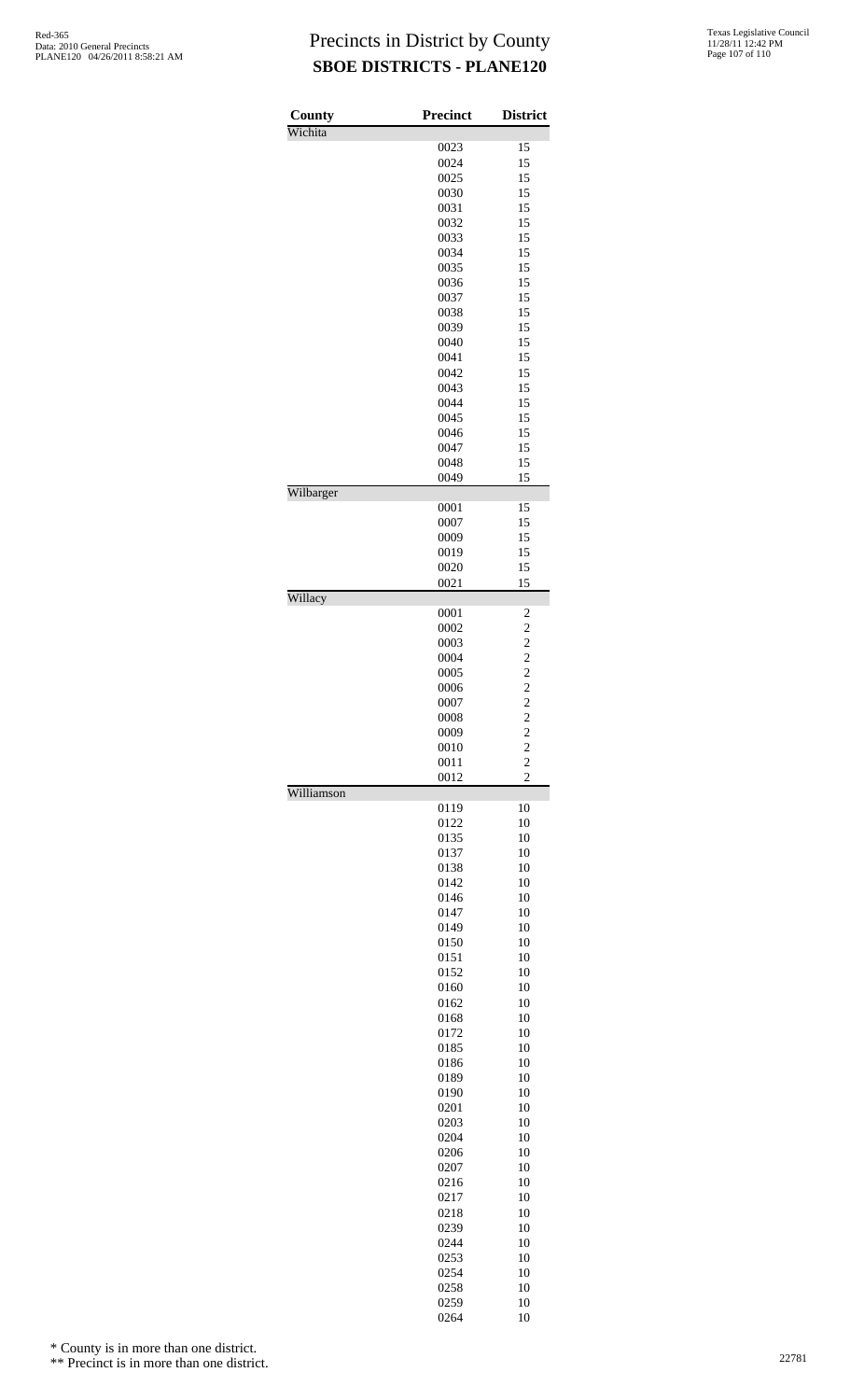| County     | <b>Precinct</b> | <b>District</b>                  |
|------------|-----------------|----------------------------------|
| Wichita    |                 |                                  |
|            | 0023            | 15                               |
|            | 0024            | 15                               |
|            | 0025            | 15                               |
|            | 0030            | 15                               |
|            | 0031<br>0032    | 15<br>15                         |
|            | 0033            | 15                               |
|            | 0034            | 15                               |
|            | 0035            | 15                               |
|            | 0036            | 15                               |
|            | 0037            | 15                               |
|            | 0038            | 15                               |
|            | 0039<br>0040    | 15<br>15                         |
|            | 0041            | 15                               |
|            | 0042            | 15                               |
|            | 0043            | 15                               |
|            | 0044            | 15                               |
|            | 0045            | 15                               |
|            | 0046            | 15                               |
|            | 0047            | 15                               |
|            | 0048<br>0049    | 15<br>15                         |
| Wilbarger  |                 |                                  |
|            | 0001            | 15                               |
|            | 0007            | 15                               |
|            | 0009            | 15                               |
|            | 0019            | 15                               |
|            | 0020            | 15                               |
| Willacy    | 0021            | 15                               |
|            | 0001            | 2                                |
|            | 0002            | $\overline{\mathbf{c}}$          |
|            | 0003            |                                  |
|            | 0004            | $\frac{2}{2}$                    |
|            | 0005            | $\frac{2}{2}$                    |
|            | 0006            |                                  |
|            | 0007            | $\overline{c}$<br>$\overline{2}$ |
|            | 0008<br>0009    | $\overline{\mathbf{c}}$          |
|            | 0010            |                                  |
|            | 0011            | $\frac{2}{2}$                    |
|            | 0012            | $\overline{c}$                   |
| Williamson |                 |                                  |
|            | 0119            | 10                               |
|            | 0122            | 10                               |
|            | 0135<br>0137    | 10<br>10                         |
|            | 0138            | 10                               |
|            | 0142            | 10                               |
|            | 0146            | 10                               |
|            | 0147            | 10                               |
|            | 0149            | 10                               |
|            | 0150            | 10                               |
|            | 0151<br>0152    | 10<br>10                         |
|            | 0160            | 10                               |
|            | 0162            | 10                               |
|            | 0168            | 10                               |
|            | 0172            | 10                               |
|            | 0185            | 10                               |
|            | 0186            | 10                               |
|            | 0189            | 10                               |
|            | 0190            | 10                               |
|            | 0201<br>0203    | 10<br>10                         |
|            | 0204            | 10                               |
|            | 0206            | 10                               |
|            | 0207            | 10                               |
|            | 0216            | 10                               |
|            | 0217            | 10                               |
|            | 0218            | 10                               |
|            | 0239<br>0244    | 10<br>10                         |
|            | 0253            | 10                               |
|            | 0254            | 10                               |
|            | 0258            | 10                               |
|            | 0259            | 10                               |
|            | 0264            | 10                               |

\* County is in more than one district.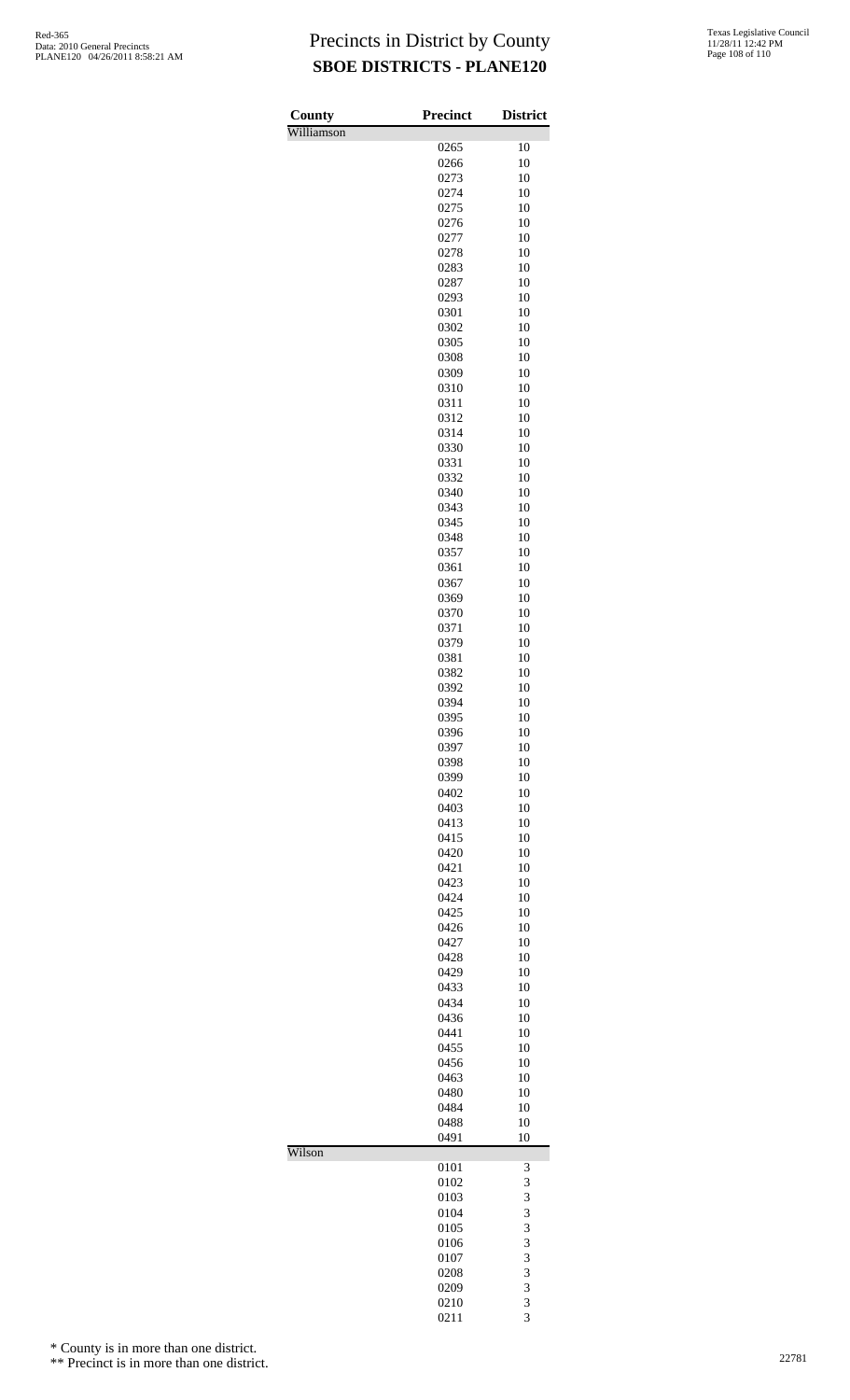| County     | Precinct     | <b>District</b> |
|------------|--------------|-----------------|
| Williamson |              |                 |
|            | 0265<br>0266 | 10<br>10        |
|            | 0273         | 10              |
|            | 0274         | 10              |
|            | 0275         | 10              |
|            | 0276<br>0277 | 10<br>10        |
|            | 0278         | 10              |
|            | 0283         | 10              |
|            | 0287         | 10              |
|            | 0293<br>0301 | 10<br>10        |
|            | 0302         | 10              |
|            | 0305         | 10              |
|            | 0308         | 10              |
|            | 0309<br>0310 | 10<br>10        |
|            | 0311         | 10              |
|            | 0312         | 10              |
|            | 0314<br>0330 | 10<br>10        |
|            | 0331         | 10              |
|            | 0332         | 10              |
|            | 0340         | 10              |
|            | 0343<br>0345 | 10<br>10        |
|            | 0348         | 10              |
|            | 0357         | 10              |
|            | 0361         | 10              |
|            | 0367<br>0369 | 10<br>10        |
|            | 0370         | 10              |
|            | 0371         | 10              |
|            | 0379<br>0381 | 10<br>10        |
|            | 0382         | 10              |
|            | 0392         | 10              |
|            | 0394         | 10              |
|            | 0395<br>0396 | 10<br>10        |
|            | 0397         | 10              |
|            | 0398         | 10              |
|            | 0399<br>0402 | 10<br>10        |
|            | 0403         | 10              |
|            | 0413         | 10              |
|            | 0415         | 10              |
|            | 0420<br>0421 | 10<br>10        |
|            | 0423         | 10              |
|            | 0424         | 10              |
|            | 0425<br>0426 | 10<br>10        |
|            | 0427         | 10              |
|            | 0428         | 10              |
|            | 0429         | 10              |
|            | 0433<br>0434 | 10<br>10        |
|            | 0436         | 10              |
|            | 0441         | 10              |
|            | 0455         | 10              |
|            | 0456<br>0463 | 10<br>10        |
|            | 0480         | 10              |
|            | 0484         | 10              |
|            | 0488<br>0491 | 10<br>10        |
| Wilson     |              |                 |
|            | 0101         | 3               |
|            | 0102<br>0103 | 3<br>3          |
|            | 0104         | 3               |
|            | 0105         | 3               |
|            | 0106         | 3               |
|            | 0107<br>0208 | 3<br>3          |
|            | 0209         | 3               |
|            | 0210         | 3               |
|            | 0211         | 3               |

\* County is in more than one district.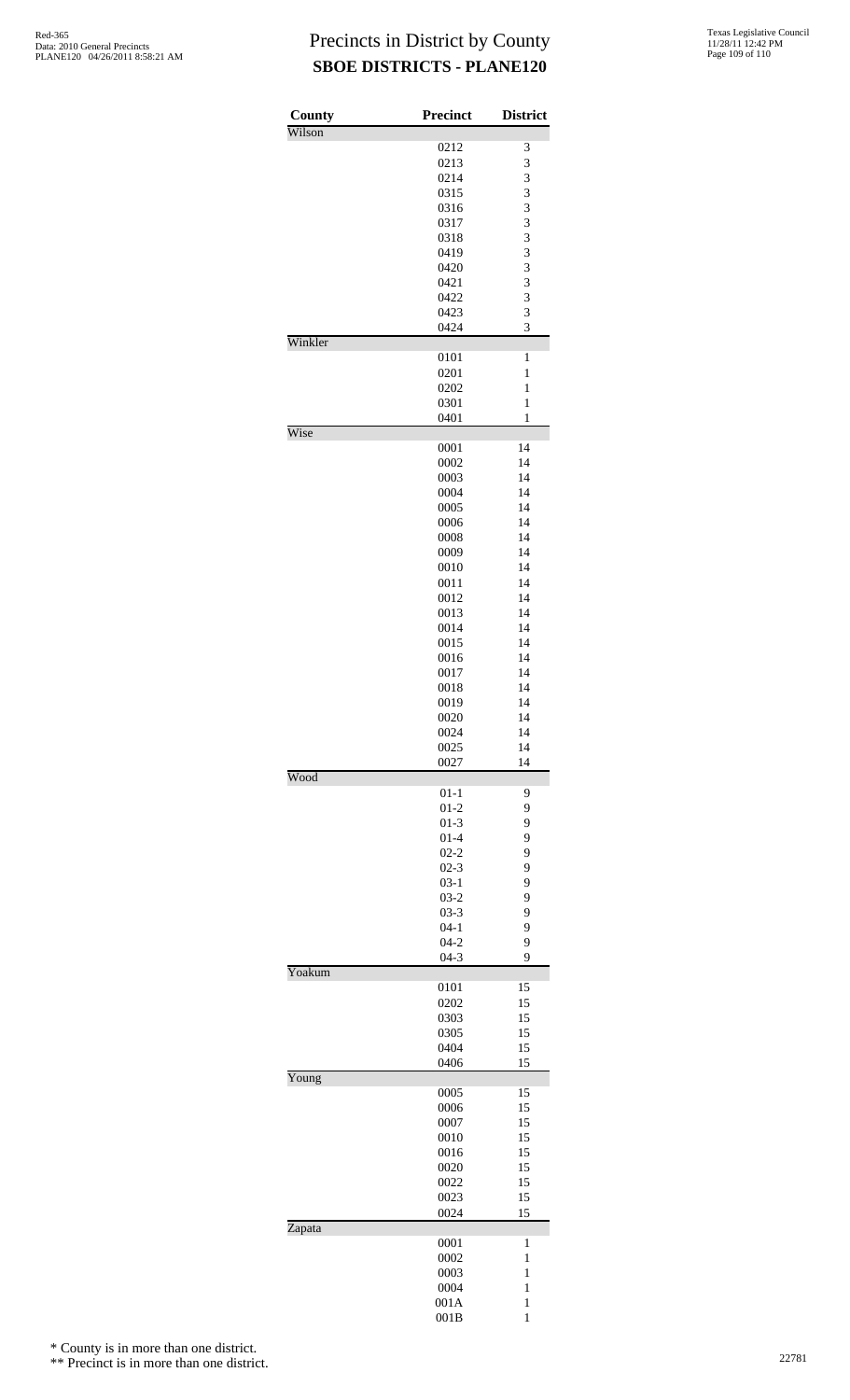## Precincts in District by County **SBOE DISTRICTS - PLANE120**

| County<br>Wilson | <b>Precinct</b>    | <b>District</b>   |
|------------------|--------------------|-------------------|
|                  | 0212               | 3                 |
|                  | 0213               | 3                 |
|                  | 0214               | 3                 |
|                  | 0315               | 3                 |
|                  | 0316               | 3                 |
|                  | 0317               | 3                 |
|                  | 0318<br>0419       | 3<br>3            |
|                  | 0420               | 3                 |
|                  | 0421               | 3                 |
|                  | 0422               | 3                 |
|                  | 0423               | 3                 |
|                  | 0424               | 3                 |
| Winkler          |                    |                   |
|                  | 0101               | 1                 |
|                  | 0201               | $\mathbf{1}$      |
|                  | 0202<br>0301       | 1<br>$\mathbf{1}$ |
|                  | 0401               | 1                 |
| Wise             |                    |                   |
|                  | 0001               | 14                |
|                  | 0002               | 14                |
|                  | 0003               | 14                |
|                  | 0004               | 14                |
|                  | 0005               | 14                |
|                  | 0006<br>0008       | 14<br>14          |
|                  | 0009               | 14                |
|                  | 0010               | 14                |
|                  | 0011               | 14                |
|                  | 0012               | 14                |
|                  | 0013               | 14                |
|                  | 0014               | 14                |
|                  | 0015               | 14                |
|                  | 0016               | 14                |
|                  | 0017               | 14                |
|                  | 0018               | 14                |
|                  | 0019<br>0020       | 14<br>14          |
|                  | 0024               | 14                |
|                  | 0025               | 14                |
|                  | 0027               | 14                |
| Wood             |                    |                   |
|                  | $01 - 1$           | 9                 |
|                  | $01 - 2$           | 9<br>9            |
|                  | $01-3$<br>$01 - 4$ | 9                 |
|                  | $02 - 2$           | 9                 |
|                  | $02 - 3$           | 9                 |
|                  | $03-1$             | 9                 |
|                  | $03-2$             | 9                 |
|                  | $03-3$             | 9                 |
|                  | $04 - 1$           | 9                 |
|                  | $04 - 2$           | 9                 |
| Yoakum           | $04 - 3$           | 9                 |
|                  | 0101               | 15                |
|                  | 0202               | 15                |
|                  | 0303               | 15                |
|                  | 0305               | 15                |
|                  | 0404               | 15                |
|                  | 0406               | 15                |
| Young            | 0005               | 15                |
|                  | 0006               | 15                |
|                  | 0007               | 15                |
|                  | 0010               | 15                |
|                  | 0016               | 15                |
|                  | 0020               | 15                |
|                  | 0022               | 15                |
|                  | 0023               | 15                |
|                  | 0024               | 15                |
| Zapata           | 0001               | 1                 |
|                  | 0002               | $\mathbf{1}$      |
|                  | 0003               | $\mathbf{1}$      |
|                  | 0004               | 1                 |
|                  | 001A               | $\mathbf{1}$      |
|                  | 001B               | $\mathbf{1}$      |

\* County is in more than one district.

\*\* Precinct is in more than one district.